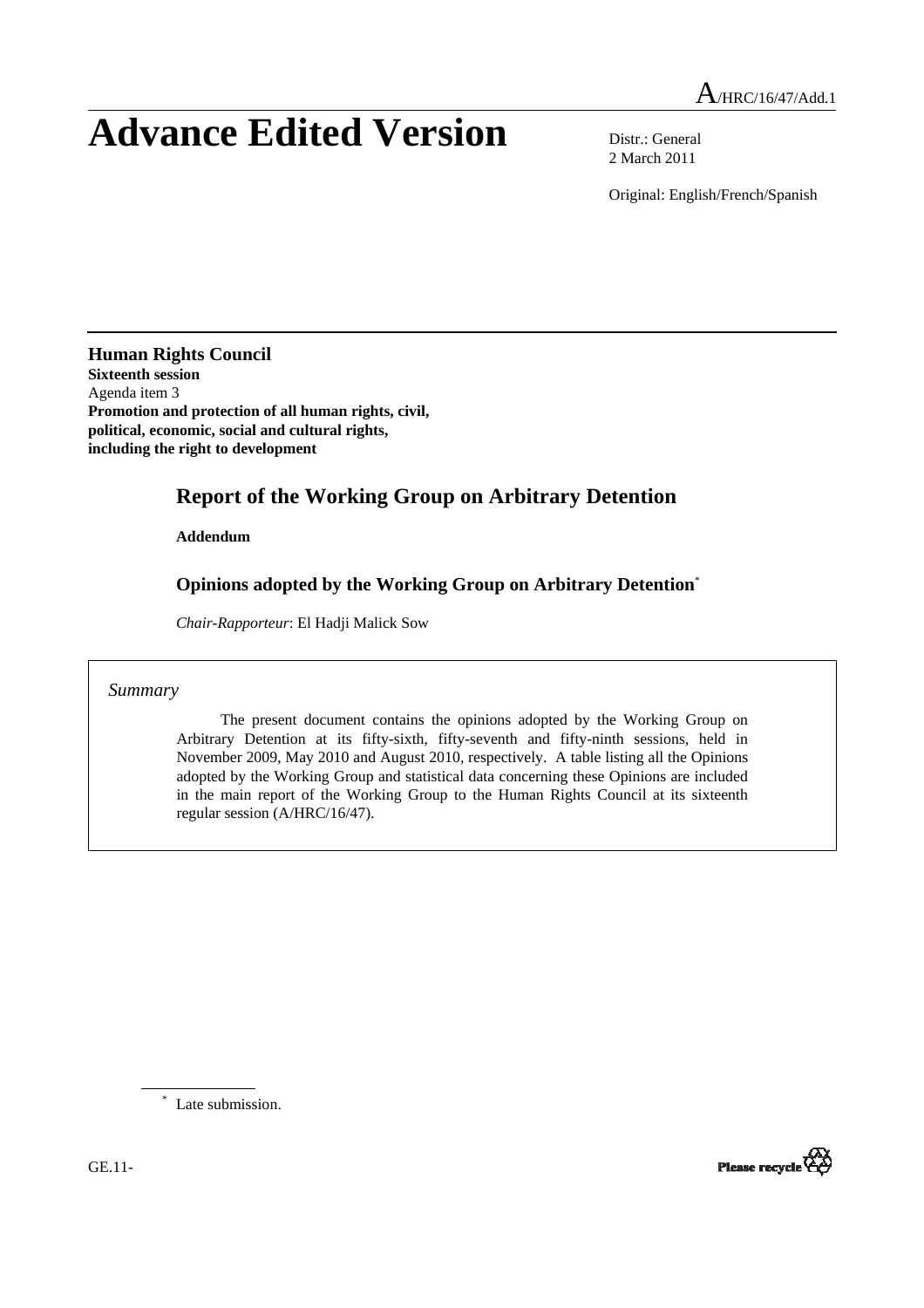# **Advance Edited Version** Distr.: General

2 March 2011

Original: English/French/Spanish

**Human Rights Council Sixteenth session** Agenda item 3 **Promotion and protection of all human rights, civil, political, economic, social and cultural rights, including the right to development**

# **Report of the Working Group on Arbitrary Detention**

 **Addendum** 

## **Opinions adopted by the Working Group on Arbitrary Detention**\*

*Chair-Rapporteur*: El Hadji Malick Sow

*Summary* 

 The present document contains the opinions adopted by the Working Group on Arbitrary Detention at its fifty-sixth, fifty-seventh and fifty-ninth sessions, held in November 2009, May 2010 and August 2010, respectively. A table listing all the Opinions adopted by the Working Group and statistical data concerning these Opinions are included in the main report of the Working Group to the Human Rights Council at its sixteenth regular session (A/HRC/16/47).

\* Late submission.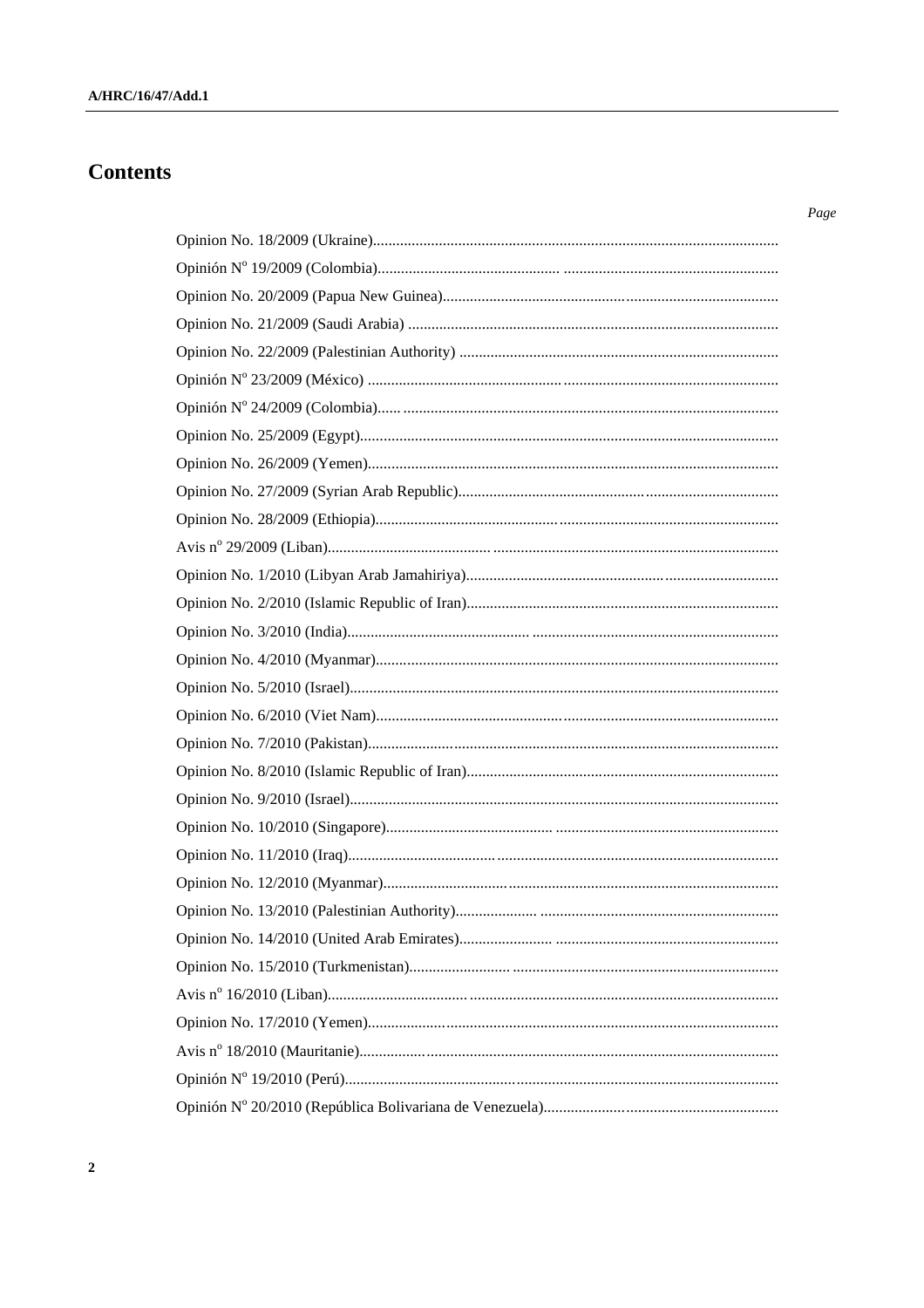# **Contents**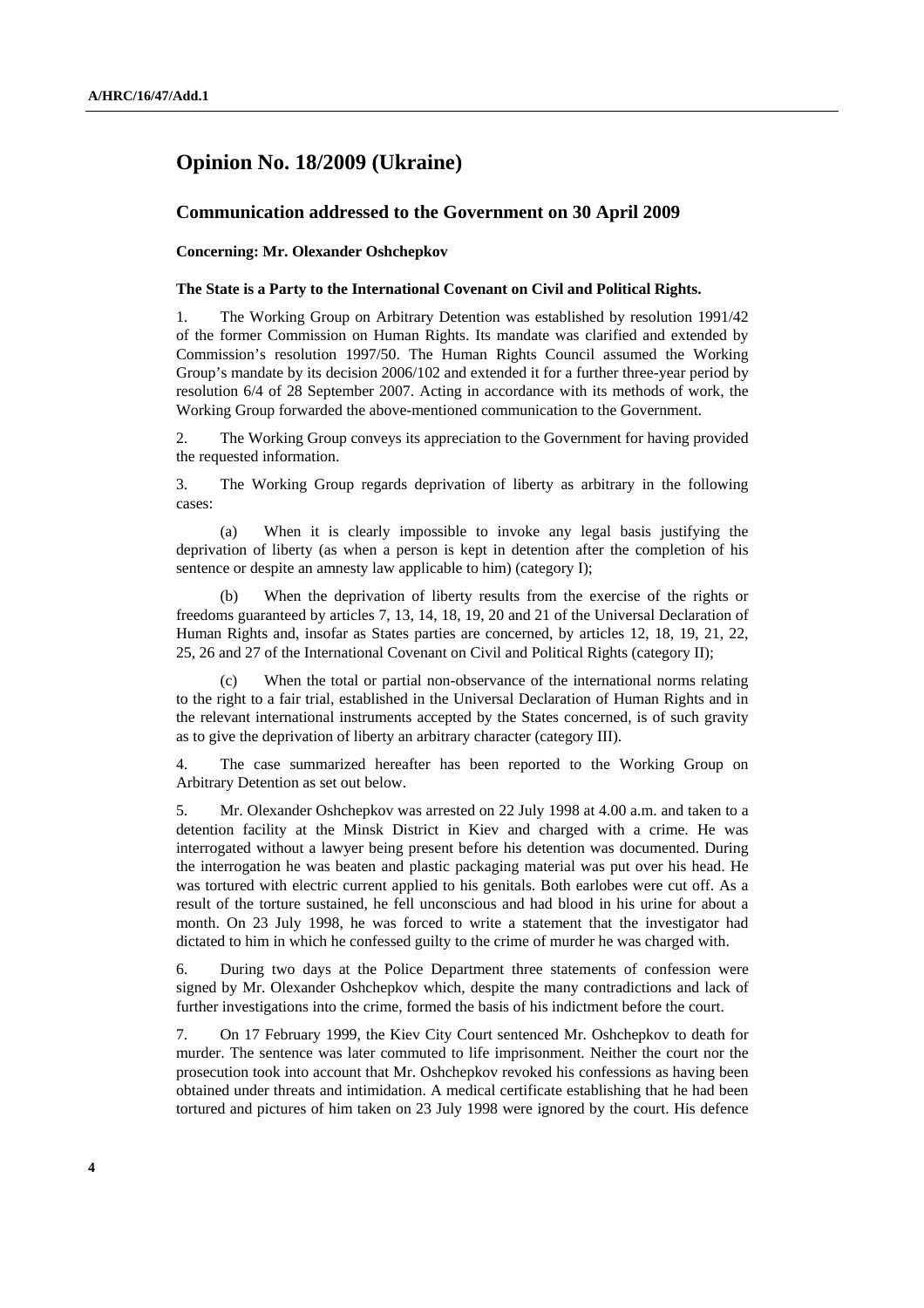## **Opinion No. 18/2009 (Ukraine)**

### **Communication addressed to the Government on 30 April 2009**

#### **Concerning: Mr. Olexander Oshchepkov**

#### **The State is a Party to the International Covenant on Civil and Political Rights.**

1. The Working Group on Arbitrary Detention was established by resolution 1991/42 of the former Commission on Human Rights. Its mandate was clarified and extended by Commission's resolution 1997/50. The Human Rights Council assumed the Working Group's mandate by its decision 2006/102 and extended it for a further three-year period by resolution 6/4 of 28 September 2007. Acting in accordance with its methods of work, the Working Group forwarded the above-mentioned communication to the Government.

2. The Working Group conveys its appreciation to the Government for having provided the requested information.

3. The Working Group regards deprivation of liberty as arbitrary in the following cases:

 (a) When it is clearly impossible to invoke any legal basis justifying the deprivation of liberty (as when a person is kept in detention after the completion of his sentence or despite an amnesty law applicable to him) (category I);

 (b) When the deprivation of liberty results from the exercise of the rights or freedoms guaranteed by articles 7, 13, 14, 18, 19, 20 and 21 of the Universal Declaration of Human Rights and, insofar as States parties are concerned, by articles 12, 18, 19, 21, 22, 25, 26 and 27 of the International Covenant on Civil and Political Rights (category II);

 (c) When the total or partial non-observance of the international norms relating to the right to a fair trial, established in the Universal Declaration of Human Rights and in the relevant international instruments accepted by the States concerned, is of such gravity as to give the deprivation of liberty an arbitrary character (category III).

4. The case summarized hereafter has been reported to the Working Group on Arbitrary Detention as set out below.

5. Mr. Olexander Oshchepkov was arrested on 22 July 1998 at 4.00 a.m. and taken to a detention facility at the Minsk District in Kiev and charged with a crime. He was interrogated without a lawyer being present before his detention was documented. During the interrogation he was beaten and plastic packaging material was put over his head. He was tortured with electric current applied to his genitals. Both earlobes were cut off. As a result of the torture sustained, he fell unconscious and had blood in his urine for about a month. On 23 July 1998, he was forced to write a statement that the investigator had dictated to him in which he confessed guilty to the crime of murder he was charged with.

6. During two days at the Police Department three statements of confession were signed by Mr. Olexander Oshchepkov which, despite the many contradictions and lack of further investigations into the crime, formed the basis of his indictment before the court.

7. On 17 February 1999, the Kiev City Court sentenced Mr. Oshchepkov to death for murder. The sentence was later commuted to life imprisonment. Neither the court nor the prosecution took into account that Mr. Oshchepkov revoked his confessions as having been obtained under threats and intimidation. A medical certificate establishing that he had been tortured and pictures of him taken on 23 July 1998 were ignored by the court. His defence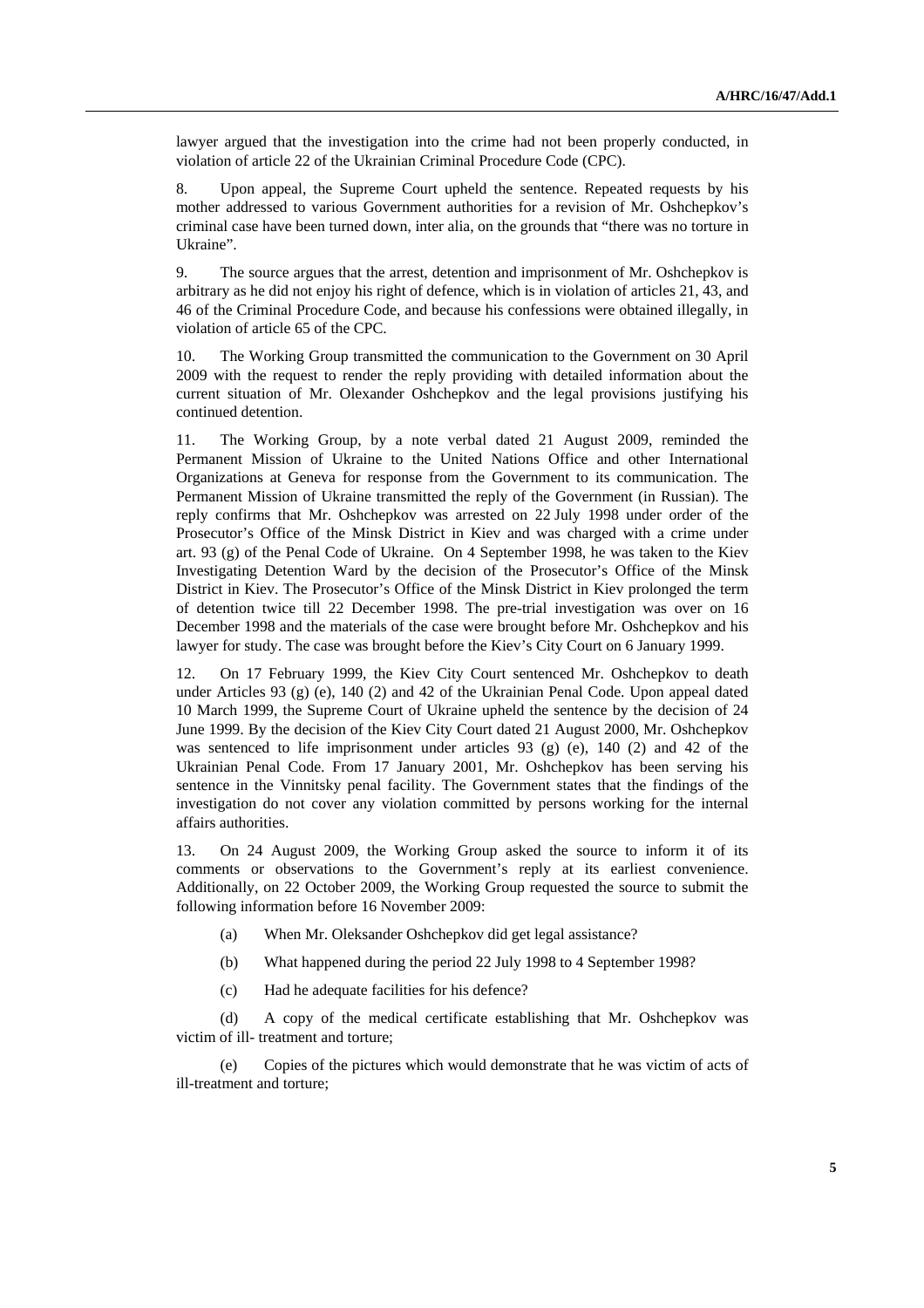lawyer argued that the investigation into the crime had not been properly conducted, in violation of article 22 of the Ukrainian Criminal Procedure Code (CPC).

8. Upon appeal, the Supreme Court upheld the sentence. Repeated requests by his mother addressed to various Government authorities for a revision of Mr. Oshchepkov's criminal case have been turned down, inter alia, on the grounds that "there was no torture in Ukraine".

9. The source argues that the arrest, detention and imprisonment of Mr. Oshchepkov is arbitrary as he did not enjoy his right of defence, which is in violation of articles 21, 43, and 46 of the Criminal Procedure Code, and because his confessions were obtained illegally, in violation of article 65 of the CPC.

10. The Working Group transmitted the communication to the Government on 30 April 2009 with the request to render the reply providing with detailed information about the current situation of Mr. Olexander Oshchepkov and the legal provisions justifying his continued detention.

11. The Working Group, by a note verbal dated 21 August 2009, reminded the Permanent Mission of Ukraine to the United Nations Office and other International Organizations at Geneva for response from the Government to its communication. The Permanent Mission of Ukraine transmitted the reply of the Government (in Russian). The reply confirms that Mr. Oshchepkov was arrested on 22 July 1998 under order of the Prosecutor's Office of the Minsk District in Kiev and was charged with a crime under art. 93 (g) of the Penal Code of Ukraine. On 4 September 1998, he was taken to the Kiev Investigating Detention Ward by the decision of the Prosecutor's Office of the Minsk District in Kiev. The Prosecutor's Office of the Minsk District in Kiev prolonged the term of detention twice till 22 December 1998. The pre-trial investigation was over on 16 December 1998 and the materials of the case were brought before Mr. Oshchepkov and his lawyer for study. The case was brought before the Kiev's City Court on 6 January 1999.

12. On 17 February 1999, the Kiev City Court sentenced Mr. Oshchepkov to death under Articles 93 (g) (e), 140 (2) and 42 of the Ukrainian Penal Code. Upon appeal dated 10 March 1999, the Supreme Court of Ukraine upheld the sentence by the decision of 24 June 1999. By the decision of the Kiev City Court dated 21 August 2000, Mr. Oshchepkov was sentenced to life imprisonment under articles 93 (g) (e), 140 (2) and 42 of the Ukrainian Penal Code. From 17 January 2001, Mr. Oshchepkov has been serving his sentence in the Vinnitsky penal facility. The Government states that the findings of the investigation do not cover any violation committed by persons working for the internal affairs authorities.

13. On 24 August 2009, the Working Group asked the source to inform it of its comments or observations to the Government's reply at its earliest convenience. Additionally, on 22 October 2009, the Working Group requested the source to submit the following information before 16 November 2009:

- (a) When Mr. Oleksander Oshchepkov did get legal assistance?
- (b) What happened during the period 22 July 1998 to 4 September 1998?
- (c) Had he adequate facilities for his defence?

 (d) A copy of the medical certificate establishing that Mr. Oshchepkov was victim of ill- treatment and torture;

 (e) Copies of the pictures which would demonstrate that he was victim of acts of ill-treatment and torture;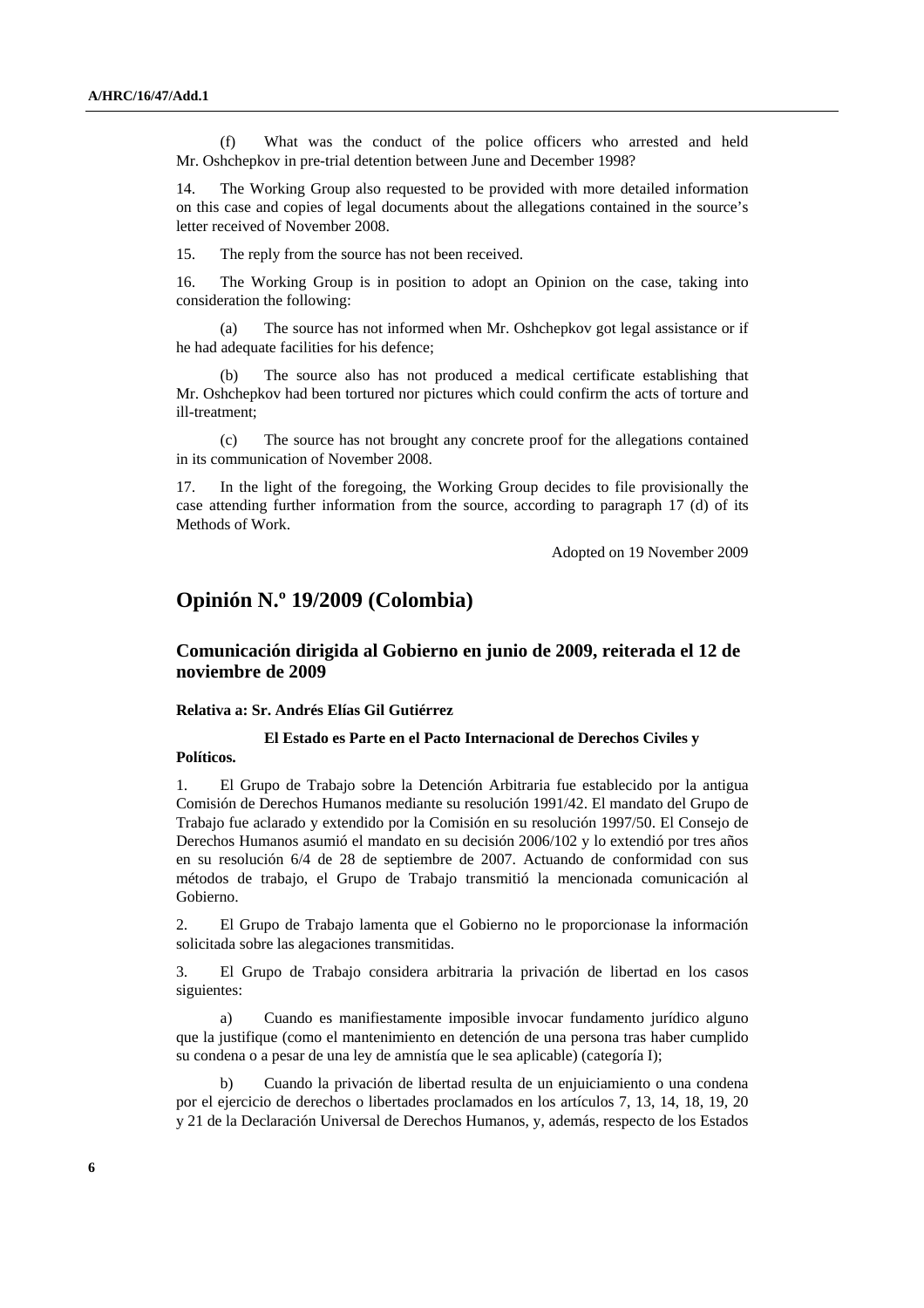(f) What was the conduct of the police officers who arrested and held Mr. Oshchepkov in pre-trial detention between June and December 1998?

14. The Working Group also requested to be provided with more detailed information on this case and copies of legal documents about the allegations contained in the source's letter received of November 2008.

15. The reply from the source has not been received.

16. The Working Group is in position to adopt an Opinion on the case, taking into consideration the following:

 (a) The source has not informed when Mr. Oshchepkov got legal assistance or if he had adequate facilities for his defence;

The source also has not produced a medical certificate establishing that Mr. Oshchepkov had been tortured nor pictures which could confirm the acts of torture and ill-treatment;

 (c) The source has not brought any concrete proof for the allegations contained in its communication of November 2008.

17. In the light of the foregoing, the Working Group decides to file provisionally the case attending further information from the source, according to paragraph 17 (d) of its Methods of Work.

Adopted on 19 November 2009

## **Opinión N.º 19/2009 (Colombia)**

## **Comunicación dirigida al Gobierno en junio de 2009, reiterada el 12 de noviembre de 2009**

#### **Relativa a: Sr. Andrés Elías Gil Gutiérrez**

### **El Estado es Parte en el Pacto Internacional de Derechos Civiles y**

**Políticos.** 

1. El Grupo de Trabajo sobre la Detención Arbitraria fue establecido por la antigua Comisión de Derechos Humanos mediante su resolución 1991/42. El mandato del Grupo de Trabajo fue aclarado y extendido por la Comisión en su resolución 1997/50. El Consejo de Derechos Humanos asumió el mandato en su decisión 2006/102 y lo extendió por tres años en su resolución 6/4 de 28 de septiembre de 2007. Actuando de conformidad con sus métodos de trabajo, el Grupo de Trabajo transmitió la mencionada comunicación al Gobierno.

2. El Grupo de Trabajo lamenta que el Gobierno no le proporcionase la información solicitada sobre las alegaciones transmitidas.

3. El Grupo de Trabajo considera arbitraria la privación de libertad en los casos siguientes:

 a) Cuando es manifiestamente imposible invocar fundamento jurídico alguno que la justifique (como el mantenimiento en detención de una persona tras haber cumplido su condena o a pesar de una ley de amnistía que le sea aplicable) (categoría I);

 b) Cuando la privación de libertad resulta de un enjuiciamiento o una condena por el ejercicio de derechos o libertades proclamados en los artículos 7, 13, 14, 18, 19, 20 y 21 de la Declaración Universal de Derechos Humanos, y, además, respecto de los Estados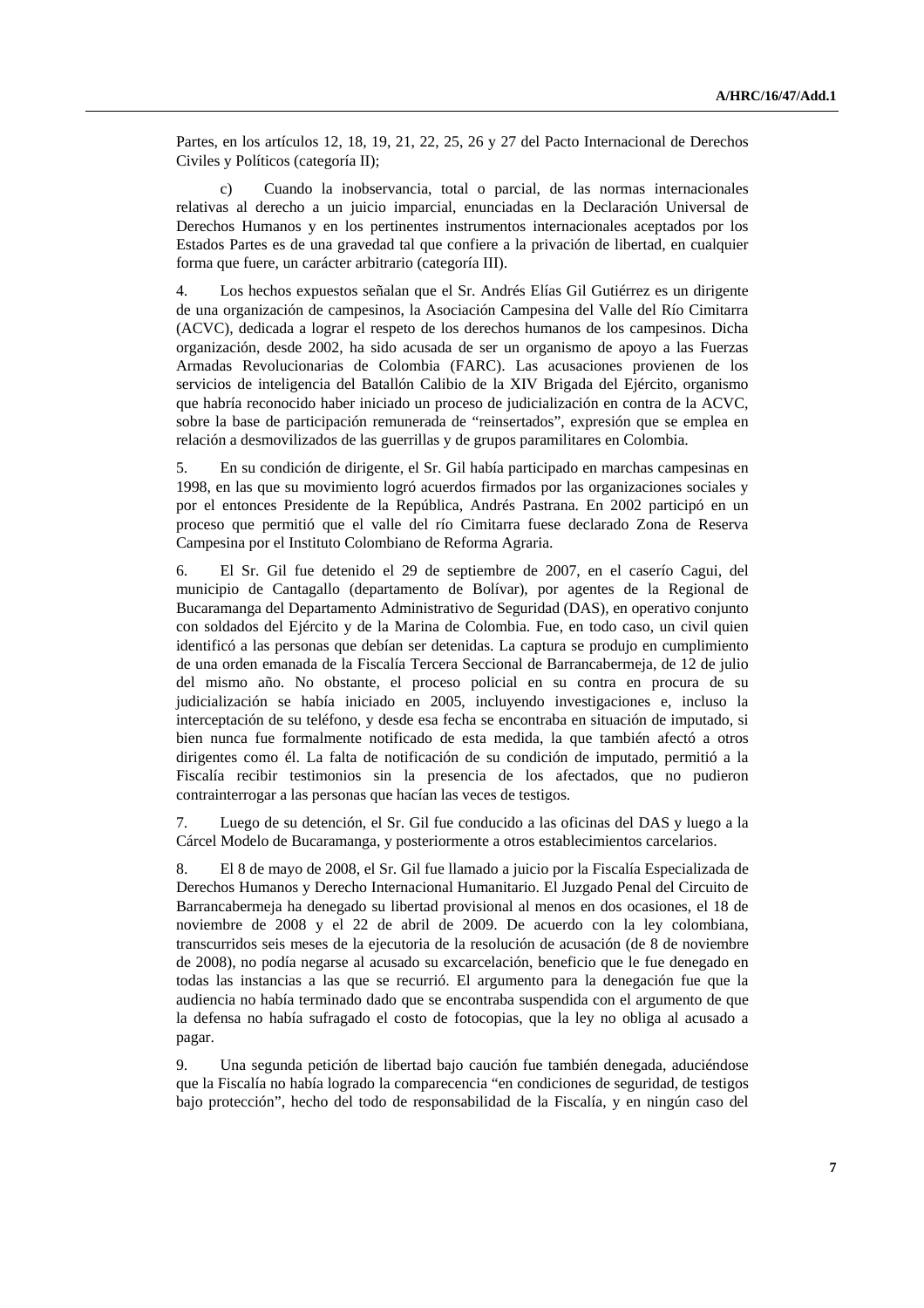Partes, en los artículos 12, 18, 19, 21, 22, 25, 26 y 27 del Pacto Internacional de Derechos Civiles y Políticos (categoría II);

 c) Cuando la inobservancia, total o parcial, de las normas internacionales relativas al derecho a un juicio imparcial, enunciadas en la Declaración Universal de Derechos Humanos y en los pertinentes instrumentos internacionales aceptados por los Estados Partes es de una gravedad tal que confiere a la privación de libertad, en cualquier forma que fuere, un carácter arbitrario (categoría III).

4. Los hechos expuestos señalan que el Sr. Andrés Elías Gil Gutiérrez es un dirigente de una organización de campesinos, la Asociación Campesina del Valle del Río Cimitarra (ACVC), dedicada a lograr el respeto de los derechos humanos de los campesinos. Dicha organización, desde 2002, ha sido acusada de ser un organismo de apoyo a las Fuerzas Armadas Revolucionarias de Colombia (FARC). Las acusaciones provienen de los servicios de inteligencia del Batallón Calibio de la XIV Brigada del Ejército, organismo que habría reconocido haber iniciado un proceso de judicialización en contra de la ACVC, sobre la base de participación remunerada de "reinsertados", expresión que se emplea en relación a desmovilizados de las guerrillas y de grupos paramilitares en Colombia.

5. En su condición de dirigente, el Sr. Gil había participado en marchas campesinas en 1998, en las que su movimiento logró acuerdos firmados por las organizaciones sociales y por el entonces Presidente de la República, Andrés Pastrana. En 2002 participó en un proceso que permitió que el valle del río Cimitarra fuese declarado Zona de Reserva Campesina por el Instituto Colombiano de Reforma Agraria.

6. El Sr. Gil fue detenido el 29 de septiembre de 2007, en el caserío Cagui, del municipio de Cantagallo (departamento de Bolívar), por agentes de la Regional de Bucaramanga del Departamento Administrativo de Seguridad (DAS), en operativo conjunto con soldados del Ejército y de la Marina de Colombia. Fue, en todo caso, un civil quien identificó a las personas que debían ser detenidas. La captura se produjo en cumplimiento de una orden emanada de la Fiscalía Tercera Seccional de Barrancabermeja, de 12 de julio del mismo año. No obstante, el proceso policial en su contra en procura de su judicialización se había iniciado en 2005, incluyendo investigaciones e, incluso la interceptación de su teléfono, y desde esa fecha se encontraba en situación de imputado, si bien nunca fue formalmente notificado de esta medida, la que también afectó a otros dirigentes como él. La falta de notificación de su condición de imputado, permitió a la Fiscalía recibir testimonios sin la presencia de los afectados, que no pudieron contrainterrogar a las personas que hacían las veces de testigos.

7. Luego de su detención, el Sr. Gil fue conducido a las oficinas del DAS y luego a la Cárcel Modelo de Bucaramanga, y posteriormente a otros establecimientos carcelarios.

8. El 8 de mayo de 2008, el Sr. Gil fue llamado a juicio por la Fiscalía Especializada de Derechos Humanos y Derecho Internacional Humanitario. El Juzgado Penal del Circuito de Barrancabermeja ha denegado su libertad provisional al menos en dos ocasiones, el 18 de noviembre de 2008 y el 22 de abril de 2009. De acuerdo con la ley colombiana, transcurridos seis meses de la ejecutoria de la resolución de acusación (de 8 de noviembre de 2008), no podía negarse al acusado su excarcelación, beneficio que le fue denegado en todas las instancias a las que se recurrió. El argumento para la denegación fue que la audiencia no había terminado dado que se encontraba suspendida con el argumento de que la defensa no había sufragado el costo de fotocopias, que la ley no obliga al acusado a pagar.

9. Una segunda petición de libertad bajo caución fue también denegada, aduciéndose que la Fiscalía no había logrado la comparecencia "en condiciones de seguridad, de testigos bajo protección", hecho del todo de responsabilidad de la Fiscalía, y en ningún caso del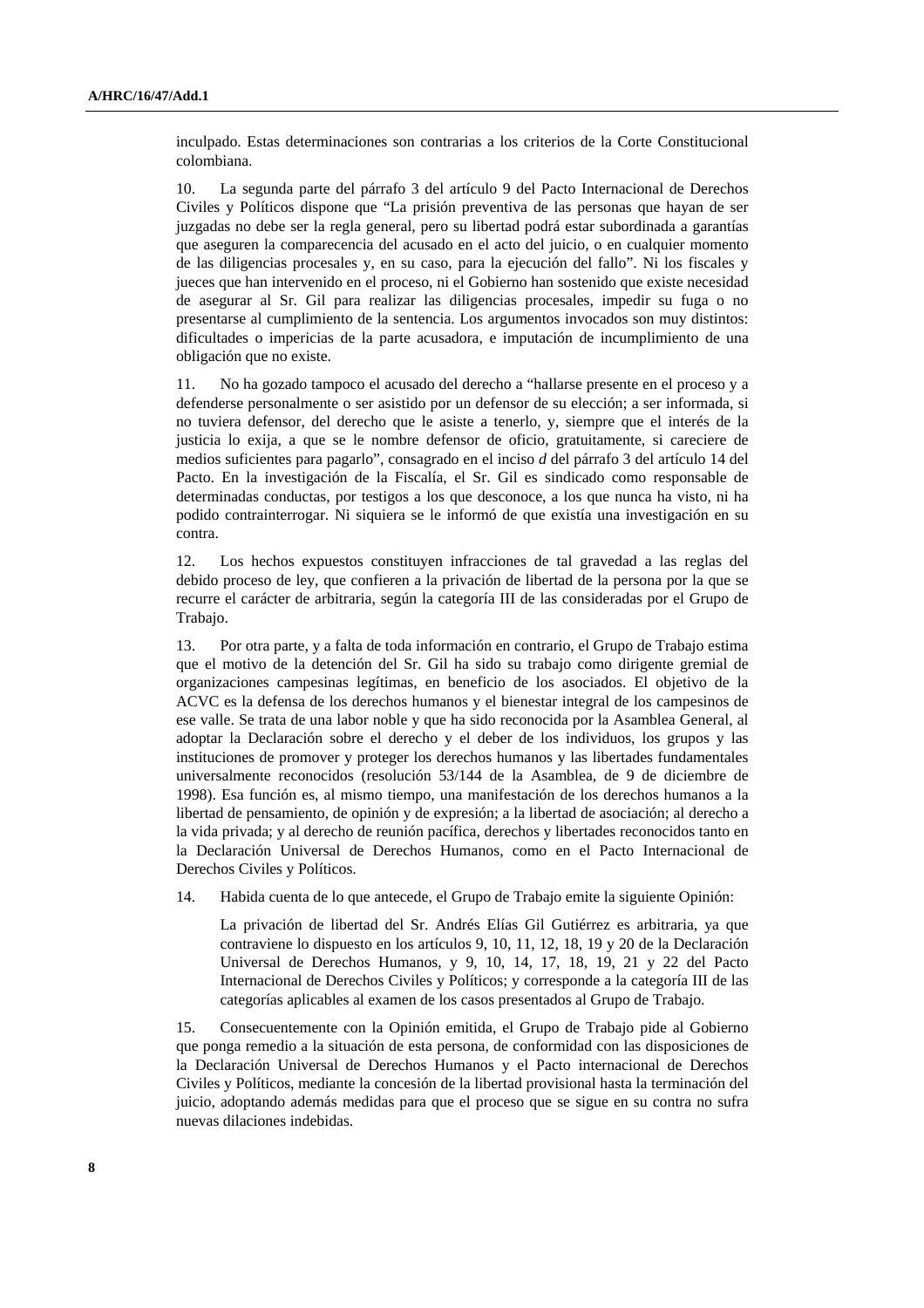inculpado. Estas determinaciones son contrarias a los criterios de la Corte Constitucional colombiana.

10. La segunda parte del párrafo 3 del artículo 9 del Pacto Internacional de Derechos Civiles y Políticos dispone que "La prisión preventiva de las personas que hayan de ser juzgadas no debe ser la regla general, pero su libertad podrá estar subordinada a garantías que aseguren la comparecencia del acusado en el acto del juicio, o en cualquier momento de las diligencias procesales y, en su caso, para la ejecución del fallo". Ni los fiscales y jueces que han intervenido en el proceso, ni el Gobierno han sostenido que existe necesidad de asegurar al Sr. Gil para realizar las diligencias procesales, impedir su fuga o no presentarse al cumplimiento de la sentencia. Los argumentos invocados son muy distintos: dificultades o impericias de la parte acusadora, e imputación de incumplimiento de una obligación que no existe.

11. No ha gozado tampoco el acusado del derecho a "hallarse presente en el proceso y a defenderse personalmente o ser asistido por un defensor de su elección; a ser informada, si no tuviera defensor, del derecho que le asiste a tenerlo, y, siempre que el interés de la justicia lo exija, a que se le nombre defensor de oficio, gratuitamente, si careciere de medios suficientes para pagarlo", consagrado en el inciso *d* del párrafo 3 del artículo 14 del Pacto. En la investigación de la Fiscalía, el Sr. Gil es sindicado como responsable de determinadas conductas, por testigos a los que desconoce, a los que nunca ha visto, ni ha podido contrainterrogar. Ni siquiera se le informó de que existía una investigación en su contra.

12. Los hechos expuestos constituyen infracciones de tal gravedad a las reglas del debido proceso de ley, que confieren a la privación de libertad de la persona por la que se recurre el carácter de arbitraria, según la categoría III de las consideradas por el Grupo de Trabajo.

13. Por otra parte, y a falta de toda información en contrario, el Grupo de Trabajo estima que el motivo de la detención del Sr. Gil ha sido su trabajo como dirigente gremial de organizaciones campesinas legítimas, en beneficio de los asociados. El objetivo de la ACVC es la defensa de los derechos humanos y el bienestar integral de los campesinos de ese valle. Se trata de una labor noble y que ha sido reconocida por la Asamblea General, al adoptar la Declaración sobre el derecho y el deber de los individuos, los grupos y las instituciones de promover y proteger los derechos humanos y las libertades fundamentales universalmente reconocidos (resolución 53/144 de la Asamblea, de 9 de diciembre de 1998). Esa función es, al mismo tiempo, una manifestación de los derechos humanos a la libertad de pensamiento, de opinión y de expresión; a la libertad de asociación; al derecho a la vida privada; y al derecho de reunión pacífica, derechos y libertades reconocidos tanto en la Declaración Universal de Derechos Humanos, como en el Pacto Internacional de Derechos Civiles y Políticos.

14. Habida cuenta de lo que antecede, el Grupo de Trabajo emite la siguiente Opinión:

 La privación de libertad del Sr. Andrés Elías Gil Gutiérrez es arbitraria, ya que contraviene lo dispuesto en los artículos 9, 10, 11, 12, 18, 19 y 20 de la Declaración Universal de Derechos Humanos, y 9, 10, 14, 17, 18, 19, 21 y 22 del Pacto Internacional de Derechos Civiles y Políticos; y corresponde a la categoría III de las categorías aplicables al examen de los casos presentados al Grupo de Trabajo.

15. Consecuentemente con la Opinión emitida, el Grupo de Trabajo pide al Gobierno que ponga remedio a la situación de esta persona, de conformidad con las disposiciones de la Declaración Universal de Derechos Humanos y el Pacto internacional de Derechos Civiles y Políticos, mediante la concesión de la libertad provisional hasta la terminación del juicio, adoptando además medidas para que el proceso que se sigue en su contra no sufra nuevas dilaciones indebidas.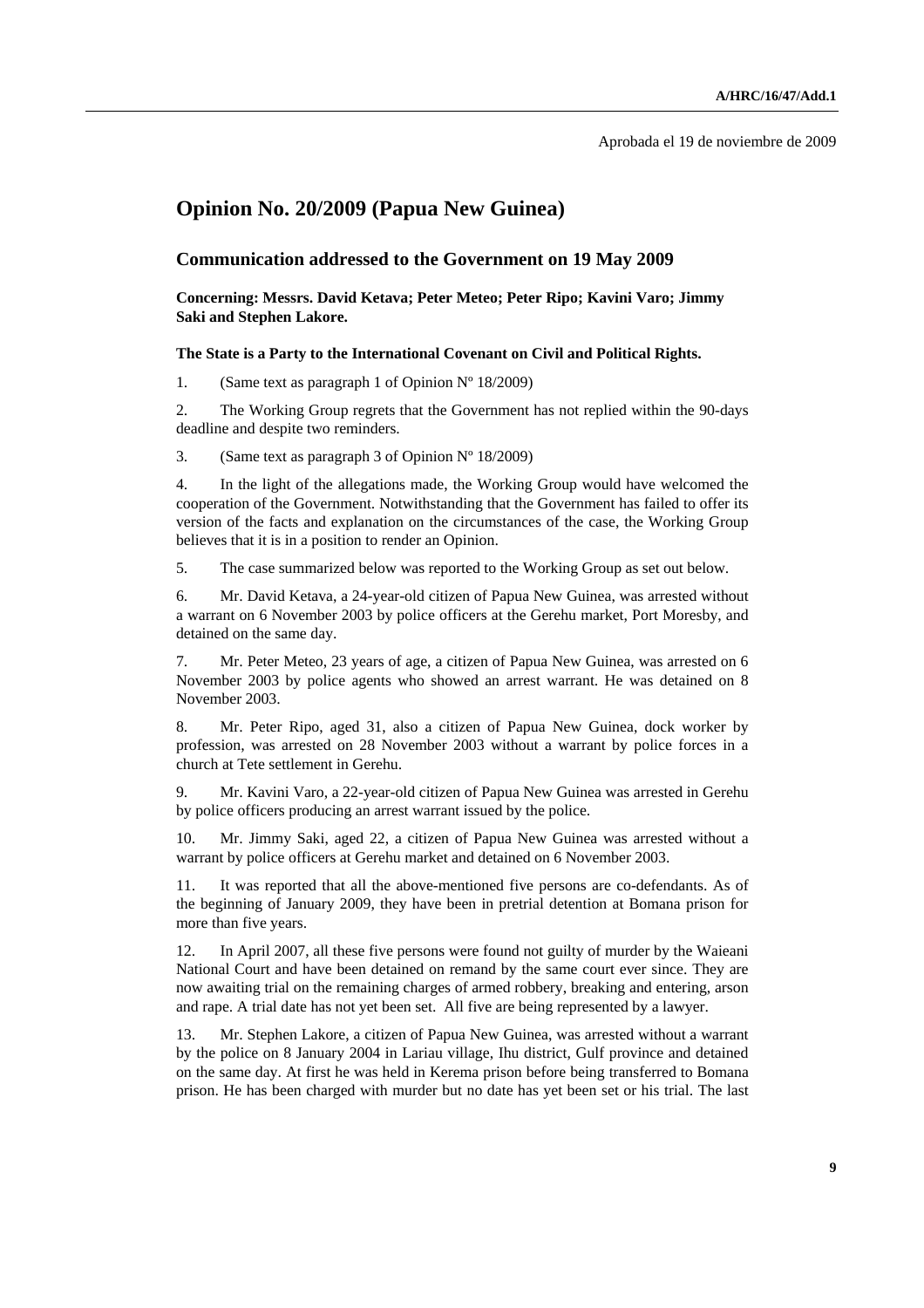Aprobada el 19 de noviembre de 2009

## **Opinion No. 20/2009 (Papua New Guinea)**

## **Communication addressed to the Government on 19 May 2009**

 **Concerning: Messrs. David Ketava; Peter Meteo; Peter Ripo; Kavini Varo; Jimmy Saki and Stephen Lakore.** 

#### **The State is a Party to the International Covenant on Civil and Political Rights.**

1. (Same text as paragraph 1 of Opinion  $N^{\circ}$  18/2009)

2. The Working Group regrets that the Government has not replied within the 90-days deadline and despite two reminders.

3. (Same text as paragraph 3 of Opinion  $N^{\circ}$  18/2009)

4. In the light of the allegations made, the Working Group would have welcomed the cooperation of the Government. Notwithstanding that the Government has failed to offer its version of the facts and explanation on the circumstances of the case, the Working Group believes that it is in a position to render an Opinion.

5. The case summarized below was reported to the Working Group as set out below.

6. Mr. David Ketava, a 24-year-old citizen of Papua New Guinea, was arrested without a warrant on 6 November 2003 by police officers at the Gerehu market, Port Moresby, and detained on the same day.

7. Mr. Peter Meteo, 23 years of age, a citizen of Papua New Guinea, was arrested on 6 November 2003 by police agents who showed an arrest warrant. He was detained on 8 November 2003.

8. Mr. Peter Ripo, aged 31, also a citizen of Papua New Guinea, dock worker by profession, was arrested on 28 November 2003 without a warrant by police forces in a church at Tete settlement in Gerehu.

9. Mr. Kavini Varo, a 22-year-old citizen of Papua New Guinea was arrested in Gerehu by police officers producing an arrest warrant issued by the police.

10. Mr. Jimmy Saki, aged 22, a citizen of Papua New Guinea was arrested without a warrant by police officers at Gerehu market and detained on 6 November 2003.

11. It was reported that all the above-mentioned five persons are co-defendants. As of the beginning of January 2009, they have been in pretrial detention at Bomana prison for more than five years.

12. In April 2007, all these five persons were found not guilty of murder by the Waieani National Court and have been detained on remand by the same court ever since. They are now awaiting trial on the remaining charges of armed robbery, breaking and entering, arson and rape. A trial date has not yet been set. All five are being represented by a lawyer.

13. Mr. Stephen Lakore, a citizen of Papua New Guinea, was arrested without a warrant by the police on 8 January 2004 in Lariau village, Ihu district, Gulf province and detained on the same day. At first he was held in Kerema prison before being transferred to Bomana prison. He has been charged with murder but no date has yet been set or his trial. The last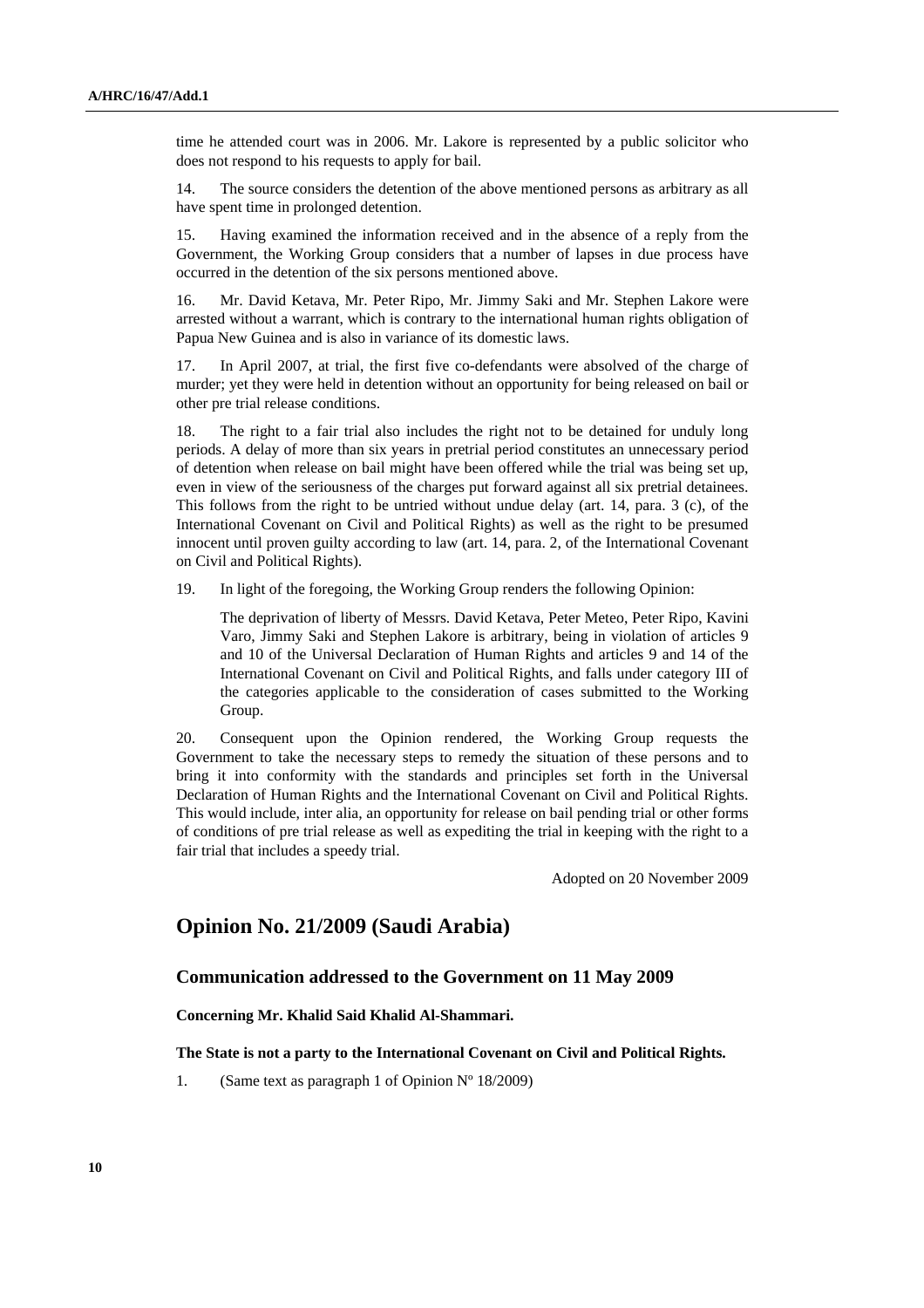time he attended court was in 2006. Mr. Lakore is represented by a public solicitor who does not respond to his requests to apply for bail.

14. The source considers the detention of the above mentioned persons as arbitrary as all have spent time in prolonged detention.

15. Having examined the information received and in the absence of a reply from the Government, the Working Group considers that a number of lapses in due process have occurred in the detention of the six persons mentioned above.

16. Mr. David Ketava, Mr. Peter Ripo, Mr. Jimmy Saki and Mr. Stephen Lakore were arrested without a warrant, which is contrary to the international human rights obligation of Papua New Guinea and is also in variance of its domestic laws.

17. In April 2007, at trial, the first five co-defendants were absolved of the charge of murder; yet they were held in detention without an opportunity for being released on bail or other pre trial release conditions.

18. The right to a fair trial also includes the right not to be detained for unduly long periods. A delay of more than six years in pretrial period constitutes an unnecessary period of detention when release on bail might have been offered while the trial was being set up, even in view of the seriousness of the charges put forward against all six pretrial detainees. This follows from the right to be untried without undue delay (art. 14, para. 3 (c), of the International Covenant on Civil and Political Rights) as well as the right to be presumed innocent until proven guilty according to law (art. 14, para. 2, of the International Covenant on Civil and Political Rights).

19. In light of the foregoing, the Working Group renders the following Opinion:

 The deprivation of liberty of Messrs. David Ketava, Peter Meteo, Peter Ripo, Kavini Varo, Jimmy Saki and Stephen Lakore is arbitrary, being in violation of articles 9 and 10 of the Universal Declaration of Human Rights and articles 9 and 14 of the International Covenant on Civil and Political Rights, and falls under category III of the categories applicable to the consideration of cases submitted to the Working Group.

20. Consequent upon the Opinion rendered, the Working Group requests the Government to take the necessary steps to remedy the situation of these persons and to bring it into conformity with the standards and principles set forth in the Universal Declaration of Human Rights and the International Covenant on Civil and Political Rights. This would include, inter alia, an opportunity for release on bail pending trial or other forms of conditions of pre trial release as well as expediting the trial in keeping with the right to a fair trial that includes a speedy trial.

Adopted on 20 November 2009

## **Opinion No. 21/2009 (Saudi Arabia)**

## **Communication addressed to the Government on 11 May 2009**

 **Concerning Mr. Khalid Said Khalid Al-Shammari.** 

#### **The State is not a party to the International Covenant on Civil and Political Rights.**

1. (Same text as paragraph 1 of Opinion  $N^{\circ}$  18/2009)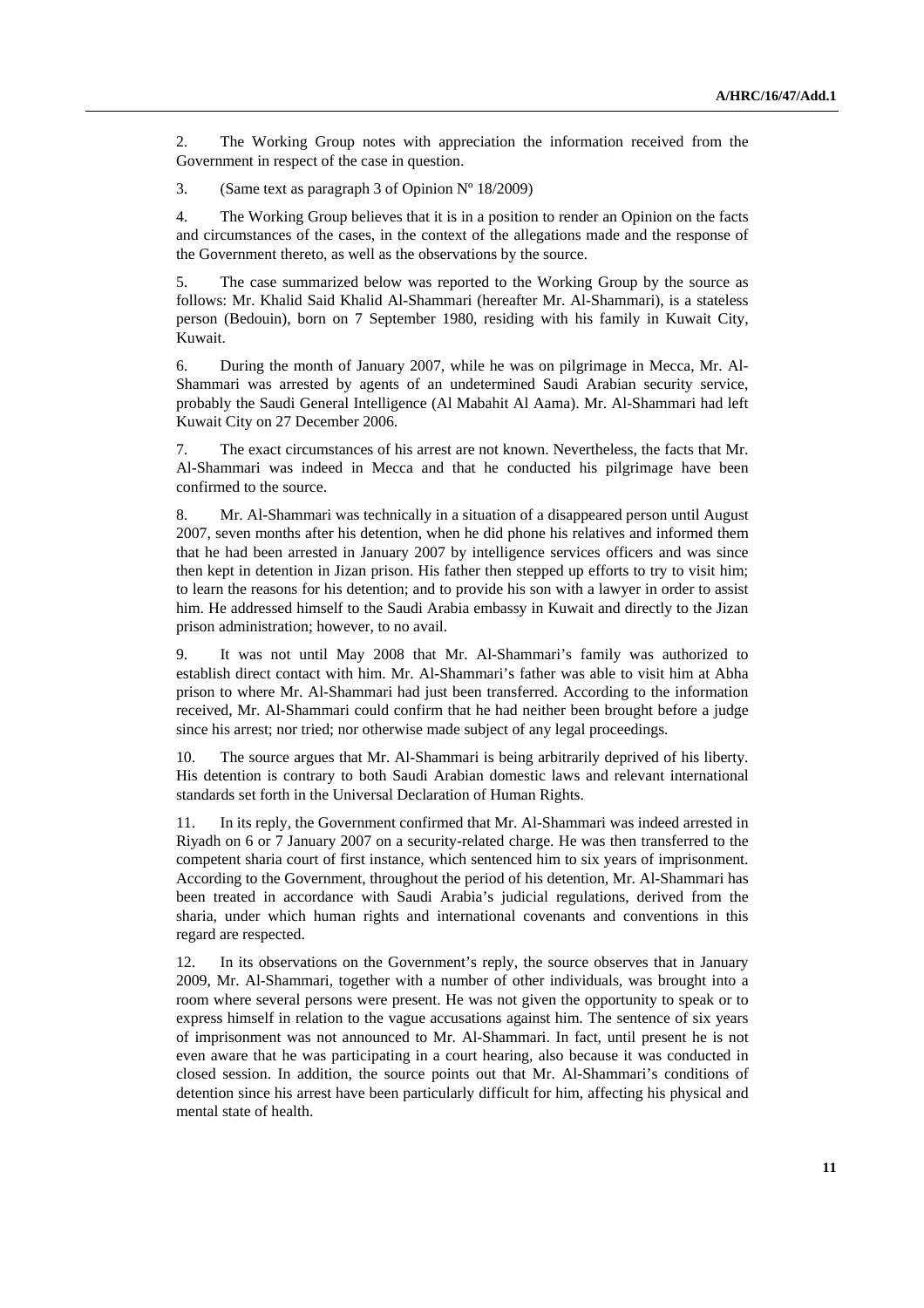2. The Working Group notes with appreciation the information received from the Government in respect of the case in question.

3. (Same text as paragraph 3 of Opinion Nº 18/2009)

4. The Working Group believes that it is in a position to render an Opinion on the facts and circumstances of the cases, in the context of the allegations made and the response of the Government thereto, as well as the observations by the source.

5. The case summarized below was reported to the Working Group by the source as follows: Mr. Khalid Said Khalid Al-Shammari (hereafter Mr. Al-Shammari), is a stateless person (Bedouin), born on 7 September 1980, residing with his family in Kuwait City, Kuwait.

6. During the month of January 2007, while he was on pilgrimage in Mecca, Mr. Al-Shammari was arrested by agents of an undetermined Saudi Arabian security service, probably the Saudi General Intelligence (Al Mabahit Al Aama). Mr. Al-Shammari had left Kuwait City on 27 December 2006.

7. The exact circumstances of his arrest are not known. Nevertheless, the facts that Mr. Al-Shammari was indeed in Mecca and that he conducted his pilgrimage have been confirmed to the source.

8. Mr. Al-Shammari was technically in a situation of a disappeared person until August 2007, seven months after his detention, when he did phone his relatives and informed them that he had been arrested in January 2007 by intelligence services officers and was since then kept in detention in Jizan prison. His father then stepped up efforts to try to visit him; to learn the reasons for his detention; and to provide his son with a lawyer in order to assist him. He addressed himself to the Saudi Arabia embassy in Kuwait and directly to the Jizan prison administration; however, to no avail.

9. It was not until May 2008 that Mr. Al-Shammari's family was authorized to establish direct contact with him. Mr. Al-Shammari's father was able to visit him at Abha prison to where Mr. Al-Shammari had just been transferred. According to the information received, Mr. Al-Shammari could confirm that he had neither been brought before a judge since his arrest; nor tried; nor otherwise made subject of any legal proceedings.

10. The source argues that Mr. Al-Shammari is being arbitrarily deprived of his liberty. His detention is contrary to both Saudi Arabian domestic laws and relevant international standards set forth in the Universal Declaration of Human Rights.

11. In its reply, the Government confirmed that Mr. Al-Shammari was indeed arrested in Riyadh on 6 or 7 January 2007 on a security-related charge. He was then transferred to the competent sharia court of first instance, which sentenced him to six years of imprisonment. According to the Government, throughout the period of his detention, Mr. Al-Shammari has been treated in accordance with Saudi Arabia's judicial regulations, derived from the sharia, under which human rights and international covenants and conventions in this regard are respected.

12. In its observations on the Government's reply, the source observes that in January 2009, Mr. Al-Shammari, together with a number of other individuals, was brought into a room where several persons were present. He was not given the opportunity to speak or to express himself in relation to the vague accusations against him. The sentence of six years of imprisonment was not announced to Mr. Al-Shammari. In fact, until present he is not even aware that he was participating in a court hearing, also because it was conducted in closed session. In addition, the source points out that Mr. Al-Shammari's conditions of detention since his arrest have been particularly difficult for him, affecting his physical and mental state of health.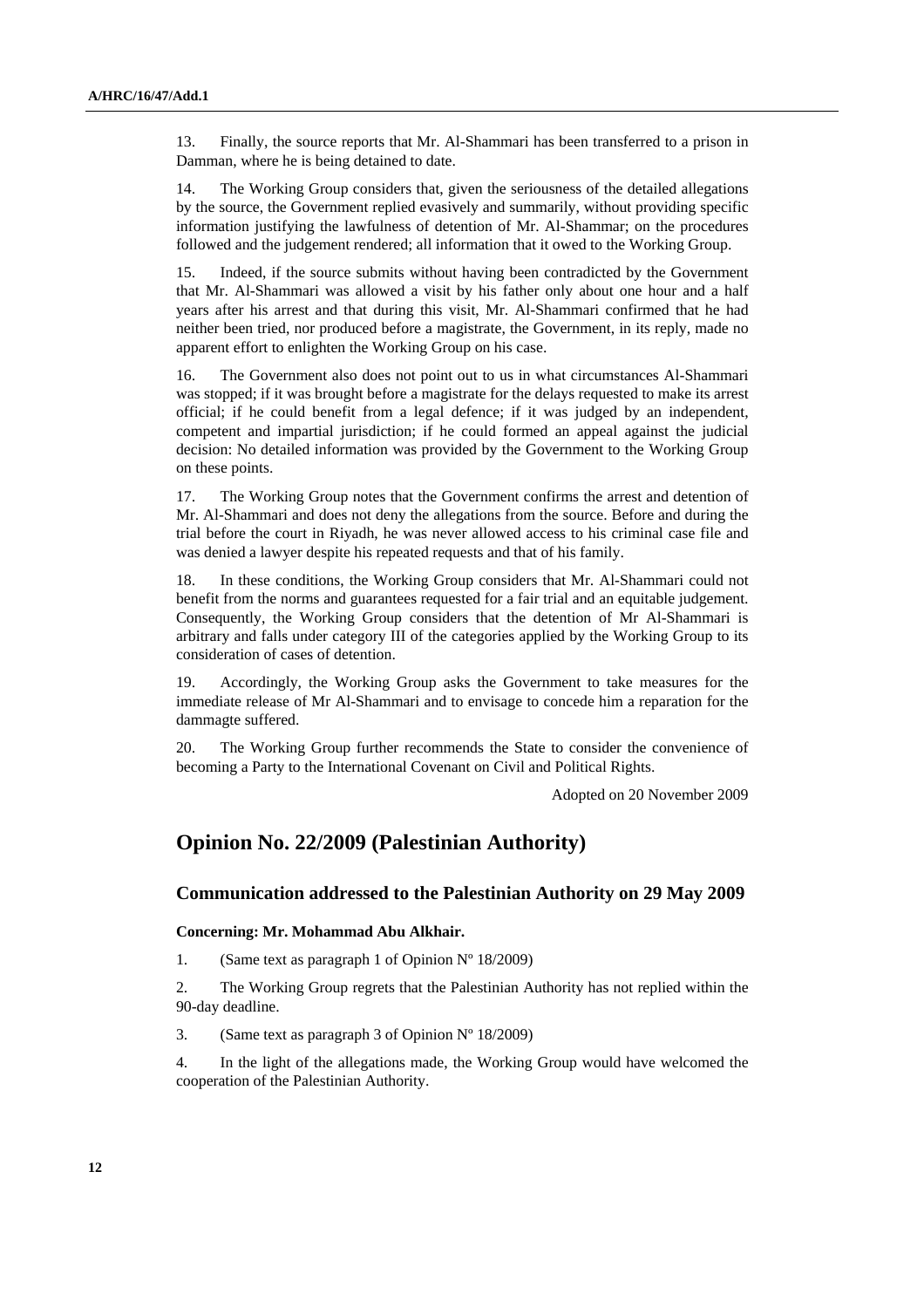13. Finally, the source reports that Mr. Al-Shammari has been transferred to a prison in Damman, where he is being detained to date.

14. The Working Group considers that, given the seriousness of the detailed allegations by the source, the Government replied evasively and summarily, without providing specific information justifying the lawfulness of detention of Mr. Al-Shammar; on the procedures followed and the judgement rendered; all information that it owed to the Working Group.

15. Indeed, if the source submits without having been contradicted by the Government that Mr. Al-Shammari was allowed a visit by his father only about one hour and a half years after his arrest and that during this visit, Mr. Al-Shammari confirmed that he had neither been tried, nor produced before a magistrate, the Government, in its reply, made no apparent effort to enlighten the Working Group on his case.

16. The Government also does not point out to us in what circumstances Al-Shammari was stopped; if it was brought before a magistrate for the delays requested to make its arrest official; if he could benefit from a legal defence; if it was judged by an independent, competent and impartial jurisdiction; if he could formed an appeal against the judicial decision: No detailed information was provided by the Government to the Working Group on these points.

17. The Working Group notes that the Government confirms the arrest and detention of Mr. Al-Shammari and does not deny the allegations from the source. Before and during the trial before the court in Riyadh, he was never allowed access to his criminal case file and was denied a lawyer despite his repeated requests and that of his family.

18. In these conditions, the Working Group considers that Mr. Al-Shammari could not benefit from the norms and guarantees requested for a fair trial and an equitable judgement. Consequently, the Working Group considers that the detention of Mr Al-Shammari is arbitrary and falls under category III of the categories applied by the Working Group to its consideration of cases of detention.

19. Accordingly, the Working Group asks the Government to take measures for the immediate release of Mr Al-Shammari and to envisage to concede him a reparation for the dammagte suffered.

20. The Working Group further recommends the State to consider the convenience of becoming a Party to the International Covenant on Civil and Political Rights.

Adopted on 20 November 2009

## **Opinion No. 22/2009 (Palestinian Authority)**

## **Communication addressed to the Palestinian Authority on 29 May 2009**

#### **Concerning: Mr. Mohammad Abu Alkhair.**

1. (Same text as paragraph 1 of Opinion  $N^{\circ}$  18/2009)

2. The Working Group regrets that the Palestinian Authority has not replied within the 90-day deadline.

3. (Same text as paragraph 3 of Opinion Nº 18/2009)

4. In the light of the allegations made, the Working Group would have welcomed the cooperation of the Palestinian Authority.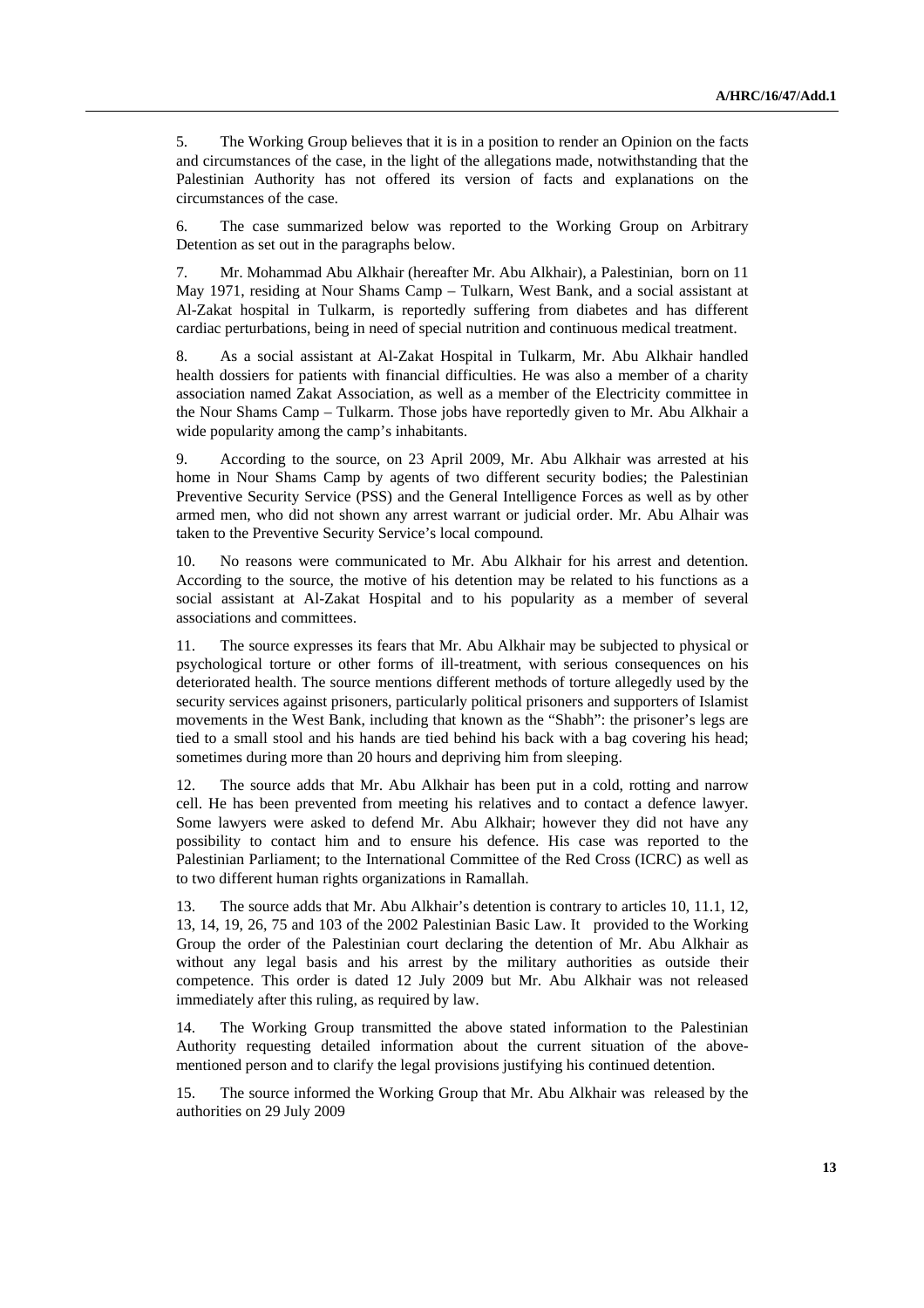5. The Working Group believes that it is in a position to render an Opinion on the facts and circumstances of the case, in the light of the allegations made, notwithstanding that the Palestinian Authority has not offered its version of facts and explanations on the circumstances of the case.

6. The case summarized below was reported to the Working Group on Arbitrary Detention as set out in the paragraphs below.

7. Mr. Mohammad Abu Alkhair (hereafter Mr. Abu Alkhair), a Palestinian, born on 11 May 1971, residing at Nour Shams Camp – Tulkarn, West Bank, and a social assistant at Al-Zakat hospital in Tulkarm, is reportedly suffering from diabetes and has different cardiac perturbations, being in need of special nutrition and continuous medical treatment.

8. As a social assistant at Al-Zakat Hospital in Tulkarm, Mr. Abu Alkhair handled health dossiers for patients with financial difficulties. He was also a member of a charity association named Zakat Association, as well as a member of the Electricity committee in the Nour Shams Camp – Tulkarm. Those jobs have reportedly given to Mr. Abu Alkhair a wide popularity among the camp's inhabitants.

9. According to the source, on 23 April 2009, Mr. Abu Alkhair was arrested at his home in Nour Shams Camp by agents of two different security bodies; the Palestinian Preventive Security Service (PSS) and the General Intelligence Forces as well as by other armed men, who did not shown any arrest warrant or judicial order. Mr. Abu Alhair was taken to the Preventive Security Service's local compound.

10. No reasons were communicated to Mr. Abu Alkhair for his arrest and detention. According to the source, the motive of his detention may be related to his functions as a social assistant at Al-Zakat Hospital and to his popularity as a member of several associations and committees.

11. The source expresses its fears that Mr. Abu Alkhair may be subjected to physical or psychological torture or other forms of ill-treatment, with serious consequences on his deteriorated health. The source mentions different methods of torture allegedly used by the security services against prisoners, particularly political prisoners and supporters of Islamist movements in the West Bank, including that known as the "Shabh": the prisoner's legs are tied to a small stool and his hands are tied behind his back with a bag covering his head; sometimes during more than 20 hours and depriving him from sleeping.

12. The source adds that Mr. Abu Alkhair has been put in a cold, rotting and narrow cell. He has been prevented from meeting his relatives and to contact a defence lawyer. Some lawyers were asked to defend Mr. Abu Alkhair; however they did not have any possibility to contact him and to ensure his defence. His case was reported to the Palestinian Parliament; to the International Committee of the Red Cross (ICRC) as well as to two different human rights organizations in Ramallah.

13. The source adds that Mr. Abu Alkhair's detention is contrary to articles 10, 11.1, 12, 13, 14, 19, 26, 75 and 103 of the 2002 Palestinian Basic Law. It provided to the Working Group the order of the Palestinian court declaring the detention of Mr. Abu Alkhair as without any legal basis and his arrest by the military authorities as outside their competence. This order is dated 12 July 2009 but Mr. Abu Alkhair was not released immediately after this ruling, as required by law.

14. The Working Group transmitted the above stated information to the Palestinian Authority requesting detailed information about the current situation of the abovementioned person and to clarify the legal provisions justifying his continued detention.

15. The source informed the Working Group that Mr. Abu Alkhair was released by the authorities on 29 July 2009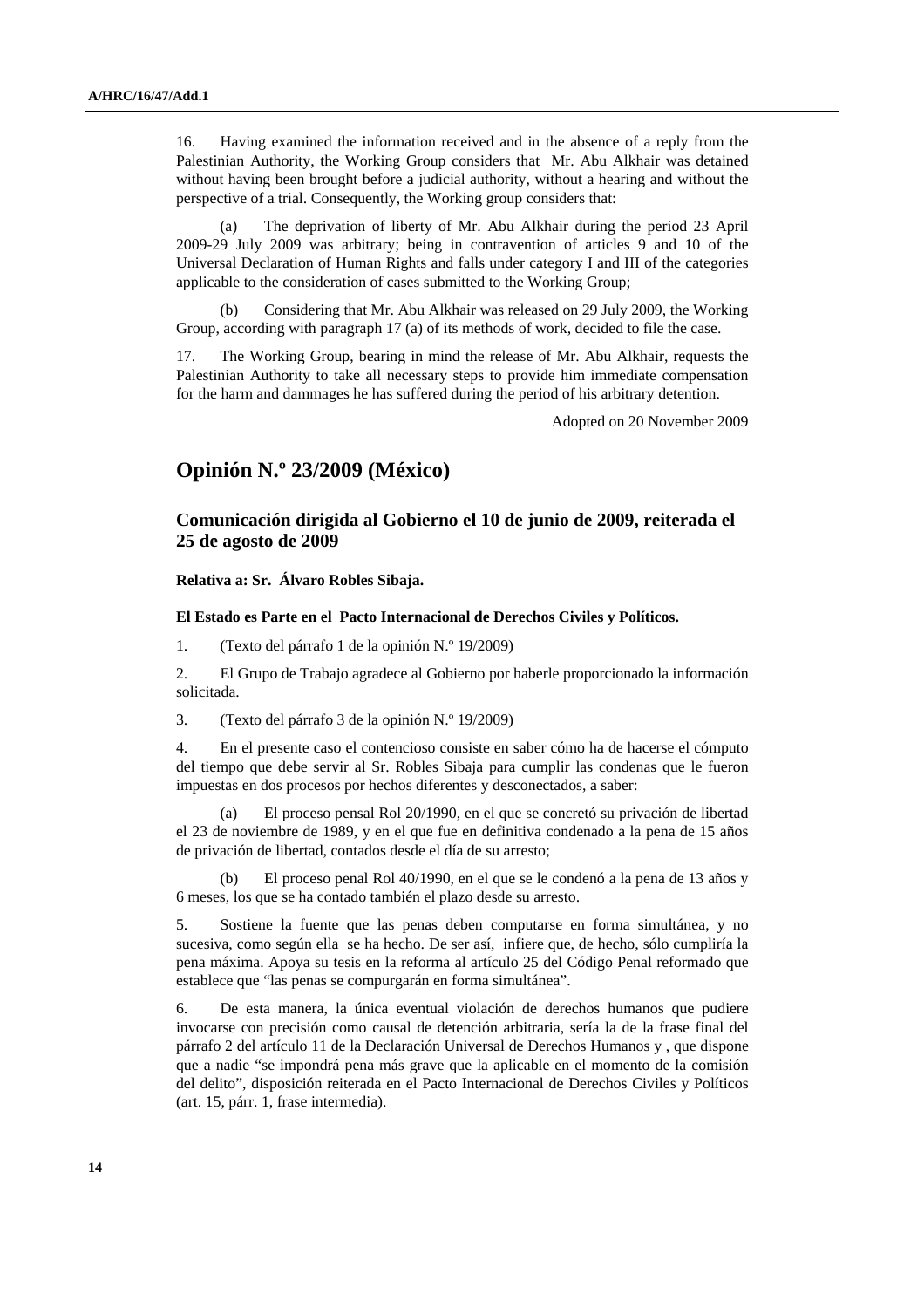16. Having examined the information received and in the absence of a reply from the Palestinian Authority, the Working Group considers that Mr. Abu Alkhair was detained without having been brought before a judicial authority, without a hearing and without the perspective of a trial. Consequently, the Working group considers that:

 (a) The deprivation of liberty of Mr. Abu Alkhair during the period 23 April 2009-29 July 2009 was arbitrary; being in contravention of articles 9 and 10 of the Universal Declaration of Human Rights and falls under category I and III of the categories applicable to the consideration of cases submitted to the Working Group;

 (b) Considering that Mr. Abu Alkhair was released on 29 July 2009, the Working Group, according with paragraph 17 (a) of its methods of work, decided to file the case.

17. The Working Group, bearing in mind the release of Mr. Abu Alkhair, requests the Palestinian Authority to take all necessary steps to provide him immediate compensation for the harm and dammages he has suffered during the period of his arbitrary detention.

Adopted on 20 November 2009

## **Opinión N.º 23/2009 (México)**

## **Comunicación dirigida al Gobierno el 10 de junio de 2009, reiterada el 25 de agosto de 2009**

 **Relativa a: Sr. Álvaro Robles Sibaja.** 

#### **El Estado es Parte en el Pacto Internacional de Derechos Civiles y Políticos.**

1. (Texto del párrafo 1 de la opinión N.º 19/2009)

2. El Grupo de Trabajo agradece al Gobierno por haberle proporcionado la información solicitada.

3. (Texto del párrafo 3 de la opinión N.º 19/2009)

4. En el presente caso el contencioso consiste en saber cómo ha de hacerse el cómputo del tiempo que debe servir al Sr. Robles Sibaja para cumplir las condenas que le fueron impuestas en dos procesos por hechos diferentes y desconectados, a saber:

 (a) El proceso pensal Rol 20/1990, en el que se concretó su privación de libertad el 23 de noviembre de 1989, y en el que fue en definitiva condenado a la pena de 15 años de privación de libertad, contados desde el día de su arresto;

 (b) El proceso penal Rol 40/1990, en el que se le condenó a la pena de 13 años y 6 meses, los que se ha contado también el plazo desde su arresto.

5. Sostiene la fuente que las penas deben computarse en forma simultánea, y no sucesiva, como según ella se ha hecho. De ser así, infiere que, de hecho, sólo cumpliría la pena máxima. Apoya su tesis en la reforma al artículo 25 del Código Penal reformado que establece que "las penas se compurgarán en forma simultánea".

6. De esta manera, la única eventual violación de derechos humanos que pudiere invocarse con precisión como causal de detención arbitraria, sería la de la frase final del párrafo 2 del artículo 11 de la Declaración Universal de Derechos Humanos y , que dispone que a nadie "se impondrá pena más grave que la aplicable en el momento de la comisión del delito", disposición reiterada en el Pacto Internacional de Derechos Civiles y Políticos (art. 15, párr. 1, frase intermedia).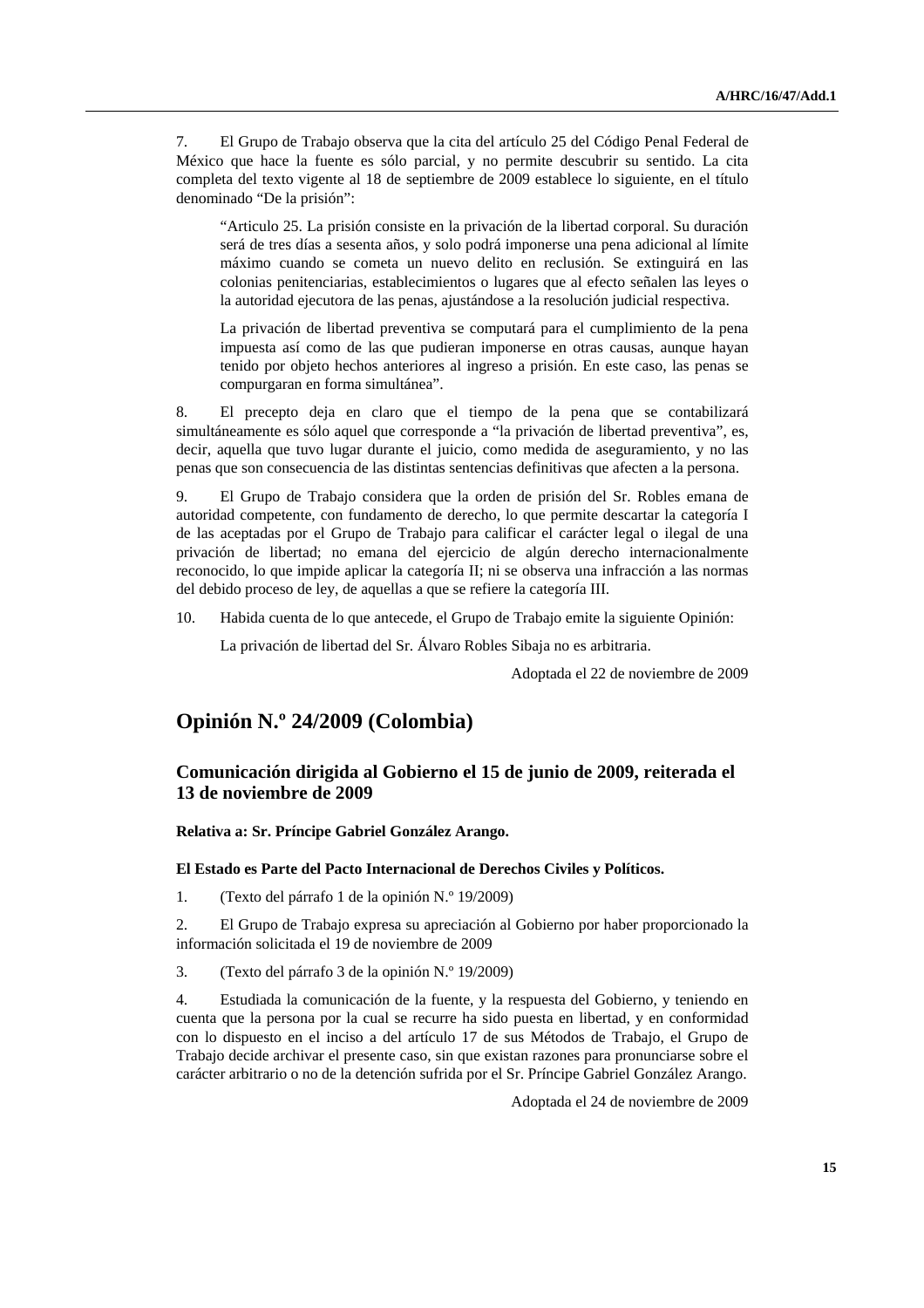7. El Grupo de Trabajo observa que la cita del artículo 25 del Código Penal Federal de México que hace la fuente es sólo parcial, y no permite descubrir su sentido. La cita completa del texto vigente al 18 de septiembre de 2009 establece lo siguiente, en el título denominado "De la prisión":

 "Articulo 25. La prisión consiste en la privación de la libertad corporal. Su duración será de tres días a sesenta años, y solo podrá imponerse una pena adicional al límite máximo cuando se cometa un nuevo delito en reclusión. Se extinguirá en las colonias penitenciarias, establecimientos o lugares que al efecto señalen las leyes o la autoridad ejecutora de las penas, ajustándose a la resolución judicial respectiva.

 La privación de libertad preventiva se computará para el cumplimiento de la pena impuesta así como de las que pudieran imponerse en otras causas, aunque hayan tenido por objeto hechos anteriores al ingreso a prisión. En este caso, las penas se compurgaran en forma simultánea".

8. El precepto deja en claro que el tiempo de la pena que se contabilizará simultáneamente es sólo aquel que corresponde a "la privación de libertad preventiva", es, decir, aquella que tuvo lugar durante el juicio, como medida de aseguramiento, y no las penas que son consecuencia de las distintas sentencias definitivas que afecten a la persona.

9. El Grupo de Trabajo considera que la orden de prisión del Sr. Robles emana de autoridad competente, con fundamento de derecho, lo que permite descartar la categoría I de las aceptadas por el Grupo de Trabajo para calificar el carácter legal o ilegal de una privación de libertad; no emana del ejercicio de algún derecho internacionalmente reconocido, lo que impide aplicar la categoría II; ni se observa una infracción a las normas del debido proceso de ley, de aquellas a que se refiere la categoría III.

10. Habida cuenta de lo que antecede, el Grupo de Trabajo emite la siguiente Opinión:

La privación de libertad del Sr. Álvaro Robles Sibaja no es arbitraria.

Adoptada el 22 de noviembre de 2009

## **Opinión N.º 24/2009 (Colombia)**

## **Comunicación dirigida al Gobierno el 15 de junio de 2009, reiterada el 13 de noviembre de 2009**

#### **Relativa a: Sr. Príncipe Gabriel González Arango.**

#### **El Estado es Parte del Pacto Internacional de Derechos Civiles y Políticos.**

1. (Texto del párrafo 1 de la opinión N.º 19/2009)

2. El Grupo de Trabajo expresa su apreciación al Gobierno por haber proporcionado la información solicitada el 19 de noviembre de 2009

3. (Texto del párrafo 3 de la opinión N.º 19/2009)

4. Estudiada la comunicación de la fuente, y la respuesta del Gobierno, y teniendo en cuenta que la persona por la cual se recurre ha sido puesta en libertad, y en conformidad con lo dispuesto en el inciso a del artículo 17 de sus Métodos de Trabajo, el Grupo de Trabajo decide archivar el presente caso, sin que existan razones para pronunciarse sobre el carácter arbitrario o no de la detención sufrida por el Sr. Príncipe Gabriel González Arango.

Adoptada el 24 de noviembre de 2009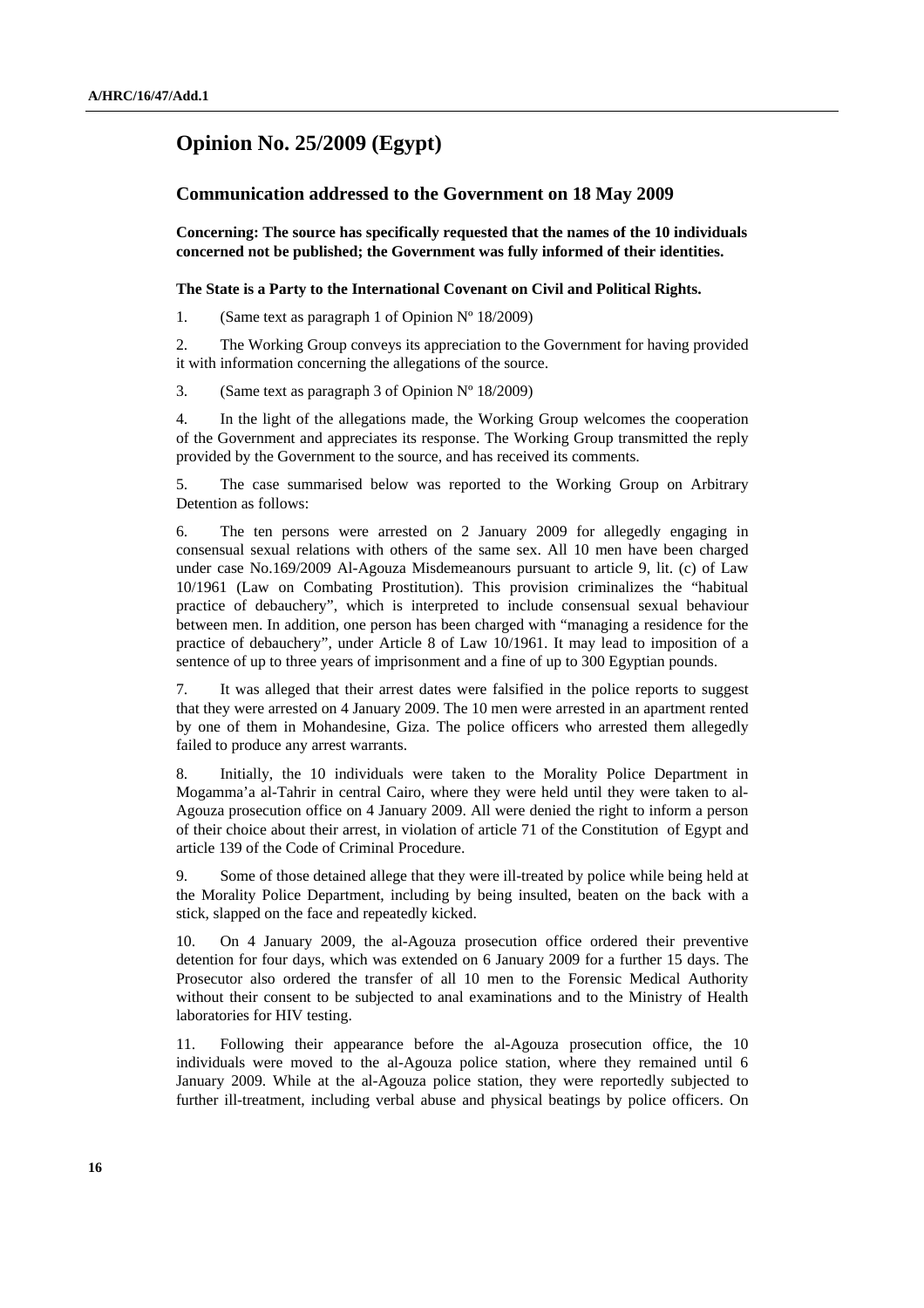## **Opinion No. 25/2009 (Egypt)**

## **Communication addressed to the Government on 18 May 2009**

 **Concerning: The source has specifically requested that the names of the 10 individuals concerned not be published; the Government was fully informed of their identities.** 

## **The State is a Party to the International Covenant on Civil and Political Rights.**

1. (Same text as paragraph 1 of Opinion Nº 18/2009)

2. The Working Group conveys its appreciation to the Government for having provided it with information concerning the allegations of the source.

3. (Same text as paragraph 3 of Opinion Nº 18/2009)

4. In the light of the allegations made, the Working Group welcomes the cooperation of the Government and appreciates its response. The Working Group transmitted the reply provided by the Government to the source, and has received its comments.

5. The case summarised below was reported to the Working Group on Arbitrary Detention as follows:

6. The ten persons were arrested on 2 January 2009 for allegedly engaging in consensual sexual relations with others of the same sex. All 10 men have been charged under case No.169/2009 Al-Agouza Misdemeanours pursuant to article 9, lit. (c) of Law 10/1961 (Law on Combating Prostitution). This provision criminalizes the "habitual practice of debauchery", which is interpreted to include consensual sexual behaviour between men. In addition, one person has been charged with "managing a residence for the practice of debauchery", under Article 8 of Law 10/1961. It may lead to imposition of a sentence of up to three years of imprisonment and a fine of up to 300 Egyptian pounds.

7. It was alleged that their arrest dates were falsified in the police reports to suggest that they were arrested on 4 January 2009. The 10 men were arrested in an apartment rented by one of them in Mohandesine, Giza. The police officers who arrested them allegedly failed to produce any arrest warrants.

8. Initially, the 10 individuals were taken to the Morality Police Department in Mogamma'a al-Tahrir in central Cairo, where they were held until they were taken to al-Agouza prosecution office on 4 January 2009. All were denied the right to inform a person of their choice about their arrest, in violation of article 71 of the Constitution of Egypt and article 139 of the Code of Criminal Procedure.

9. Some of those detained allege that they were ill-treated by police while being held at the Morality Police Department, including by being insulted, beaten on the back with a stick, slapped on the face and repeatedly kicked.

10. On 4 January 2009, the al-Agouza prosecution office ordered their preventive detention for four days, which was extended on 6 January 2009 for a further 15 days. The Prosecutor also ordered the transfer of all 10 men to the Forensic Medical Authority without their consent to be subjected to anal examinations and to the Ministry of Health laboratories for HIV testing.

11. Following their appearance before the al-Agouza prosecution office, the 10 individuals were moved to the al-Agouza police station, where they remained until 6 January 2009. While at the al-Agouza police station, they were reportedly subjected to further ill-treatment, including verbal abuse and physical beatings by police officers. On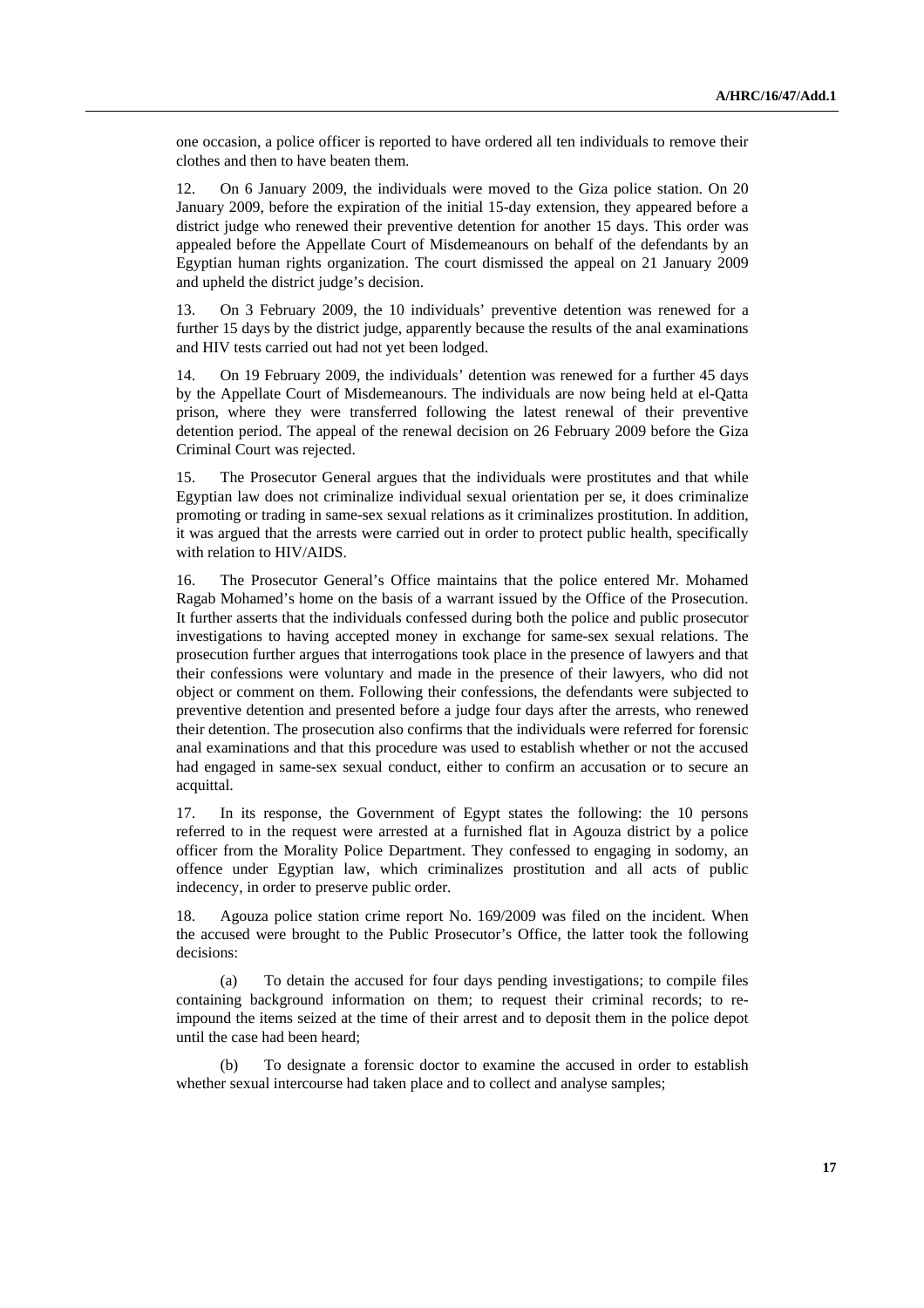one occasion, a police officer is reported to have ordered all ten individuals to remove their clothes and then to have beaten them.

12. On 6 January 2009, the individuals were moved to the Giza police station. On 20 January 2009, before the expiration of the initial 15-day extension, they appeared before a district judge who renewed their preventive detention for another 15 days. This order was appealed before the Appellate Court of Misdemeanours on behalf of the defendants by an Egyptian human rights organization. The court dismissed the appeal on 21 January 2009 and upheld the district judge's decision.

13. On 3 February 2009, the 10 individuals' preventive detention was renewed for a further 15 days by the district judge, apparently because the results of the anal examinations and HIV tests carried out had not yet been lodged.

14. On 19 February 2009, the individuals' detention was renewed for a further 45 days by the Appellate Court of Misdemeanours. The individuals are now being held at el-Qatta prison, where they were transferred following the latest renewal of their preventive detention period. The appeal of the renewal decision on 26 February 2009 before the Giza Criminal Court was rejected.

15. The Prosecutor General argues that the individuals were prostitutes and that while Egyptian law does not criminalize individual sexual orientation per se, it does criminalize promoting or trading in same-sex sexual relations as it criminalizes prostitution. In addition, it was argued that the arrests were carried out in order to protect public health, specifically with relation to HIV/AIDS.

16. The Prosecutor General's Office maintains that the police entered Mr. Mohamed Ragab Mohamed's home on the basis of a warrant issued by the Office of the Prosecution. It further asserts that the individuals confessed during both the police and public prosecutor investigations to having accepted money in exchange for same-sex sexual relations. The prosecution further argues that interrogations took place in the presence of lawyers and that their confessions were voluntary and made in the presence of their lawyers, who did not object or comment on them. Following their confessions, the defendants were subjected to preventive detention and presented before a judge four days after the arrests, who renewed their detention. The prosecution also confirms that the individuals were referred for forensic anal examinations and that this procedure was used to establish whether or not the accused had engaged in same-sex sexual conduct, either to confirm an accusation or to secure an acquittal.

17. In its response, the Government of Egypt states the following: the 10 persons referred to in the request were arrested at a furnished flat in Agouza district by a police officer from the Morality Police Department. They confessed to engaging in sodomy, an offence under Egyptian law, which criminalizes prostitution and all acts of public indecency, in order to preserve public order.

18. Agouza police station crime report No. 169/2009 was filed on the incident. When the accused were brought to the Public Prosecutor's Office, the latter took the following decisions:

 (a) To detain the accused for four days pending investigations; to compile files containing background information on them; to request their criminal records; to reimpound the items seized at the time of their arrest and to deposit them in the police depot until the case had been heard;

 (b) To designate a forensic doctor to examine the accused in order to establish whether sexual intercourse had taken place and to collect and analyse samples;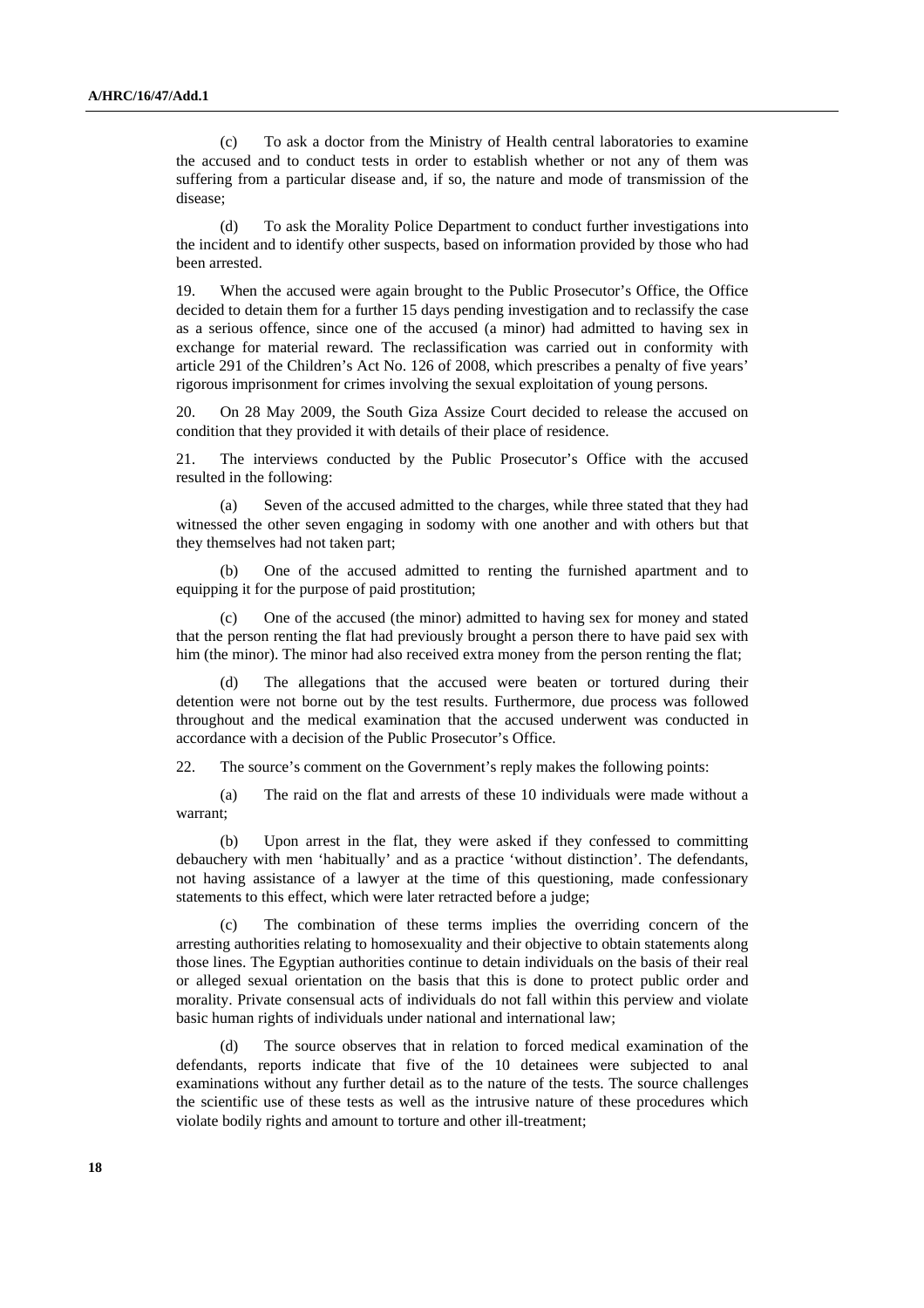(c) To ask a doctor from the Ministry of Health central laboratories to examine the accused and to conduct tests in order to establish whether or not any of them was suffering from a particular disease and, if so, the nature and mode of transmission of the disease;

 (d) To ask the Morality Police Department to conduct further investigations into the incident and to identify other suspects, based on information provided by those who had been arrested.

19. When the accused were again brought to the Public Prosecutor's Office, the Office decided to detain them for a further 15 days pending investigation and to reclassify the case as a serious offence, since one of the accused (a minor) had admitted to having sex in exchange for material reward. The reclassification was carried out in conformity with article 291 of the Children's Act No. 126 of 2008, which prescribes a penalty of five years' rigorous imprisonment for crimes involving the sexual exploitation of young persons.

20. On 28 May 2009, the South Giza Assize Court decided to release the accused on condition that they provided it with details of their place of residence.

21. The interviews conducted by the Public Prosecutor's Office with the accused resulted in the following:

 (a) Seven of the accused admitted to the charges, while three stated that they had witnessed the other seven engaging in sodomy with one another and with others but that they themselves had not taken part;

 (b) One of the accused admitted to renting the furnished apartment and to equipping it for the purpose of paid prostitution;

One of the accused (the minor) admitted to having sex for money and stated that the person renting the flat had previously brought a person there to have paid sex with him (the minor). The minor had also received extra money from the person renting the flat;

 (d) The allegations that the accused were beaten or tortured during their detention were not borne out by the test results. Furthermore, due process was followed throughout and the medical examination that the accused underwent was conducted in accordance with a decision of the Public Prosecutor's Office.

22. The source's comment on the Government's reply makes the following points:

 (a) The raid on the flat and arrests of these 10 individuals were made without a warrant;

 (b) Upon arrest in the flat, they were asked if they confessed to committing debauchery with men 'habitually' and as a practice 'without distinction'. The defendants, not having assistance of a lawyer at the time of this questioning, made confessionary statements to this effect, which were later retracted before a judge;

 (c) The combination of these terms implies the overriding concern of the arresting authorities relating to homosexuality and their objective to obtain statements along those lines. The Egyptian authorities continue to detain individuals on the basis of their real or alleged sexual orientation on the basis that this is done to protect public order and morality. Private consensual acts of individuals do not fall within this perview and violate basic human rights of individuals under national and international law;

 (d) The source observes that in relation to forced medical examination of the defendants, reports indicate that five of the 10 detainees were subjected to anal examinations without any further detail as to the nature of the tests. The source challenges the scientific use of these tests as well as the intrusive nature of these procedures which violate bodily rights and amount to torture and other ill-treatment;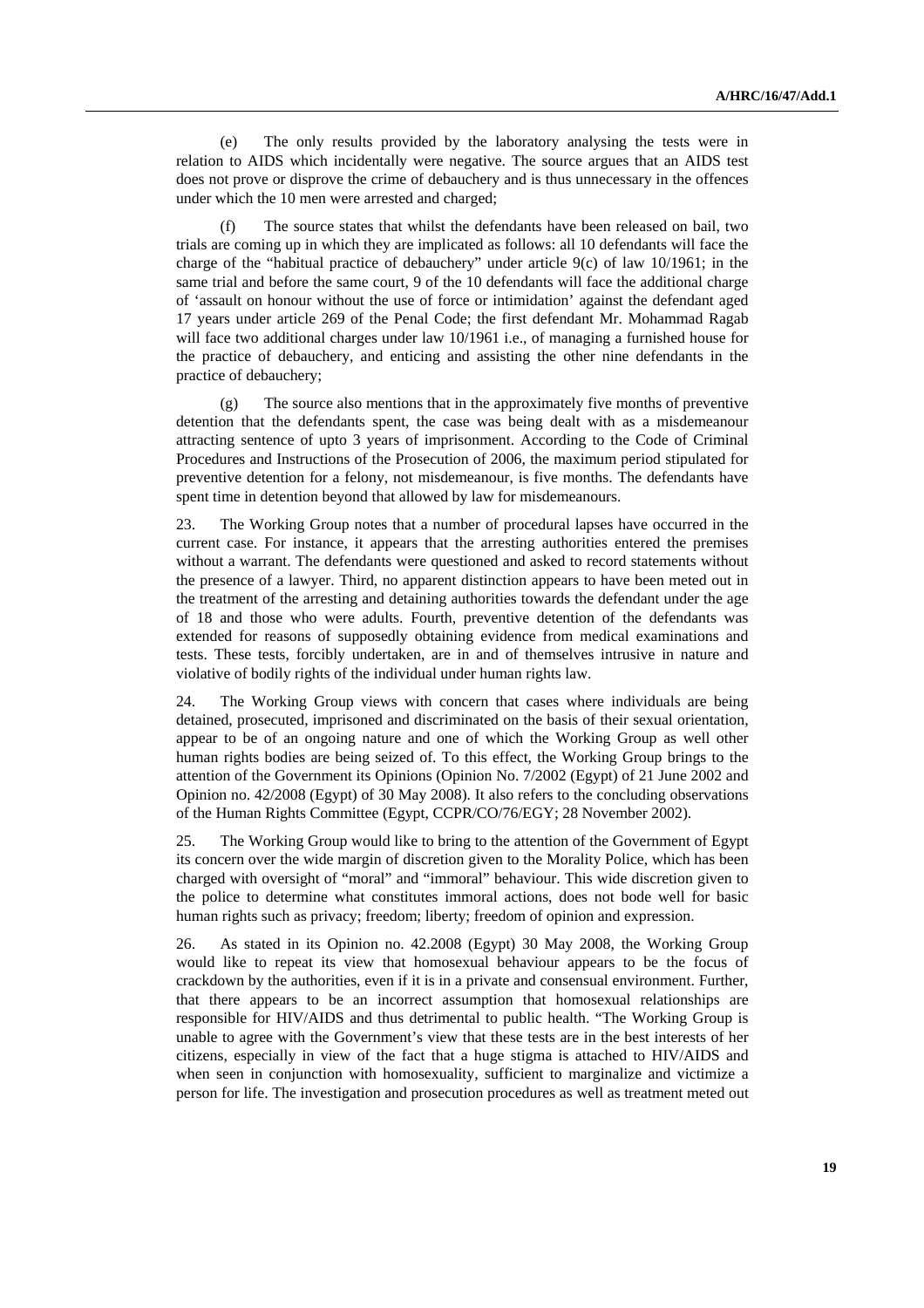(e) The only results provided by the laboratory analysing the tests were in relation to AIDS which incidentally were negative. The source argues that an AIDS test does not prove or disprove the crime of debauchery and is thus unnecessary in the offences under which the 10 men were arrested and charged;

 (f) The source states that whilst the defendants have been released on bail, two trials are coming up in which they are implicated as follows: all 10 defendants will face the charge of the "habitual practice of debauchery" under article 9(c) of law 10/1961; in the same trial and before the same court, 9 of the 10 defendants will face the additional charge of 'assault on honour without the use of force or intimidation' against the defendant aged 17 years under article 269 of the Penal Code; the first defendant Mr. Mohammad Ragab will face two additional charges under law 10/1961 i.e., of managing a furnished house for the practice of debauchery, and enticing and assisting the other nine defendants in the practice of debauchery;

 (g) The source also mentions that in the approximately five months of preventive detention that the defendants spent, the case was being dealt with as a misdemeanour attracting sentence of upto 3 years of imprisonment. According to the Code of Criminal Procedures and Instructions of the Prosecution of 2006, the maximum period stipulated for preventive detention for a felony, not misdemeanour, is five months. The defendants have spent time in detention beyond that allowed by law for misdemeanours.

23. The Working Group notes that a number of procedural lapses have occurred in the current case. For instance, it appears that the arresting authorities entered the premises without a warrant. The defendants were questioned and asked to record statements without the presence of a lawyer. Third, no apparent distinction appears to have been meted out in the treatment of the arresting and detaining authorities towards the defendant under the age of 18 and those who were adults. Fourth, preventive detention of the defendants was extended for reasons of supposedly obtaining evidence from medical examinations and tests. These tests, forcibly undertaken, are in and of themselves intrusive in nature and violative of bodily rights of the individual under human rights law.

24. The Working Group views with concern that cases where individuals are being detained, prosecuted, imprisoned and discriminated on the basis of their sexual orientation, appear to be of an ongoing nature and one of which the Working Group as well other human rights bodies are being seized of. To this effect, the Working Group brings to the attention of the Government its Opinions (Opinion No. 7/2002 (Egypt) of 21 June 2002 and Opinion no. 42/2008 (Egypt) of 30 May 2008). It also refers to the concluding observations of the Human Rights Committee (Egypt, CCPR/CO/76/EGY; 28 November 2002).

25. The Working Group would like to bring to the attention of the Government of Egypt its concern over the wide margin of discretion given to the Morality Police, which has been charged with oversight of "moral" and "immoral" behaviour. This wide discretion given to the police to determine what constitutes immoral actions, does not bode well for basic human rights such as privacy; freedom; liberty; freedom of opinion and expression.

26. As stated in its Opinion no. 42.2008 (Egypt) 30 May 2008, the Working Group would like to repeat its view that homosexual behaviour appears to be the focus of crackdown by the authorities, even if it is in a private and consensual environment. Further, that there appears to be an incorrect assumption that homosexual relationships are responsible for HIV/AIDS and thus detrimental to public health. "The Working Group is unable to agree with the Government's view that these tests are in the best interests of her citizens, especially in view of the fact that a huge stigma is attached to HIV/AIDS and when seen in conjunction with homosexuality, sufficient to marginalize and victimize a person for life. The investigation and prosecution procedures as well as treatment meted out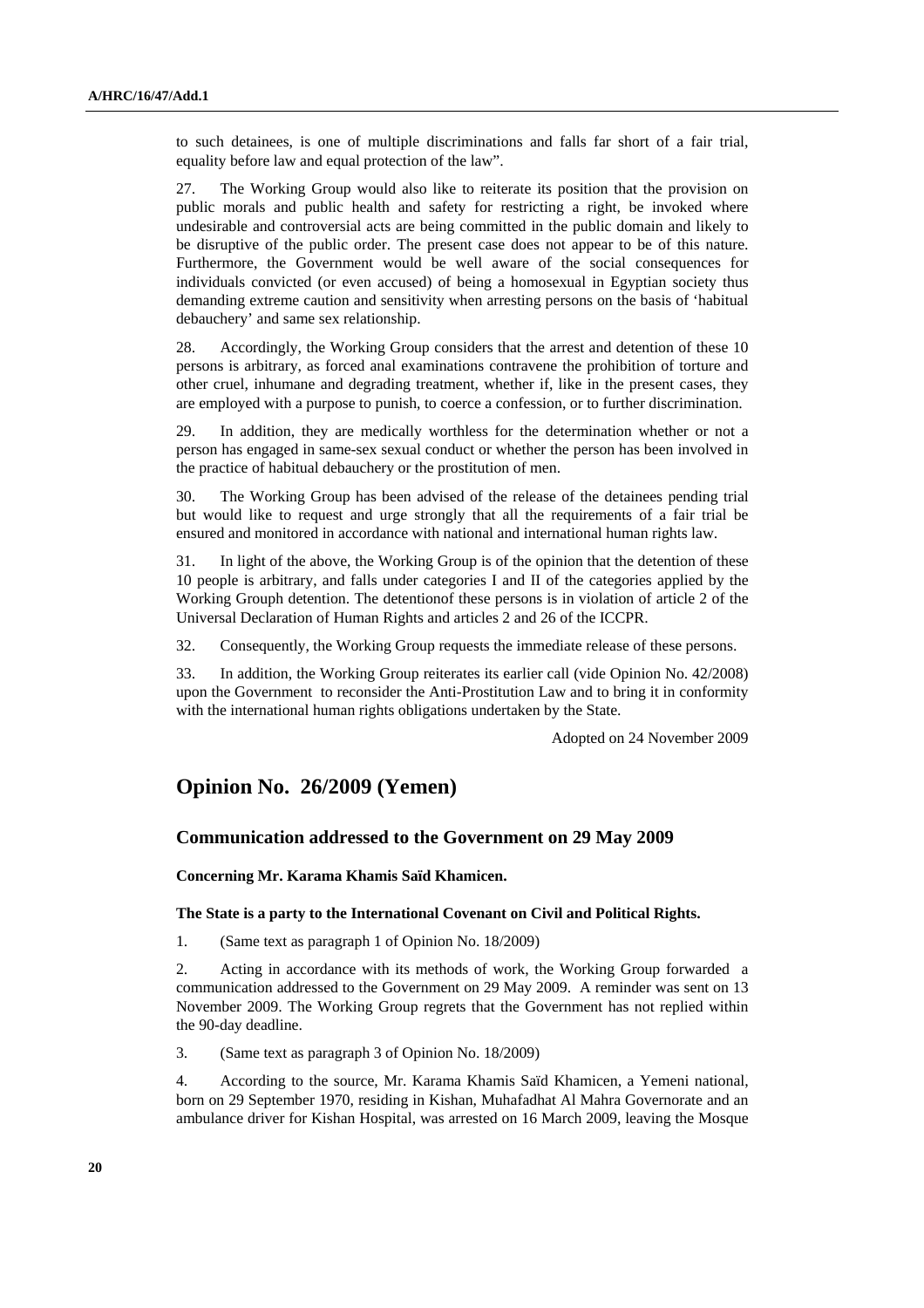to such detainees, is one of multiple discriminations and falls far short of a fair trial, equality before law and equal protection of the law".

27. The Working Group would also like to reiterate its position that the provision on public morals and public health and safety for restricting a right, be invoked where undesirable and controversial acts are being committed in the public domain and likely to be disruptive of the public order. The present case does not appear to be of this nature. Furthermore, the Government would be well aware of the social consequences for individuals convicted (or even accused) of being a homosexual in Egyptian society thus demanding extreme caution and sensitivity when arresting persons on the basis of 'habitual debauchery' and same sex relationship.

28. Accordingly, the Working Group considers that the arrest and detention of these 10 persons is arbitrary, as forced anal examinations contravene the prohibition of torture and other cruel, inhumane and degrading treatment, whether if, like in the present cases, they are employed with a purpose to punish, to coerce a confession, or to further discrimination.

29. In addition, they are medically worthless for the determination whether or not a person has engaged in same-sex sexual conduct or whether the person has been involved in the practice of habitual debauchery or the prostitution of men.

30. The Working Group has been advised of the release of the detainees pending trial but would like to request and urge strongly that all the requirements of a fair trial be ensured and monitored in accordance with national and international human rights law.

31. In light of the above, the Working Group is of the opinion that the detention of these 10 people is arbitrary, and falls under categories I and II of the categories applied by the Working Grouph detention. The detentionof these persons is in violation of article 2 of the Universal Declaration of Human Rights and articles 2 and 26 of the ICCPR.

32. Consequently, the Working Group requests the immediate release of these persons.

33. In addition, the Working Group reiterates its earlier call (vide Opinion No. 42/2008) upon the Government to reconsider the Anti-Prostitution Law and to bring it in conformity with the international human rights obligations undertaken by the State.

Adopted on 24 November 2009

## **Opinion No. 26/2009 (Yemen)**

## **Communication addressed to the Government on 29 May 2009**

 **Concerning Mr. Karama Khamis Saïd Khamicen.** 

## **The State is a party to the International Covenant on Civil and Political Rights.**

1. (Same text as paragraph 1 of Opinion No. 18/2009)

2. Acting in accordance with its methods of work, the Working Group forwarded a communication addressed to the Government on 29 May 2009. A reminder was sent on 13 November 2009. The Working Group regrets that the Government has not replied within the 90-day deadline.

3. (Same text as paragraph 3 of Opinion No. 18/2009)

4. According to the source, Mr. Karama Khamis Saïd Khamicen, a Yemeni national, born on 29 September 1970, residing in Kishan, Muhafadhat Al Mahra Governorate and an ambulance driver for Kishan Hospital, was arrested on 16 March 2009, leaving the Mosque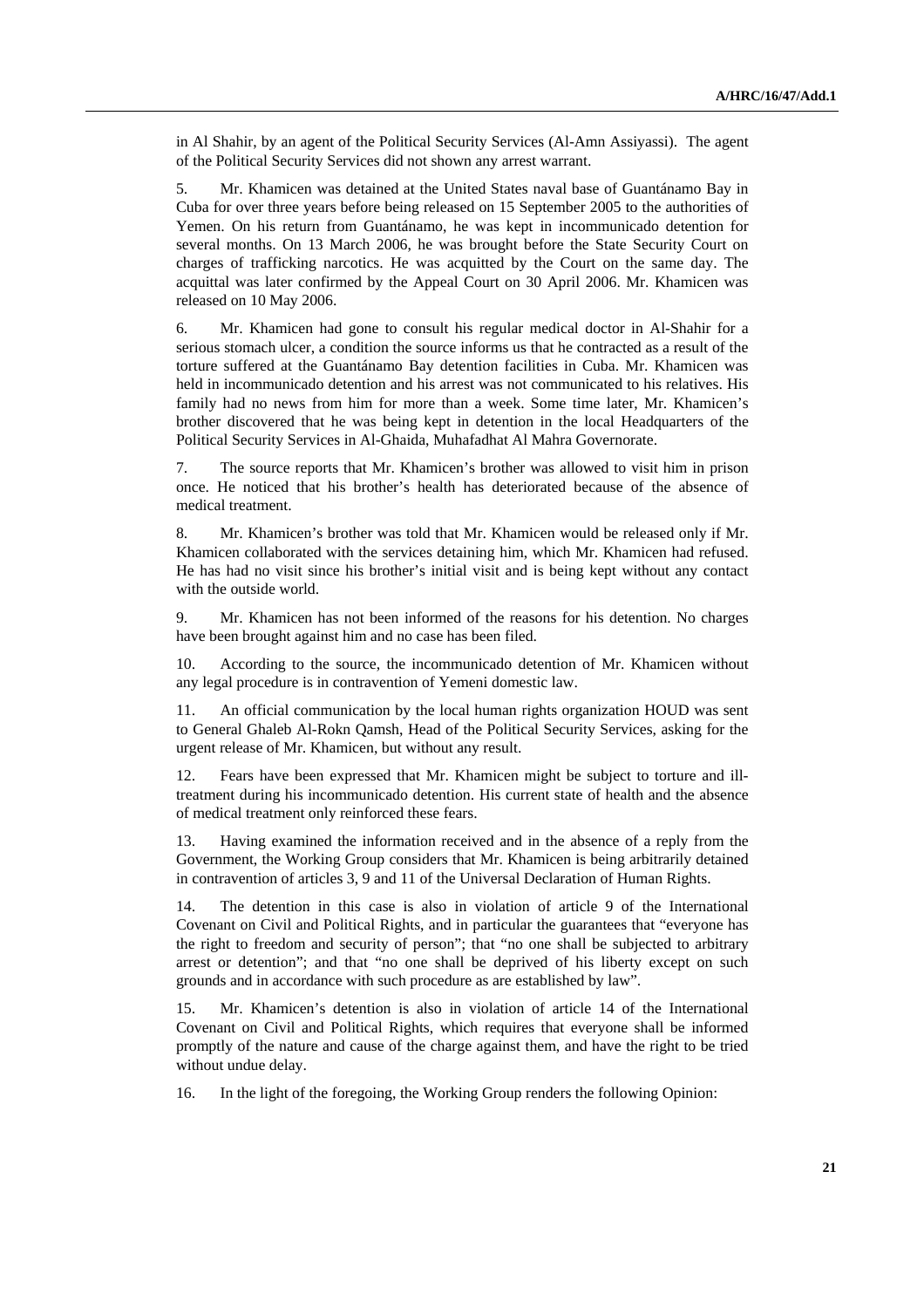in Al Shahir, by an agent of the Political Security Services (Al-Amn Assiyassi). The agent of the Political Security Services did not shown any arrest warrant.

5. Mr. Khamicen was detained at the United States naval base of Guantánamo Bay in Cuba for over three years before being released on 15 September 2005 to the authorities of Yemen. On his return from Guantánamo, he was kept in incommunicado detention for several months. On 13 March 2006, he was brought before the State Security Court on charges of trafficking narcotics. He was acquitted by the Court on the same day. The acquittal was later confirmed by the Appeal Court on 30 April 2006. Mr. Khamicen was released on 10 May 2006.

6. Mr. Khamicen had gone to consult his regular medical doctor in Al-Shahir for a serious stomach ulcer, a condition the source informs us that he contracted as a result of the torture suffered at the Guantánamo Bay detention facilities in Cuba. Mr. Khamicen was held in incommunicado detention and his arrest was not communicated to his relatives. His family had no news from him for more than a week. Some time later, Mr. Khamicen's brother discovered that he was being kept in detention in the local Headquarters of the Political Security Services in Al-Ghaida, Muhafadhat Al Mahra Governorate.

7. The source reports that Mr. Khamicen's brother was allowed to visit him in prison once. He noticed that his brother's health has deteriorated because of the absence of medical treatment.

8. Mr. Khamicen's brother was told that Mr. Khamicen would be released only if Mr. Khamicen collaborated with the services detaining him, which Mr. Khamicen had refused. He has had no visit since his brother's initial visit and is being kept without any contact with the outside world.

9. Mr. Khamicen has not been informed of the reasons for his detention. No charges have been brought against him and no case has been filed.

10. According to the source, the incommunicado detention of Mr. Khamicen without any legal procedure is in contravention of Yemeni domestic law.

11. An official communication by the local human rights organization HOUD was sent to General Ghaleb Al-Rokn Qamsh, Head of the Political Security Services, asking for the urgent release of Mr. Khamicen, but without any result.

12. Fears have been expressed that Mr. Khamicen might be subject to torture and illtreatment during his incommunicado detention. His current state of health and the absence of medical treatment only reinforced these fears.

13. Having examined the information received and in the absence of a reply from the Government, the Working Group considers that Mr. Khamicen is being arbitrarily detained in contravention of articles 3, 9 and 11 of the Universal Declaration of Human Rights.

14. The detention in this case is also in violation of article 9 of the International Covenant on Civil and Political Rights, and in particular the guarantees that "everyone has the right to freedom and security of person"; that "no one shall be subjected to arbitrary arrest or detention"; and that "no one shall be deprived of his liberty except on such grounds and in accordance with such procedure as are established by law".

15. Mr. Khamicen's detention is also in violation of article 14 of the International Covenant on Civil and Political Rights, which requires that everyone shall be informed promptly of the nature and cause of the charge against them, and have the right to be tried without undue delay.

16. In the light of the foregoing, the Working Group renders the following Opinion: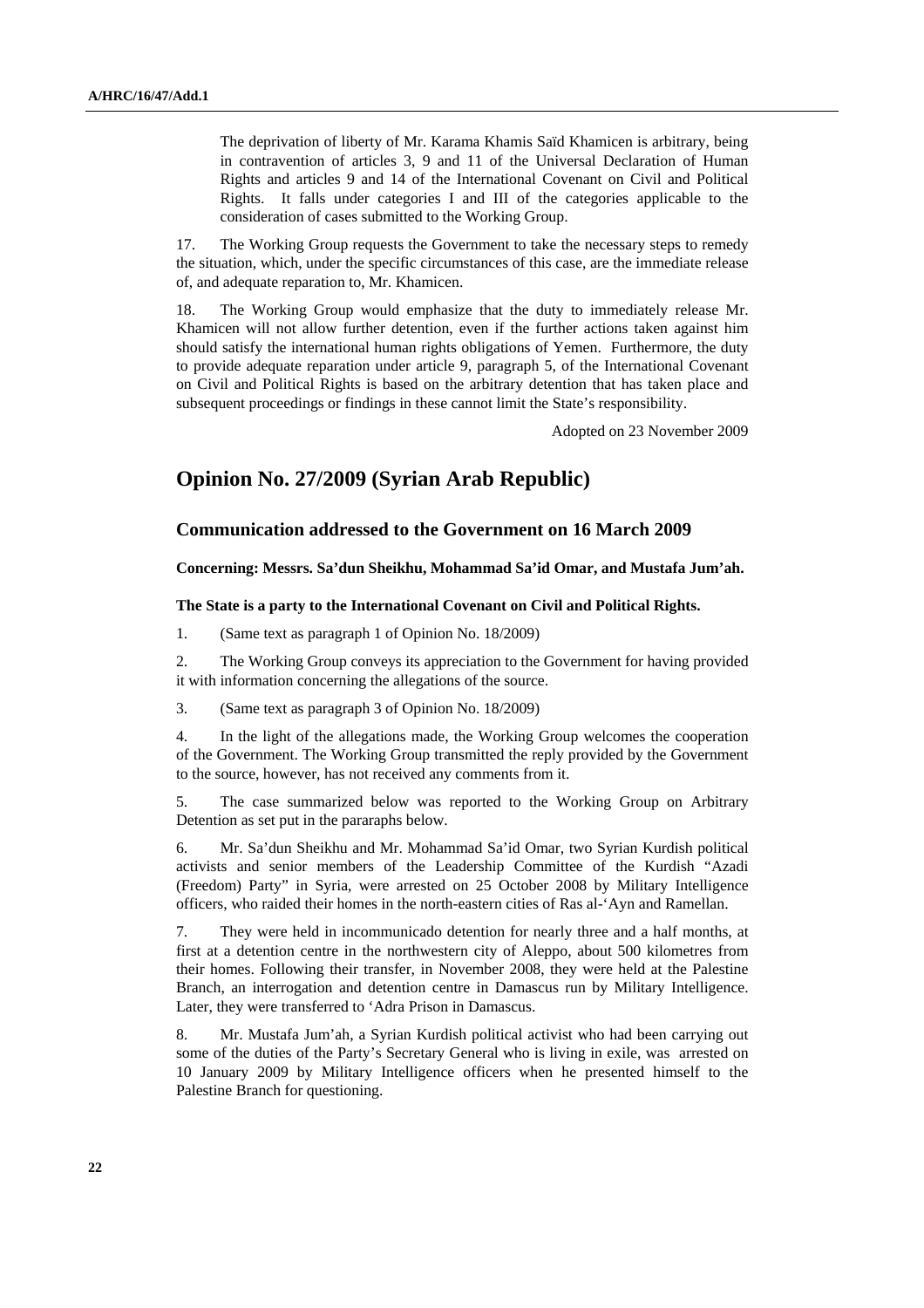The deprivation of liberty of Mr. Karama Khamis Saïd Khamicen is arbitrary, being in contravention of articles 3, 9 and 11 of the Universal Declaration of Human Rights and articles 9 and 14 of the International Covenant on Civil and Political Rights. It falls under categories I and III of the categories applicable to the consideration of cases submitted to the Working Group.

17. The Working Group requests the Government to take the necessary steps to remedy the situation, which, under the specific circumstances of this case, are the immediate release of, and adequate reparation to, Mr. Khamicen.

The Working Group would emphasize that the duty to immediately release Mr. Khamicen will not allow further detention, even if the further actions taken against him should satisfy the international human rights obligations of Yemen. Furthermore, the duty to provide adequate reparation under article 9, paragraph 5, of the International Covenant on Civil and Political Rights is based on the arbitrary detention that has taken place and subsequent proceedings or findings in these cannot limit the State's responsibility.

Adopted on 23 November 2009

## **Opinion No. 27/2009 (Syrian Arab Republic)**

## **Communication addressed to the Government on 16 March 2009**

 **Concerning: Messrs. Sa'dun Sheikhu, Mohammad Sa'id Omar, and Mustafa Jum'ah.** 

#### **The State is a party to the International Covenant on Civil and Political Rights.**

1. (Same text as paragraph 1 of Opinion No. 18/2009)

2. The Working Group conveys its appreciation to the Government for having provided it with information concerning the allegations of the source.

3. (Same text as paragraph 3 of Opinion No. 18/2009)

4. In the light of the allegations made, the Working Group welcomes the cooperation of the Government. The Working Group transmitted the reply provided by the Government to the source, however, has not received any comments from it.

5. The case summarized below was reported to the Working Group on Arbitrary Detention as set put in the pararaphs below.

6. Mr. Sa'dun Sheikhu and Mr. Mohammad Sa'id Omar, two Syrian Kurdish political activists and senior members of the Leadership Committee of the Kurdish "Azadi (Freedom) Party" in Syria, were arrested on 25 October 2008 by Military Intelligence officers, who raided their homes in the north-eastern cities of Ras al-'Ayn and Ramellan.

7. They were held in incommunicado detention for nearly three and a half months, at first at a detention centre in the northwestern city of Aleppo, about 500 kilometres from their homes. Following their transfer, in November 2008, they were held at the Palestine Branch, an interrogation and detention centre in Damascus run by Military Intelligence. Later, they were transferred to 'Adra Prison in Damascus.

8. Mr. Mustafa Jum'ah, a Syrian Kurdish political activist who had been carrying out some of the duties of the Party's Secretary General who is living in exile, was arrested on 10 January 2009 by Military Intelligence officers when he presented himself to the Palestine Branch for questioning.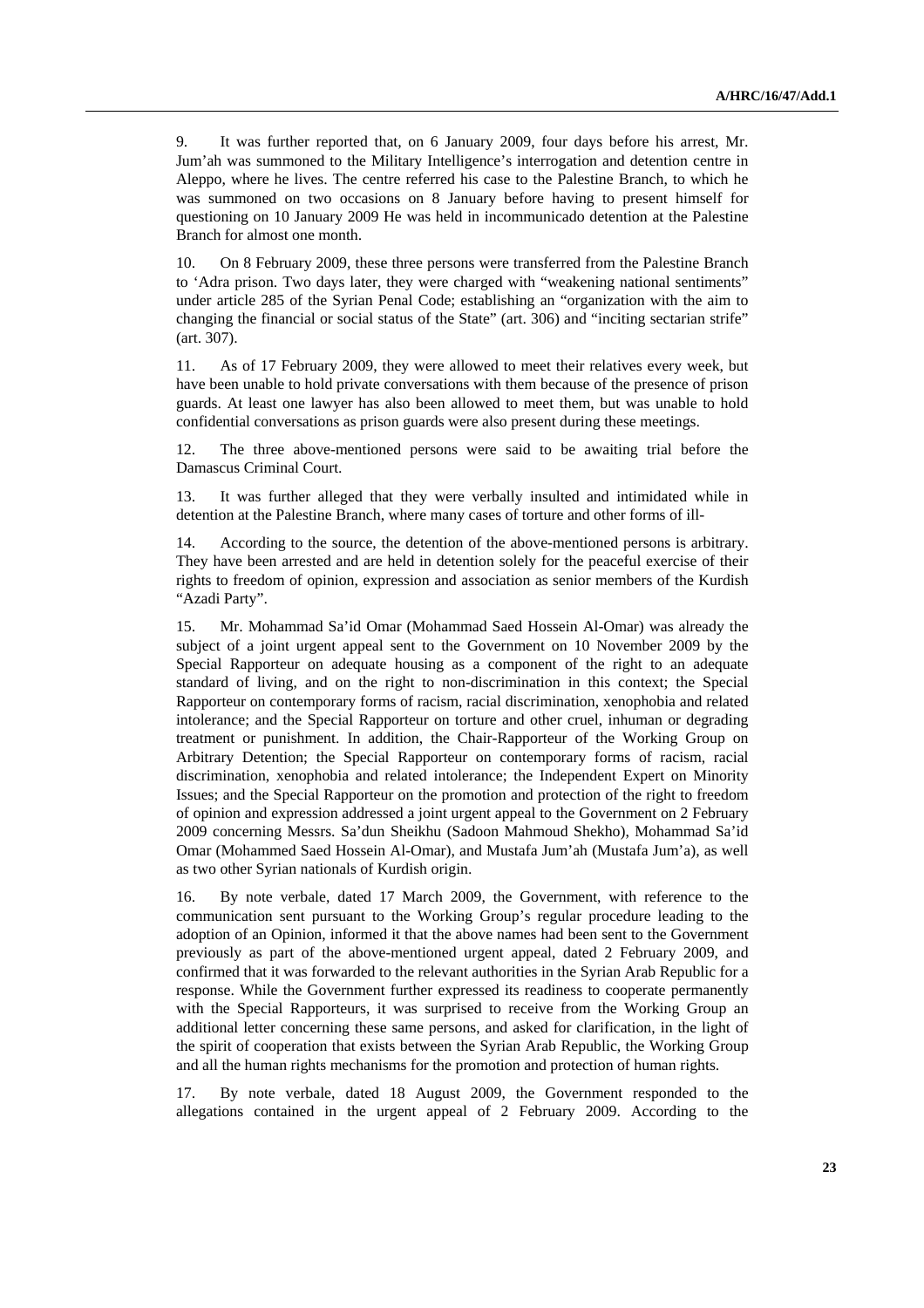9. It was further reported that, on 6 January 2009, four days before his arrest, Mr. Jum'ah was summoned to the Military Intelligence's interrogation and detention centre in Aleppo, where he lives. The centre referred his case to the Palestine Branch, to which he was summoned on two occasions on 8 January before having to present himself for questioning on 10 January 2009 He was held in incommunicado detention at the Palestine Branch for almost one month.

10. On 8 February 2009, these three persons were transferred from the Palestine Branch to 'Adra prison. Two days later, they were charged with "weakening national sentiments" under article 285 of the Syrian Penal Code; establishing an "organization with the aim to changing the financial or social status of the State" (art. 306) and "inciting sectarian strife" (art. 307).

11. As of 17 February 2009, they were allowed to meet their relatives every week, but have been unable to hold private conversations with them because of the presence of prison guards. At least one lawyer has also been allowed to meet them, but was unable to hold confidential conversations as prison guards were also present during these meetings.

12. The three above-mentioned persons were said to be awaiting trial before the Damascus Criminal Court.

13. It was further alleged that they were verbally insulted and intimidated while in detention at the Palestine Branch, where many cases of torture and other forms of ill-

14. According to the source, the detention of the above-mentioned persons is arbitrary. They have been arrested and are held in detention solely for the peaceful exercise of their rights to freedom of opinion, expression and association as senior members of the Kurdish "Azadi Party".

15. Mr. Mohammad Sa'id Omar (Mohammad Saed Hossein Al-Omar) was already the subject of a joint urgent appeal sent to the Government on 10 November 2009 by the Special Rapporteur on adequate housing as a component of the right to an adequate standard of living, and on the right to non-discrimination in this context; the Special Rapporteur on contemporary forms of racism, racial discrimination, xenophobia and related intolerance; and the Special Rapporteur on torture and other cruel, inhuman or degrading treatment or punishment. In addition, the Chair-Rapporteur of the Working Group on Arbitrary Detention; the Special Rapporteur on contemporary forms of racism, racial discrimination, xenophobia and related intolerance; the Independent Expert on Minority Issues; and the Special Rapporteur on the promotion and protection of the right to freedom of opinion and expression addressed a joint urgent appeal to the Government on 2 February 2009 concerning Messrs. Sa'dun Sheikhu (Sadoon Mahmoud Shekho), Mohammad Sa'id Omar (Mohammed Saed Hossein Al-Omar), and Mustafa Jum'ah (Mustafa Jum'a), as well as two other Syrian nationals of Kurdish origin.

16. By note verbale, dated 17 March 2009, the Government, with reference to the communication sent pursuant to the Working Group's regular procedure leading to the adoption of an Opinion, informed it that the above names had been sent to the Government previously as part of the above-mentioned urgent appeal, dated 2 February 2009, and confirmed that it was forwarded to the relevant authorities in the Syrian Arab Republic for a response. While the Government further expressed its readiness to cooperate permanently with the Special Rapporteurs, it was surprised to receive from the Working Group an additional letter concerning these same persons, and asked for clarification, in the light of the spirit of cooperation that exists between the Syrian Arab Republic, the Working Group and all the human rights mechanisms for the promotion and protection of human rights.

17. By note verbale, dated 18 August 2009, the Government responded to the allegations contained in the urgent appeal of 2 February 2009. According to the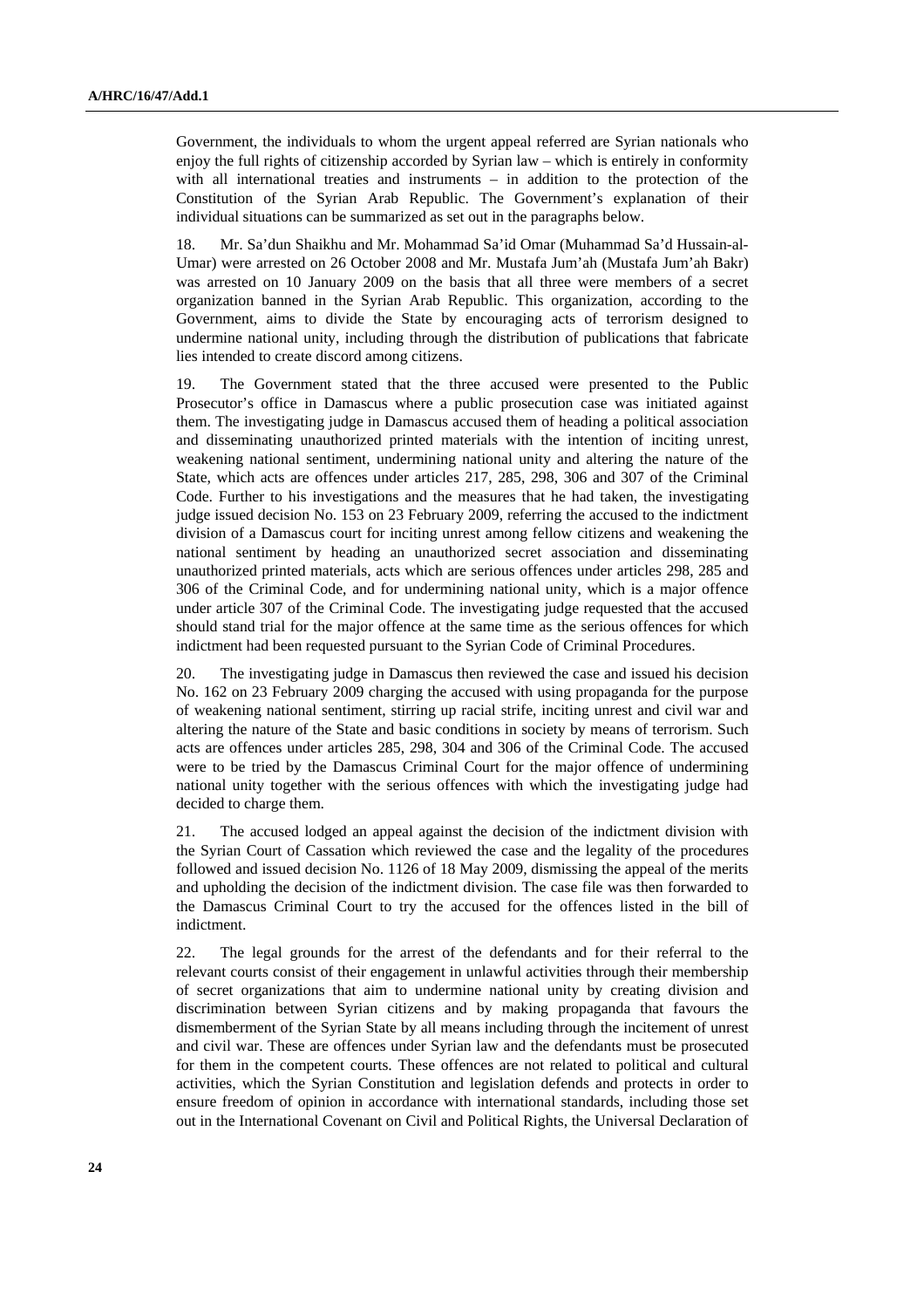Government, the individuals to whom the urgent appeal referred are Syrian nationals who enjoy the full rights of citizenship accorded by Syrian law – which is entirely in conformity with all international treaties and instruments  $-$  in addition to the protection of the Constitution of the Syrian Arab Republic. The Government's explanation of their individual situations can be summarized as set out in the paragraphs below.

18. Mr. Sa'dun Shaikhu and Mr. Mohammad Sa'id Omar (Muhammad Sa'd Hussain-al-Umar) were arrested on 26 October 2008 and Mr. Mustafa Jum'ah (Mustafa Jum'ah Bakr) was arrested on 10 January 2009 on the basis that all three were members of a secret organization banned in the Syrian Arab Republic. This organization, according to the Government, aims to divide the State by encouraging acts of terrorism designed to undermine national unity, including through the distribution of publications that fabricate lies intended to create discord among citizens.

19. The Government stated that the three accused were presented to the Public Prosecutor's office in Damascus where a public prosecution case was initiated against them. The investigating judge in Damascus accused them of heading a political association and disseminating unauthorized printed materials with the intention of inciting unrest, weakening national sentiment, undermining national unity and altering the nature of the State, which acts are offences under articles 217, 285, 298, 306 and 307 of the Criminal Code. Further to his investigations and the measures that he had taken, the investigating judge issued decision No. 153 on 23 February 2009, referring the accused to the indictment division of a Damascus court for inciting unrest among fellow citizens and weakening the national sentiment by heading an unauthorized secret association and disseminating unauthorized printed materials, acts which are serious offences under articles 298, 285 and 306 of the Criminal Code, and for undermining national unity, which is a major offence under article 307 of the Criminal Code. The investigating judge requested that the accused should stand trial for the major offence at the same time as the serious offences for which indictment had been requested pursuant to the Syrian Code of Criminal Procedures.

20. The investigating judge in Damascus then reviewed the case and issued his decision No. 162 on 23 February 2009 charging the accused with using propaganda for the purpose of weakening national sentiment, stirring up racial strife, inciting unrest and civil war and altering the nature of the State and basic conditions in society by means of terrorism. Such acts are offences under articles 285, 298, 304 and 306 of the Criminal Code. The accused were to be tried by the Damascus Criminal Court for the major offence of undermining national unity together with the serious offences with which the investigating judge had decided to charge them.

21. The accused lodged an appeal against the decision of the indictment division with the Syrian Court of Cassation which reviewed the case and the legality of the procedures followed and issued decision No. 1126 of 18 May 2009, dismissing the appeal of the merits and upholding the decision of the indictment division. The case file was then forwarded to the Damascus Criminal Court to try the accused for the offences listed in the bill of indictment.

22. The legal grounds for the arrest of the defendants and for their referral to the relevant courts consist of their engagement in unlawful activities through their membership of secret organizations that aim to undermine national unity by creating division and discrimination between Syrian citizens and by making propaganda that favours the dismemberment of the Syrian State by all means including through the incitement of unrest and civil war. These are offences under Syrian law and the defendants must be prosecuted for them in the competent courts. These offences are not related to political and cultural activities, which the Syrian Constitution and legislation defends and protects in order to ensure freedom of opinion in accordance with international standards, including those set out in the International Covenant on Civil and Political Rights, the Universal Declaration of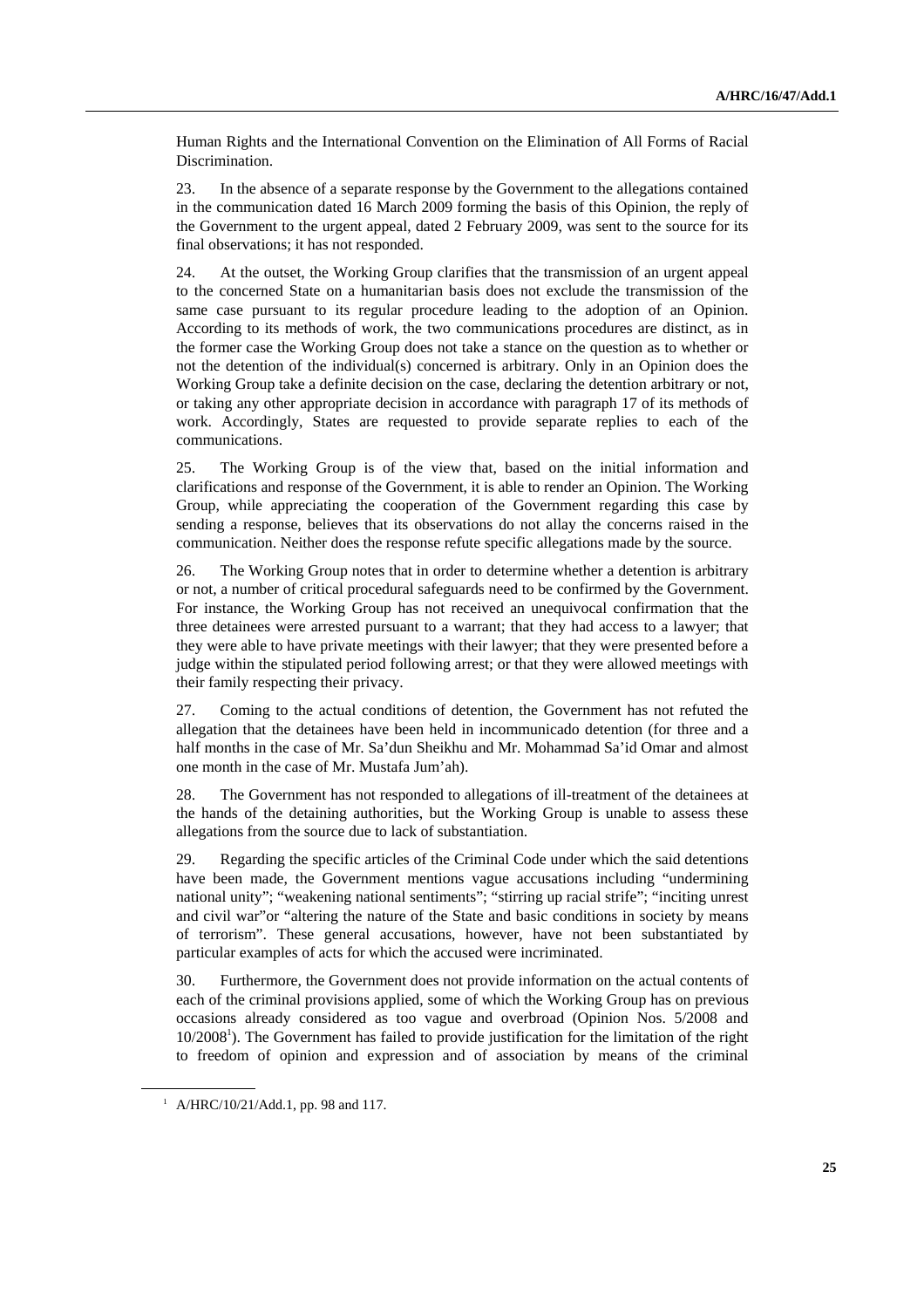Human Rights and the International Convention on the Elimination of All Forms of Racial Discrimination.

23. In the absence of a separate response by the Government to the allegations contained in the communication dated 16 March 2009 forming the basis of this Opinion, the reply of the Government to the urgent appeal, dated 2 February 2009, was sent to the source for its final observations; it has not responded.

24. At the outset, the Working Group clarifies that the transmission of an urgent appeal to the concerned State on a humanitarian basis does not exclude the transmission of the same case pursuant to its regular procedure leading to the adoption of an Opinion. According to its methods of work, the two communications procedures are distinct, as in the former case the Working Group does not take a stance on the question as to whether or not the detention of the individual(s) concerned is arbitrary. Only in an Opinion does the Working Group take a definite decision on the case, declaring the detention arbitrary or not, or taking any other appropriate decision in accordance with paragraph 17 of its methods of work. Accordingly, States are requested to provide separate replies to each of the communications.

25. The Working Group is of the view that, based on the initial information and clarifications and response of the Government, it is able to render an Opinion. The Working Group, while appreciating the cooperation of the Government regarding this case by sending a response, believes that its observations do not allay the concerns raised in the communication. Neither does the response refute specific allegations made by the source.

26. The Working Group notes that in order to determine whether a detention is arbitrary or not, a number of critical procedural safeguards need to be confirmed by the Government. For instance, the Working Group has not received an unequivocal confirmation that the three detainees were arrested pursuant to a warrant; that they had access to a lawyer; that they were able to have private meetings with their lawyer; that they were presented before a judge within the stipulated period following arrest; or that they were allowed meetings with their family respecting their privacy.

27. Coming to the actual conditions of detention, the Government has not refuted the allegation that the detainees have been held in incommunicado detention (for three and a half months in the case of Mr. Sa'dun Sheikhu and Mr. Mohammad Sa'id Omar and almost one month in the case of Mr. Mustafa Jum'ah).

28. The Government has not responded to allegations of ill-treatment of the detainees at the hands of the detaining authorities, but the Working Group is unable to assess these allegations from the source due to lack of substantiation.

29. Regarding the specific articles of the Criminal Code under which the said detentions have been made, the Government mentions vague accusations including "undermining national unity"; "weakening national sentiments"; "stirring up racial strife"; "inciting unrest and civil war"or "altering the nature of the State and basic conditions in society by means of terrorism". These general accusations, however, have not been substantiated by particular examples of acts for which the accused were incriminated.

30. Furthermore, the Government does not provide information on the actual contents of each of the criminal provisions applied, some of which the Working Group has on previous occasions already considered as too vague and overbroad (Opinion Nos. 5/2008 and 10/20081 ). The Government has failed to provide justification for the limitation of the right to freedom of opinion and expression and of association by means of the criminal

<sup>&</sup>lt;sup>1</sup> A/HRC/10/21/Add.1, pp. 98 and 117.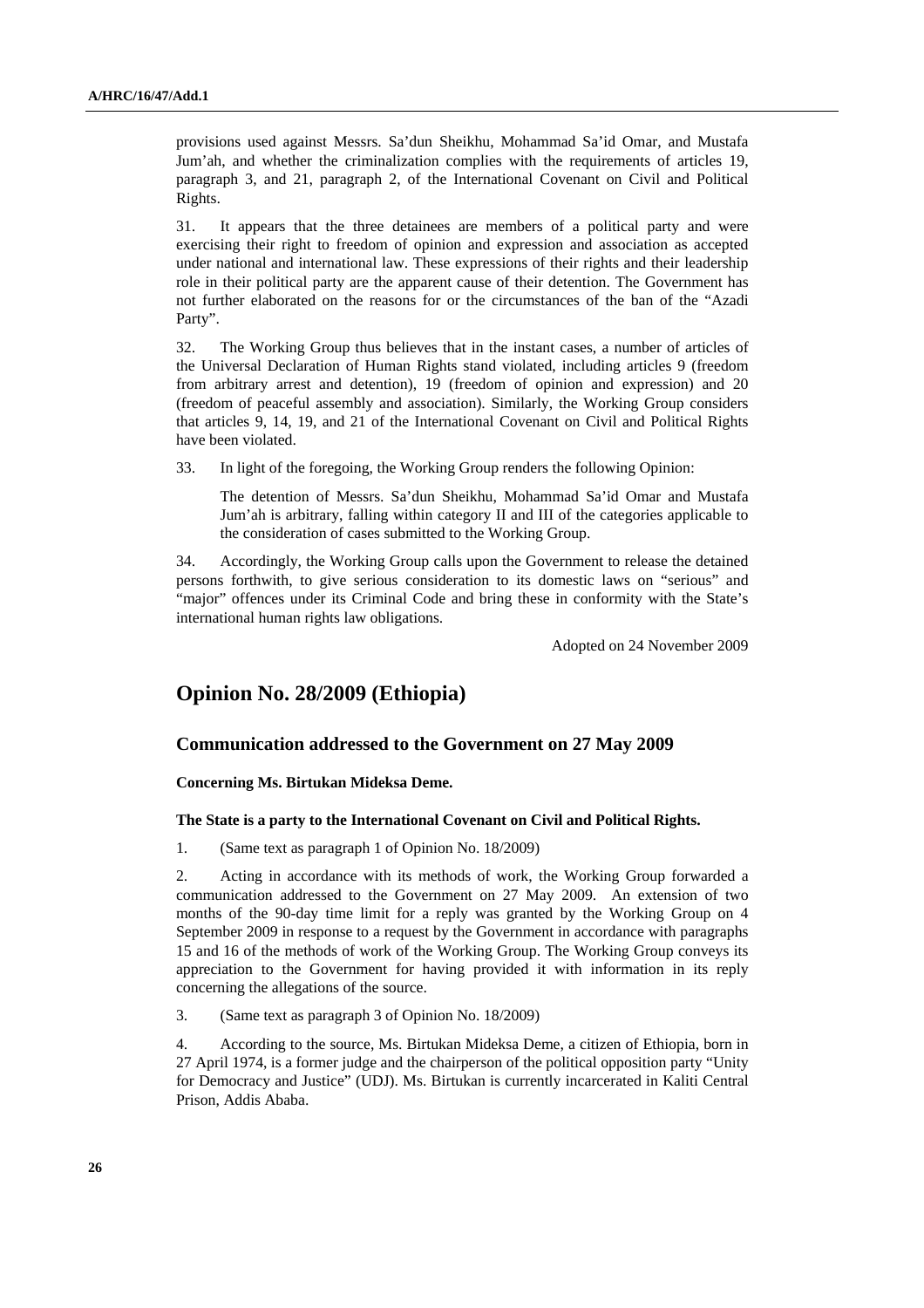provisions used against Messrs. Sa'dun Sheikhu, Mohammad Sa'id Omar, and Mustafa Jum'ah, and whether the criminalization complies with the requirements of articles 19, paragraph 3, and 21, paragraph 2, of the International Covenant on Civil and Political Rights.

31. It appears that the three detainees are members of a political party and were exercising their right to freedom of opinion and expression and association as accepted under national and international law. These expressions of their rights and their leadership role in their political party are the apparent cause of their detention. The Government has not further elaborated on the reasons for or the circumstances of the ban of the "Azadi Party".

32. The Working Group thus believes that in the instant cases, a number of articles of the Universal Declaration of Human Rights stand violated, including articles 9 (freedom from arbitrary arrest and detention), 19 (freedom of opinion and expression) and 20 (freedom of peaceful assembly and association). Similarly, the Working Group considers that articles 9, 14, 19, and 21 of the International Covenant on Civil and Political Rights have been violated.

33. In light of the foregoing, the Working Group renders the following Opinion:

 The detention of Messrs. Sa'dun Sheikhu, Mohammad Sa'id Omar and Mustafa Jum'ah is arbitrary, falling within category II and III of the categories applicable to the consideration of cases submitted to the Working Group.

34. Accordingly, the Working Group calls upon the Government to release the detained persons forthwith, to give serious consideration to its domestic laws on "serious" and "major" offences under its Criminal Code and bring these in conformity with the State's international human rights law obligations.

Adopted on 24 November 2009

## **Opinion No. 28/2009 (Ethiopia)**

## **Communication addressed to the Government on 27 May 2009**

## **Concerning Ms. Birtukan Mideksa Deme.**

#### **The State is a party to the International Covenant on Civil and Political Rights.**

1. (Same text as paragraph 1 of Opinion No. 18/2009)

2. Acting in accordance with its methods of work, the Working Group forwarded a communication addressed to the Government on 27 May 2009. An extension of two months of the 90-day time limit for a reply was granted by the Working Group on 4 September 2009 in response to a request by the Government in accordance with paragraphs 15 and 16 of the methods of work of the Working Group. The Working Group conveys its appreciation to the Government for having provided it with information in its reply concerning the allegations of the source.

3. (Same text as paragraph 3 of Opinion No. 18/2009)

4. According to the source, Ms. Birtukan Mideksa Deme, a citizen of Ethiopia, born in 27 April 1974, is a former judge and the chairperson of the political opposition party "Unity for Democracy and Justice" (UDJ). Ms. Birtukan is currently incarcerated in Kaliti Central Prison, Addis Ababa.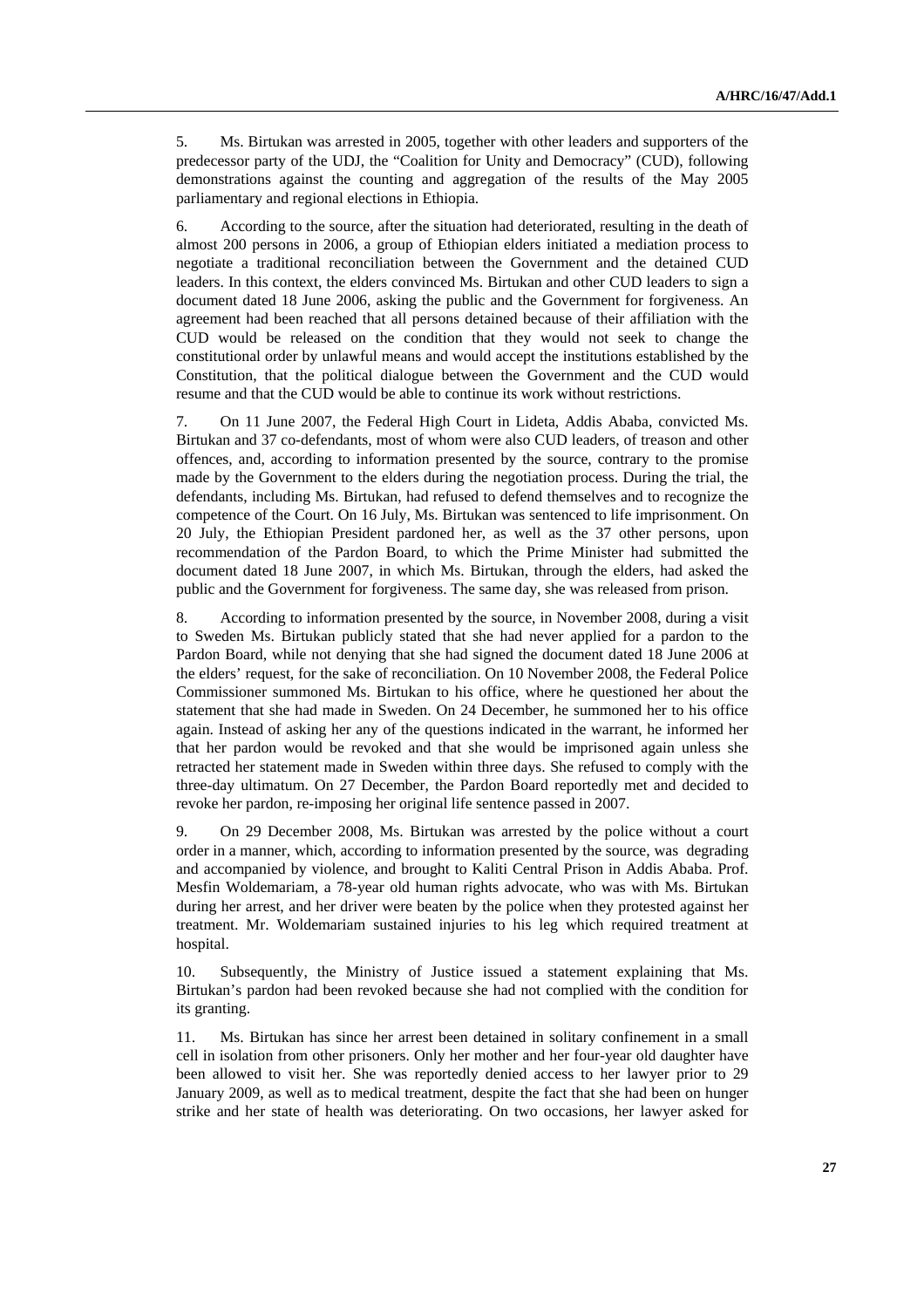5. Ms. Birtukan was arrested in 2005, together with other leaders and supporters of the predecessor party of the UDJ, the "Coalition for Unity and Democracy" (CUD), following demonstrations against the counting and aggregation of the results of the May 2005 parliamentary and regional elections in Ethiopia.

6. According to the source, after the situation had deteriorated, resulting in the death of almost 200 persons in 2006, a group of Ethiopian elders initiated a mediation process to negotiate a traditional reconciliation between the Government and the detained CUD leaders. In this context, the elders convinced Ms. Birtukan and other CUD leaders to sign a document dated 18 June 2006, asking the public and the Government for forgiveness. An agreement had been reached that all persons detained because of their affiliation with the CUD would be released on the condition that they would not seek to change the constitutional order by unlawful means and would accept the institutions established by the Constitution, that the political dialogue between the Government and the CUD would resume and that the CUD would be able to continue its work without restrictions.

7. On 11 June 2007, the Federal High Court in Lideta, Addis Ababa, convicted Ms. Birtukan and 37 co-defendants, most of whom were also CUD leaders, of treason and other offences, and, according to information presented by the source, contrary to the promise made by the Government to the elders during the negotiation process. During the trial, the defendants, including Ms. Birtukan, had refused to defend themselves and to recognize the competence of the Court. On 16 July, Ms. Birtukan was sentenced to life imprisonment. On 20 July, the Ethiopian President pardoned her, as well as the 37 other persons, upon recommendation of the Pardon Board, to which the Prime Minister had submitted the document dated 18 June 2007, in which Ms. Birtukan, through the elders, had asked the public and the Government for forgiveness. The same day, she was released from prison.

8. According to information presented by the source, in November 2008, during a visit to Sweden Ms. Birtukan publicly stated that she had never applied for a pardon to the Pardon Board, while not denying that she had signed the document dated 18 June 2006 at the elders' request, for the sake of reconciliation. On 10 November 2008, the Federal Police Commissioner summoned Ms. Birtukan to his office, where he questioned her about the statement that she had made in Sweden. On 24 December, he summoned her to his office again. Instead of asking her any of the questions indicated in the warrant, he informed her that her pardon would be revoked and that she would be imprisoned again unless she retracted her statement made in Sweden within three days. She refused to comply with the three-day ultimatum. On 27 December, the Pardon Board reportedly met and decided to revoke her pardon, re-imposing her original life sentence passed in 2007.

9. On 29 December 2008, Ms. Birtukan was arrested by the police without a court order in a manner, which, according to information presented by the source, was degrading and accompanied by violence, and brought to Kaliti Central Prison in Addis Ababa. Prof. Mesfin Woldemariam, a 78-year old human rights advocate, who was with Ms. Birtukan during her arrest, and her driver were beaten by the police when they protested against her treatment. Mr. Woldemariam sustained injuries to his leg which required treatment at hospital.

10. Subsequently, the Ministry of Justice issued a statement explaining that Ms. Birtukan's pardon had been revoked because she had not complied with the condition for its granting.

11. Ms. Birtukan has since her arrest been detained in solitary confinement in a small cell in isolation from other prisoners. Only her mother and her four-year old daughter have been allowed to visit her. She was reportedly denied access to her lawyer prior to 29 January 2009, as well as to medical treatment, despite the fact that she had been on hunger strike and her state of health was deteriorating. On two occasions, her lawyer asked for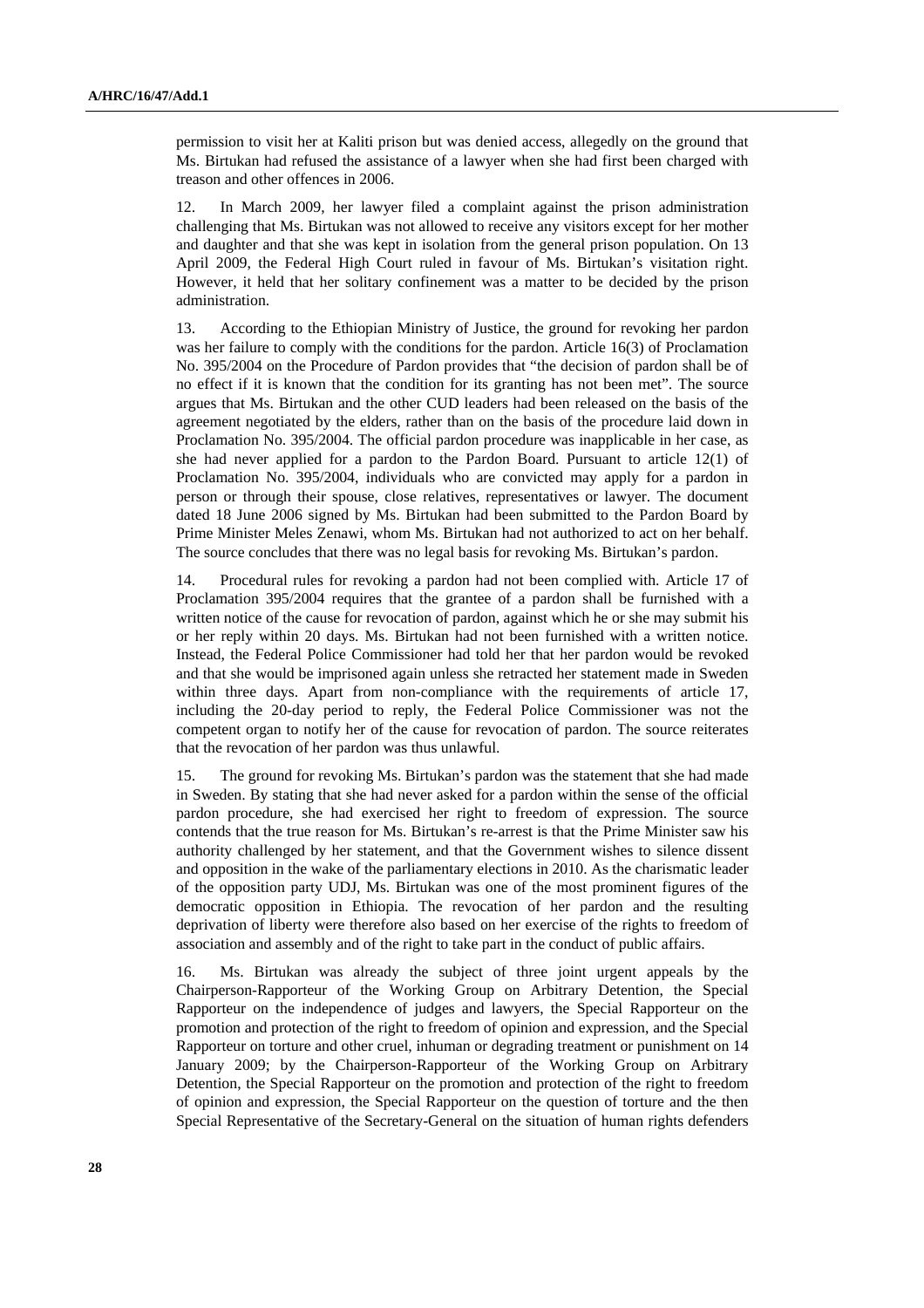permission to visit her at Kaliti prison but was denied access, allegedly on the ground that Ms. Birtukan had refused the assistance of a lawyer when she had first been charged with treason and other offences in 2006.

12. In March 2009, her lawyer filed a complaint against the prison administration challenging that Ms. Birtukan was not allowed to receive any visitors except for her mother and daughter and that she was kept in isolation from the general prison population. On 13 April 2009, the Federal High Court ruled in favour of Ms. Birtukan's visitation right. However, it held that her solitary confinement was a matter to be decided by the prison administration.

13. According to the Ethiopian Ministry of Justice, the ground for revoking her pardon was her failure to comply with the conditions for the pardon. Article 16(3) of Proclamation No. 395/2004 on the Procedure of Pardon provides that "the decision of pardon shall be of no effect if it is known that the condition for its granting has not been met". The source argues that Ms. Birtukan and the other CUD leaders had been released on the basis of the agreement negotiated by the elders, rather than on the basis of the procedure laid down in Proclamation No. 395/2004. The official pardon procedure was inapplicable in her case, as she had never applied for a pardon to the Pardon Board. Pursuant to article 12(1) of Proclamation No. 395/2004, individuals who are convicted may apply for a pardon in person or through their spouse, close relatives, representatives or lawyer. The document dated 18 June 2006 signed by Ms. Birtukan had been submitted to the Pardon Board by Prime Minister Meles Zenawi, whom Ms. Birtukan had not authorized to act on her behalf. The source concludes that there was no legal basis for revoking Ms. Birtukan's pardon.

14. Procedural rules for revoking a pardon had not been complied with. Article 17 of Proclamation 395/2004 requires that the grantee of a pardon shall be furnished with a written notice of the cause for revocation of pardon, against which he or she may submit his or her reply within 20 days. Ms. Birtukan had not been furnished with a written notice. Instead, the Federal Police Commissioner had told her that her pardon would be revoked and that she would be imprisoned again unless she retracted her statement made in Sweden within three days. Apart from non-compliance with the requirements of article 17, including the 20-day period to reply, the Federal Police Commissioner was not the competent organ to notify her of the cause for revocation of pardon. The source reiterates that the revocation of her pardon was thus unlawful.

15. The ground for revoking Ms. Birtukan's pardon was the statement that she had made in Sweden. By stating that she had never asked for a pardon within the sense of the official pardon procedure, she had exercised her right to freedom of expression. The source contends that the true reason for Ms. Birtukan's re-arrest is that the Prime Minister saw his authority challenged by her statement, and that the Government wishes to silence dissent and opposition in the wake of the parliamentary elections in 2010. As the charismatic leader of the opposition party UDJ, Ms. Birtukan was one of the most prominent figures of the democratic opposition in Ethiopia. The revocation of her pardon and the resulting deprivation of liberty were therefore also based on her exercise of the rights to freedom of association and assembly and of the right to take part in the conduct of public affairs.

16. Ms. Birtukan was already the subject of three joint urgent appeals by the Chairperson-Rapporteur of the Working Group on Arbitrary Detention, the Special Rapporteur on the independence of judges and lawyers, the Special Rapporteur on the promotion and protection of the right to freedom of opinion and expression, and the Special Rapporteur on torture and other cruel, inhuman or degrading treatment or punishment on 14 January 2009; by the Chairperson-Rapporteur of the Working Group on Arbitrary Detention, the Special Rapporteur on the promotion and protection of the right to freedom of opinion and expression, the Special Rapporteur on the question of torture and the then Special Representative of the Secretary-General on the situation of human rights defenders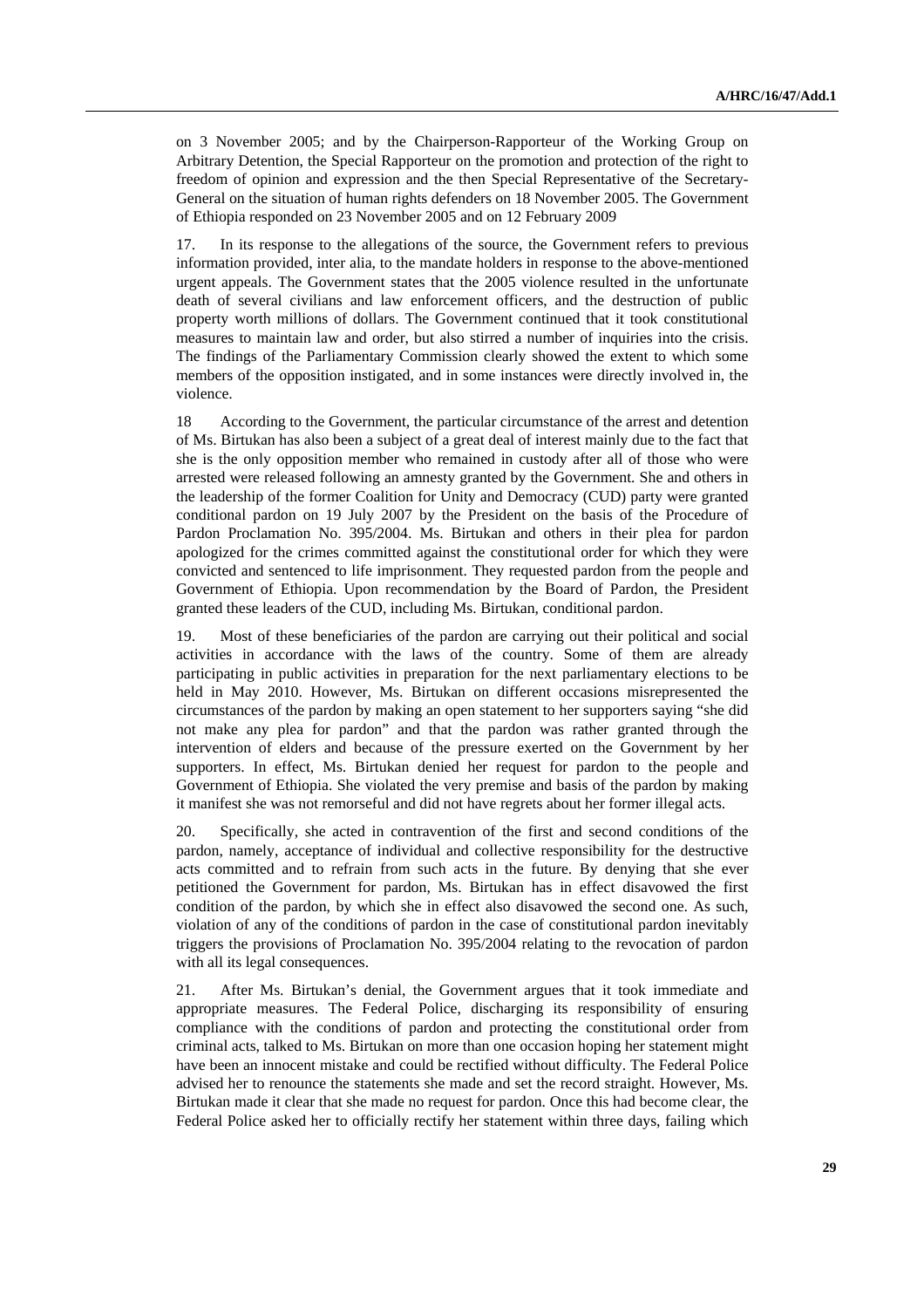on 3 November 2005; and by the Chairperson-Rapporteur of the Working Group on Arbitrary Detention, the Special Rapporteur on the promotion and protection of the right to freedom of opinion and expression and the then Special Representative of the Secretary-General on the situation of human rights defenders on 18 November 2005. The Government of Ethiopia responded on 23 November 2005 and on 12 February 2009

17. In its response to the allegations of the source, the Government refers to previous information provided, inter alia, to the mandate holders in response to the above-mentioned urgent appeals. The Government states that the 2005 violence resulted in the unfortunate death of several civilians and law enforcement officers, and the destruction of public property worth millions of dollars. The Government continued that it took constitutional measures to maintain law and order, but also stirred a number of inquiries into the crisis. The findings of the Parliamentary Commission clearly showed the extent to which some members of the opposition instigated, and in some instances were directly involved in, the violence.

18 According to the Government, the particular circumstance of the arrest and detention of Ms. Birtukan has also been a subject of a great deal of interest mainly due to the fact that she is the only opposition member who remained in custody after all of those who were arrested were released following an amnesty granted by the Government. She and others in the leadership of the former Coalition for Unity and Democracy (CUD) party were granted conditional pardon on 19 July 2007 by the President on the basis of the Procedure of Pardon Proclamation No. 395/2004. Ms. Birtukan and others in their plea for pardon apologized for the crimes committed against the constitutional order for which they were convicted and sentenced to life imprisonment. They requested pardon from the people and Government of Ethiopia. Upon recommendation by the Board of Pardon, the President granted these leaders of the CUD, including Ms. Birtukan, conditional pardon.

19. Most of these beneficiaries of the pardon are carrying out their political and social activities in accordance with the laws of the country. Some of them are already participating in public activities in preparation for the next parliamentary elections to be held in May 2010. However, Ms. Birtukan on different occasions misrepresented the circumstances of the pardon by making an open statement to her supporters saying "she did not make any plea for pardon" and that the pardon was rather granted through the intervention of elders and because of the pressure exerted on the Government by her supporters. In effect, Ms. Birtukan denied her request for pardon to the people and Government of Ethiopia. She violated the very premise and basis of the pardon by making it manifest she was not remorseful and did not have regrets about her former illegal acts.

20. Specifically, she acted in contravention of the first and second conditions of the pardon, namely, acceptance of individual and collective responsibility for the destructive acts committed and to refrain from such acts in the future. By denying that she ever petitioned the Government for pardon, Ms. Birtukan has in effect disavowed the first condition of the pardon, by which she in effect also disavowed the second one. As such, violation of any of the conditions of pardon in the case of constitutional pardon inevitably triggers the provisions of Proclamation No. 395/2004 relating to the revocation of pardon with all its legal consequences.

21. After Ms. Birtukan's denial, the Government argues that it took immediate and appropriate measures. The Federal Police, discharging its responsibility of ensuring compliance with the conditions of pardon and protecting the constitutional order from criminal acts, talked to Ms. Birtukan on more than one occasion hoping her statement might have been an innocent mistake and could be rectified without difficulty. The Federal Police advised her to renounce the statements she made and set the record straight. However, Ms. Birtukan made it clear that she made no request for pardon. Once this had become clear, the Federal Police asked her to officially rectify her statement within three days, failing which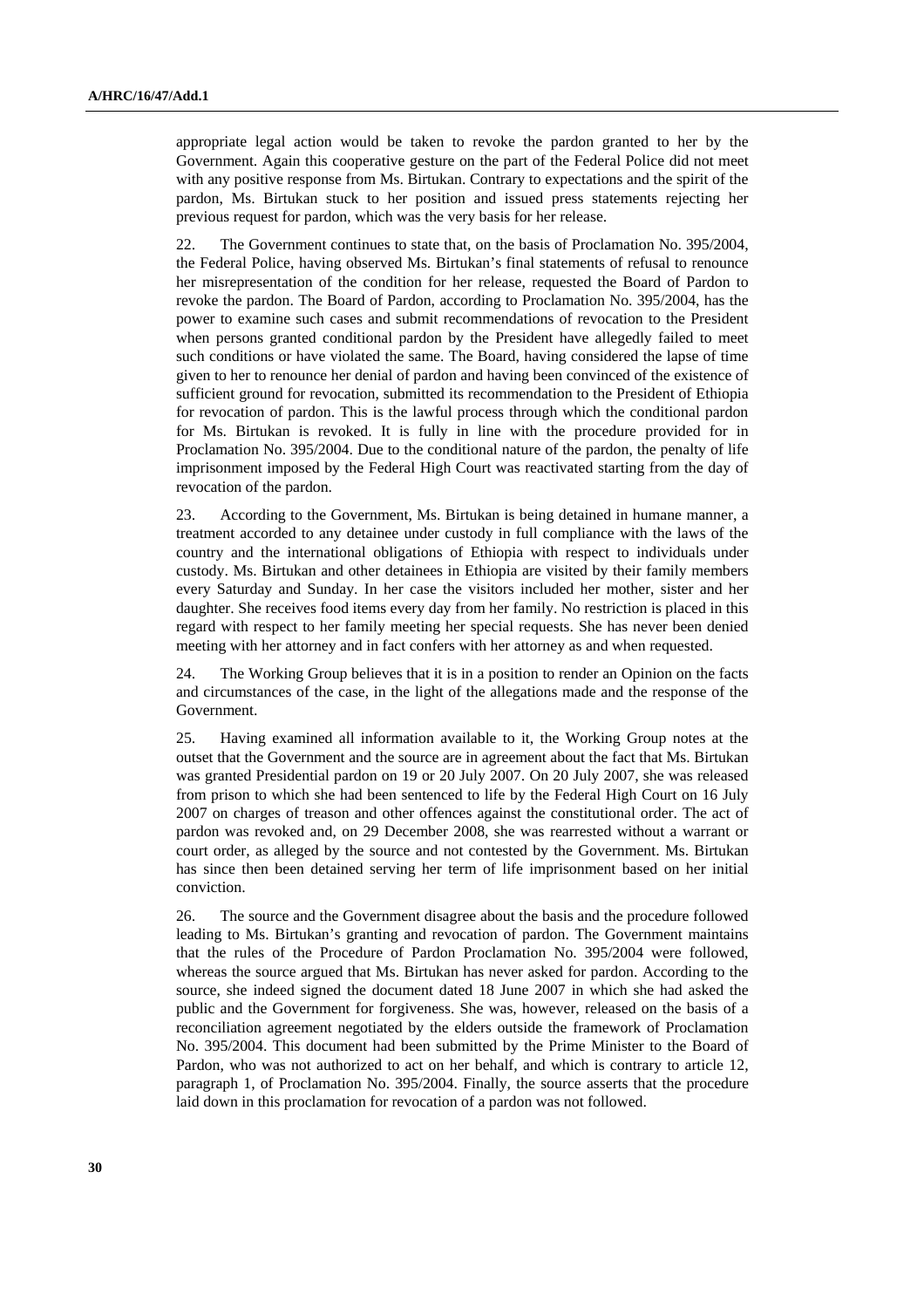appropriate legal action would be taken to revoke the pardon granted to her by the Government. Again this cooperative gesture on the part of the Federal Police did not meet with any positive response from Ms. Birtukan. Contrary to expectations and the spirit of the pardon, Ms. Birtukan stuck to her position and issued press statements rejecting her previous request for pardon, which was the very basis for her release.

22. The Government continues to state that, on the basis of Proclamation No. 395/2004, the Federal Police, having observed Ms. Birtukan's final statements of refusal to renounce her misrepresentation of the condition for her release, requested the Board of Pardon to revoke the pardon. The Board of Pardon, according to Proclamation No. 395/2004, has the power to examine such cases and submit recommendations of revocation to the President when persons granted conditional pardon by the President have allegedly failed to meet such conditions or have violated the same. The Board, having considered the lapse of time given to her to renounce her denial of pardon and having been convinced of the existence of sufficient ground for revocation, submitted its recommendation to the President of Ethiopia for revocation of pardon. This is the lawful process through which the conditional pardon for Ms. Birtukan is revoked. It is fully in line with the procedure provided for in Proclamation No. 395/2004. Due to the conditional nature of the pardon, the penalty of life imprisonment imposed by the Federal High Court was reactivated starting from the day of revocation of the pardon.

23. According to the Government, Ms. Birtukan is being detained in humane manner, a treatment accorded to any detainee under custody in full compliance with the laws of the country and the international obligations of Ethiopia with respect to individuals under custody. Ms. Birtukan and other detainees in Ethiopia are visited by their family members every Saturday and Sunday. In her case the visitors included her mother, sister and her daughter. She receives food items every day from her family. No restriction is placed in this regard with respect to her family meeting her special requests. She has never been denied meeting with her attorney and in fact confers with her attorney as and when requested.

24. The Working Group believes that it is in a position to render an Opinion on the facts and circumstances of the case, in the light of the allegations made and the response of the Government.

25. Having examined all information available to it, the Working Group notes at the outset that the Government and the source are in agreement about the fact that Ms. Birtukan was granted Presidential pardon on 19 or 20 July 2007. On 20 July 2007, she was released from prison to which she had been sentenced to life by the Federal High Court on 16 July 2007 on charges of treason and other offences against the constitutional order. The act of pardon was revoked and, on 29 December 2008, she was rearrested without a warrant or court order, as alleged by the source and not contested by the Government. Ms. Birtukan has since then been detained serving her term of life imprisonment based on her initial conviction.

26. The source and the Government disagree about the basis and the procedure followed leading to Ms. Birtukan's granting and revocation of pardon. The Government maintains that the rules of the Procedure of Pardon Proclamation No. 395/2004 were followed, whereas the source argued that Ms. Birtukan has never asked for pardon. According to the source, she indeed signed the document dated 18 June 2007 in which she had asked the public and the Government for forgiveness. She was, however, released on the basis of a reconciliation agreement negotiated by the elders outside the framework of Proclamation No. 395/2004. This document had been submitted by the Prime Minister to the Board of Pardon, who was not authorized to act on her behalf, and which is contrary to article 12, paragraph 1, of Proclamation No. 395/2004. Finally, the source asserts that the procedure laid down in this proclamation for revocation of a pardon was not followed.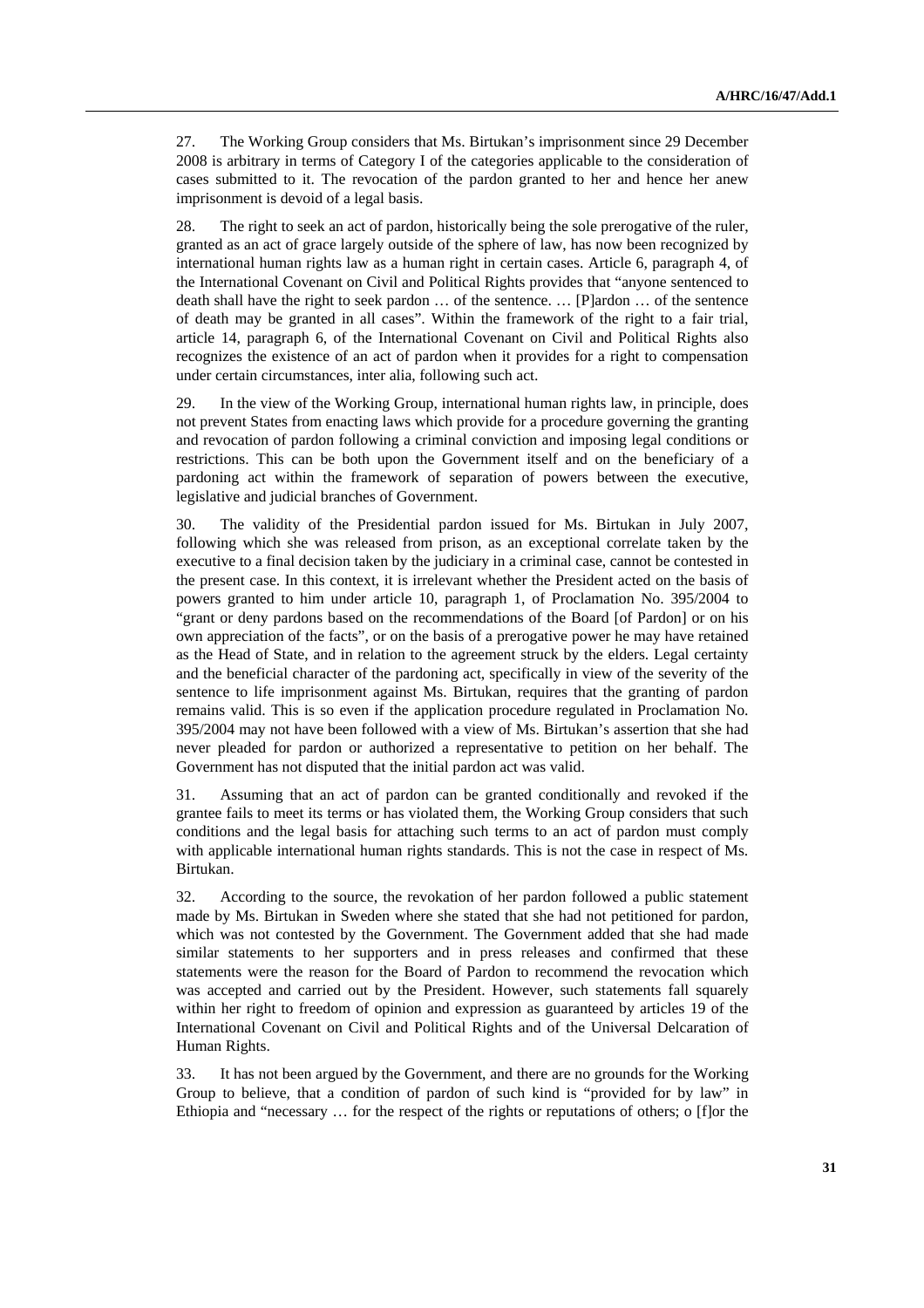27. The Working Group considers that Ms. Birtukan's imprisonment since 29 December 2008 is arbitrary in terms of Category I of the categories applicable to the consideration of cases submitted to it. The revocation of the pardon granted to her and hence her anew imprisonment is devoid of a legal basis.

28. The right to seek an act of pardon, historically being the sole prerogative of the ruler, granted as an act of grace largely outside of the sphere of law, has now been recognized by international human rights law as a human right in certain cases. Article 6, paragraph 4, of the International Covenant on Civil and Political Rights provides that "anyone sentenced to death shall have the right to seek pardon … of the sentence. … [P]ardon … of the sentence of death may be granted in all cases". Within the framework of the right to a fair trial, article 14, paragraph 6, of the International Covenant on Civil and Political Rights also recognizes the existence of an act of pardon when it provides for a right to compensation under certain circumstances, inter alia, following such act.

29. In the view of the Working Group, international human rights law, in principle, does not prevent States from enacting laws which provide for a procedure governing the granting and revocation of pardon following a criminal conviction and imposing legal conditions or restrictions. This can be both upon the Government itself and on the beneficiary of a pardoning act within the framework of separation of powers between the executive, legislative and judicial branches of Government.

30. The validity of the Presidential pardon issued for Ms. Birtukan in July 2007, following which she was released from prison, as an exceptional correlate taken by the executive to a final decision taken by the judiciary in a criminal case, cannot be contested in the present case. In this context, it is irrelevant whether the President acted on the basis of powers granted to him under article 10, paragraph 1, of Proclamation No. 395/2004 to "grant or deny pardons based on the recommendations of the Board [of Pardon] or on his own appreciation of the facts", or on the basis of a prerogative power he may have retained as the Head of State, and in relation to the agreement struck by the elders. Legal certainty and the beneficial character of the pardoning act, specifically in view of the severity of the sentence to life imprisonment against Ms. Birtukan, requires that the granting of pardon remains valid. This is so even if the application procedure regulated in Proclamation No. 395/2004 may not have been followed with a view of Ms. Birtukan's assertion that she had never pleaded for pardon or authorized a representative to petition on her behalf. The Government has not disputed that the initial pardon act was valid.

31. Assuming that an act of pardon can be granted conditionally and revoked if the grantee fails to meet its terms or has violated them, the Working Group considers that such conditions and the legal basis for attaching such terms to an act of pardon must comply with applicable international human rights standards. This is not the case in respect of Ms. Birtukan.

32. According to the source, the revokation of her pardon followed a public statement made by Ms. Birtukan in Sweden where she stated that she had not petitioned for pardon, which was not contested by the Government. The Government added that she had made similar statements to her supporters and in press releases and confirmed that these statements were the reason for the Board of Pardon to recommend the revocation which was accepted and carried out by the President. However, such statements fall squarely within her right to freedom of opinion and expression as guaranteed by articles 19 of the International Covenant on Civil and Political Rights and of the Universal Delcaration of Human Rights.

33. It has not been argued by the Government, and there are no grounds for the Working Group to believe, that a condition of pardon of such kind is "provided for by law" in Ethiopia and "necessary … for the respect of the rights or reputations of others; o [f]or the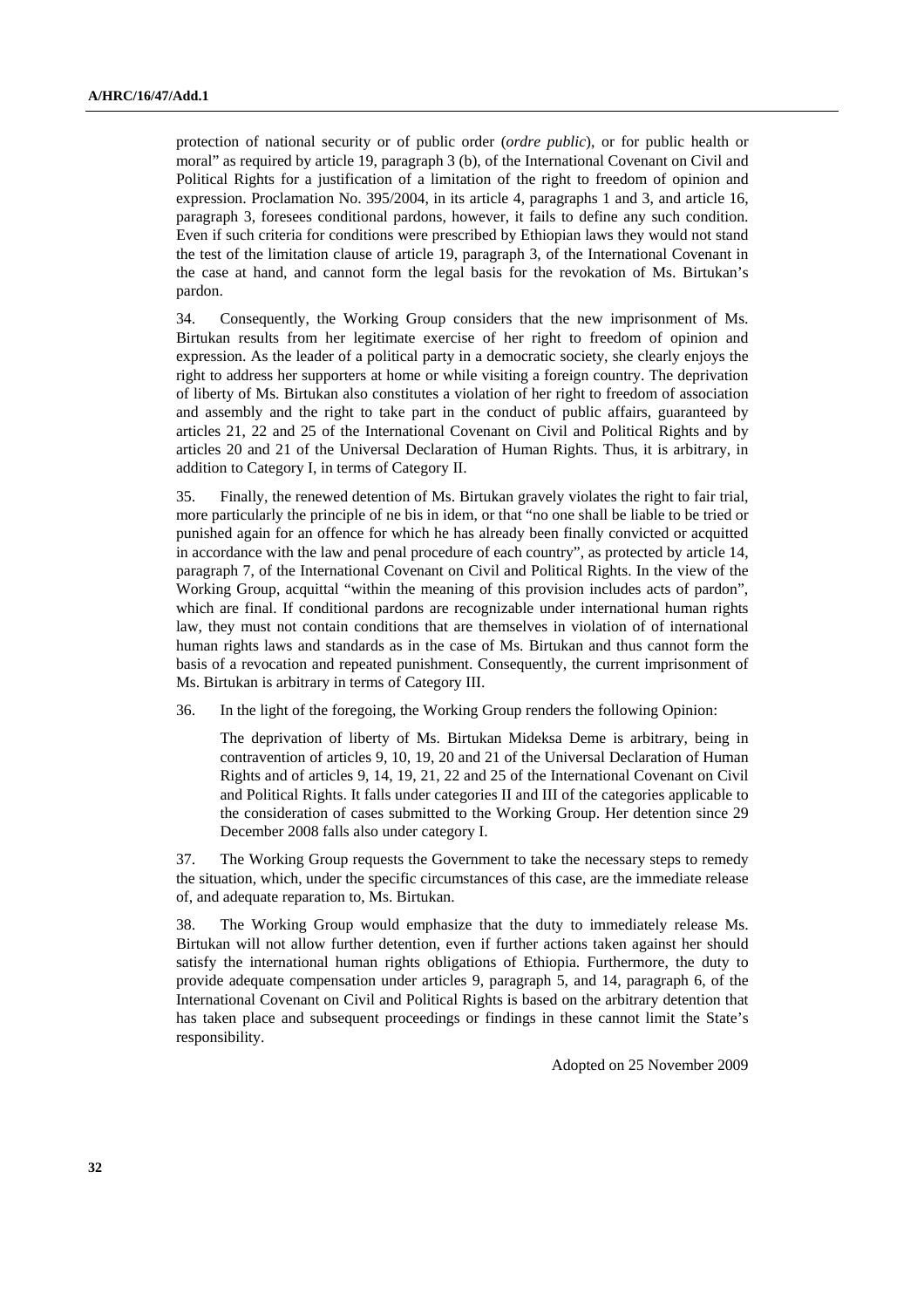protection of national security or of public order (*ordre public*), or for public health or moral" as required by article 19, paragraph 3 (b), of the International Covenant on Civil and Political Rights for a justification of a limitation of the right to freedom of opinion and expression. Proclamation No. 395/2004, in its article 4, paragraphs 1 and 3, and article 16, paragraph 3, foresees conditional pardons, however, it fails to define any such condition. Even if such criteria for conditions were prescribed by Ethiopian laws they would not stand the test of the limitation clause of article 19, paragraph 3, of the International Covenant in the case at hand, and cannot form the legal basis for the revokation of Ms. Birtukan's pardon.

34. Consequently, the Working Group considers that the new imprisonment of Ms. Birtukan results from her legitimate exercise of her right to freedom of opinion and expression. As the leader of a political party in a democratic society, she clearly enjoys the right to address her supporters at home or while visiting a foreign country. The deprivation of liberty of Ms. Birtukan also constitutes a violation of her right to freedom of association and assembly and the right to take part in the conduct of public affairs, guaranteed by articles 21, 22 and 25 of the International Covenant on Civil and Political Rights and by articles 20 and 21 of the Universal Declaration of Human Rights. Thus, it is arbitrary, in addition to Category I, in terms of Category II.

35. Finally, the renewed detention of Ms. Birtukan gravely violates the right to fair trial, more particularly the principle of ne bis in idem, or that "no one shall be liable to be tried or punished again for an offence for which he has already been finally convicted or acquitted in accordance with the law and penal procedure of each country", as protected by article 14, paragraph 7, of the International Covenant on Civil and Political Rights. In the view of the Working Group, acquittal "within the meaning of this provision includes acts of pardon", which are final. If conditional pardons are recognizable under international human rights law, they must not contain conditions that are themselves in violation of of international human rights laws and standards as in the case of Ms. Birtukan and thus cannot form the basis of a revocation and repeated punishment. Consequently, the current imprisonment of Ms. Birtukan is arbitrary in terms of Category III.

36. In the light of the foregoing, the Working Group renders the following Opinion:

 The deprivation of liberty of Ms. Birtukan Mideksa Deme is arbitrary, being in contravention of articles 9, 10, 19, 20 and 21 of the Universal Declaration of Human Rights and of articles 9, 14, 19, 21, 22 and 25 of the International Covenant on Civil and Political Rights. It falls under categories II and III of the categories applicable to the consideration of cases submitted to the Working Group. Her detention since 29 December 2008 falls also under category I.

37. The Working Group requests the Government to take the necessary steps to remedy the situation, which, under the specific circumstances of this case, are the immediate release of, and adequate reparation to, Ms. Birtukan.

38. The Working Group would emphasize that the duty to immediately release Ms. Birtukan will not allow further detention, even if further actions taken against her should satisfy the international human rights obligations of Ethiopia. Furthermore, the duty to provide adequate compensation under articles 9, paragraph 5, and 14, paragraph 6, of the International Covenant on Civil and Political Rights is based on the arbitrary detention that has taken place and subsequent proceedings or findings in these cannot limit the State's responsibility.

Adopted on 25 November 2009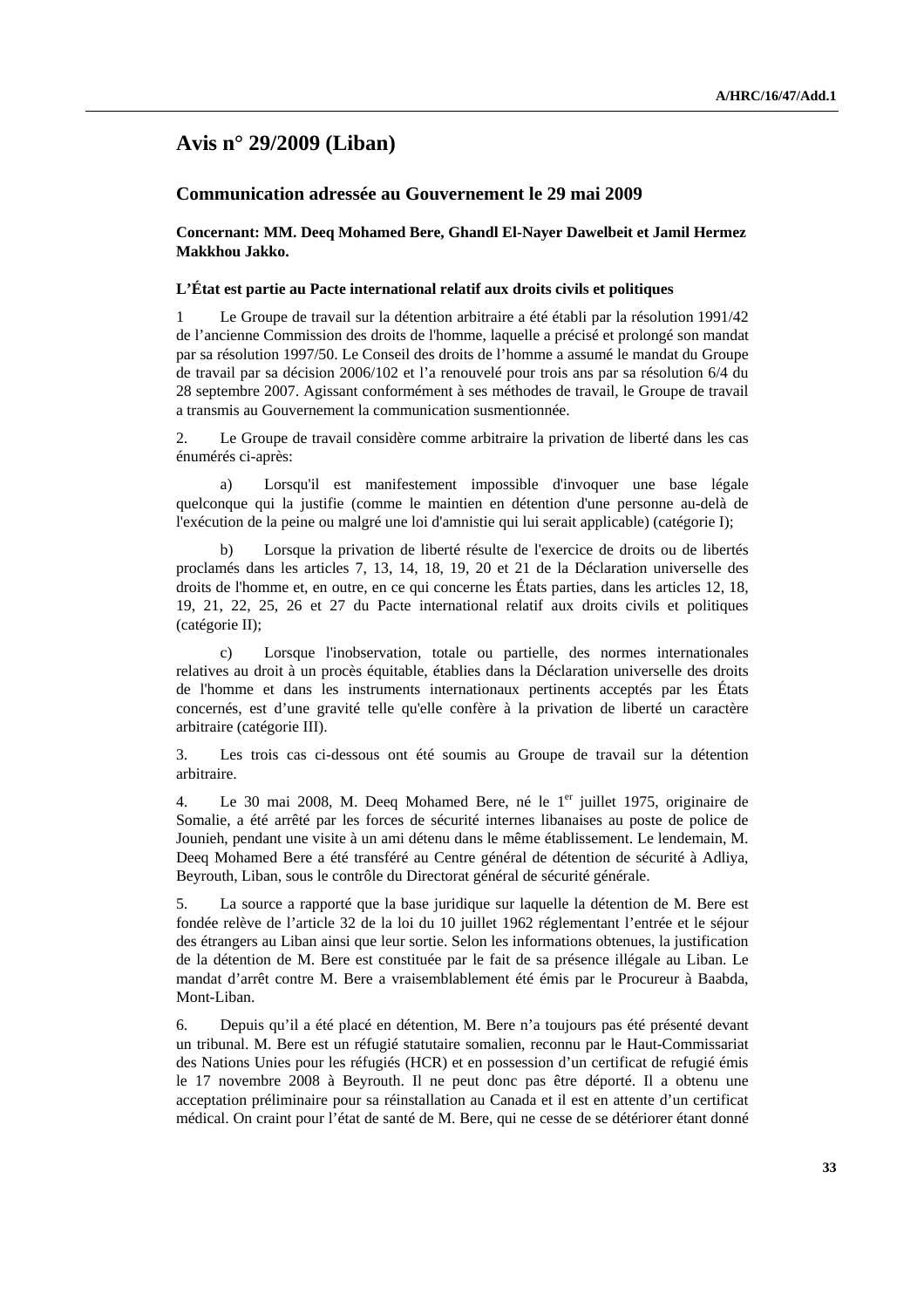## **Avis n° 29/2009 (Liban)**

## **Communication adressée au Gouvernement le 29 mai 2009**

 **Concernant: MM. Deeq Mohamed Bere, Ghandl El-Nayer Dawelbeit et Jamil Hermez Makkhou Jakko.** 

#### **L'État est partie au Pacte international relatif aux droits civils et politiques**

1 Le Groupe de travail sur la détention arbitraire a été établi par la résolution 1991/42 de l'ancienne Commission des droits de l'homme, laquelle a précisé et prolongé son mandat par sa résolution 1997/50. Le Conseil des droits de l'homme a assumé le mandat du Groupe de travail par sa décision 2006/102 et l'a renouvelé pour trois ans par sa résolution 6/4 du 28 septembre 2007. Agissant conformément à ses méthodes de travail, le Groupe de travail a transmis au Gouvernement la communication susmentionnée.

2. Le Groupe de travail considère comme arbitraire la privation de liberté dans les cas énumérés ci-après:

 a) Lorsqu'il est manifestement impossible d'invoquer une base légale quelconque qui la justifie (comme le maintien en détention d'une personne au-delà de l'exécution de la peine ou malgré une loi d'amnistie qui lui serait applicable) (catégorie I);

 b) Lorsque la privation de liberté résulte de l'exercice de droits ou de libertés proclamés dans les articles 7, 13, 14, 18, 19, 20 et 21 de la Déclaration universelle des droits de l'homme et, en outre, en ce qui concerne les États parties, dans les articles 12, 18, 19, 21, 22, 25, 26 et 27 du Pacte international relatif aux droits civils et politiques (catégorie II);

 c) Lorsque l'inobservation, totale ou partielle, des normes internationales relatives au droit à un procès équitable, établies dans la Déclaration universelle des droits de l'homme et dans les instruments internationaux pertinents acceptés par les États concernés, est d'une gravité telle qu'elle confère à la privation de liberté un caractère arbitraire (catégorie III).

3. Les trois cas ci-dessous ont été soumis au Groupe de travail sur la détention arbitraire.

4. Le 30 mai 2008, M. Deeq Mohamed Bere, né le 1<sup>er</sup> juillet 1975, originaire de Somalie, a été arrêté par les forces de sécurité internes libanaises au poste de police de Jounieh, pendant une visite à un ami détenu dans le même établissement. Le lendemain, M. Deeq Mohamed Bere a été transféré au Centre général de détention de sécurité à Adliya, Beyrouth, Liban, sous le contrôle du Directorat général de sécurité générale.

5. La source a rapporté que la base juridique sur laquelle la détention de M. Bere est fondée relève de l'article 32 de la loi du 10 juillet 1962 réglementant l'entrée et le séjour des étrangers au Liban ainsi que leur sortie. Selon les informations obtenues, la justification de la détention de M. Bere est constituée par le fait de sa présence illégale au Liban. Le mandat d'arrêt contre M. Bere a vraisemblablement été émis par le Procureur à Baabda, Mont-Liban.

6. Depuis qu'il a été placé en détention, M. Bere n'a toujours pas été présenté devant un tribunal. M. Bere est un réfugié statutaire somalien, reconnu par le Haut-Commissariat des Nations Unies pour les réfugiés (HCR) et en possession d'un certificat de refugié émis le 17 novembre 2008 à Beyrouth. Il ne peut donc pas être déporté. Il a obtenu une acceptation préliminaire pour sa réinstallation au Canada et il est en attente d'un certificat médical. On craint pour l'état de santé de M. Bere, qui ne cesse de se détériorer étant donné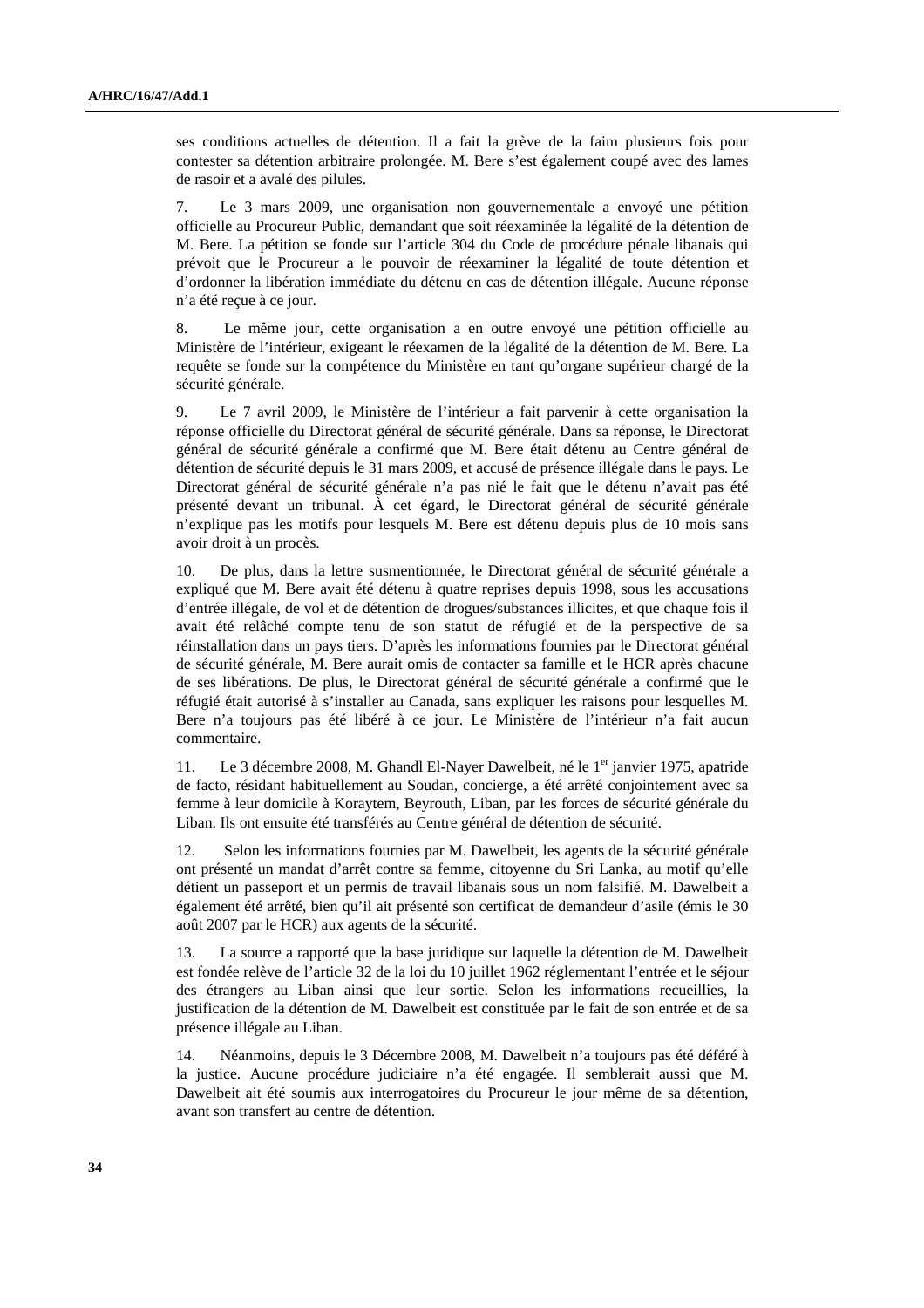ses conditions actuelles de détention. Il a fait la grève de la faim plusieurs fois pour contester sa détention arbitraire prolongée. M. Bere s'est également coupé avec des lames de rasoir et a avalé des pilules.

7. Le 3 mars 2009, une organisation non gouvernementale a envoyé une pétition officielle au Procureur Public, demandant que soit réexaminée la légalité de la détention de M. Bere. La pétition se fonde sur l'article 304 du Code de procédure pénale libanais qui prévoit que le Procureur a le pouvoir de réexaminer la légalité de toute détention et d'ordonner la libération immédiate du détenu en cas de détention illégale. Aucune réponse n'a été reçue à ce jour.

8. Le même jour, cette organisation a en outre envoyé une pétition officielle au Ministère de l'intérieur, exigeant le réexamen de la légalité de la détention de M. Bere. La requête se fonde sur la compétence du Ministère en tant qu'organe supérieur chargé de la sécurité générale.

9. Le 7 avril 2009, le Ministère de l'intérieur a fait parvenir à cette organisation la réponse officielle du Directorat général de sécurité générale. Dans sa réponse, le Directorat général de sécurité générale a confirmé que M. Bere était détenu au Centre général de détention de sécurité depuis le 31 mars 2009, et accusé de présence illégale dans le pays. Le Directorat général de sécurité générale n'a pas nié le fait que le détenu n'avait pas été présenté devant un tribunal. À cet égard, le Directorat général de sécurité générale n'explique pas les motifs pour lesquels M. Bere est détenu depuis plus de 10 mois sans avoir droit à un procès.

10. De plus, dans la lettre susmentionnée, le Directorat général de sécurité générale a expliqué que M. Bere avait été détenu à quatre reprises depuis 1998, sous les accusations d'entrée illégale, de vol et de détention de drogues/substances illicites, et que chaque fois il avait été relâché compte tenu de son statut de réfugié et de la perspective de sa réinstallation dans un pays tiers. D'après les informations fournies par le Directorat général de sécurité générale, M. Bere aurait omis de contacter sa famille et le HCR après chacune de ses libérations. De plus, le Directorat général de sécurité générale a confirmé que le réfugié était autorisé à s'installer au Canada, sans expliquer les raisons pour lesquelles M. Bere n'a toujours pas été libéré à ce jour. Le Ministère de l'intérieur n'a fait aucun commentaire.

11. Le 3 décembre 2008, M. Ghandl El-Nayer Dawelbeit, né le 1<sup>er</sup> janvier 1975, apatride de facto, résidant habituellement au Soudan, concierge, a été arrêté conjointement avec sa femme à leur domicile à Koraytem, Beyrouth, Liban, par les forces de sécurité générale du Liban. Ils ont ensuite été transférés au Centre général de détention de sécurité.

12. Selon les informations fournies par M. Dawelbeit, les agents de la sécurité générale ont présenté un mandat d'arrêt contre sa femme, citoyenne du Sri Lanka, au motif qu'elle détient un passeport et un permis de travail libanais sous un nom falsifié. M. Dawelbeit a également été arrêté, bien qu'il ait présenté son certificat de demandeur d'asile (émis le 30 août 2007 par le HCR) aux agents de la sécurité.

13. La source a rapporté que la base juridique sur laquelle la détention de M. Dawelbeit est fondée relève de l'article 32 de la loi du 10 juillet 1962 réglementant l'entrée et le séjour des étrangers au Liban ainsi que leur sortie. Selon les informations recueillies, la justification de la détention de M. Dawelbeit est constituée par le fait de son entrée et de sa présence illégale au Liban.

14. Néanmoins, depuis le 3 Décembre 2008, M. Dawelbeit n'a toujours pas été déféré à la justice. Aucune procédure judiciaire n'a été engagée. Il semblerait aussi que M. Dawelbeit ait été soumis aux interrogatoires du Procureur le jour même de sa détention, avant son transfert au centre de détention.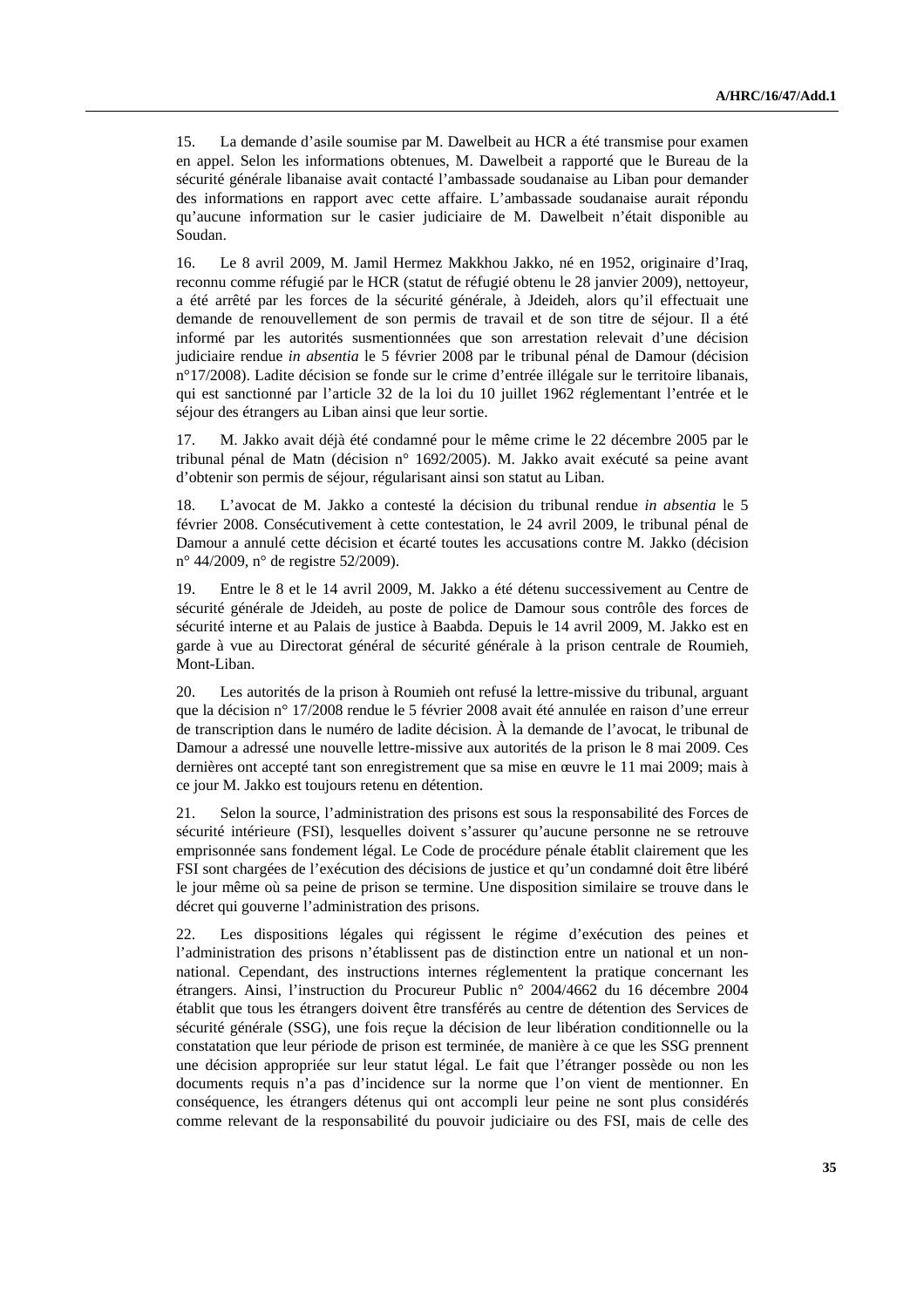15. La demande d'asile soumise par M. Dawelbeit au HCR a été transmise pour examen en appel. Selon les informations obtenues, M. Dawelbeit a rapporté que le Bureau de la sécurité générale libanaise avait contacté l'ambassade soudanaise au Liban pour demander des informations en rapport avec cette affaire. L'ambassade soudanaise aurait répondu qu'aucune information sur le casier judiciaire de M. Dawelbeit n'était disponible au Soudan.

16. Le 8 avril 2009, M. Jamil Hermez Makkhou Jakko, né en 1952, originaire d'Iraq, reconnu comme réfugié par le HCR (statut de réfugié obtenu le 28 janvier 2009), nettoyeur, a été arrêté par les forces de la sécurité générale, à Jdeideh, alors qu'il effectuait une demande de renouvellement de son permis de travail et de son titre de séjour. Il a été informé par les autorités susmentionnées que son arrestation relevait d'une décision judiciaire rendue *in absentia* le 5 février 2008 par le tribunal pénal de Damour (décision n°17/2008). Ladite décision se fonde sur le crime d'entrée illégale sur le territoire libanais, qui est sanctionné par l'article 32 de la loi du 10 juillet 1962 réglementant l'entrée et le séjour des étrangers au Liban ainsi que leur sortie.

17. M. Jakko avait déjà été condamné pour le même crime le 22 décembre 2005 par le tribunal pénal de Matn (décision n° 1692/2005). M. Jakko avait exécuté sa peine avant d'obtenir son permis de séjour, régularisant ainsi son statut au Liban.

18. L'avocat de M. Jakko a contesté la décision du tribunal rendue *in absentia* le 5 février 2008. Consécutivement à cette contestation, le 24 avril 2009, le tribunal pénal de Damour a annulé cette décision et écarté toutes les accusations contre M. Jakko (décision n° 44/2009, n° de registre 52/2009).

19. Entre le 8 et le 14 avril 2009, M. Jakko a été détenu successivement au Centre de sécurité générale de Jdeideh, au poste de police de Damour sous contrôle des forces de sécurité interne et au Palais de justice à Baabda. Depuis le 14 avril 2009, M. Jakko est en garde à vue au Directorat général de sécurité générale à la prison centrale de Roumieh, Mont-Liban.

20. Les autorités de la prison à Roumieh ont refusé la lettre-missive du tribunal, arguant que la décision n° 17/2008 rendue le 5 février 2008 avait été annulée en raison d'une erreur de transcription dans le numéro de ladite décision. À la demande de l'avocat, le tribunal de Damour a adressé une nouvelle lettre-missive aux autorités de la prison le 8 mai 2009. Ces dernières ont accepté tant son enregistrement que sa mise en œuvre le 11 mai 2009; mais à ce jour M. Jakko est toujours retenu en détention.

21. Selon la source, l'administration des prisons est sous la responsabilité des Forces de sécurité intérieure (FSI), lesquelles doivent s'assurer qu'aucune personne ne se retrouve emprisonnée sans fondement légal. Le Code de procédure pénale établit clairement que les FSI sont chargées de l'exécution des décisions de justice et qu'un condamné doit être libéré le jour même où sa peine de prison se termine. Une disposition similaire se trouve dans le décret qui gouverne l'administration des prisons.

22. Les dispositions légales qui régissent le régime d'exécution des peines et l'administration des prisons n'établissent pas de distinction entre un national et un nonnational. Cependant, des instructions internes réglementent la pratique concernant les étrangers. Ainsi, l'instruction du Procureur Public n° 2004/4662 du 16 décembre 2004 établit que tous les étrangers doivent être transférés au centre de détention des Services de sécurité générale (SSG), une fois reçue la décision de leur libération conditionnelle ou la constatation que leur période de prison est terminée, de manière à ce que les SSG prennent une décision appropriée sur leur statut légal. Le fait que l'étranger possède ou non les documents requis n'a pas d'incidence sur la norme que l'on vient de mentionner. En conséquence, les étrangers détenus qui ont accompli leur peine ne sont plus considérés comme relevant de la responsabilité du pouvoir judiciaire ou des FSI, mais de celle des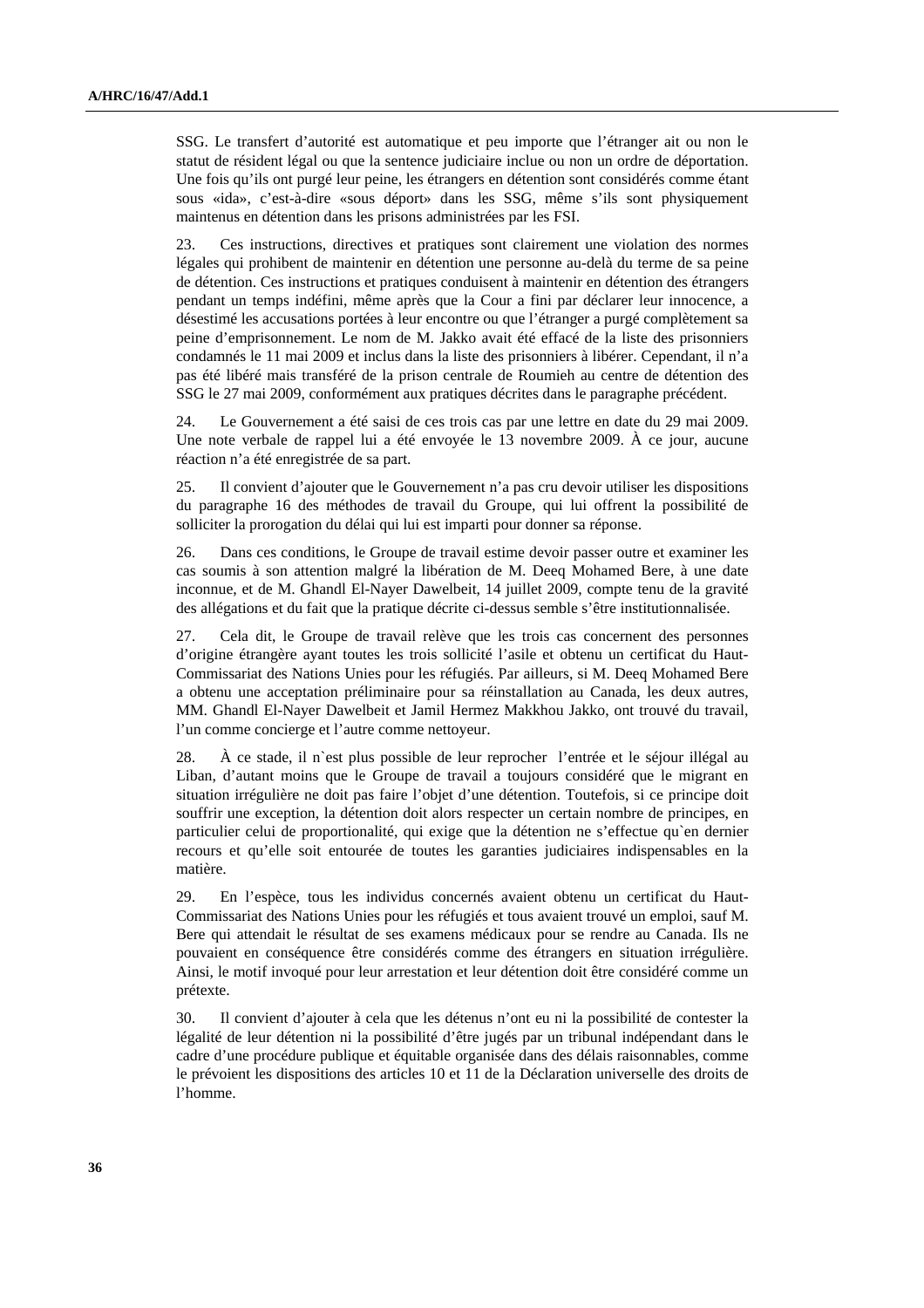SSG. Le transfert d'autorité est automatique et peu importe que l'étranger ait ou non le statut de résident légal ou que la sentence judiciaire inclue ou non un ordre de déportation. Une fois qu'ils ont purgé leur peine, les étrangers en détention sont considérés comme étant sous «ida», c'est-à-dire «sous déport» dans les SSG, même s'ils sont physiquement maintenus en détention dans les prisons administrées par les FSI.

23. Ces instructions, directives et pratiques sont clairement une violation des normes légales qui prohibent de maintenir en détention une personne au-delà du terme de sa peine de détention. Ces instructions et pratiques conduisent à maintenir en détention des étrangers pendant un temps indéfini, même après que la Cour a fini par déclarer leur innocence, a désestimé les accusations portées à leur encontre ou que l'étranger a purgé complètement sa peine d'emprisonnement. Le nom de M. Jakko avait été effacé de la liste des prisonniers condamnés le 11 mai 2009 et inclus dans la liste des prisonniers à libérer. Cependant, il n'a pas été libéré mais transféré de la prison centrale de Roumieh au centre de détention des SSG le 27 mai 2009, conformément aux pratiques décrites dans le paragraphe précédent.

24. Le Gouvernement a été saisi de ces trois cas par une lettre en date du 29 mai 2009. Une note verbale de rappel lui a été envoyée le 13 novembre 2009. À ce jour, aucune réaction n'a été enregistrée de sa part.

25. Il convient d'ajouter que le Gouvernement n'a pas cru devoir utiliser les dispositions du paragraphe 16 des méthodes de travail du Groupe, qui lui offrent la possibilité de solliciter la prorogation du délai qui lui est imparti pour donner sa réponse.

26. Dans ces conditions, le Groupe de travail estime devoir passer outre et examiner les cas soumis à son attention malgré la libération de M. Deeq Mohamed Bere, à une date inconnue, et de M. Ghandl El-Nayer Dawelbeit, 14 juillet 2009, compte tenu de la gravité des allégations et du fait que la pratique décrite ci-dessus semble s'être institutionnalisée.

27. Cela dit, le Groupe de travail relève que les trois cas concernent des personnes d'origine étrangère ayant toutes les trois sollicité l'asile et obtenu un certificat du Haut-Commissariat des Nations Unies pour les réfugiés. Par ailleurs, si M. Deeq Mohamed Bere a obtenu une acceptation préliminaire pour sa réinstallation au Canada, les deux autres, MM. Ghandl El-Nayer Dawelbeit et Jamil Hermez Makkhou Jakko, ont trouvé du travail, l'un comme concierge et l'autre comme nettoyeur.

28. À ce stade, il n`est plus possible de leur reprocher l'entrée et le séjour illégal au Liban, d'autant moins que le Groupe de travail a toujours considéré que le migrant en situation irrégulière ne doit pas faire l'objet d'une détention. Toutefois, si ce principe doit souffrir une exception, la détention doit alors respecter un certain nombre de principes, en particulier celui de proportionalité, qui exige que la détention ne s'effectue qu`en dernier recours et qu'elle soit entourée de toutes les garanties judiciaires indispensables en la matière.

29. En l'espèce, tous les individus concernés avaient obtenu un certificat du Haut-Commissariat des Nations Unies pour les réfugiés et tous avaient trouvé un emploi, sauf M. Bere qui attendait le résultat de ses examens médicaux pour se rendre au Canada. Ils ne pouvaient en conséquence être considérés comme des étrangers en situation irrégulière. Ainsi, le motif invoqué pour leur arrestation et leur détention doit être considéré comme un prétexte.

30. Il convient d'ajouter à cela que les détenus n'ont eu ni la possibilité de contester la légalité de leur détention ni la possibilité d'être jugés par un tribunal indépendant dans le cadre d'une procédure publique et équitable organisée dans des délais raisonnables, comme le prévoient les dispositions des articles 10 et 11 de la Déclaration universelle des droits de l'homme.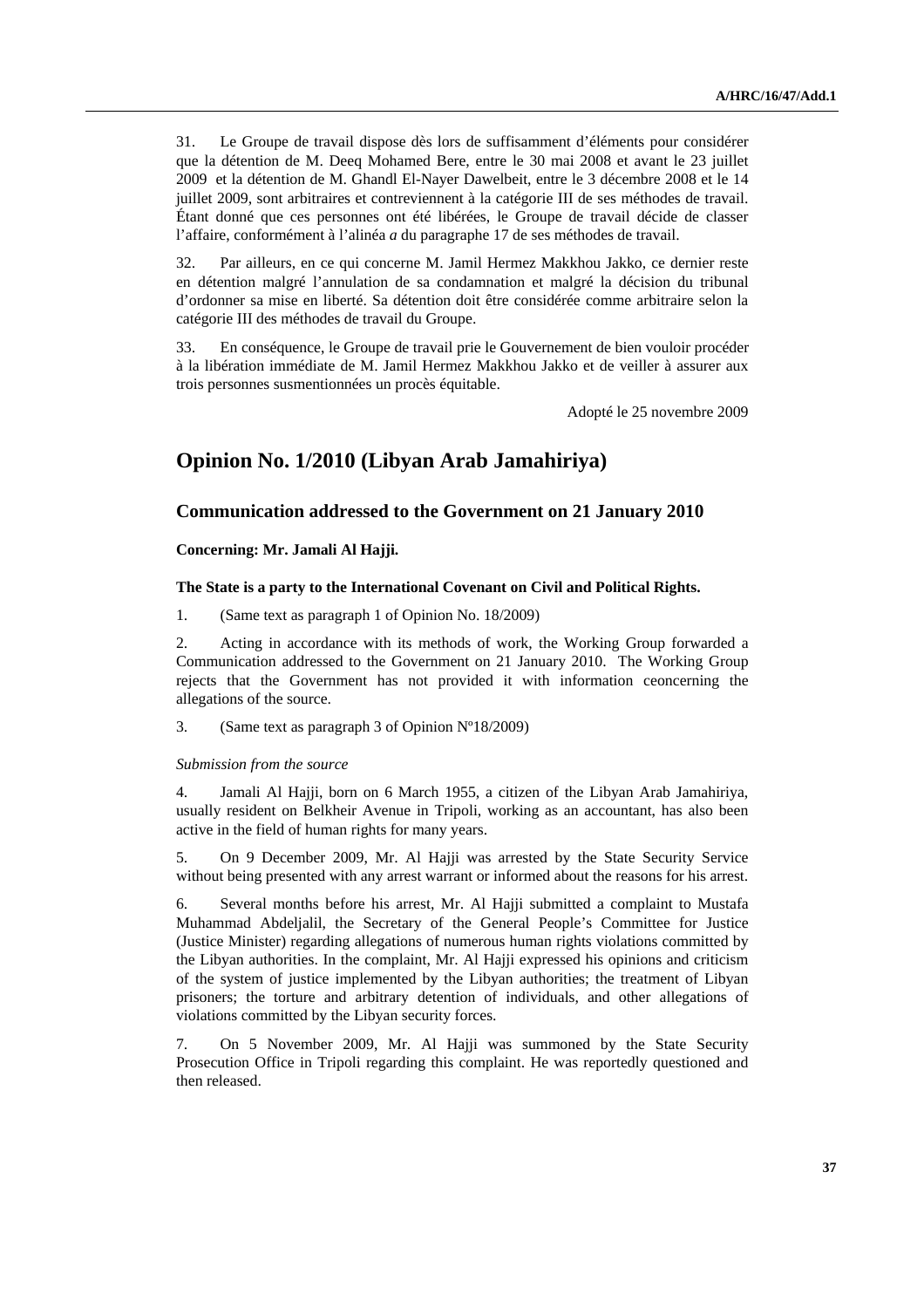31. Le Groupe de travail dispose dès lors de suffisamment d'éléments pour considérer que la détention de M. Deeq Mohamed Bere, entre le 30 mai 2008 et avant le 23 juillet 2009 et la détention de M. Ghandl El-Nayer Dawelbeit, entre le 3 décembre 2008 et le 14 juillet 2009, sont arbitraires et contreviennent à la catégorie III de ses méthodes de travail. Étant donné que ces personnes ont été libérées, le Groupe de travail décide de classer l'affaire, conformément à l'alinéa *a* du paragraphe 17 de ses méthodes de travail.

32. Par ailleurs, en ce qui concerne M. Jamil Hermez Makkhou Jakko, ce dernier reste en détention malgré l'annulation de sa condamnation et malgré la décision du tribunal d'ordonner sa mise en liberté. Sa détention doit être considérée comme arbitraire selon la catégorie III des méthodes de travail du Groupe.

33. En conséquence, le Groupe de travail prie le Gouvernement de bien vouloir procéder à la libération immédiate de M. Jamil Hermez Makkhou Jakko et de veiller à assurer aux trois personnes susmentionnées un procès équitable.

Adopté le 25 novembre 2009

# **Opinion No. 1/2010 (Libyan Arab Jamahiriya)**

## **Communication addressed to the Government on 21 January 2010**

 **Concerning: Mr. Jamali Al Hajji.** 

### **The State is a party to the International Covenant on Civil and Political Rights.**

1. (Same text as paragraph 1 of Opinion No. 18/2009)

2. Acting in accordance with its methods of work, the Working Group forwarded a Communication addressed to the Government on 21 January 2010. The Working Group rejects that the Government has not provided it with information ceoncerning the allegations of the source.

3. (Same text as paragraph 3 of Opinion Nº18/2009)

### *Submission from the source*

4. Jamali Al Hajji, born on 6 March 1955, a citizen of the Libyan Arab Jamahiriya, usually resident on Belkheir Avenue in Tripoli, working as an accountant, has also been active in the field of human rights for many years.

5. On 9 December 2009, Mr. Al Hajji was arrested by the State Security Service without being presented with any arrest warrant or informed about the reasons for his arrest.

6. Several months before his arrest, Mr. Al Hajji submitted a complaint to Mustafa Muhammad Abdeljalil, the Secretary of the General People's Committee for Justice (Justice Minister) regarding allegations of numerous human rights violations committed by the Libyan authorities. In the complaint, Mr. Al Hajji expressed his opinions and criticism of the system of justice implemented by the Libyan authorities; the treatment of Libyan prisoners; the torture and arbitrary detention of individuals, and other allegations of violations committed by the Libyan security forces.

7. On 5 November 2009, Mr. Al Hajji was summoned by the State Security Prosecution Office in Tripoli regarding this complaint. He was reportedly questioned and then released.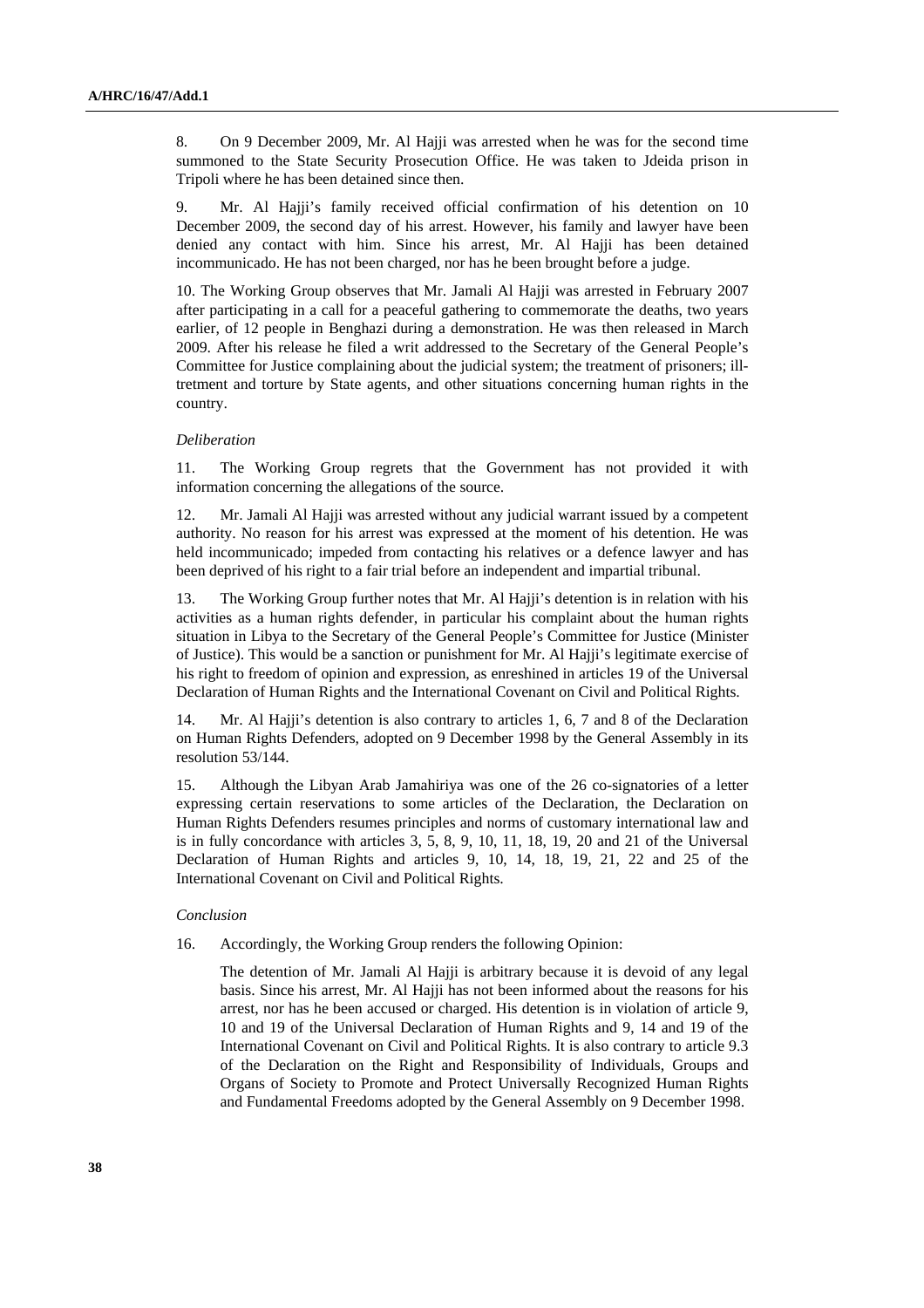8. On 9 December 2009, Mr. Al Hajji was arrested when he was for the second time summoned to the State Security Prosecution Office. He was taken to Jdeida prison in Tripoli where he has been detained since then.

9. Mr. Al Hajji's family received official confirmation of his detention on 10 December 2009, the second day of his arrest. However, his family and lawyer have been denied any contact with him. Since his arrest, Mr. Al Hajji has been detained incommunicado. He has not been charged, nor has he been brought before a judge.

10. The Working Group observes that Mr. Jamali Al Hajji was arrested in February 2007 after participating in a call for a peaceful gathering to commemorate the deaths, two years earlier, of 12 people in Benghazi during a demonstration. He was then released in March 2009. After his release he filed a writ addressed to the Secretary of the General People's Committee for Justice complaining about the judicial system; the treatment of prisoners; illtretment and torture by State agents, and other situations concerning human rights in the country.

#### *Deliberation*

11. The Working Group regrets that the Government has not provided it with information concerning the allegations of the source.

12. Mr. Jamali Al Hajji was arrested without any judicial warrant issued by a competent authority. No reason for his arrest was expressed at the moment of his detention. He was held incommunicado; impeded from contacting his relatives or a defence lawyer and has been deprived of his right to a fair trial before an independent and impartial tribunal.

13. The Working Group further notes that Mr. Al Hajji's detention is in relation with his activities as a human rights defender, in particular his complaint about the human rights situation in Libya to the Secretary of the General People's Committee for Justice (Minister of Justice). This would be a sanction or punishment for Mr. Al Hajji's legitimate exercise of his right to freedom of opinion and expression, as enreshined in articles 19 of the Universal Declaration of Human Rights and the International Covenant on Civil and Political Rights.

14. Mr. Al Hajji's detention is also contrary to articles 1, 6, 7 and 8 of the Declaration on Human Rights Defenders, adopted on 9 December 1998 by the General Assembly in its resolution 53/144.

15. Although the Libyan Arab Jamahiriya was one of the 26 co-signatories of a letter expressing certain reservations to some articles of the Declaration, the Declaration on Human Rights Defenders resumes principles and norms of customary international law and is in fully concordance with articles 3, 5, 8, 9, 10, 11, 18, 19, 20 and 21 of the Universal Declaration of Human Rights and articles 9, 10, 14, 18, 19, 21, 22 and 25 of the International Covenant on Civil and Political Rights.

#### *Conclusion*

16. Accordingly, the Working Group renders the following Opinion:

 The detention of Mr. Jamali Al Hajji is arbitrary because it is devoid of any legal basis. Since his arrest, Mr. Al Hajji has not been informed about the reasons for his arrest, nor has he been accused or charged. His detention is in violation of article 9, 10 and 19 of the Universal Declaration of Human Rights and 9, 14 and 19 of the International Covenant on Civil and Political Rights. It is also contrary to article 9.3 of the Declaration on the Right and Responsibility of Individuals, Groups and Organs of Society to Promote and Protect Universally Recognized Human Rights and Fundamental Freedoms adopted by the General Assembly on 9 December 1998.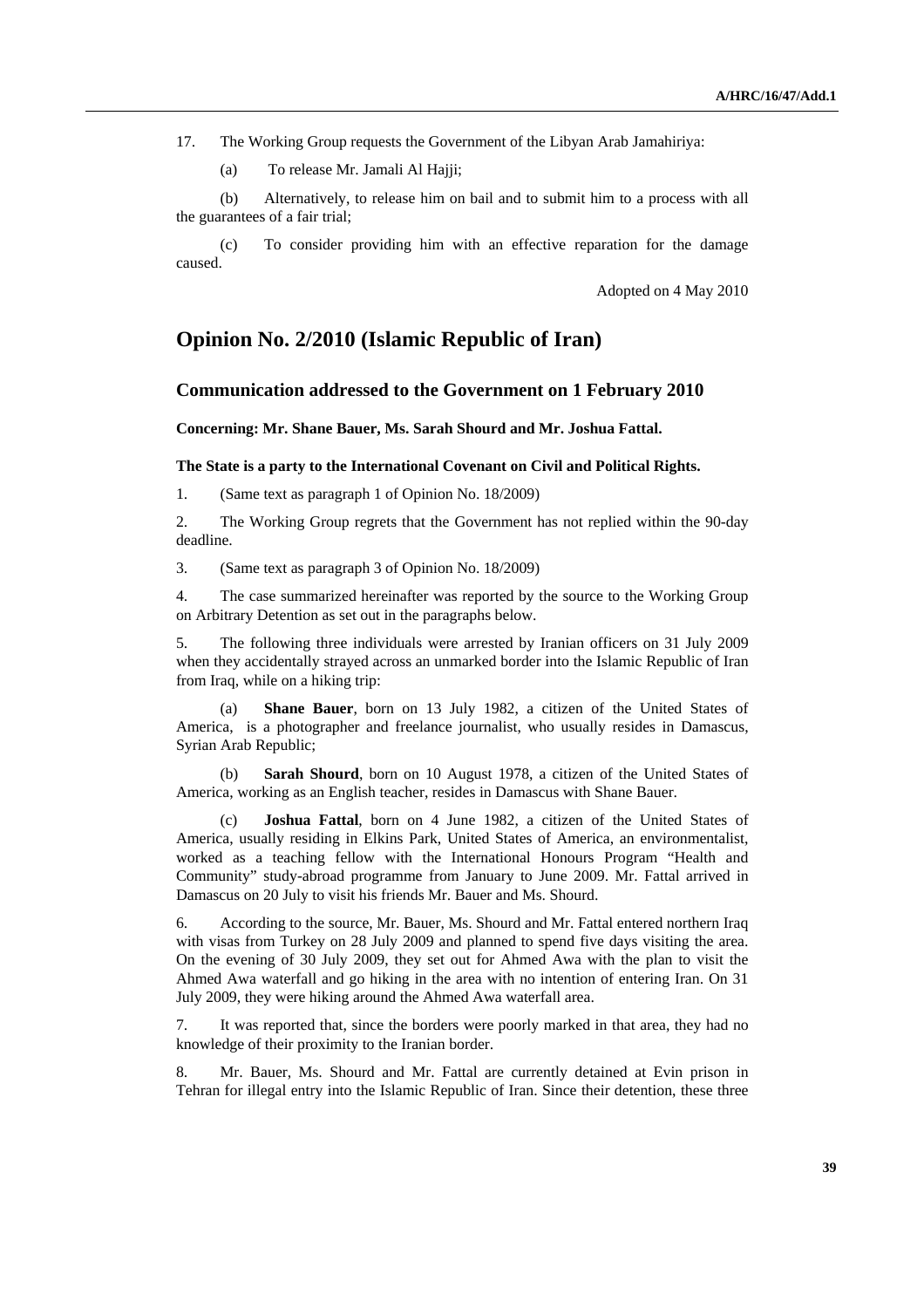17. The Working Group requests the Government of the Libyan Arab Jamahiriya:

(a) To release Mr. Jamali Al Hajji;

 (b) Alternatively, to release him on bail and to submit him to a process with all the guarantees of a fair trial;

 (c) To consider providing him with an effective reparation for the damage caused.

Adopted on 4 May 2010

## **Opinion No. 2/2010 (Islamic Republic of Iran)**

## **Communication addressed to the Government on 1 February 2010**

#### **Concerning: Mr. Shane Bauer, Ms. Sarah Shourd and Mr. Joshua Fattal.**

### **The State is a party to the International Covenant on Civil and Political Rights.**

1. (Same text as paragraph 1 of Opinion No. 18/2009)

2. The Working Group regrets that the Government has not replied within the 90-day deadline.

3. (Same text as paragraph 3 of Opinion No. 18/2009)

4. The case summarized hereinafter was reported by the source to the Working Group on Arbitrary Detention as set out in the paragraphs below.

5. The following three individuals were arrested by Iranian officers on 31 July 2009 when they accidentally strayed across an unmarked border into the Islamic Republic of Iran from Iraq, while on a hiking trip:

(a) **Shane Bauer**, born on 13 July 1982, a citizen of the United States of America, is a photographer and freelance journalist, who usually resides in Damascus, Syrian Arab Republic;

(b) **Sarah Shourd**, born on 10 August 1978, a citizen of the United States of America, working as an English teacher, resides in Damascus with Shane Bauer.

(c) **Joshua Fattal**, born on 4 June 1982, a citizen of the United States of America, usually residing in Elkins Park, United States of America, an environmentalist, worked as a teaching fellow with the International Honours Program "Health and Community" study-abroad programme from January to June 2009. Mr. Fattal arrived in Damascus on 20 July to visit his friends Mr. Bauer and Ms. Shourd.

6. According to the source, Mr. Bauer, Ms. Shourd and Mr. Fattal entered northern Iraq with visas from Turkey on 28 July 2009 and planned to spend five days visiting the area. On the evening of 30 July 2009, they set out for Ahmed Awa with the plan to visit the Ahmed Awa waterfall and go hiking in the area with no intention of entering Iran. On 31 July 2009, they were hiking around the Ahmed Awa waterfall area.

7. It was reported that, since the borders were poorly marked in that area, they had no knowledge of their proximity to the Iranian border.

8. Mr. Bauer, Ms. Shourd and Mr. Fattal are currently detained at Evin prison in Tehran for illegal entry into the Islamic Republic of Iran. Since their detention, these three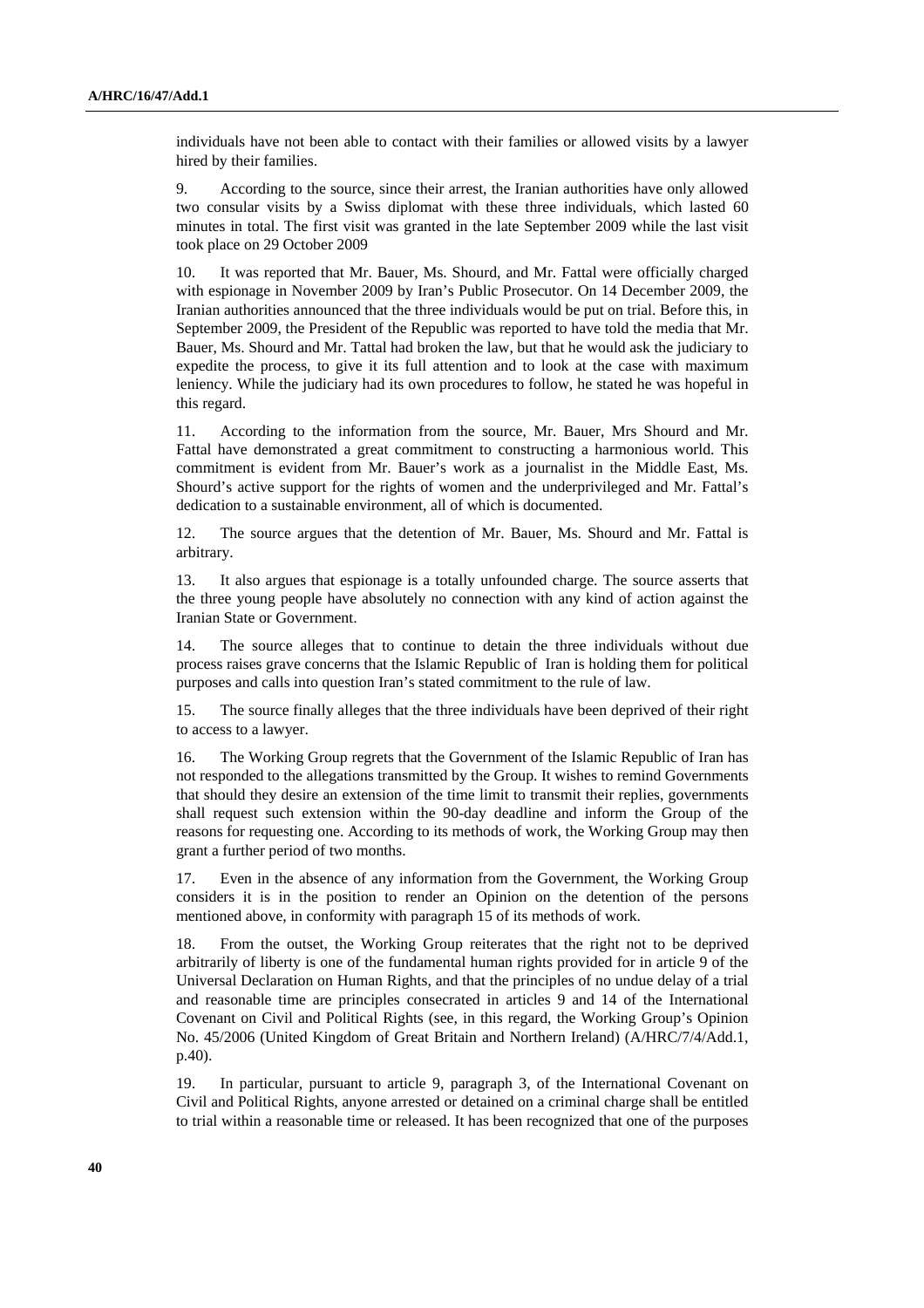individuals have not been able to contact with their families or allowed visits by a lawyer hired by their families.

9. According to the source, since their arrest, the Iranian authorities have only allowed two consular visits by a Swiss diplomat with these three individuals, which lasted 60 minutes in total. The first visit was granted in the late September 2009 while the last visit took place on 29 October 2009

10. It was reported that Mr. Bauer, Ms. Shourd, and Mr. Fattal were officially charged with espionage in November 2009 by Iran's Public Prosecutor. On 14 December 2009, the Iranian authorities announced that the three individuals would be put on trial. Before this, in September 2009, the President of the Republic was reported to have told the media that Mr. Bauer, Ms. Shourd and Mr. Tattal had broken the law, but that he would ask the judiciary to expedite the process, to give it its full attention and to look at the case with maximum leniency. While the judiciary had its own procedures to follow, he stated he was hopeful in this regard.

11. According to the information from the source, Mr. Bauer, Mrs Shourd and Mr. Fattal have demonstrated a great commitment to constructing a harmonious world. This commitment is evident from Mr. Bauer's work as a journalist in the Middle East, Ms. Shourd's active support for the rights of women and the underprivileged and Mr. Fattal's dedication to a sustainable environment, all of which is documented.

12. The source argues that the detention of Mr. Bauer, Ms. Shourd and Mr. Fattal is arbitrary.

13. It also argues that espionage is a totally unfounded charge. The source asserts that the three young people have absolutely no connection with any kind of action against the Iranian State or Government.

14. The source alleges that to continue to detain the three individuals without due process raises grave concerns that the Islamic Republic of Iran is holding them for political purposes and calls into question Iran's stated commitment to the rule of law.

15. The source finally alleges that the three individuals have been deprived of their right to access to a lawyer.

16. The Working Group regrets that the Government of the Islamic Republic of Iran has not responded to the allegations transmitted by the Group. It wishes to remind Governments that should they desire an extension of the time limit to transmit their replies, governments shall request such extension within the 90-day deadline and inform the Group of the reasons for requesting one. According to its methods of work, the Working Group may then grant a further period of two months.

17. Even in the absence of any information from the Government, the Working Group considers it is in the position to render an Opinion on the detention of the persons mentioned above, in conformity with paragraph 15 of its methods of work.

18. From the outset, the Working Group reiterates that the right not to be deprived arbitrarily of liberty is one of the fundamental human rights provided for in article 9 of the Universal Declaration on Human Rights, and that the principles of no undue delay of a trial and reasonable time are principles consecrated in articles 9 and 14 of the International Covenant on Civil and Political Rights (see, in this regard, the Working Group's Opinion No. 45/2006 (United Kingdom of Great Britain and Northern Ireland) (A/HRC/7/4/Add.1, p.40).

19. In particular, pursuant to article 9, paragraph 3, of the International Covenant on Civil and Political Rights, anyone arrested or detained on a criminal charge shall be entitled to trial within a reasonable time or released. It has been recognized that one of the purposes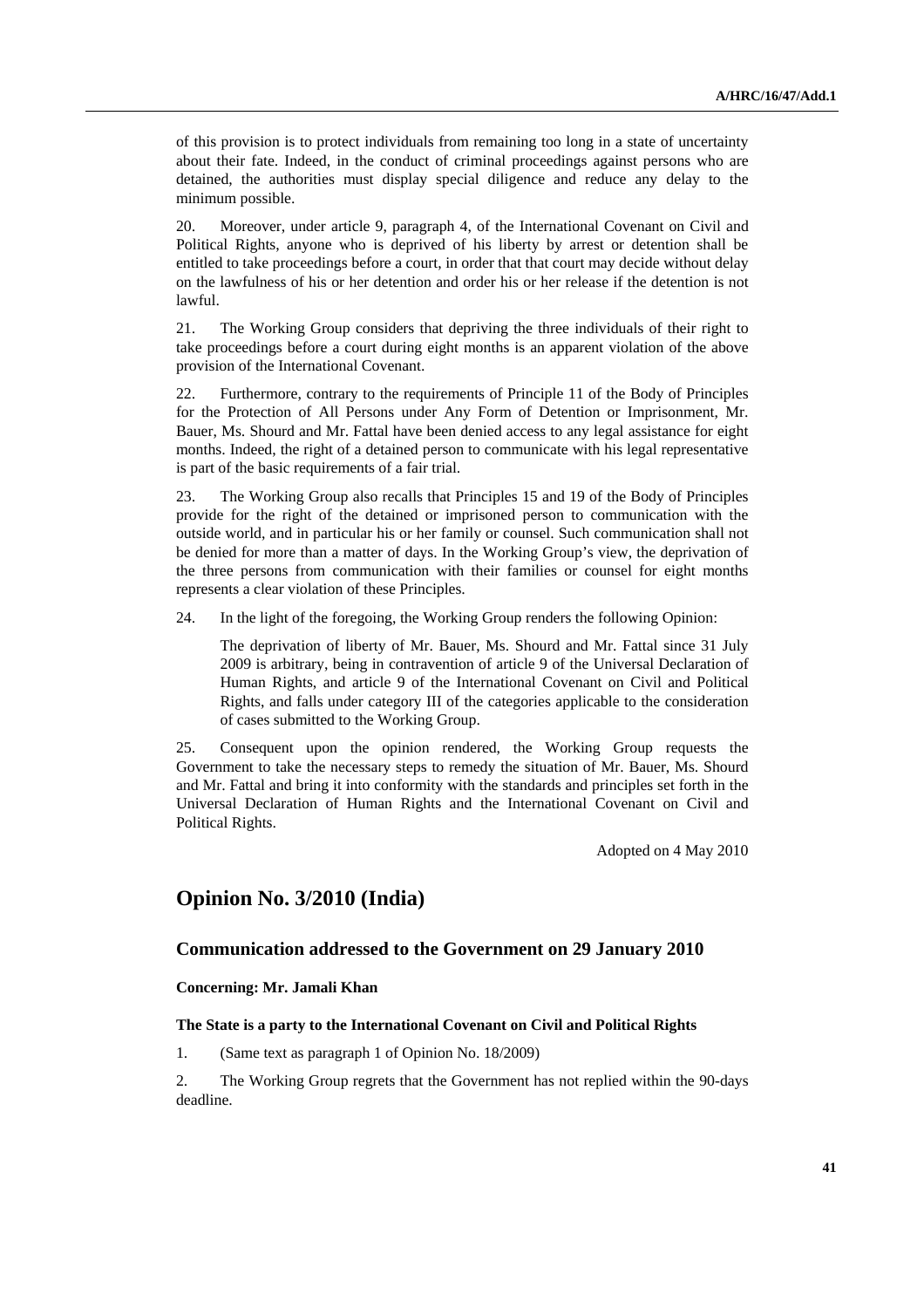of this provision is to protect individuals from remaining too long in a state of uncertainty about their fate. Indeed, in the conduct of criminal proceedings against persons who are detained, the authorities must display special diligence and reduce any delay to the minimum possible.

20. Moreover, under article 9, paragraph 4, of the International Covenant on Civil and Political Rights, anyone who is deprived of his liberty by arrest or detention shall be entitled to take proceedings before a court, in order that that court may decide without delay on the lawfulness of his or her detention and order his or her release if the detention is not lawful.

21. The Working Group considers that depriving the three individuals of their right to take proceedings before a court during eight months is an apparent violation of the above provision of the International Covenant.

22. Furthermore, contrary to the requirements of Principle 11 of the Body of Principles for the Protection of All Persons under Any Form of Detention or Imprisonment, Mr. Bauer, Ms. Shourd and Mr. Fattal have been denied access to any legal assistance for eight months. Indeed, the right of a detained person to communicate with his legal representative is part of the basic requirements of a fair trial.

23. The Working Group also recalls that Principles 15 and 19 of the Body of Principles provide for the right of the detained or imprisoned person to communication with the outside world, and in particular his or her family or counsel. Such communication shall not be denied for more than a matter of days. In the Working Group's view, the deprivation of the three persons from communication with their families or counsel for eight months represents a clear violation of these Principles.

24. In the light of the foregoing, the Working Group renders the following Opinion:

 The deprivation of liberty of Mr. Bauer, Ms. Shourd and Mr. Fattal since 31 July 2009 is arbitrary, being in contravention of article 9 of the Universal Declaration of Human Rights, and article 9 of the International Covenant on Civil and Political Rights, and falls under category III of the categories applicable to the consideration of cases submitted to the Working Group.

25. Consequent upon the opinion rendered, the Working Group requests the Government to take the necessary steps to remedy the situation of Mr. Bauer, Ms. Shourd and Mr. Fattal and bring it into conformity with the standards and principles set forth in the Universal Declaration of Human Rights and the International Covenant on Civil and Political Rights.

Adopted on 4 May 2010

## **Opinion No. 3/2010 (India)**

## **Communication addressed to the Government on 29 January 2010**

 **Concerning: Mr. Jamali Khan** 

#### **The State is a party to the International Covenant on Civil and Political Rights**

1. (Same text as paragraph 1 of Opinion No. 18/2009)

2. The Working Group regrets that the Government has not replied within the 90-days deadline.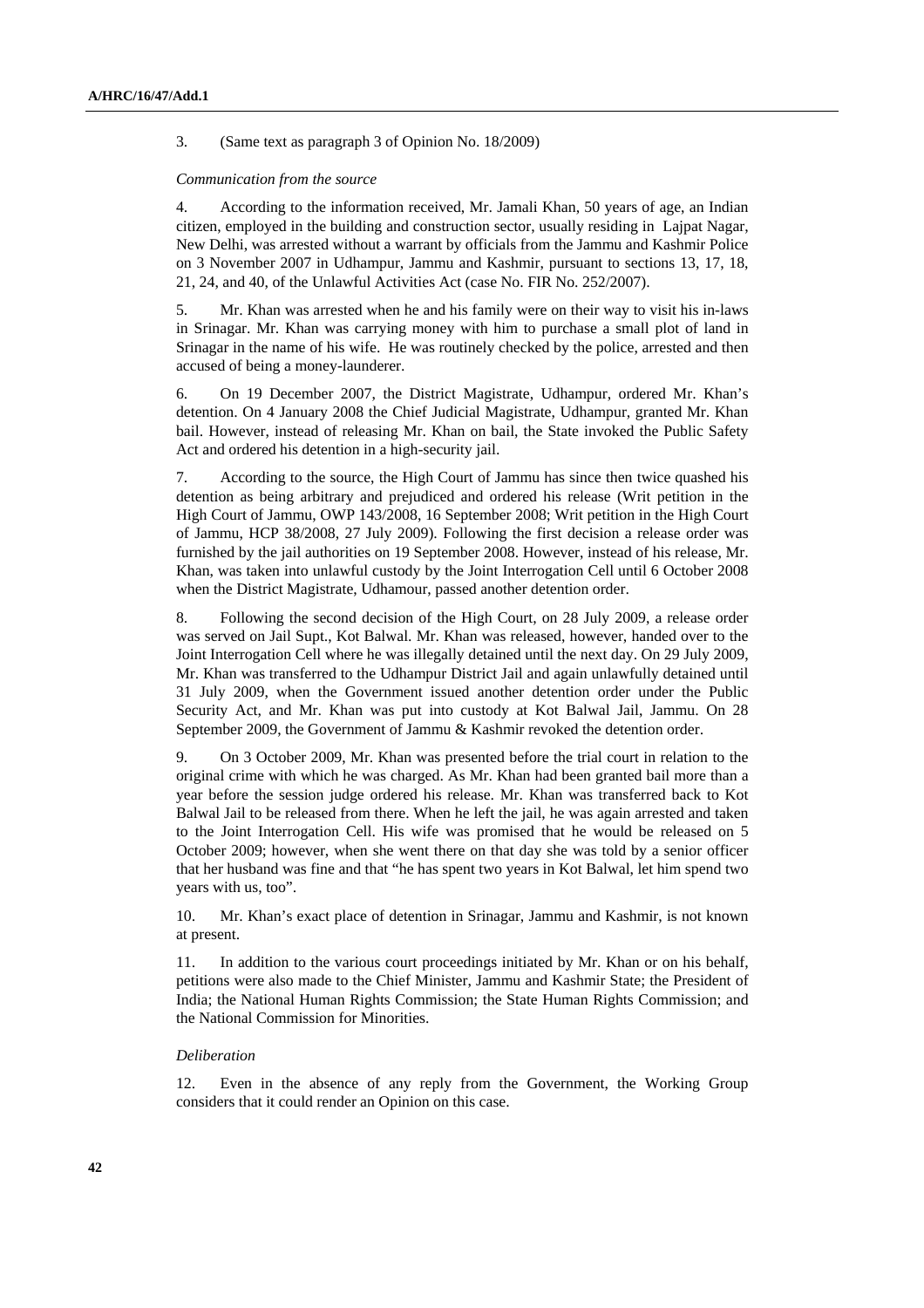3. (Same text as paragraph 3 of Opinion No. 18/2009)

#### *Communication from the source*

4. According to the information received, Mr. Jamali Khan, 50 years of age, an Indian citizen, employed in the building and construction sector, usually residing in Lajpat Nagar, New Delhi, was arrested without a warrant by officials from the Jammu and Kashmir Police on 3 November 2007 in Udhampur, Jammu and Kashmir, pursuant to sections 13, 17, 18, 21, 24, and 40, of the Unlawful Activities Act (case No. FIR No. 252/2007).

5. Mr. Khan was arrested when he and his family were on their way to visit his in-laws in Srinagar. Mr. Khan was carrying money with him to purchase a small plot of land in Srinagar in the name of his wife. He was routinely checked by the police, arrested and then accused of being a money-launderer.

6. On 19 December 2007, the District Magistrate, Udhampur, ordered Mr. Khan's detention. On 4 January 2008 the Chief Judicial Magistrate, Udhampur, granted Mr. Khan bail. However, instead of releasing Mr. Khan on bail, the State invoked the Public Safety Act and ordered his detention in a high-security jail.

7. According to the source, the High Court of Jammu has since then twice quashed his detention as being arbitrary and prejudiced and ordered his release (Writ petition in the High Court of Jammu, OWP 143/2008, 16 September 2008; Writ petition in the High Court of Jammu, HCP 38/2008, 27 July 2009). Following the first decision a release order was furnished by the jail authorities on 19 September 2008. However, instead of his release, Mr. Khan, was taken into unlawful custody by the Joint Interrogation Cell until 6 October 2008 when the District Magistrate, Udhamour, passed another detention order.

8. Following the second decision of the High Court, on 28 July 2009, a release order was served on Jail Supt., Kot Balwal. Mr. Khan was released, however, handed over to the Joint Interrogation Cell where he was illegally detained until the next day. On 29 July 2009, Mr. Khan was transferred to the Udhampur District Jail and again unlawfully detained until 31 July 2009, when the Government issued another detention order under the Public Security Act, and Mr. Khan was put into custody at Kot Balwal Jail, Jammu. On 28 September 2009, the Government of Jammu & Kashmir revoked the detention order.

9. On 3 October 2009, Mr. Khan was presented before the trial court in relation to the original crime with which he was charged. As Mr. Khan had been granted bail more than a year before the session judge ordered his release. Mr. Khan was transferred back to Kot Balwal Jail to be released from there. When he left the jail, he was again arrested and taken to the Joint Interrogation Cell. His wife was promised that he would be released on 5 October 2009; however, when she went there on that day she was told by a senior officer that her husband was fine and that "he has spent two years in Kot Balwal, let him spend two years with us, too".

10. Mr. Khan's exact place of detention in Srinagar, Jammu and Kashmir, is not known at present.

11. In addition to the various court proceedings initiated by Mr. Khan or on his behalf, petitions were also made to the Chief Minister, Jammu and Kashmir State; the President of India; the National Human Rights Commission; the State Human Rights Commission; and the National Commission for Minorities.

### *Deliberation*

12. Even in the absence of any reply from the Government, the Working Group considers that it could render an Opinion on this case.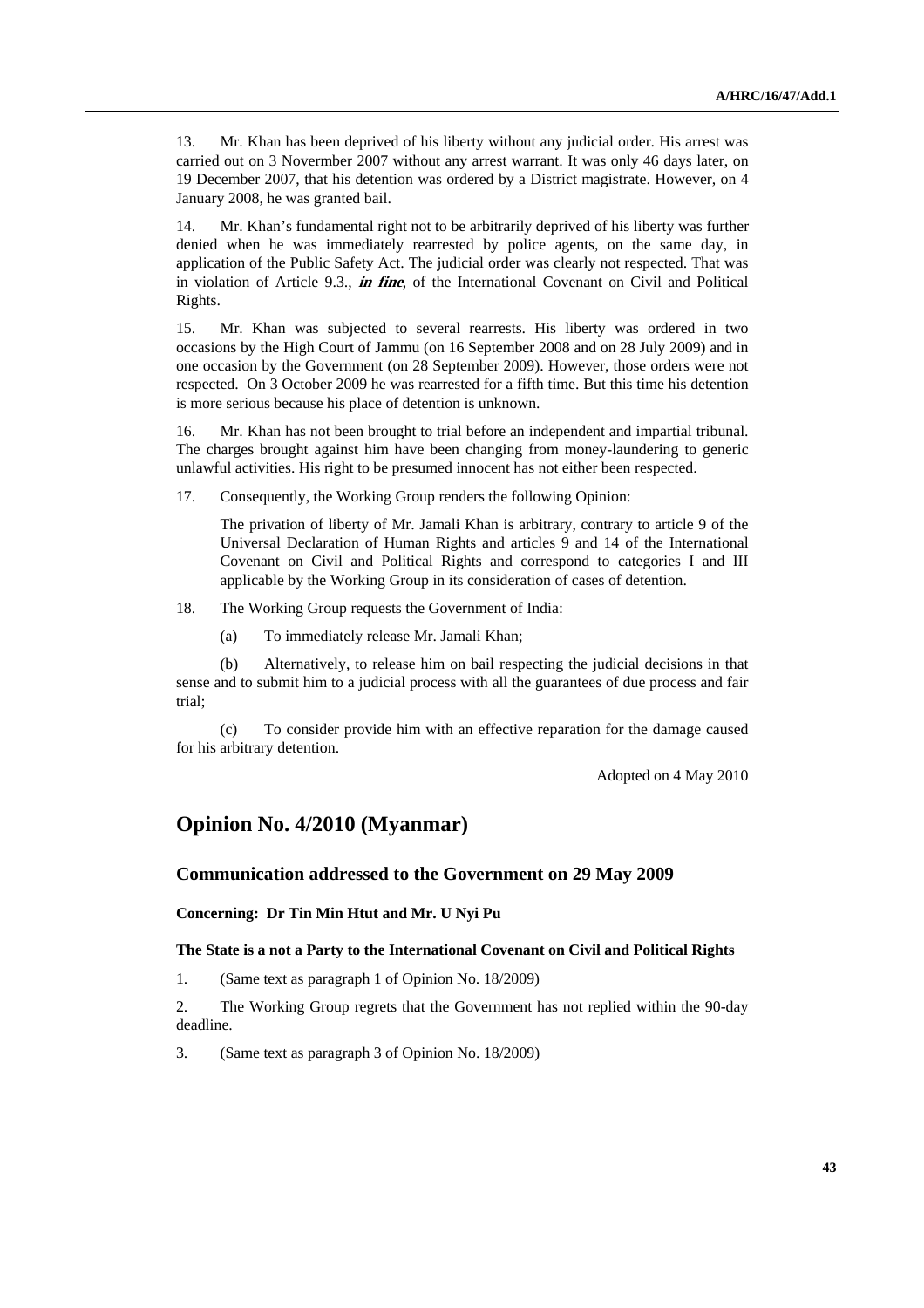13. Mr. Khan has been deprived of his liberty without any judicial order. His arrest was carried out on 3 Novermber 2007 without any arrest warrant. It was only 46 days later, on 19 December 2007, that his detention was ordered by a District magistrate. However, on 4 January 2008, he was granted bail.

14. Mr. Khan's fundamental right not to be arbitrarily deprived of his liberty was further denied when he was immediately rearrested by police agents, on the same day, in application of the Public Safety Act. The judicial order was clearly not respected. That was in violation of Article 9.3., **in fine**, of the International Covenant on Civil and Political Rights.

15. Mr. Khan was subjected to several rearrests. His liberty was ordered in two occasions by the High Court of Jammu (on 16 September 2008 and on 28 July 2009) and in one occasion by the Government (on 28 September 2009). However, those orders were not respected. On 3 October 2009 he was rearrested for a fifth time. But this time his detention is more serious because his place of detention is unknown.

16. Mr. Khan has not been brought to trial before an independent and impartial tribunal. The charges brought against him have been changing from money-laundering to generic unlawful activities. His right to be presumed innocent has not either been respected.

17. Consequently, the Working Group renders the following Opinion:

 The privation of liberty of Mr. Jamali Khan is arbitrary, contrary to article 9 of the Universal Declaration of Human Rights and articles 9 and 14 of the International Covenant on Civil and Political Rights and correspond to categories I and III applicable by the Working Group in its consideration of cases of detention.

18. The Working Group requests the Government of India:

(a) To immediately release Mr. Jamali Khan;

 (b) Alternatively, to release him on bail respecting the judicial decisions in that sense and to submit him to a judicial process with all the guarantees of due process and fair trial;

 (c) To consider provide him with an effective reparation for the damage caused for his arbitrary detention.

Adopted on 4 May 2010

# **Opinion No. 4/2010 (Myanmar)**

## **Communication addressed to the Government on 29 May 2009**

 **Concerning: Dr Tin Min Htut and Mr. U Nyi Pu** 

#### **The State is a not a Party to the International Covenant on Civil and Political Rights**

1. (Same text as paragraph 1 of Opinion No. 18/2009)

2. The Working Group regrets that the Government has not replied within the 90-day deadline.

3. (Same text as paragraph 3 of Opinion No. 18/2009)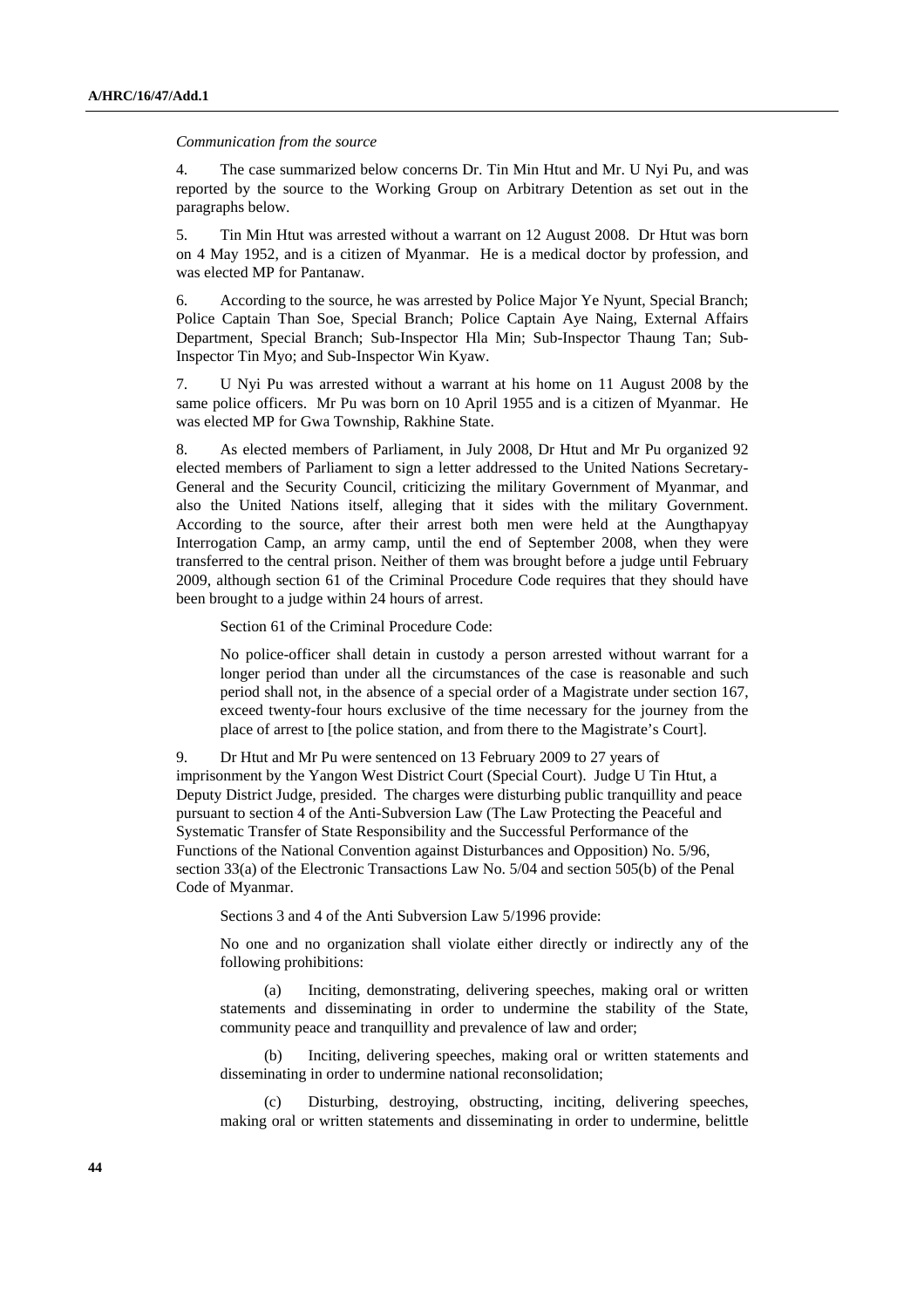#### *Communication from the source*

4. The case summarized below concerns Dr. Tin Min Htut and Mr. U Nyi Pu, and was reported by the source to the Working Group on Arbitrary Detention as set out in the paragraphs below.

5. Tin Min Htut was arrested without a warrant on 12 August 2008. Dr Htut was born on 4 May 1952, and is a citizen of Myanmar. He is a medical doctor by profession, and was elected MP for Pantanaw.

6. According to the source, he was arrested by Police Major Ye Nyunt, Special Branch; Police Captain Than Soe, Special Branch; Police Captain Aye Naing, External Affairs Department, Special Branch; Sub-Inspector Hla Min; Sub-Inspector Thaung Tan; Sub-Inspector Tin Myo; and Sub-Inspector Win Kyaw.

7. U Nyi Pu was arrested without a warrant at his home on 11 August 2008 by the same police officers. Mr Pu was born on 10 April 1955 and is a citizen of Myanmar. He was elected MP for Gwa Township, Rakhine State.

8. As elected members of Parliament, in July 2008, Dr Htut and Mr Pu organized 92 elected members of Parliament to sign a letter addressed to the United Nations Secretary-General and the Security Council, criticizing the military Government of Myanmar, and also the United Nations itself, alleging that it sides with the military Government. According to the source, after their arrest both men were held at the Aungthapyay Interrogation Camp, an army camp, until the end of September 2008, when they were transferred to the central prison. Neither of them was brought before a judge until February 2009, although section 61 of the Criminal Procedure Code requires that they should have been brought to a judge within 24 hours of arrest.

Section 61 of the Criminal Procedure Code:

No police-officer shall detain in custody a person arrested without warrant for a longer period than under all the circumstances of the case is reasonable and such period shall not, in the absence of a special order of a Magistrate under section 167, exceed twenty-four hours exclusive of the time necessary for the journey from the place of arrest to [the police station, and from there to the Magistrate's Court].

9. Dr Htut and Mr Pu were sentenced on 13 February 2009 to 27 years of imprisonment by the Yangon West District Court (Special Court). Judge U Tin Htut, a Deputy District Judge, presided. The charges were disturbing public tranquillity and peace pursuant to section 4 of the Anti-Subversion Law (The Law Protecting the Peaceful and Systematic Transfer of State Responsibility and the Successful Performance of the Functions of the National Convention against Disturbances and Opposition) No. 5/96, section 33(a) of the Electronic Transactions Law No. 5/04 and section 505(b) of the Penal Code of Myanmar.

Sections 3 and 4 of the Anti Subversion Law 5/1996 provide:

No one and no organization shall violate either directly or indirectly any of the following prohibitions:

 (a) Inciting, demonstrating, delivering speeches, making oral or written statements and disseminating in order to undermine the stability of the State, community peace and tranquillity and prevalence of law and order;

 (b) Inciting, delivering speeches, making oral or written statements and disseminating in order to undermine national reconsolidation;

Disturbing, destroying, obstructing, inciting, delivering speeches, making oral or written statements and disseminating in order to undermine, belittle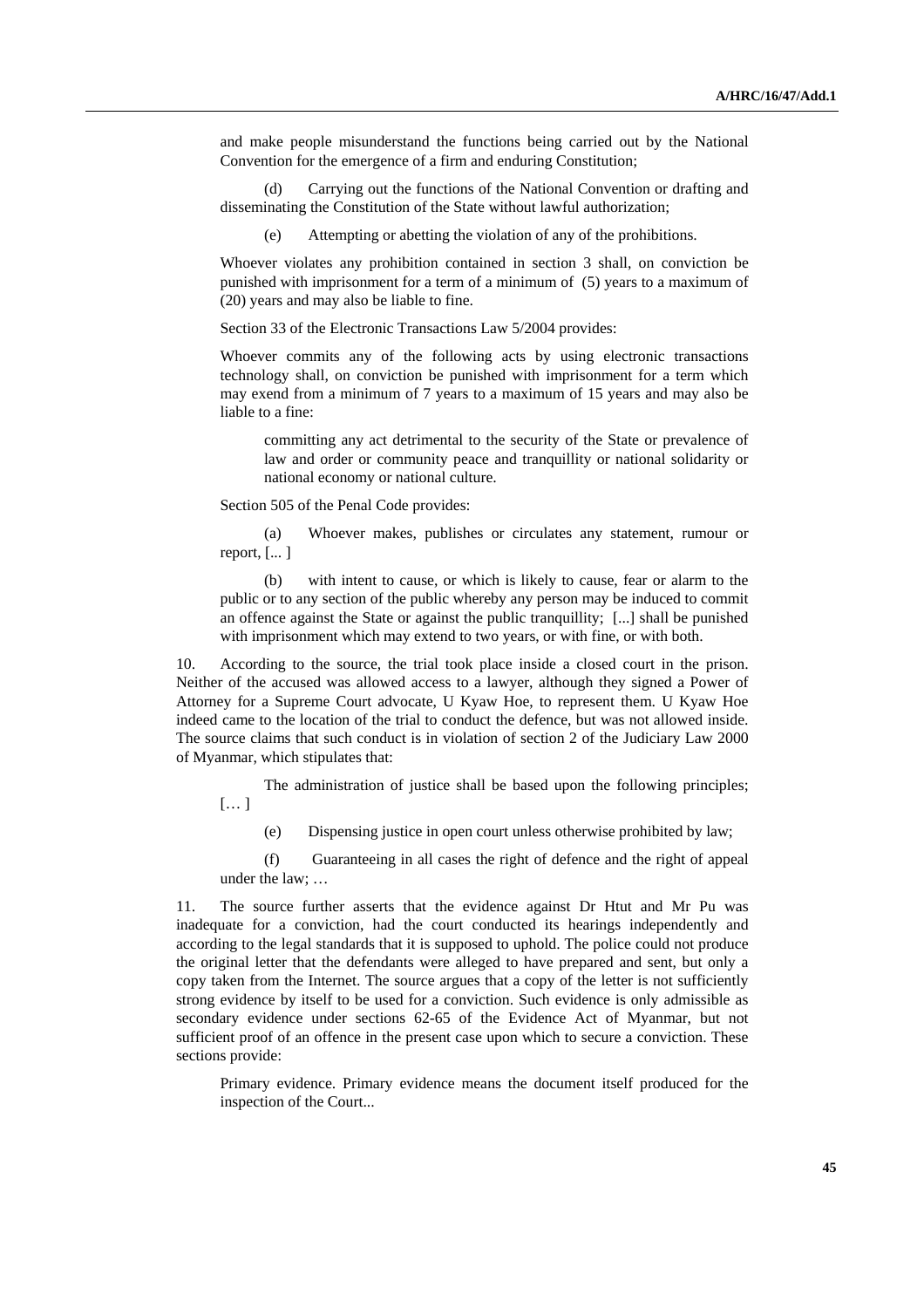and make people misunderstand the functions being carried out by the National Convention for the emergence of a firm and enduring Constitution;

 (d) Carrying out the functions of the National Convention or drafting and disseminating the Constitution of the State without lawful authorization;

(e) Attempting or abetting the violation of any of the prohibitions.

Whoever violates any prohibition contained in section 3 shall, on conviction be punished with imprisonment for a term of a minimum of (5) years to a maximum of (20) years and may also be liable to fine.

Section 33 of the Electronic Transactions Law 5/2004 provides:

Whoever commits any of the following acts by using electronic transactions technology shall, on conviction be punished with imprisonment for a term which may exend from a minimum of 7 years to a maximum of 15 years and may also be liable to a fine:

 committing any act detrimental to the security of the State or prevalence of law and order or community peace and tranquillity or national solidarity or national economy or national culture.

Section 505 of the Penal Code provides:

 (a) Whoever makes, publishes or circulates any statement, rumour or report, [... ]

 (b) with intent to cause, or which is likely to cause, fear or alarm to the public or to any section of the public whereby any person may be induced to commit an offence against the State or against the public tranquillity; [...] shall be punished with imprisonment which may extend to two years, or with fine, or with both.

10. According to the source, the trial took place inside a closed court in the prison. Neither of the accused was allowed access to a lawyer, although they signed a Power of Attorney for a Supreme Court advocate, U Kyaw Hoe, to represent them. U Kyaw Hoe indeed came to the location of the trial to conduct the defence, but was not allowed inside. The source claims that such conduct is in violation of section 2 of the Judiciary Law 2000 of Myanmar, which stipulates that:

 The administration of justice shall be based upon the following principles; [… ]

(e) Dispensing justice in open court unless otherwise prohibited by law;

 (f) Guaranteeing in all cases the right of defence and the right of appeal under the law; …

11. The source further asserts that the evidence against Dr Htut and Mr Pu was inadequate for a conviction, had the court conducted its hearings independently and according to the legal standards that it is supposed to uphold. The police could not produce the original letter that the defendants were alleged to have prepared and sent, but only a copy taken from the Internet. The source argues that a copy of the letter is not sufficiently strong evidence by itself to be used for a conviction. Such evidence is only admissible as secondary evidence under sections 62-65 of the Evidence Act of Myanmar, but not sufficient proof of an offence in the present case upon which to secure a conviction. These sections provide:

Primary evidence. Primary evidence means the document itself produced for the inspection of the Court...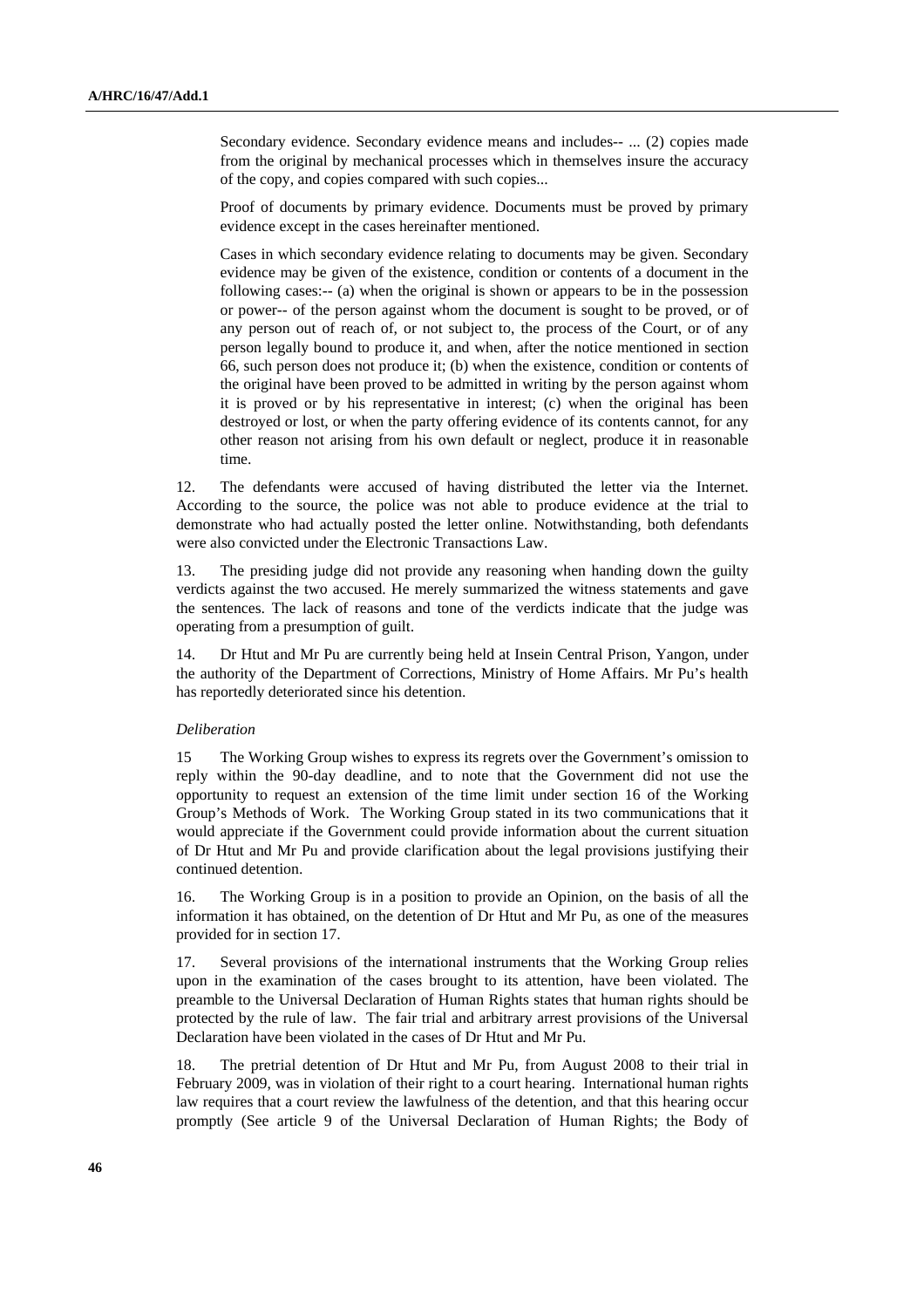Secondary evidence. Secondary evidence means and includes-- ... (2) copies made from the original by mechanical processes which in themselves insure the accuracy of the copy, and copies compared with such copies...

Proof of documents by primary evidence. Documents must be proved by primary evidence except in the cases hereinafter mentioned.

Cases in which secondary evidence relating to documents may be given. Secondary evidence may be given of the existence, condition or contents of a document in the following cases:-- (a) when the original is shown or appears to be in the possession or power-- of the person against whom the document is sought to be proved, or of any person out of reach of, or not subject to, the process of the Court, or of any person legally bound to produce it, and when, after the notice mentioned in section 66, such person does not produce it; (b) when the existence, condition or contents of the original have been proved to be admitted in writing by the person against whom it is proved or by his representative in interest; (c) when the original has been destroyed or lost, or when the party offering evidence of its contents cannot, for any other reason not arising from his own default or neglect, produce it in reasonable time.

12. The defendants were accused of having distributed the letter via the Internet. According to the source, the police was not able to produce evidence at the trial to demonstrate who had actually posted the letter online. Notwithstanding, both defendants were also convicted under the Electronic Transactions Law.

13. The presiding judge did not provide any reasoning when handing down the guilty verdicts against the two accused. He merely summarized the witness statements and gave the sentences. The lack of reasons and tone of the verdicts indicate that the judge was operating from a presumption of guilt.

14. Dr Htut and Mr Pu are currently being held at Insein Central Prison, Yangon, under the authority of the Department of Corrections, Ministry of Home Affairs. Mr Pu's health has reportedly deteriorated since his detention.

#### *Deliberation*

15 The Working Group wishes to express its regrets over the Government's omission to reply within the 90-day deadline, and to note that the Government did not use the opportunity to request an extension of the time limit under section 16 of the Working Group's Methods of Work. The Working Group stated in its two communications that it would appreciate if the Government could provide information about the current situation of Dr Htut and Mr Pu and provide clarification about the legal provisions justifying their continued detention.

16. The Working Group is in a position to provide an Opinion, on the basis of all the information it has obtained, on the detention of Dr Htut and Mr Pu, as one of the measures provided for in section 17.

17. Several provisions of the international instruments that the Working Group relies upon in the examination of the cases brought to its attention, have been violated. The preamble to the Universal Declaration of Human Rights states that human rights should be protected by the rule of law. The fair trial and arbitrary arrest provisions of the Universal Declaration have been violated in the cases of Dr Htut and Mr Pu.

18. The pretrial detention of Dr Htut and Mr Pu, from August 2008 to their trial in February 2009, was in violation of their right to a court hearing. International human rights law requires that a court review the lawfulness of the detention, and that this hearing occur promptly (See article 9 of the Universal Declaration of Human Rights; the Body of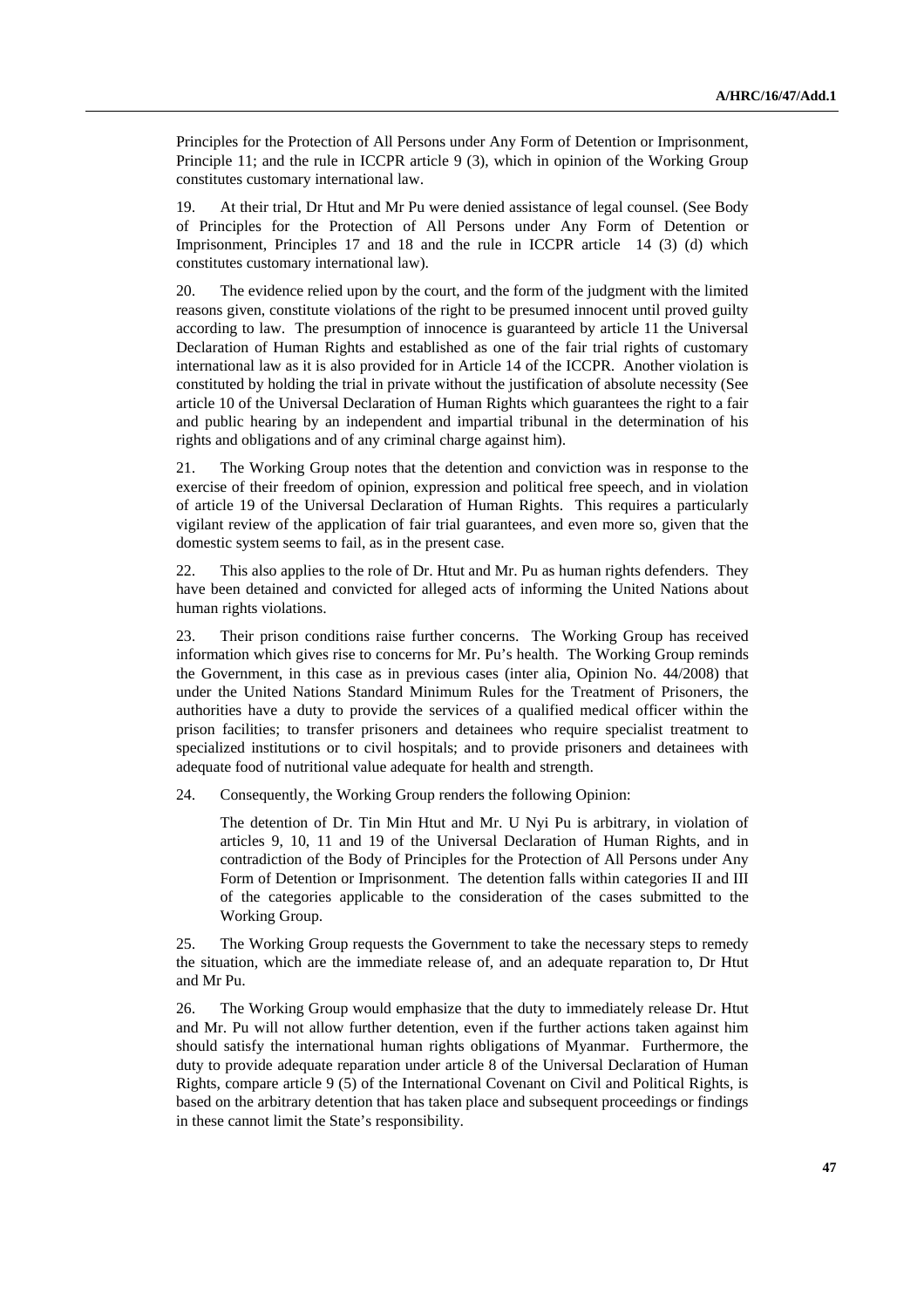Principles for the Protection of All Persons under Any Form of Detention or Imprisonment, Principle 11; and the rule in ICCPR article 9 (3), which in opinion of the Working Group constitutes customary international law.

19. At their trial, Dr Htut and Mr Pu were denied assistance of legal counsel. (See Body of Principles for the Protection of All Persons under Any Form of Detention or Imprisonment, Principles 17 and 18 and the rule in ICCPR article 14 (3) (d) which constitutes customary international law).

20. The evidence relied upon by the court, and the form of the judgment with the limited reasons given, constitute violations of the right to be presumed innocent until proved guilty according to law. The presumption of innocence is guaranteed by article 11 the Universal Declaration of Human Rights and established as one of the fair trial rights of customary international law as it is also provided for in Article 14 of the ICCPR. Another violation is constituted by holding the trial in private without the justification of absolute necessity (See article 10 of the Universal Declaration of Human Rights which guarantees the right to a fair and public hearing by an independent and impartial tribunal in the determination of his rights and obligations and of any criminal charge against him).

21. The Working Group notes that the detention and conviction was in response to the exercise of their freedom of opinion, expression and political free speech, and in violation of article 19 of the Universal Declaration of Human Rights. This requires a particularly vigilant review of the application of fair trial guarantees, and even more so, given that the domestic system seems to fail, as in the present case.

22. This also applies to the role of Dr. Htut and Mr. Pu as human rights defenders. They have been detained and convicted for alleged acts of informing the United Nations about human rights violations.

23. Their prison conditions raise further concerns. The Working Group has received information which gives rise to concerns for Mr. Pu's health. The Working Group reminds the Government, in this case as in previous cases (inter alia, Opinion No. 44/2008) that under the United Nations Standard Minimum Rules for the Treatment of Prisoners, the authorities have a duty to provide the services of a qualified medical officer within the prison facilities; to transfer prisoners and detainees who require specialist treatment to specialized institutions or to civil hospitals; and to provide prisoners and detainees with adequate food of nutritional value adequate for health and strength.

24. Consequently, the Working Group renders the following Opinion:

The detention of Dr. Tin Min Htut and Mr. U Nyi Pu is arbitrary, in violation of articles 9, 10, 11 and 19 of the Universal Declaration of Human Rights, and in contradiction of the Body of Principles for the Protection of All Persons under Any Form of Detention or Imprisonment. The detention falls within categories II and III of the categories applicable to the consideration of the cases submitted to the Working Group.

25. The Working Group requests the Government to take the necessary steps to remedy the situation, which are the immediate release of, and an adequate reparation to, Dr Htut and Mr Pu.

26. The Working Group would emphasize that the duty to immediately release Dr. Htut and Mr. Pu will not allow further detention, even if the further actions taken against him should satisfy the international human rights obligations of Myanmar. Furthermore, the duty to provide adequate reparation under article 8 of the Universal Declaration of Human Rights, compare article 9 (5) of the International Covenant on Civil and Political Rights, is based on the arbitrary detention that has taken place and subsequent proceedings or findings in these cannot limit the State's responsibility.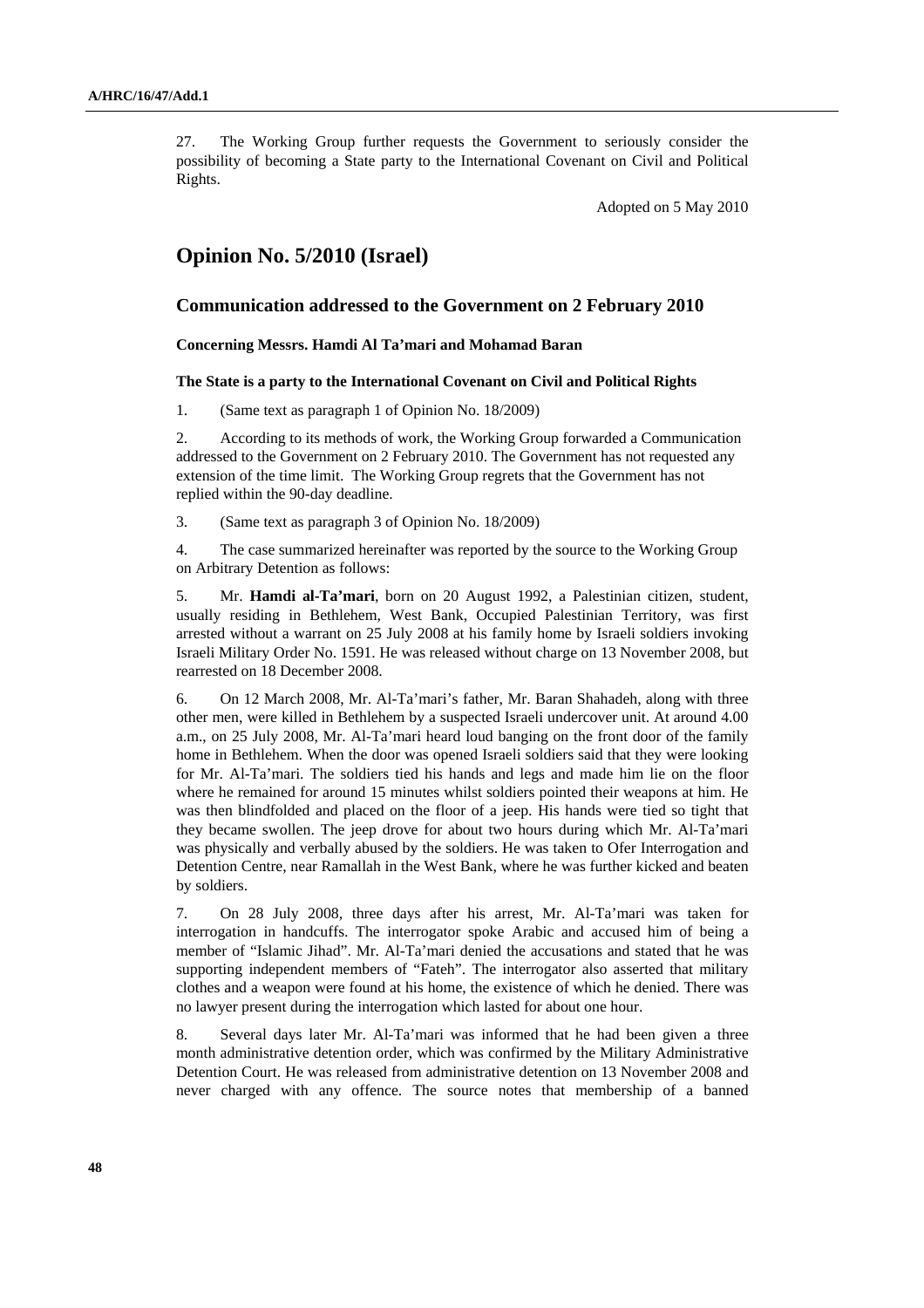27. The Working Group further requests the Government to seriously consider the possibility of becoming a State party to the International Covenant on Civil and Political Rights.

Adopted on 5 May 2010

## **Opinion No. 5/2010 (Israel)**

## **Communication addressed to the Government on 2 February 2010**

#### **Concerning Messrs. Hamdi Al Ta'mari and Mohamad Baran**

## **The State is a party to the International Covenant on Civil and Political Rights**

1. (Same text as paragraph 1 of Opinion No. 18/2009)

2. According to its methods of work, the Working Group forwarded a Communication addressed to the Government on 2 February 2010. The Government has not requested any extension of the time limit. The Working Group regrets that the Government has not replied within the 90-day deadline.

3. (Same text as paragraph 3 of Opinion No. 18/2009)

4. The case summarized hereinafter was reported by the source to the Working Group on Arbitrary Detention as follows:

5. Mr. **Hamdi al-Ta'mari**, born on 20 August 1992, a Palestinian citizen, student, usually residing in Bethlehem, West Bank, Occupied Palestinian Territory, was first arrested without a warrant on 25 July 2008 at his family home by Israeli soldiers invoking Israeli Military Order No. 1591. He was released without charge on 13 November 2008, but rearrested on 18 December 2008.

6. On 12 March 2008, Mr. Al-Ta'mari's father, Mr. Baran Shahadeh, along with three other men, were killed in Bethlehem by a suspected Israeli undercover unit. At around 4.00 a.m., on 25 July 2008, Mr. Al-Ta'mari heard loud banging on the front door of the family home in Bethlehem. When the door was opened Israeli soldiers said that they were looking for Mr. Al-Ta'mari. The soldiers tied his hands and legs and made him lie on the floor where he remained for around 15 minutes whilst soldiers pointed their weapons at him. He was then blindfolded and placed on the floor of a jeep. His hands were tied so tight that they became swollen. The jeep drove for about two hours during which Mr. Al-Ta'mari was physically and verbally abused by the soldiers. He was taken to Ofer Interrogation and Detention Centre, near Ramallah in the West Bank, where he was further kicked and beaten by soldiers.

7. On 28 July 2008, three days after his arrest, Mr. Al-Ta'mari was taken for interrogation in handcuffs. The interrogator spoke Arabic and accused him of being a member of "Islamic Jihad". Mr. Al-Ta'mari denied the accusations and stated that he was supporting independent members of "Fateh". The interrogator also asserted that military clothes and a weapon were found at his home, the existence of which he denied. There was no lawyer present during the interrogation which lasted for about one hour.

8. Several days later Mr. Al-Ta'mari was informed that he had been given a three month administrative detention order, which was confirmed by the Military Administrative Detention Court. He was released from administrative detention on 13 November 2008 and never charged with any offence. The source notes that membership of a banned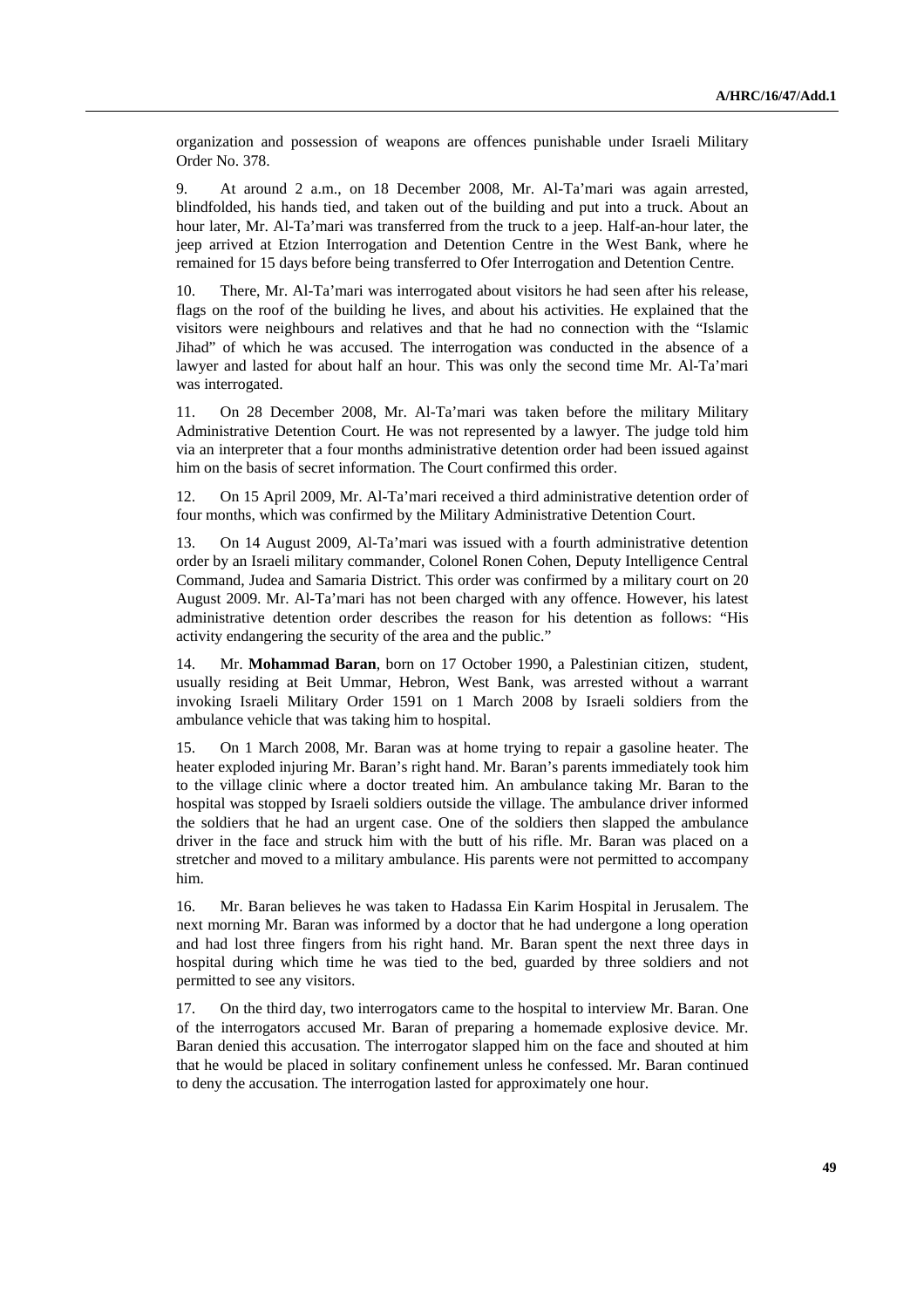organization and possession of weapons are offences punishable under Israeli Military Order No. 378.

9. At around 2 a.m., on 18 December 2008, Mr. Al-Ta'mari was again arrested, blindfolded, his hands tied, and taken out of the building and put into a truck. About an hour later, Mr. Al-Ta'mari was transferred from the truck to a jeep. Half-an-hour later, the jeep arrived at Etzion Interrogation and Detention Centre in the West Bank, where he remained for 15 days before being transferred to Ofer Interrogation and Detention Centre.

10. There, Mr. Al-Ta'mari was interrogated about visitors he had seen after his release, flags on the roof of the building he lives, and about his activities. He explained that the visitors were neighbours and relatives and that he had no connection with the "Islamic Jihad" of which he was accused. The interrogation was conducted in the absence of a lawyer and lasted for about half an hour. This was only the second time Mr. Al-Ta'mari was interrogated.

11. On 28 December 2008, Mr. Al-Ta'mari was taken before the military Military Administrative Detention Court. He was not represented by a lawyer. The judge told him via an interpreter that a four months administrative detention order had been issued against him on the basis of secret information. The Court confirmed this order.

12. On 15 April 2009, Mr. Al-Ta'mari received a third administrative detention order of four months, which was confirmed by the Military Administrative Detention Court.

13. On 14 August 2009, Al-Ta'mari was issued with a fourth administrative detention order by an Israeli military commander, Colonel Ronen Cohen, Deputy Intelligence Central Command, Judea and Samaria District. This order was confirmed by a military court on 20 August 2009. Mr. Al-Ta'mari has not been charged with any offence. However, his latest administrative detention order describes the reason for his detention as follows: "His activity endangering the security of the area and the public."

14. Mr. **Mohammad Baran**, born on 17 October 1990, a Palestinian citizen, student, usually residing at Beit Ummar, Hebron, West Bank, was arrested without a warrant invoking Israeli Military Order 1591 on 1 March 2008 by Israeli soldiers from the ambulance vehicle that was taking him to hospital.

15. On 1 March 2008, Mr. Baran was at home trying to repair a gasoline heater. The heater exploded injuring Mr. Baran's right hand. Mr. Baran's parents immediately took him to the village clinic where a doctor treated him. An ambulance taking Mr. Baran to the hospital was stopped by Israeli soldiers outside the village. The ambulance driver informed the soldiers that he had an urgent case. One of the soldiers then slapped the ambulance driver in the face and struck him with the butt of his rifle. Mr. Baran was placed on a stretcher and moved to a military ambulance. His parents were not permitted to accompany him.

16. Mr. Baran believes he was taken to Hadassa Ein Karim Hospital in Jerusalem. The next morning Mr. Baran was informed by a doctor that he had undergone a long operation and had lost three fingers from his right hand. Mr. Baran spent the next three days in hospital during which time he was tied to the bed, guarded by three soldiers and not permitted to see any visitors.

17. On the third day, two interrogators came to the hospital to interview Mr. Baran. One of the interrogators accused Mr. Baran of preparing a homemade explosive device. Mr. Baran denied this accusation. The interrogator slapped him on the face and shouted at him that he would be placed in solitary confinement unless he confessed. Mr. Baran continued to deny the accusation. The interrogation lasted for approximately one hour.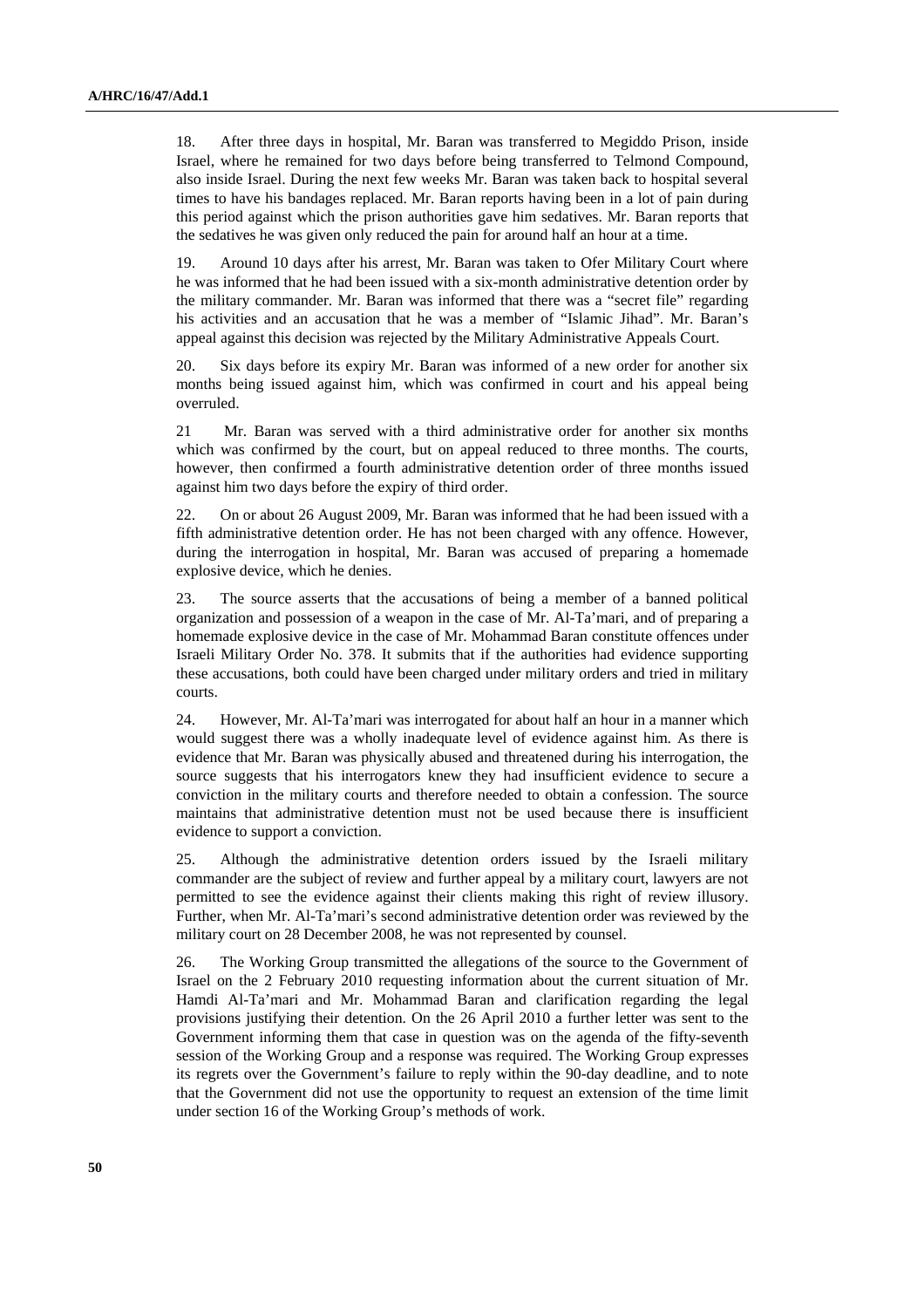18. After three days in hospital, Mr. Baran was transferred to Megiddo Prison, inside Israel, where he remained for two days before being transferred to Telmond Compound, also inside Israel. During the next few weeks Mr. Baran was taken back to hospital several times to have his bandages replaced. Mr. Baran reports having been in a lot of pain during this period against which the prison authorities gave him sedatives. Mr. Baran reports that the sedatives he was given only reduced the pain for around half an hour at a time.

19. Around 10 days after his arrest, Mr. Baran was taken to Ofer Military Court where he was informed that he had been issued with a six-month administrative detention order by the military commander. Mr. Baran was informed that there was a "secret file" regarding his activities and an accusation that he was a member of "Islamic Jihad". Mr. Baran's appeal against this decision was rejected by the Military Administrative Appeals Court.

20. Six days before its expiry Mr. Baran was informed of a new order for another six months being issued against him, which was confirmed in court and his appeal being overruled.

21 Mr. Baran was served with a third administrative order for another six months which was confirmed by the court, but on appeal reduced to three months. The courts, however, then confirmed a fourth administrative detention order of three months issued against him two days before the expiry of third order.

22. On or about 26 August 2009, Mr. Baran was informed that he had been issued with a fifth administrative detention order. He has not been charged with any offence. However, during the interrogation in hospital, Mr. Baran was accused of preparing a homemade explosive device, which he denies.

23. The source asserts that the accusations of being a member of a banned political organization and possession of a weapon in the case of Mr. Al-Ta'mari, and of preparing a homemade explosive device in the case of Mr. Mohammad Baran constitute offences under Israeli Military Order No. 378. It submits that if the authorities had evidence supporting these accusations, both could have been charged under military orders and tried in military courts.

24. However, Mr. Al-Ta'mari was interrogated for about half an hour in a manner which would suggest there was a wholly inadequate level of evidence against him. As there is evidence that Mr. Baran was physically abused and threatened during his interrogation, the source suggests that his interrogators knew they had insufficient evidence to secure a conviction in the military courts and therefore needed to obtain a confession. The source maintains that administrative detention must not be used because there is insufficient evidence to support a conviction.

25. Although the administrative detention orders issued by the Israeli military commander are the subject of review and further appeal by a military court, lawyers are not permitted to see the evidence against their clients making this right of review illusory. Further, when Mr. Al-Ta'mari's second administrative detention order was reviewed by the military court on 28 December 2008, he was not represented by counsel.

26. The Working Group transmitted the allegations of the source to the Government of Israel on the 2 February 2010 requesting information about the current situation of Mr. Hamdi Al-Ta'mari and Mr. Mohammad Baran and clarification regarding the legal provisions justifying their detention. On the 26 April 2010 a further letter was sent to the Government informing them that case in question was on the agenda of the fifty-seventh session of the Working Group and a response was required. The Working Group expresses its regrets over the Government's failure to reply within the 90-day deadline, and to note that the Government did not use the opportunity to request an extension of the time limit under section 16 of the Working Group's methods of work.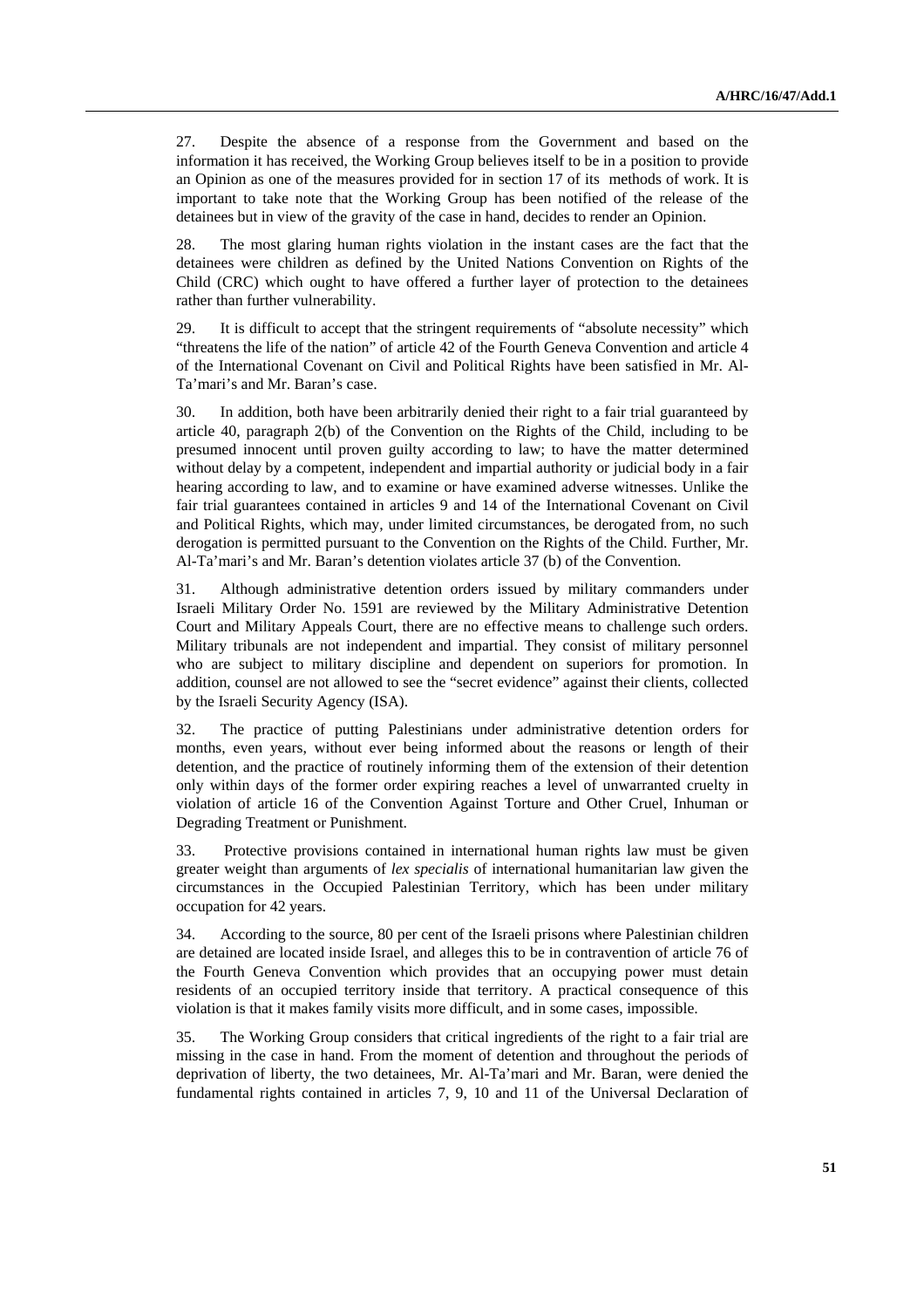27. Despite the absence of a response from the Government and based on the information it has received, the Working Group believes itself to be in a position to provide an Opinion as one of the measures provided for in section 17 of its methods of work. It is important to take note that the Working Group has been notified of the release of the detainees but in view of the gravity of the case in hand, decides to render an Opinion.

28. The most glaring human rights violation in the instant cases are the fact that the detainees were children as defined by the United Nations Convention on Rights of the Child (CRC) which ought to have offered a further layer of protection to the detainees rather than further vulnerability.

29. It is difficult to accept that the stringent requirements of "absolute necessity" which "threatens the life of the nation" of article 42 of the Fourth Geneva Convention and article 4 of the International Covenant on Civil and Political Rights have been satisfied in Mr. Al-Ta'mari's and Mr. Baran's case.

30. In addition, both have been arbitrarily denied their right to a fair trial guaranteed by article 40, paragraph 2(b) of the Convention on the Rights of the Child, including to be presumed innocent until proven guilty according to law; to have the matter determined without delay by a competent, independent and impartial authority or judicial body in a fair hearing according to law, and to examine or have examined adverse witnesses. Unlike the fair trial guarantees contained in articles 9 and 14 of the International Covenant on Civil and Political Rights, which may, under limited circumstances, be derogated from, no such derogation is permitted pursuant to the Convention on the Rights of the Child. Further, Mr. Al-Ta'mari's and Mr. Baran's detention violates article 37 (b) of the Convention.

31. Although administrative detention orders issued by military commanders under Israeli Military Order No. 1591 are reviewed by the Military Administrative Detention Court and Military Appeals Court, there are no effective means to challenge such orders. Military tribunals are not independent and impartial. They consist of military personnel who are subject to military discipline and dependent on superiors for promotion. In addition, counsel are not allowed to see the "secret evidence" against their clients, collected by the Israeli Security Agency (ISA).

32. The practice of putting Palestinians under administrative detention orders for months, even years, without ever being informed about the reasons or length of their detention, and the practice of routinely informing them of the extension of their detention only within days of the former order expiring reaches a level of unwarranted cruelty in violation of article 16 of the Convention Against Torture and Other Cruel, Inhuman or Degrading Treatment or Punishment.

33. Protective provisions contained in international human rights law must be given greater weight than arguments of *lex specialis* of international humanitarian law given the circumstances in the Occupied Palestinian Territory, which has been under military occupation for 42 years.

34. According to the source, 80 per cent of the Israeli prisons where Palestinian children are detained are located inside Israel, and alleges this to be in contravention of article 76 of the Fourth Geneva Convention which provides that an occupying power must detain residents of an occupied territory inside that territory. A practical consequence of this violation is that it makes family visits more difficult, and in some cases, impossible.

35. The Working Group considers that critical ingredients of the right to a fair trial are missing in the case in hand. From the moment of detention and throughout the periods of deprivation of liberty, the two detainees, Mr. Al-Ta'mari and Mr. Baran, were denied the fundamental rights contained in articles 7, 9, 10 and 11 of the Universal Declaration of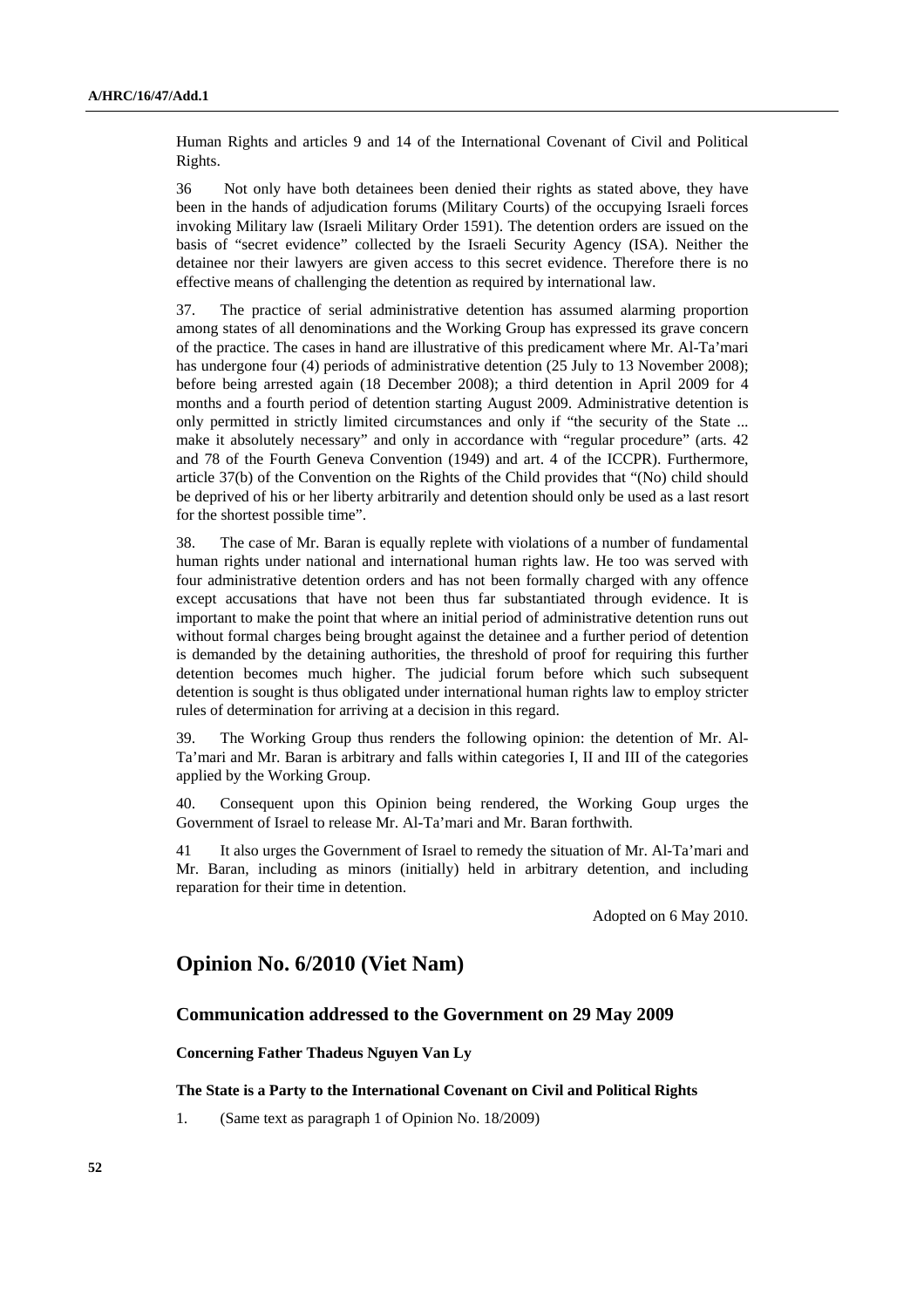Human Rights and articles 9 and 14 of the International Covenant of Civil and Political Rights.

36 Not only have both detainees been denied their rights as stated above, they have been in the hands of adjudication forums (Military Courts) of the occupying Israeli forces invoking Military law (Israeli Military Order 1591). The detention orders are issued on the basis of "secret evidence" collected by the Israeli Security Agency (ISA). Neither the detainee nor their lawyers are given access to this secret evidence. Therefore there is no effective means of challenging the detention as required by international law.

37. The practice of serial administrative detention has assumed alarming proportion among states of all denominations and the Working Group has expressed its grave concern of the practice. The cases in hand are illustrative of this predicament where Mr. Al-Ta'mari has undergone four (4) periods of administrative detention (25 July to 13 November 2008); before being arrested again (18 December 2008); a third detention in April 2009 for 4 months and a fourth period of detention starting August 2009. Administrative detention is only permitted in strictly limited circumstances and only if "the security of the State ... make it absolutely necessary" and only in accordance with "regular procedure" (arts. 42 and 78 of the Fourth Geneva Convention (1949) and art. 4 of the ICCPR). Furthermore, article 37(b) of the Convention on the Rights of the Child provides that "(No) child should be deprived of his or her liberty arbitrarily and detention should only be used as a last resort for the shortest possible time".

38. The case of Mr. Baran is equally replete with violations of a number of fundamental human rights under national and international human rights law. He too was served with four administrative detention orders and has not been formally charged with any offence except accusations that have not been thus far substantiated through evidence. It is important to make the point that where an initial period of administrative detention runs out without formal charges being brought against the detainee and a further period of detention is demanded by the detaining authorities, the threshold of proof for requiring this further detention becomes much higher. The judicial forum before which such subsequent detention is sought is thus obligated under international human rights law to employ stricter rules of determination for arriving at a decision in this regard.

39. The Working Group thus renders the following opinion: the detention of Mr. Al-Ta'mari and Mr. Baran is arbitrary and falls within categories I, II and III of the categories applied by the Working Group.

40. Consequent upon this Opinion being rendered, the Working Goup urges the Government of Israel to release Mr. Al-Ta'mari and Mr. Baran forthwith.

41 It also urges the Government of Israel to remedy the situation of Mr. Al-Ta'mari and Mr. Baran, including as minors (initially) held in arbitrary detention, and including reparation for their time in detention.

Adopted on 6 May 2010.

## **Opinion No. 6/2010 (Viet Nam)**

## **Communication addressed to the Government on 29 May 2009**

### **Concerning Father Thadeus Nguyen Van Ly**

 **The State is a Party to the International Covenant on Civil and Political Rights** 

1. (Same text as paragraph 1 of Opinion No. 18/2009)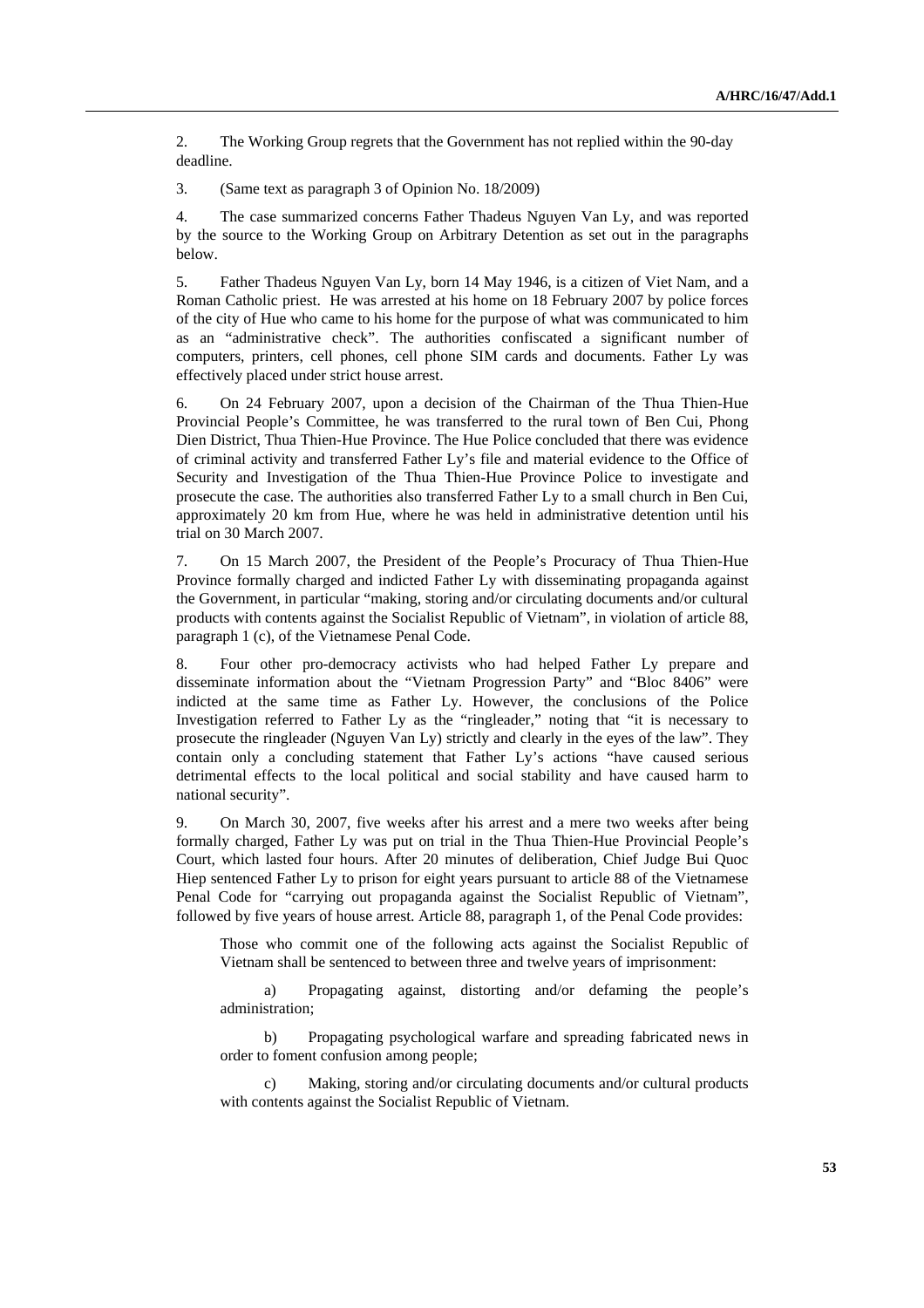2. The Working Group regrets that the Government has not replied within the 90-day deadline.

3. (Same text as paragraph 3 of Opinion No. 18/2009)

4. The case summarized concerns Father Thadeus Nguyen Van Ly, and was reported by the source to the Working Group on Arbitrary Detention as set out in the paragraphs below.

5. Father Thadeus Nguyen Van Ly, born 14 May 1946, is a citizen of Viet Nam, and a Roman Catholic priest. He was arrested at his home on 18 February 2007 by police forces of the city of Hue who came to his home for the purpose of what was communicated to him as an "administrative check". The authorities confiscated a significant number of computers, printers, cell phones, cell phone SIM cards and documents. Father Ly was effectively placed under strict house arrest.

6. On 24 February 2007, upon a decision of the Chairman of the Thua Thien-Hue Provincial People's Committee, he was transferred to the rural town of Ben Cui, Phong Dien District, Thua Thien-Hue Province. The Hue Police concluded that there was evidence of criminal activity and transferred Father Ly's file and material evidence to the Office of Security and Investigation of the Thua Thien-Hue Province Police to investigate and prosecute the case. The authorities also transferred Father Ly to a small church in Ben Cui, approximately 20 km from Hue, where he was held in administrative detention until his trial on 30 March 2007.

7. On 15 March 2007, the President of the People's Procuracy of Thua Thien-Hue Province formally charged and indicted Father Ly with disseminating propaganda against the Government, in particular "making, storing and/or circulating documents and/or cultural products with contents against the Socialist Republic of Vietnam", in violation of article 88, paragraph 1 (c), of the Vietnamese Penal Code.

8. Four other pro-democracy activists who had helped Father Ly prepare and disseminate information about the "Vietnam Progression Party" and "Bloc 8406" were indicted at the same time as Father Ly. However, the conclusions of the Police Investigation referred to Father Ly as the "ringleader," noting that "it is necessary to prosecute the ringleader (Nguyen Van Ly) strictly and clearly in the eyes of the law". They contain only a concluding statement that Father Ly's actions "have caused serious detrimental effects to the local political and social stability and have caused harm to national security".

9. On March 30, 2007, five weeks after his arrest and a mere two weeks after being formally charged, Father Ly was put on trial in the Thua Thien-Hue Provincial People's Court, which lasted four hours. After 20 minutes of deliberation, Chief Judge Bui Quoc Hiep sentenced Father Ly to prison for eight years pursuant to article 88 of the Vietnamese Penal Code for "carrying out propaganda against the Socialist Republic of Vietnam", followed by five years of house arrest. Article 88, paragraph 1, of the Penal Code provides:

Those who commit one of the following acts against the Socialist Republic of Vietnam shall be sentenced to between three and twelve years of imprisonment:

 a) Propagating against, distorting and/or defaming the people's administration;

 b) Propagating psychological warfare and spreading fabricated news in order to foment confusion among people;

 c) Making, storing and/or circulating documents and/or cultural products with contents against the Socialist Republic of Vietnam.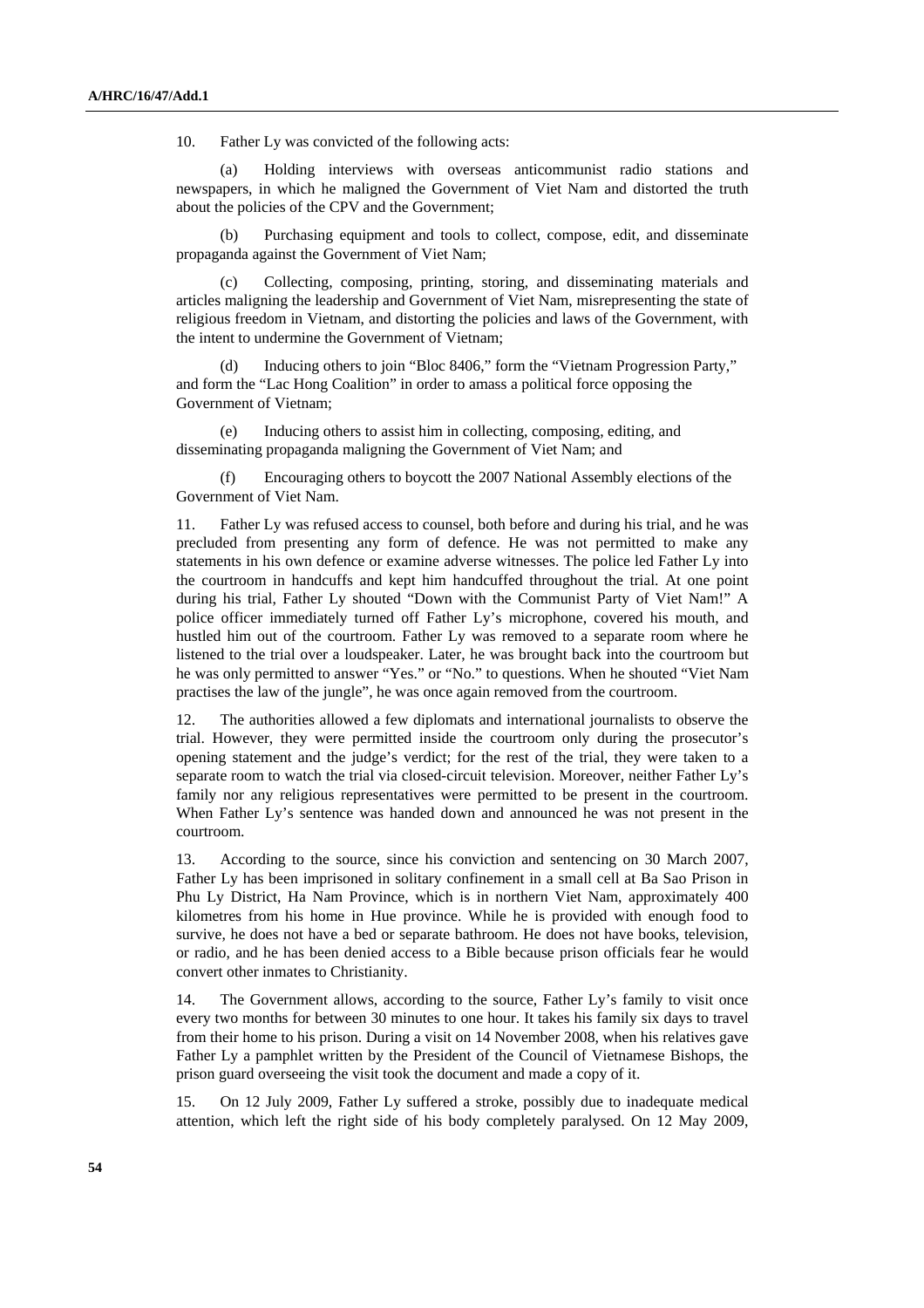10. Father Ly was convicted of the following acts:

Holding interviews with overseas anticommunist radio stations and newspapers, in which he maligned the Government of Viet Nam and distorted the truth about the policies of the CPV and the Government;

Purchasing equipment and tools to collect, compose, edit, and disseminate propaganda against the Government of Viet Nam;

 (c) Collecting, composing, printing, storing, and disseminating materials and articles maligning the leadership and Government of Viet Nam, misrepresenting the state of religious freedom in Vietnam, and distorting the policies and laws of the Government, with the intent to undermine the Government of Vietnam;

Inducing others to join "Bloc 8406," form the "Vietnam Progression Party," and form the "Lac Hong Coalition" in order to amass a political force opposing the Government of Vietnam;

 (e) Inducing others to assist him in collecting, composing, editing, and disseminating propaganda maligning the Government of Viet Nam; and

Encouraging others to boycott the 2007 National Assembly elections of the Government of Viet Nam.

11. Father Ly was refused access to counsel, both before and during his trial, and he was precluded from presenting any form of defence. He was not permitted to make any statements in his own defence or examine adverse witnesses. The police led Father Ly into the courtroom in handcuffs and kept him handcuffed throughout the trial. At one point during his trial, Father Ly shouted "Down with the Communist Party of Viet Nam!" A police officer immediately turned off Father Ly's microphone, covered his mouth, and hustled him out of the courtroom. Father Ly was removed to a separate room where he listened to the trial over a loudspeaker. Later, he was brought back into the courtroom but he was only permitted to answer "Yes." or "No." to questions. When he shouted "Viet Nam practises the law of the jungle", he was once again removed from the courtroom.

12. The authorities allowed a few diplomats and international journalists to observe the trial. However, they were permitted inside the courtroom only during the prosecutor's opening statement and the judge's verdict; for the rest of the trial, they were taken to a separate room to watch the trial via closed-circuit television. Moreover, neither Father Ly's family nor any religious representatives were permitted to be present in the courtroom. When Father Ly's sentence was handed down and announced he was not present in the courtroom.

13. According to the source, since his conviction and sentencing on 30 March 2007, Father Ly has been imprisoned in solitary confinement in a small cell at Ba Sao Prison in Phu Ly District, Ha Nam Province, which is in northern Viet Nam, approximately 400 kilometres from his home in Hue province. While he is provided with enough food to survive, he does not have a bed or separate bathroom. He does not have books, television, or radio, and he has been denied access to a Bible because prison officials fear he would convert other inmates to Christianity.

14. The Government allows, according to the source, Father Ly's family to visit once every two months for between 30 minutes to one hour. It takes his family six days to travel from their home to his prison. During a visit on 14 November 2008, when his relatives gave Father Ly a pamphlet written by the President of the Council of Vietnamese Bishops, the prison guard overseeing the visit took the document and made a copy of it.

15. On 12 July 2009, Father Ly suffered a stroke, possibly due to inadequate medical attention, which left the right side of his body completely paralysed. On 12 May 2009,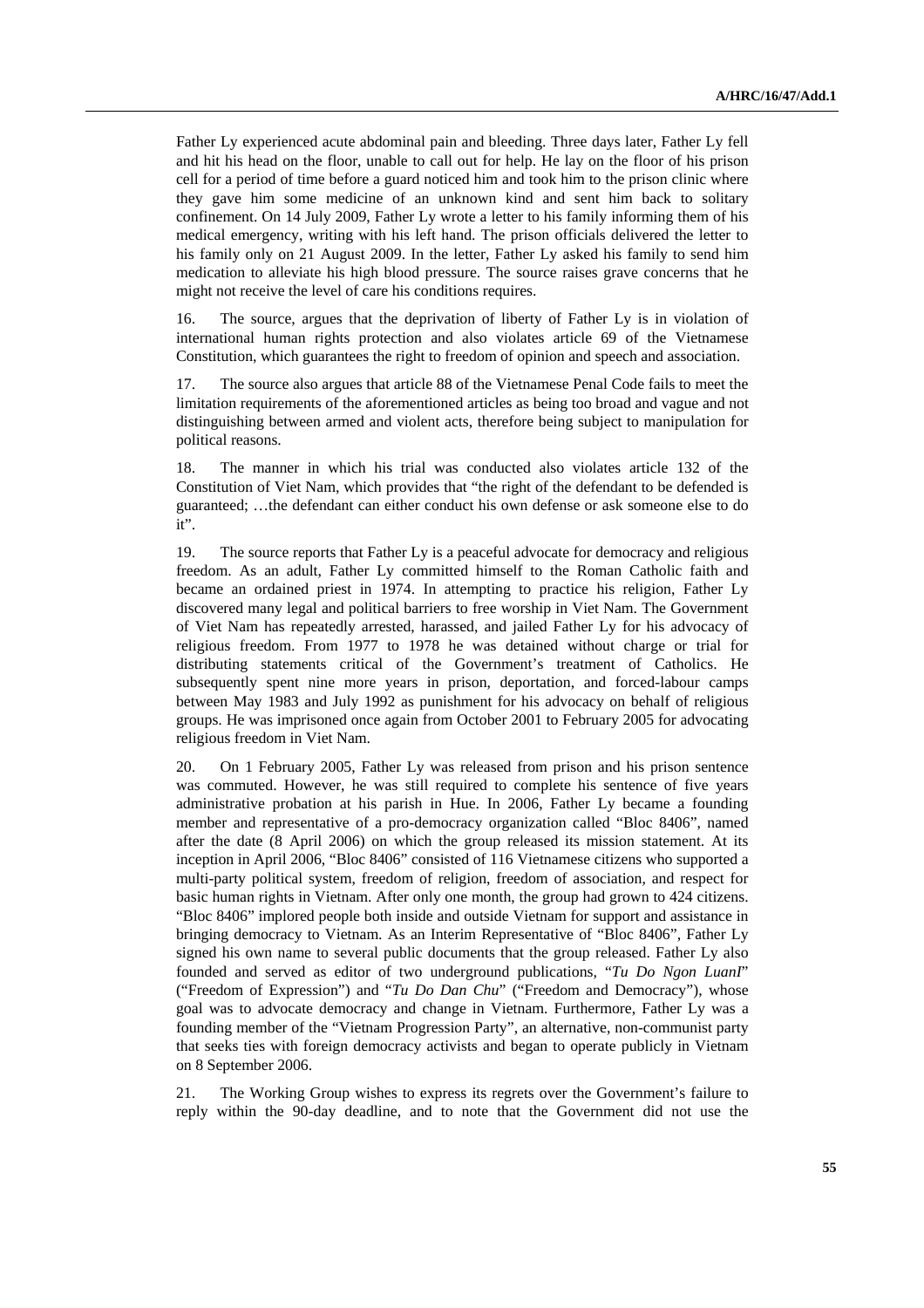Father Ly experienced acute abdominal pain and bleeding. Three days later, Father Ly fell and hit his head on the floor, unable to call out for help. He lay on the floor of his prison cell for a period of time before a guard noticed him and took him to the prison clinic where they gave him some medicine of an unknown kind and sent him back to solitary confinement. On 14 July 2009, Father Ly wrote a letter to his family informing them of his medical emergency, writing with his left hand. The prison officials delivered the letter to his family only on 21 August 2009. In the letter, Father Ly asked his family to send him medication to alleviate his high blood pressure. The source raises grave concerns that he might not receive the level of care his conditions requires.

16. The source, argues that the deprivation of liberty of Father Ly is in violation of international human rights protection and also violates article 69 of the Vietnamese Constitution, which guarantees the right to freedom of opinion and speech and association.

17. The source also argues that article 88 of the Vietnamese Penal Code fails to meet the limitation requirements of the aforementioned articles as being too broad and vague and not distinguishing between armed and violent acts, therefore being subject to manipulation for political reasons.

18. The manner in which his trial was conducted also violates article 132 of the Constitution of Viet Nam, which provides that "the right of the defendant to be defended is guaranteed; …the defendant can either conduct his own defense or ask someone else to do it".

19. The source reports that Father Ly is a peaceful advocate for democracy and religious freedom. As an adult, Father Ly committed himself to the Roman Catholic faith and became an ordained priest in 1974. In attempting to practice his religion, Father Ly discovered many legal and political barriers to free worship in Viet Nam. The Government of Viet Nam has repeatedly arrested, harassed, and jailed Father Ly for his advocacy of religious freedom. From 1977 to 1978 he was detained without charge or trial for distributing statements critical of the Government's treatment of Catholics. He subsequently spent nine more years in prison, deportation, and forced-labour camps between May 1983 and July 1992 as punishment for his advocacy on behalf of religious groups. He was imprisoned once again from October 2001 to February 2005 for advocating religious freedom in Viet Nam.

20. On 1 February 2005, Father Ly was released from prison and his prison sentence was commuted. However, he was still required to complete his sentence of five years administrative probation at his parish in Hue. In 2006, Father Ly became a founding member and representative of a pro-democracy organization called "Bloc 8406", named after the date (8 April 2006) on which the group released its mission statement. At its inception in April 2006, "Bloc 8406" consisted of 116 Vietnamese citizens who supported a multi-party political system, freedom of religion, freedom of association, and respect for basic human rights in Vietnam. After only one month, the group had grown to 424 citizens. "Bloc 8406" implored people both inside and outside Vietnam for support and assistance in bringing democracy to Vietnam. As an Interim Representative of "Bloc 8406", Father Ly signed his own name to several public documents that the group released. Father Ly also founded and served as editor of two underground publications, "*Tu Do Ngon LuanI*" ("Freedom of Expression") and "*Tu Do Dan Chu*" ("Freedom and Democracy"), whose goal was to advocate democracy and change in Vietnam. Furthermore, Father Ly was a founding member of the "Vietnam Progression Party", an alternative, non-communist party that seeks ties with foreign democracy activists and began to operate publicly in Vietnam on 8 September 2006.

21. The Working Group wishes to express its regrets over the Government's failure to reply within the 90-day deadline, and to note that the Government did not use the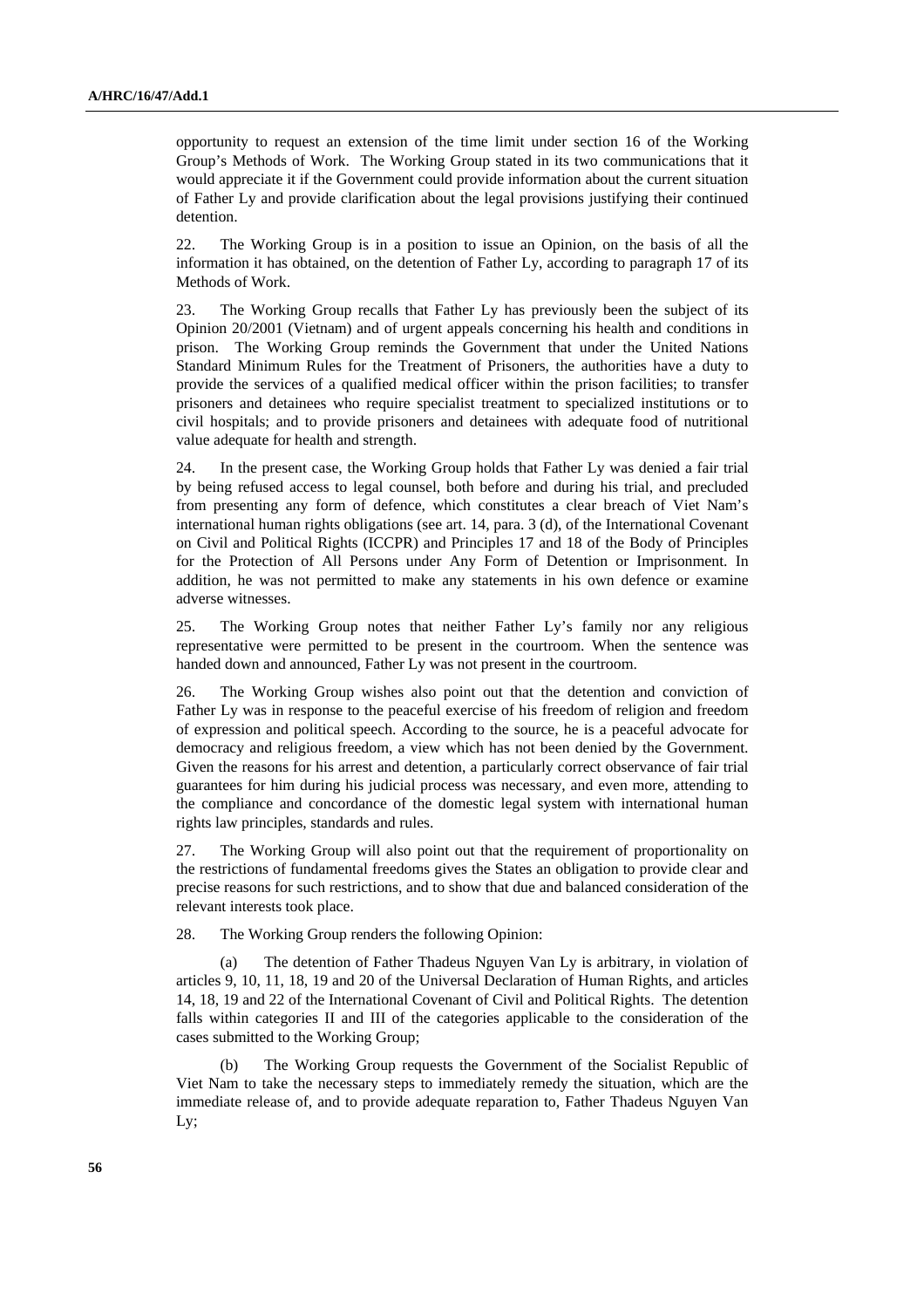opportunity to request an extension of the time limit under section 16 of the Working Group's Methods of Work. The Working Group stated in its two communications that it would appreciate it if the Government could provide information about the current situation of Father Ly and provide clarification about the legal provisions justifying their continued detention.

22. The Working Group is in a position to issue an Opinion, on the basis of all the information it has obtained, on the detention of Father Ly, according to paragraph 17 of its Methods of Work.

23. The Working Group recalls that Father Ly has previously been the subject of its Opinion 20/2001 (Vietnam) and of urgent appeals concerning his health and conditions in prison. The Working Group reminds the Government that under the United Nations Standard Minimum Rules for the Treatment of Prisoners, the authorities have a duty to provide the services of a qualified medical officer within the prison facilities; to transfer prisoners and detainees who require specialist treatment to specialized institutions or to civil hospitals; and to provide prisoners and detainees with adequate food of nutritional value adequate for health and strength.

24. In the present case, the Working Group holds that Father Ly was denied a fair trial by being refused access to legal counsel, both before and during his trial, and precluded from presenting any form of defence, which constitutes a clear breach of Viet Nam's international human rights obligations (see art. 14, para. 3 (d), of the International Covenant on Civil and Political Rights (ICCPR) and Principles 17 and 18 of the Body of Principles for the Protection of All Persons under Any Form of Detention or Imprisonment. In addition, he was not permitted to make any statements in his own defence or examine adverse witnesses.

25. The Working Group notes that neither Father Ly's family nor any religious representative were permitted to be present in the courtroom. When the sentence was handed down and announced, Father Ly was not present in the courtroom.

26. The Working Group wishes also point out that the detention and conviction of Father Ly was in response to the peaceful exercise of his freedom of religion and freedom of expression and political speech. According to the source, he is a peaceful advocate for democracy and religious freedom, a view which has not been denied by the Government. Given the reasons for his arrest and detention, a particularly correct observance of fair trial guarantees for him during his judicial process was necessary, and even more, attending to the compliance and concordance of the domestic legal system with international human rights law principles, standards and rules.

27. The Working Group will also point out that the requirement of proportionality on the restrictions of fundamental freedoms gives the States an obligation to provide clear and precise reasons for such restrictions, and to show that due and balanced consideration of the relevant interests took place.

28. The Working Group renders the following Opinion:

The detention of Father Thadeus Nguyen Van Ly is arbitrary, in violation of articles 9, 10, 11, 18, 19 and 20 of the Universal Declaration of Human Rights, and articles 14, 18, 19 and 22 of the International Covenant of Civil and Political Rights. The detention falls within categories II and III of the categories applicable to the consideration of the cases submitted to the Working Group;

 (b) The Working Group requests the Government of the Socialist Republic of Viet Nam to take the necessary steps to immediately remedy the situation, which are the immediate release of, and to provide adequate reparation to, Father Thadeus Nguyen Van Ly;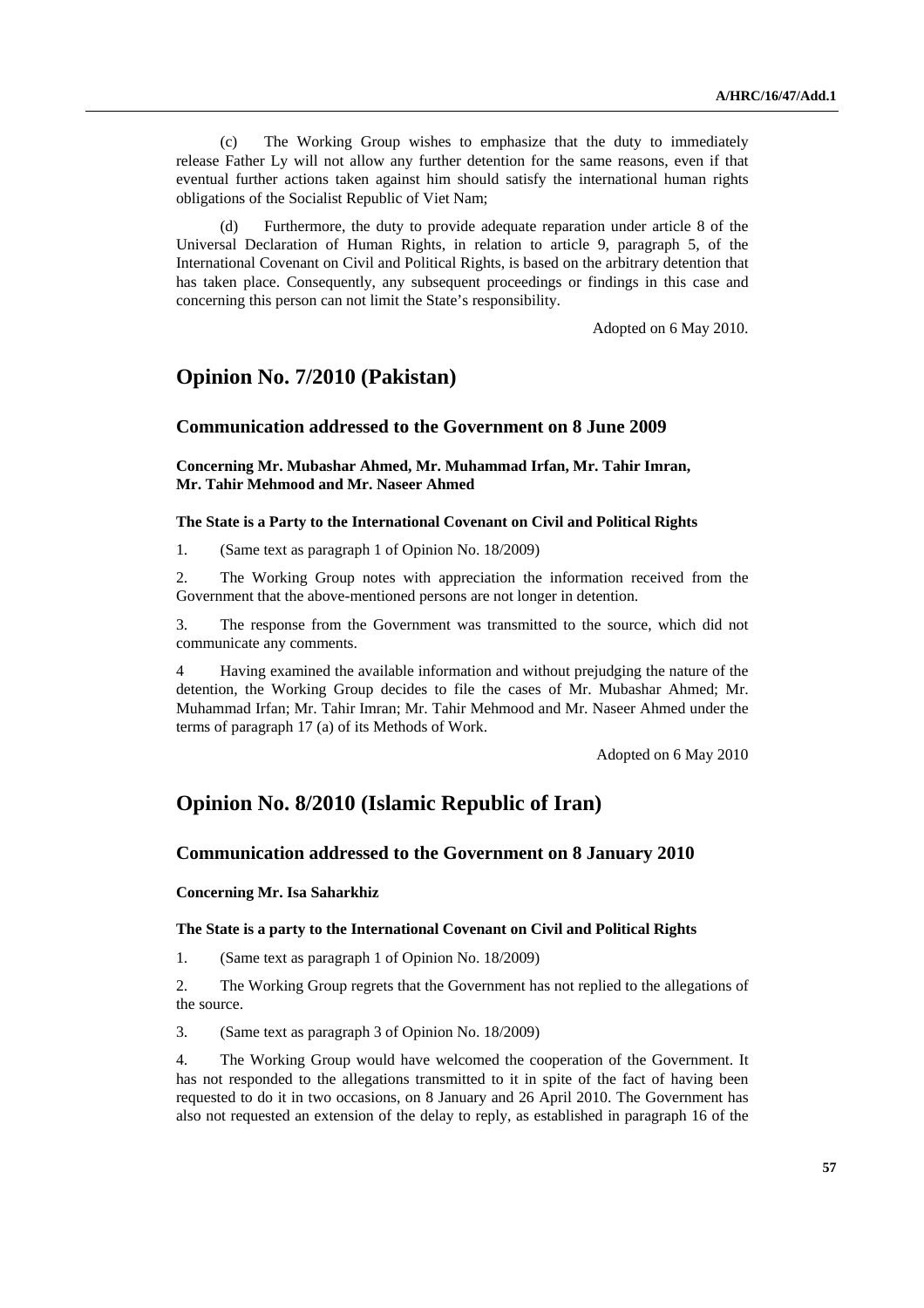(c) The Working Group wishes to emphasize that the duty to immediately release Father Ly will not allow any further detention for the same reasons, even if that eventual further actions taken against him should satisfy the international human rights obligations of the Socialist Republic of Viet Nam;

Furthermore, the duty to provide adequate reparation under article 8 of the Universal Declaration of Human Rights, in relation to article 9, paragraph 5, of the International Covenant on Civil and Political Rights, is based on the arbitrary detention that has taken place. Consequently, any subsequent proceedings or findings in this case and concerning this person can not limit the State's responsibility.

Adopted on 6 May 2010.

## **Opinion No. 7/2010 (Pakistan)**

## **Communication addressed to the Government on 8 June 2009**

 **Concerning Mr. Mubashar Ahmed, Mr. Muhammad Irfan, Mr. Tahir Imran, Mr. Tahir Mehmood and Mr. Naseer Ahmed** 

### **The State is a Party to the International Covenant on Civil and Political Rights**

1. (Same text as paragraph 1 of Opinion No. 18/2009)

2. The Working Group notes with appreciation the information received from the Government that the above-mentioned persons are not longer in detention.

3. The response from the Government was transmitted to the source, which did not communicate any comments.

4 Having examined the available information and without prejudging the nature of the detention, the Working Group decides to file the cases of Mr. Mubashar Ahmed; Mr. Muhammad Irfan; Mr. Tahir Imran; Mr. Tahir Mehmood and Mr. Naseer Ahmed under the terms of paragraph 17 (a) of its Methods of Work.

Adopted on 6 May 2010

## **Opinion No. 8/2010 (Islamic Republic of Iran)**

## **Communication addressed to the Government on 8 January 2010**

## **Concerning Mr. Isa Saharkhiz**

### **The State is a party to the International Covenant on Civil and Political Rights**

1. (Same text as paragraph 1 of Opinion No. 18/2009)

2. The Working Group regrets that the Government has not replied to the allegations of the source.

3. (Same text as paragraph 3 of Opinion No. 18/2009)

4. The Working Group would have welcomed the cooperation of the Government. It has not responded to the allegations transmitted to it in spite of the fact of having been requested to do it in two occasions, on 8 January and 26 April 2010. The Government has also not requested an extension of the delay to reply, as established in paragraph 16 of the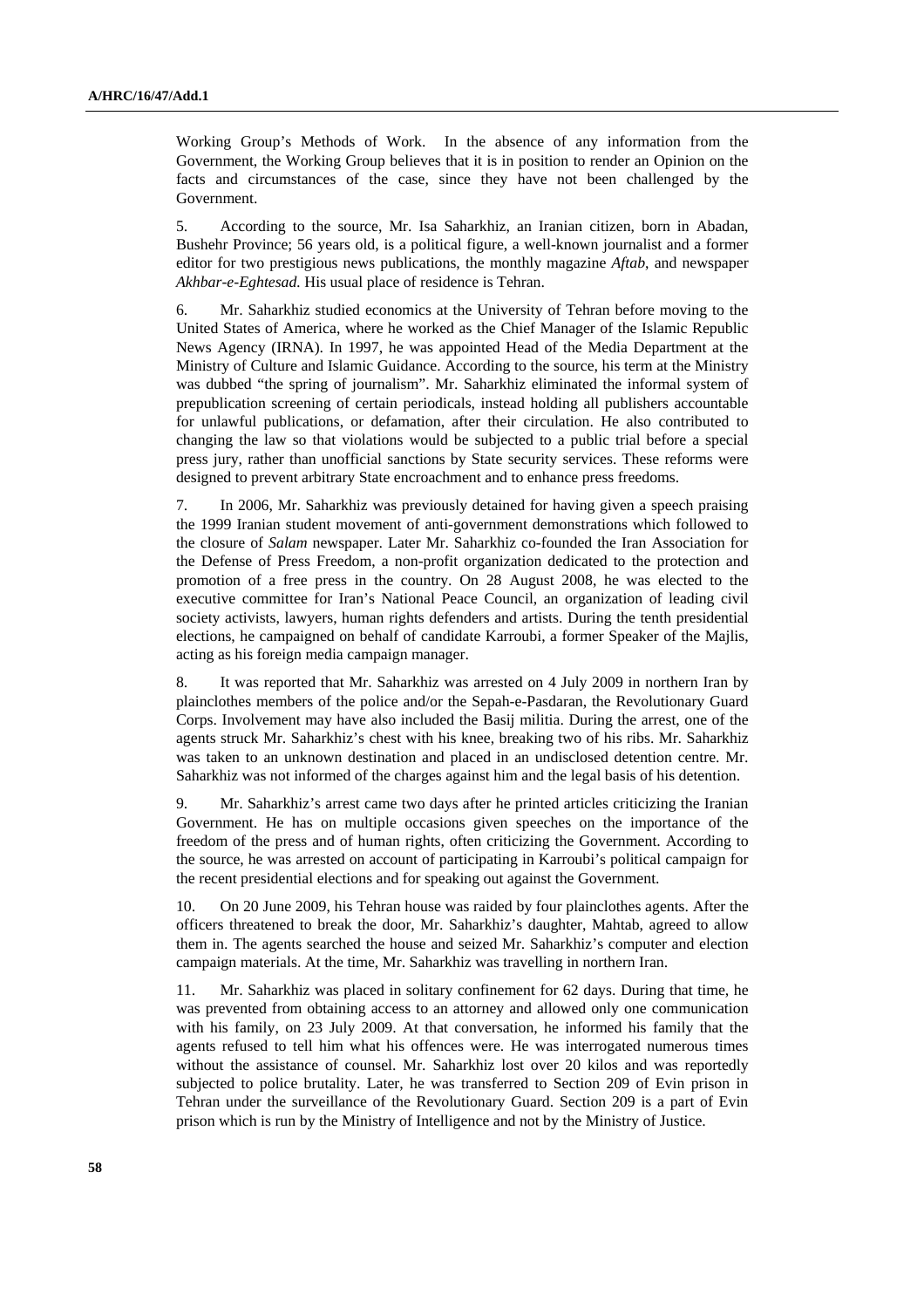Working Group's Methods of Work. In the absence of any information from the Government, the Working Group believes that it is in position to render an Opinion on the facts and circumstances of the case, since they have not been challenged by the Government.

5. According to the source, Mr. Isa Saharkhiz, an Iranian citizen, born in Abadan, Bushehr Province; 56 years old, is a political figure, a well-known journalist and a former editor for two prestigious news publications, the monthly magazine *Aftab*, and newspaper *Akhbar-e-Eghtesad.* His usual place of residence is Tehran.

6. Mr. Saharkhiz studied economics at the University of Tehran before moving to the United States of America, where he worked as the Chief Manager of the Islamic Republic News Agency (IRNA). In 1997, he was appointed Head of the Media Department at the Ministry of Culture and Islamic Guidance. According to the source, his term at the Ministry was dubbed "the spring of journalism". Mr. Saharkhiz eliminated the informal system of prepublication screening of certain periodicals, instead holding all publishers accountable for unlawful publications, or defamation, after their circulation. He also contributed to changing the law so that violations would be subjected to a public trial before a special press jury, rather than unofficial sanctions by State security services. These reforms were designed to prevent arbitrary State encroachment and to enhance press freedoms.

7. In 2006, Mr. Saharkhiz was previously detained for having given a speech praising the 1999 Iranian student movement of anti-government demonstrations which followed to the closure of *Salam* newspaper. Later Mr. Saharkhiz co-founded the Iran Association for the Defense of Press Freedom, a non-profit organization dedicated to the protection and promotion of a free press in the country. On 28 August 2008, he was elected to the executive committee for Iran's National Peace Council, an organization of leading civil society activists, lawyers, human rights defenders and artists. During the tenth presidential elections, he campaigned on behalf of candidate Karroubi, a former Speaker of the Majlis, acting as his foreign media campaign manager.

8. It was reported that Mr. Saharkhiz was arrested on 4 July 2009 in northern Iran by plainclothes members of the police and/or the Sepah-e-Pasdaran, the Revolutionary Guard Corps. Involvement may have also included the Basij militia. During the arrest, one of the agents struck Mr. Saharkhiz's chest with his knee, breaking two of his ribs. Mr. Saharkhiz was taken to an unknown destination and placed in an undisclosed detention centre. Mr. Saharkhiz was not informed of the charges against him and the legal basis of his detention.

9. Mr. Saharkhiz's arrest came two days after he printed articles criticizing the Iranian Government. He has on multiple occasions given speeches on the importance of the freedom of the press and of human rights, often criticizing the Government. According to the source, he was arrested on account of participating in Karroubi's political campaign for the recent presidential elections and for speaking out against the Government.

10. On 20 June 2009, his Tehran house was raided by four plainclothes agents. After the officers threatened to break the door, Mr. Saharkhiz's daughter, Mahtab, agreed to allow them in. The agents searched the house and seized Mr. Saharkhiz's computer and election campaign materials. At the time, Mr. Saharkhiz was travelling in northern Iran.

11. Mr. Saharkhiz was placed in solitary confinement for 62 days. During that time, he was prevented from obtaining access to an attorney and allowed only one communication with his family, on 23 July 2009. At that conversation, he informed his family that the agents refused to tell him what his offences were. He was interrogated numerous times without the assistance of counsel. Mr. Saharkhiz lost over 20 kilos and was reportedly subjected to police brutality. Later, he was transferred to Section 209 of Evin prison in Tehran under the surveillance of the Revolutionary Guard. Section 209 is a part of Evin prison which is run by the Ministry of Intelligence and not by the Ministry of Justice.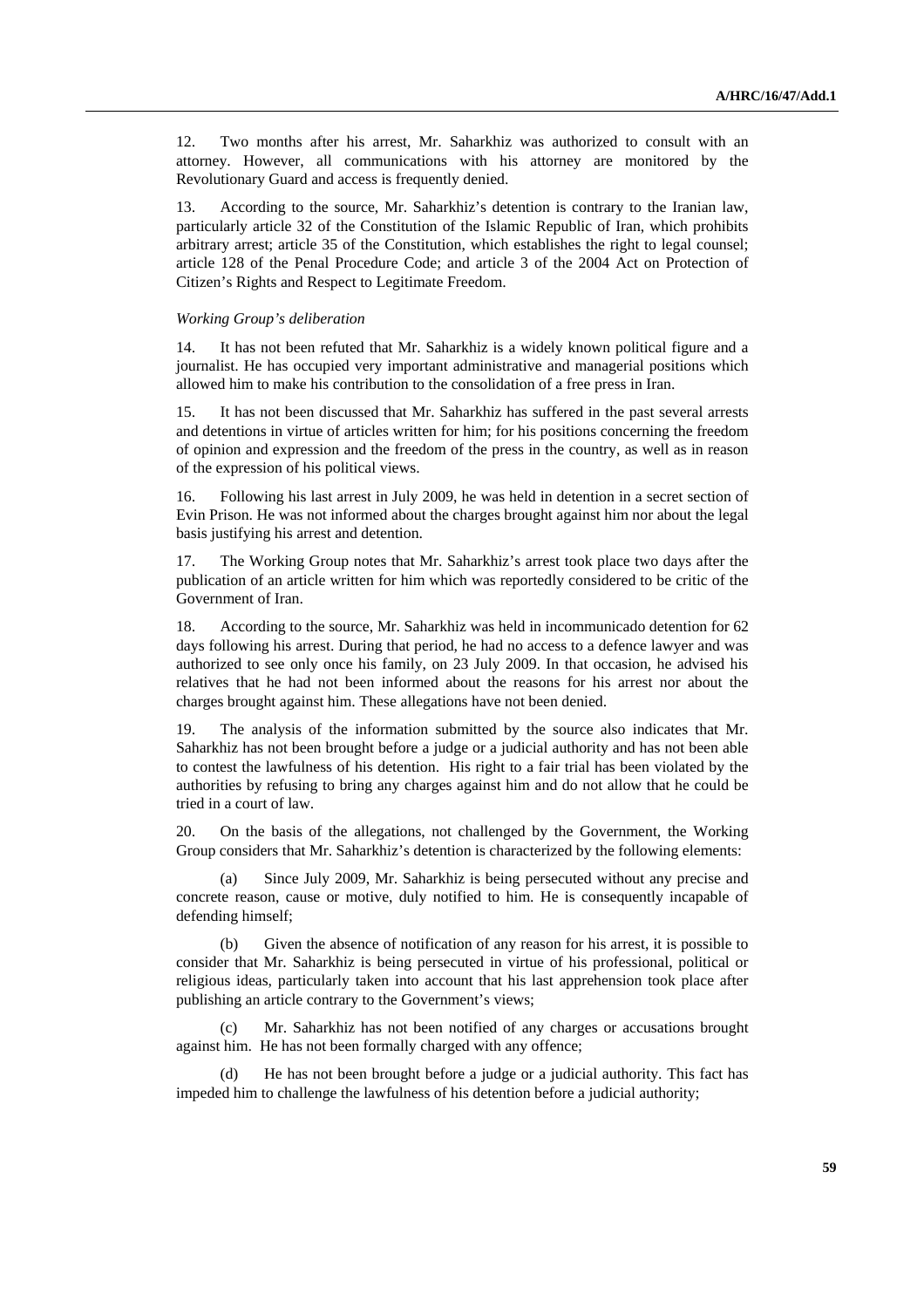12. Two months after his arrest, Mr. Saharkhiz was authorized to consult with an attorney. However, all communications with his attorney are monitored by the Revolutionary Guard and access is frequently denied.

13. According to the source, Mr. Saharkhiz's detention is contrary to the Iranian law, particularly article 32 of the Constitution of the Islamic Republic of Iran, which prohibits arbitrary arrest; article 35 of the Constitution, which establishes the right to legal counsel; article 128 of the Penal Procedure Code; and article 3 of the 2004 Act on Protection of Citizen's Rights and Respect to Legitimate Freedom.

#### *Working Group's deliberation*

14. It has not been refuted that Mr. Saharkhiz is a widely known political figure and a journalist. He has occupied very important administrative and managerial positions which allowed him to make his contribution to the consolidation of a free press in Iran.

15. It has not been discussed that Mr. Saharkhiz has suffered in the past several arrests and detentions in virtue of articles written for him; for his positions concerning the freedom of opinion and expression and the freedom of the press in the country, as well as in reason of the expression of his political views.

16. Following his last arrest in July 2009, he was held in detention in a secret section of Evin Prison. He was not informed about the charges brought against him nor about the legal basis justifying his arrest and detention.

17. The Working Group notes that Mr. Saharkhiz's arrest took place two days after the publication of an article written for him which was reportedly considered to be critic of the Government of Iran.

According to the source, Mr. Saharkhiz was held in incommunicado detention for 62 days following his arrest. During that period, he had no access to a defence lawyer and was authorized to see only once his family, on 23 July 2009. In that occasion, he advised his relatives that he had not been informed about the reasons for his arrest nor about the charges brought against him. These allegations have not been denied.

19. The analysis of the information submitted by the source also indicates that Mr. Saharkhiz has not been brought before a judge or a judicial authority and has not been able to contest the lawfulness of his detention. His right to a fair trial has been violated by the authorities by refusing to bring any charges against him and do not allow that he could be tried in a court of law.

20. On the basis of the allegations, not challenged by the Government, the Working Group considers that Mr. Saharkhiz's detention is characterized by the following elements:

 (a) Since July 2009, Mr. Saharkhiz is being persecuted without any precise and concrete reason, cause or motive, duly notified to him. He is consequently incapable of defending himself;

 (b) Given the absence of notification of any reason for his arrest, it is possible to consider that Mr. Saharkhiz is being persecuted in virtue of his professional, political or religious ideas, particularly taken into account that his last apprehension took place after publishing an article contrary to the Government's views;

Mr. Saharkhiz has not been notified of any charges or accusations brought against him. He has not been formally charged with any offence;

 (d) He has not been brought before a judge or a judicial authority. This fact has impeded him to challenge the lawfulness of his detention before a judicial authority;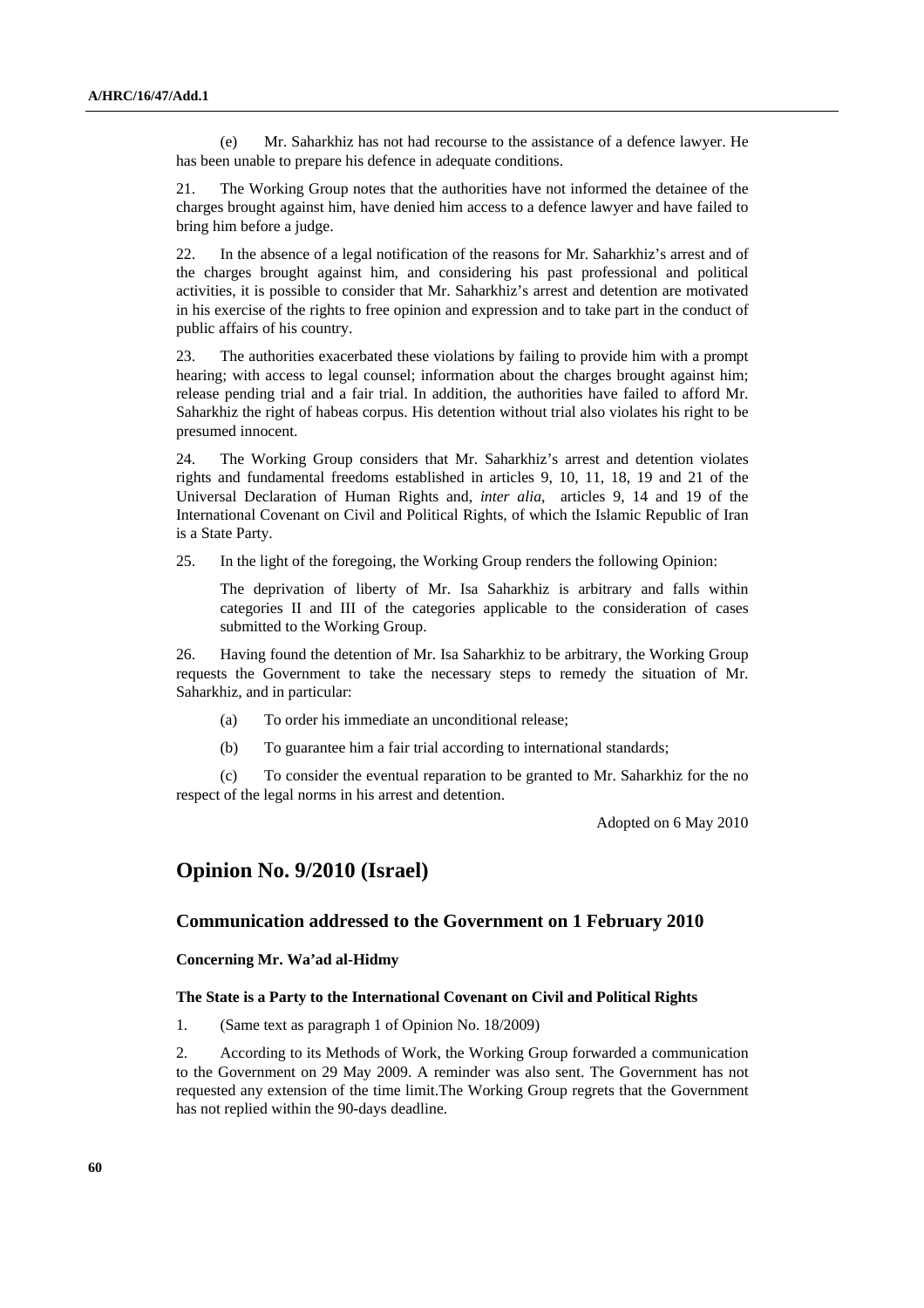(e) Mr. Saharkhiz has not had recourse to the assistance of a defence lawyer. He has been unable to prepare his defence in adequate conditions.

21. The Working Group notes that the authorities have not informed the detainee of the charges brought against him, have denied him access to a defence lawyer and have failed to bring him before a judge.

22. In the absence of a legal notification of the reasons for Mr. Saharkhiz's arrest and of the charges brought against him, and considering his past professional and political activities, it is possible to consider that Mr. Saharkhiz's arrest and detention are motivated in his exercise of the rights to free opinion and expression and to take part in the conduct of public affairs of his country.

23. The authorities exacerbated these violations by failing to provide him with a prompt hearing; with access to legal counsel; information about the charges brought against him; release pending trial and a fair trial. In addition, the authorities have failed to afford Mr. Saharkhiz the right of habeas corpus. His detention without trial also violates his right to be presumed innocent.

24. The Working Group considers that Mr. Saharkhiz's arrest and detention violates rights and fundamental freedoms established in articles 9, 10, 11, 18, 19 and 21 of the Universal Declaration of Human Rights and, *inter alia*, articles 9, 14 and 19 of the International Covenant on Civil and Political Rights, of which the Islamic Republic of Iran is a State Party.

25. In the light of the foregoing, the Working Group renders the following Opinion:

 The deprivation of liberty of Mr. Isa Saharkhiz is arbitrary and falls within categories II and III of the categories applicable to the consideration of cases submitted to the Working Group.

26. Having found the detention of Mr. Isa Saharkhiz to be arbitrary, the Working Group requests the Government to take the necessary steps to remedy the situation of Mr. Saharkhiz, and in particular:

- (a) To order his immediate an unconditional release;
- (b) To guarantee him a fair trial according to international standards;

 (c) To consider the eventual reparation to be granted to Mr. Saharkhiz for the no respect of the legal norms in his arrest and detention.

Adopted on 6 May 2010

## **Opinion No. 9/2010 (Israel)**

## **Communication addressed to the Government on 1 February 2010**

## **Concerning Mr. Wa'ad al-Hidmy**

#### **The State is a Party to the International Covenant on Civil and Political Rights**

1. (Same text as paragraph 1 of Opinion No. 18/2009)

2. According to its Methods of Work, the Working Group forwarded a communication to the Government on 29 May 2009. A reminder was also sent. The Government has not requested any extension of the time limit.The Working Group regrets that the Government has not replied within the 90-days deadline.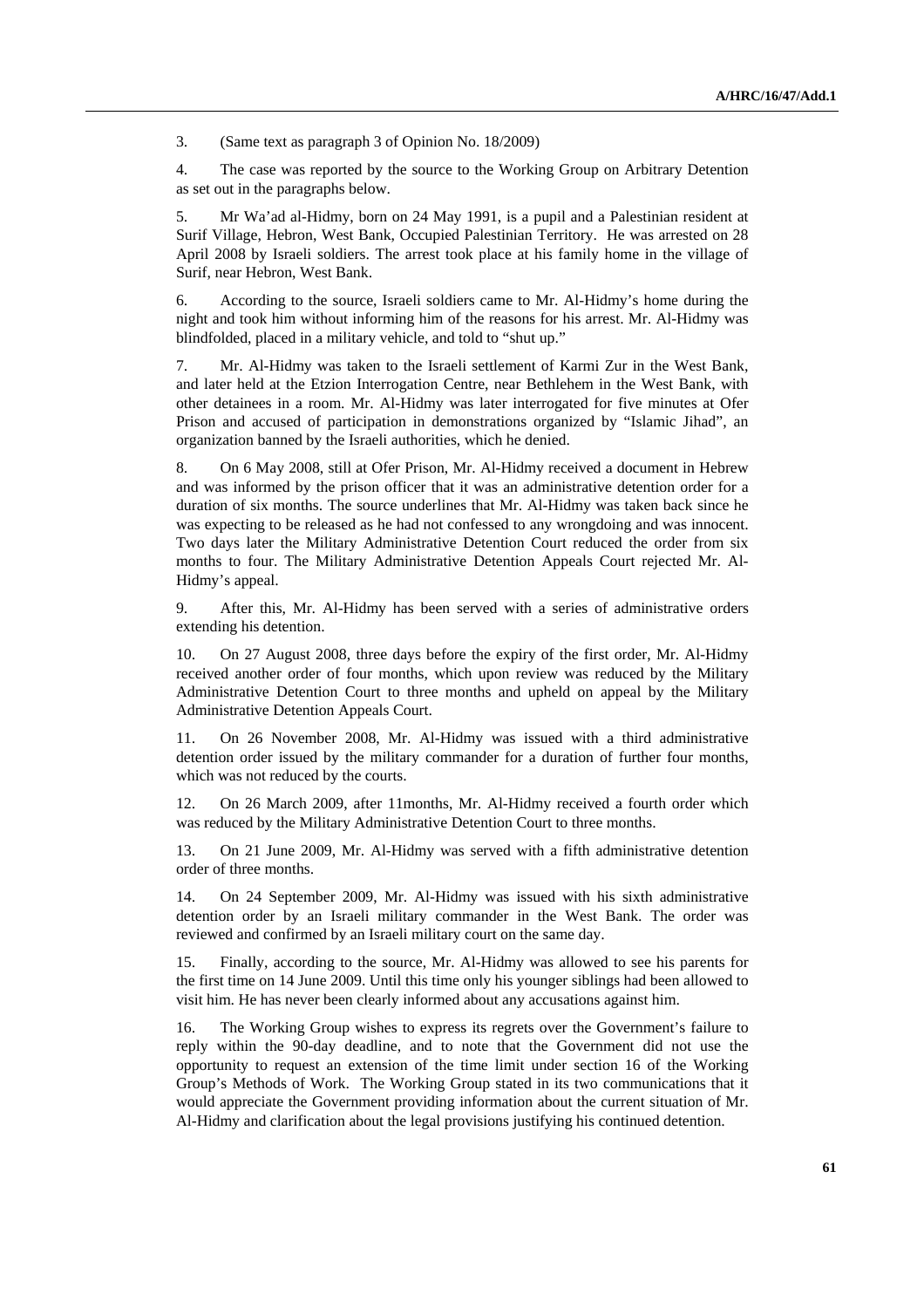3. (Same text as paragraph 3 of Opinion No. 18/2009)

4. The case was reported by the source to the Working Group on Arbitrary Detention as set out in the paragraphs below.

5. Mr Wa'ad al-Hidmy, born on 24 May 1991, is a pupil and a Palestinian resident at Surif Village, Hebron, West Bank, Occupied Palestinian Territory. He was arrested on 28 April 2008 by Israeli soldiers. The arrest took place at his family home in the village of Surif, near Hebron, West Bank.

6. According to the source, Israeli soldiers came to Mr. Al-Hidmy's home during the night and took him without informing him of the reasons for his arrest. Mr. Al-Hidmy was blindfolded, placed in a military vehicle, and told to "shut up."

7. Mr. Al-Hidmy was taken to the Israeli settlement of Karmi Zur in the West Bank, and later held at the Etzion Interrogation Centre, near Bethlehem in the West Bank, with other detainees in a room. Mr. Al-Hidmy was later interrogated for five minutes at Ofer Prison and accused of participation in demonstrations organized by "Islamic Jihad", an organization banned by the Israeli authorities, which he denied.

8. On 6 May 2008, still at Ofer Prison, Mr. Al-Hidmy received a document in Hebrew and was informed by the prison officer that it was an administrative detention order for a duration of six months. The source underlines that Mr. Al-Hidmy was taken back since he was expecting to be released as he had not confessed to any wrongdoing and was innocent. Two days later the Military Administrative Detention Court reduced the order from six months to four. The Military Administrative Detention Appeals Court rejected Mr. Al-Hidmy's appeal.

9. After this, Mr. Al-Hidmy has been served with a series of administrative orders extending his detention.

10. On 27 August 2008, three days before the expiry of the first order, Mr. Al-Hidmy received another order of four months, which upon review was reduced by the Military Administrative Detention Court to three months and upheld on appeal by the Military Administrative Detention Appeals Court.

11. On 26 November 2008, Mr. Al-Hidmy was issued with a third administrative detention order issued by the military commander for a duration of further four months, which was not reduced by the courts.

12. On 26 March 2009, after 11months, Mr. Al-Hidmy received a fourth order which was reduced by the Military Administrative Detention Court to three months.

13. On 21 June 2009, Mr. Al-Hidmy was served with a fifth administrative detention order of three months.

14. On 24 September 2009, Mr. Al-Hidmy was issued with his sixth administrative detention order by an Israeli military commander in the West Bank. The order was reviewed and confirmed by an Israeli military court on the same day.

15. Finally, according to the source, Mr. Al-Hidmy was allowed to see his parents for the first time on 14 June 2009. Until this time only his younger siblings had been allowed to visit him. He has never been clearly informed about any accusations against him.

16. The Working Group wishes to express its regrets over the Government's failure to reply within the 90-day deadline, and to note that the Government did not use the opportunity to request an extension of the time limit under section 16 of the Working Group's Methods of Work. The Working Group stated in its two communications that it would appreciate the Government providing information about the current situation of Mr. Al-Hidmy and clarification about the legal provisions justifying his continued detention.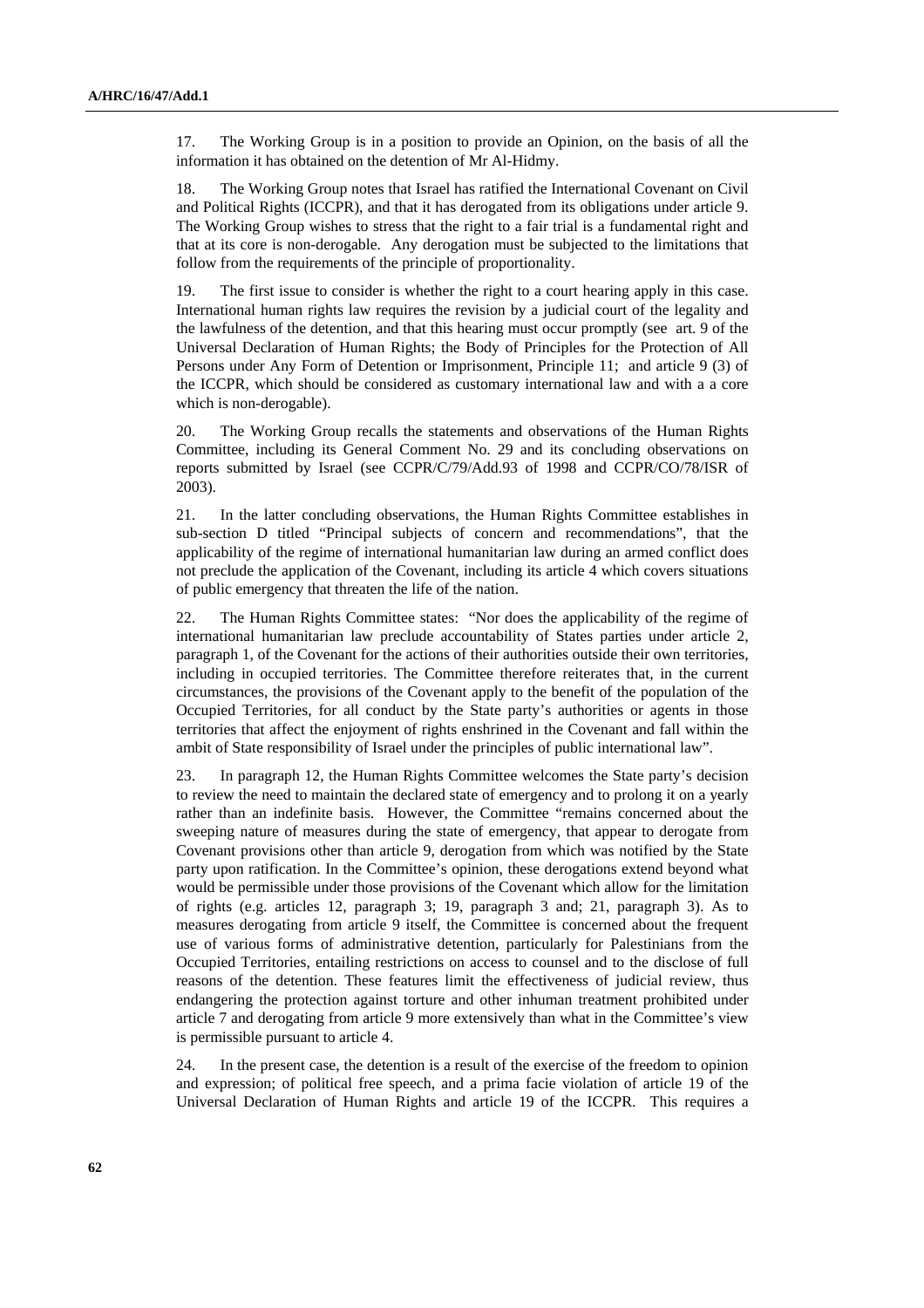17. The Working Group is in a position to provide an Opinion, on the basis of all the information it has obtained on the detention of Mr Al-Hidmy.

18. The Working Group notes that Israel has ratified the International Covenant on Civil and Political Rights (ICCPR), and that it has derogated from its obligations under article 9. The Working Group wishes to stress that the right to a fair trial is a fundamental right and that at its core is non-derogable. Any derogation must be subjected to the limitations that follow from the requirements of the principle of proportionality.

19. The first issue to consider is whether the right to a court hearing apply in this case. International human rights law requires the revision by a judicial court of the legality and the lawfulness of the detention, and that this hearing must occur promptly (see art. 9 of the Universal Declaration of Human Rights; the Body of Principles for the Protection of All Persons under Any Form of Detention or Imprisonment, Principle 11; and article 9 (3) of the ICCPR, which should be considered as customary international law and with a a core which is non-derogable).

20. The Working Group recalls the statements and observations of the Human Rights Committee, including its General Comment No. 29 and its concluding observations on reports submitted by Israel (see CCPR/C/79/Add.93 of 1998 and CCPR/CO/78/ISR of 2003).

21. In the latter concluding observations, the Human Rights Committee establishes in sub-section D titled "Principal subjects of concern and recommendations", that the applicability of the regime of international humanitarian law during an armed conflict does not preclude the application of the Covenant, including its article 4 which covers situations of public emergency that threaten the life of the nation.

22. The Human Rights Committee states: "Nor does the applicability of the regime of international humanitarian law preclude accountability of States parties under article 2, paragraph 1, of the Covenant for the actions of their authorities outside their own territories, including in occupied territories. The Committee therefore reiterates that, in the current circumstances, the provisions of the Covenant apply to the benefit of the population of the Occupied Territories, for all conduct by the State party's authorities or agents in those territories that affect the enjoyment of rights enshrined in the Covenant and fall within the ambit of State responsibility of Israel under the principles of public international law".

23. In paragraph 12, the Human Rights Committee welcomes the State party's decision to review the need to maintain the declared state of emergency and to prolong it on a yearly rather than an indefinite basis. However, the Committee "remains concerned about the sweeping nature of measures during the state of emergency, that appear to derogate from Covenant provisions other than article 9, derogation from which was notified by the State party upon ratification. In the Committee's opinion, these derogations extend beyond what would be permissible under those provisions of the Covenant which allow for the limitation of rights (e.g. articles 12, paragraph 3; 19, paragraph 3 and; 21, paragraph 3). As to measures derogating from article 9 itself, the Committee is concerned about the frequent use of various forms of administrative detention, particularly for Palestinians from the Occupied Territories, entailing restrictions on access to counsel and to the disclose of full reasons of the detention. These features limit the effectiveness of judicial review, thus endangering the protection against torture and other inhuman treatment prohibited under article 7 and derogating from article 9 more extensively than what in the Committee's view is permissible pursuant to article 4.

24. In the present case, the detention is a result of the exercise of the freedom to opinion and expression; of political free speech, and a prima facie violation of article 19 of the Universal Declaration of Human Rights and article 19 of the ICCPR. This requires a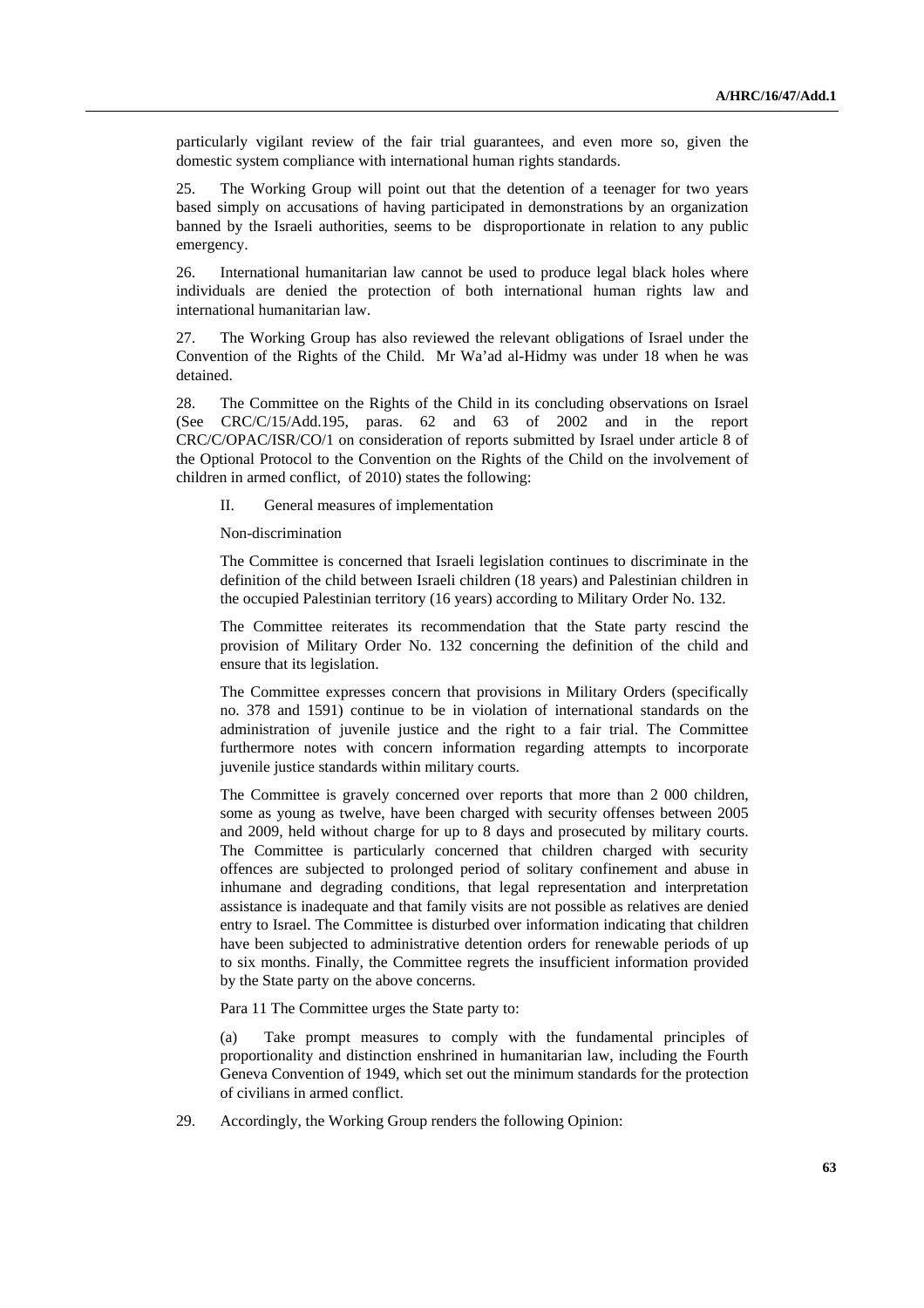particularly vigilant review of the fair trial guarantees, and even more so, given the domestic system compliance with international human rights standards.

25. The Working Group will point out that the detention of a teenager for two years based simply on accusations of having participated in demonstrations by an organization banned by the Israeli authorities, seems to be disproportionate in relation to any public emergency.

26. International humanitarian law cannot be used to produce legal black holes where individuals are denied the protection of both international human rights law and international humanitarian law.

27. The Working Group has also reviewed the relevant obligations of Israel under the Convention of the Rights of the Child. Mr Wa'ad al-Hidmy was under 18 when he was detained.

28. The Committee on the Rights of the Child in its concluding observations on Israel (See CRC/C/15/Add.195, paras. 62 and 63 of 2002 and in the report CRC/C/OPAC/ISR/CO/1 on consideration of reports submitted by Israel under article 8 of the Optional Protocol to the Convention on the Rights of the Child on the involvement of children in armed conflict, of 2010) states the following:

II. General measures of implementation

Non-discrimination

The Committee is concerned that Israeli legislation continues to discriminate in the definition of the child between Israeli children (18 years) and Palestinian children in the occupied Palestinian territory (16 years) according to Military Order No. 132.

The Committee reiterates its recommendation that the State party rescind the provision of Military Order No. 132 concerning the definition of the child and ensure that its legislation.

The Committee expresses concern that provisions in Military Orders (specifically no. 378 and 1591) continue to be in violation of international standards on the administration of juvenile justice and the right to a fair trial. The Committee furthermore notes with concern information regarding attempts to incorporate juvenile justice standards within military courts.

The Committee is gravely concerned over reports that more than 2 000 children, some as young as twelve, have been charged with security offenses between 2005 and 2009, held without charge for up to 8 days and prosecuted by military courts. The Committee is particularly concerned that children charged with security offences are subjected to prolonged period of solitary confinement and abuse in inhumane and degrading conditions, that legal representation and interpretation assistance is inadequate and that family visits are not possible as relatives are denied entry to Israel. The Committee is disturbed over information indicating that children have been subjected to administrative detention orders for renewable periods of up to six months. Finally, the Committee regrets the insufficient information provided by the State party on the above concerns.

Para 11 The Committee urges the State party to:

(a) Take prompt measures to comply with the fundamental principles of proportionality and distinction enshrined in humanitarian law, including the Fourth Geneva Convention of 1949, which set out the minimum standards for the protection of civilians in armed conflict.

29. Accordingly, the Working Group renders the following Opinion: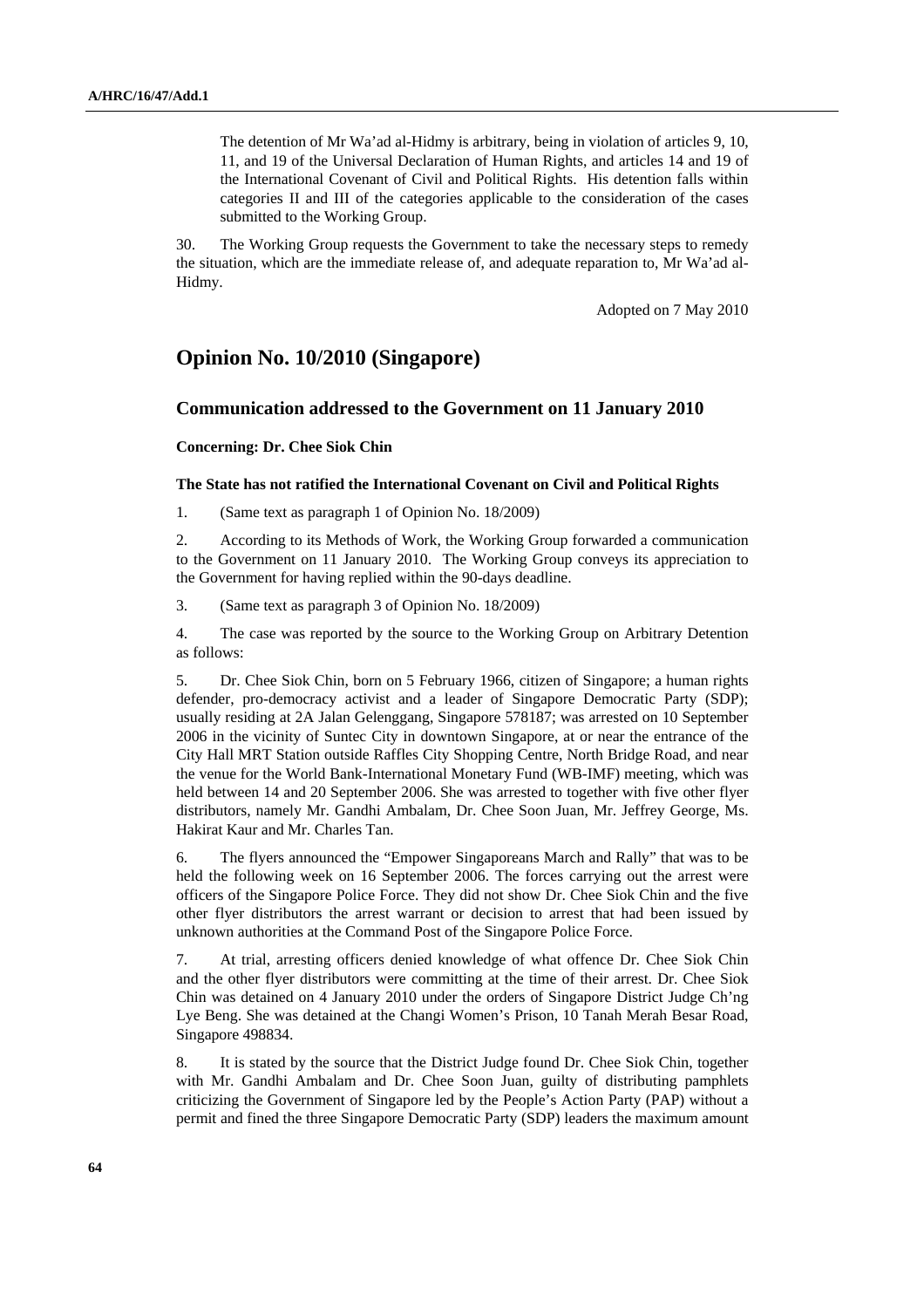The detention of Mr Wa'ad al-Hidmy is arbitrary, being in violation of articles 9, 10, 11, and 19 of the Universal Declaration of Human Rights, and articles 14 and 19 of the International Covenant of Civil and Political Rights. His detention falls within categories II and III of the categories applicable to the consideration of the cases submitted to the Working Group.

30. The Working Group requests the Government to take the necessary steps to remedy the situation, which are the immediate release of, and adequate reparation to, Mr Wa'ad al-Hidmy.

Adopted on 7 May 2010

## **Opinion No. 10/2010 (Singapore)**

## **Communication addressed to the Government on 11 January 2010**

#### **Concerning: Dr. Chee Siok Chin**

### **The State has not ratified the International Covenant on Civil and Political Rights**

1. (Same text as paragraph 1 of Opinion No. 18/2009)

2. According to its Methods of Work, the Working Group forwarded a communication to the Government on 11 January 2010. The Working Group conveys its appreciation to the Government for having replied within the 90-days deadline.

3. (Same text as paragraph 3 of Opinion No. 18/2009)

4. The case was reported by the source to the Working Group on Arbitrary Detention as follows:

5. Dr. Chee Siok Chin, born on 5 February 1966, citizen of Singapore; a human rights defender, pro-democracy activist and a leader of Singapore Democratic Party (SDP); usually residing at 2A Jalan Gelenggang, Singapore 578187; was arrested on 10 September 2006 in the vicinity of Suntec City in downtown Singapore, at or near the entrance of the City Hall MRT Station outside Raffles City Shopping Centre, North Bridge Road, and near the venue for the World Bank-International Monetary Fund (WB-IMF) meeting, which was held between 14 and 20 September 2006. She was arrested to together with five other flyer distributors, namely Mr. Gandhi Ambalam, Dr. Chee Soon Juan, Mr. Jeffrey George, Ms. Hakirat Kaur and Mr. Charles Tan.

6. The flyers announced the "Empower Singaporeans March and Rally" that was to be held the following week on 16 September 2006. The forces carrying out the arrest were officers of the Singapore Police Force. They did not show Dr. Chee Siok Chin and the five other flyer distributors the arrest warrant or decision to arrest that had been issued by unknown authorities at the Command Post of the Singapore Police Force.

7. At trial, arresting officers denied knowledge of what offence Dr. Chee Siok Chin and the other flyer distributors were committing at the time of their arrest. Dr. Chee Siok Chin was detained on 4 January 2010 under the orders of Singapore District Judge Ch'ng Lye Beng. She was detained at the Changi Women's Prison, 10 Tanah Merah Besar Road, Singapore 498834.

8. It is stated by the source that the District Judge found Dr. Chee Siok Chin, together with Mr. Gandhi Ambalam and Dr. Chee Soon Juan, guilty of distributing pamphlets criticizing the Government of Singapore led by the People's Action Party (PAP) without a permit and fined the three Singapore Democratic Party (SDP) leaders the maximum amount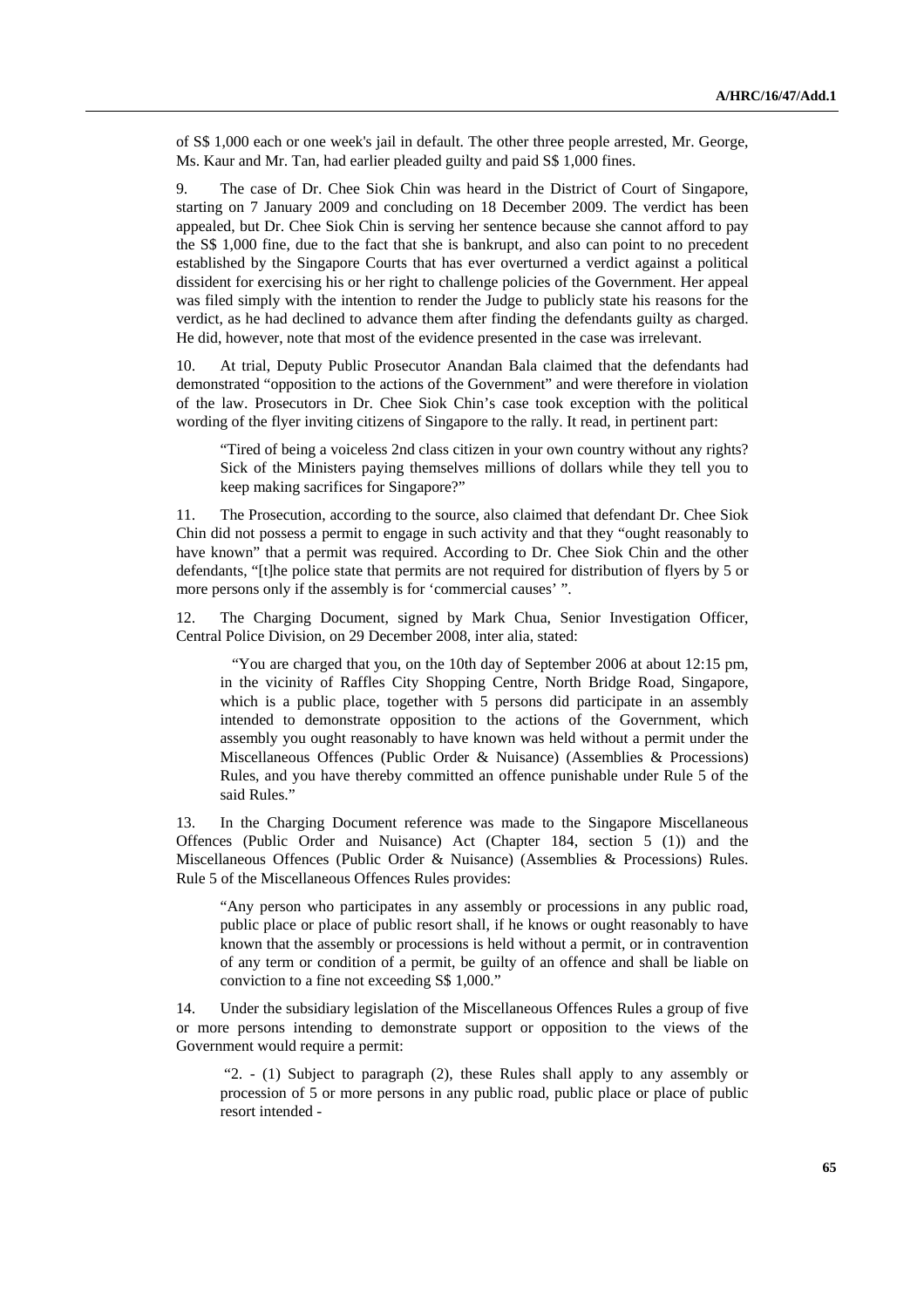of S\$ 1,000 each or one week's jail in default. The other three people arrested, Mr. George, Ms. Kaur and Mr. Tan, had earlier pleaded guilty and paid S\$ 1,000 fines.

9. The case of Dr. Chee Siok Chin was heard in the District of Court of Singapore, starting on 7 January 2009 and concluding on 18 December 2009. The verdict has been appealed, but Dr. Chee Siok Chin is serving her sentence because she cannot afford to pay the S\$ 1,000 fine, due to the fact that she is bankrupt, and also can point to no precedent established by the Singapore Courts that has ever overturned a verdict against a political dissident for exercising his or her right to challenge policies of the Government. Her appeal was filed simply with the intention to render the Judge to publicly state his reasons for the verdict, as he had declined to advance them after finding the defendants guilty as charged. He did, however, note that most of the evidence presented in the case was irrelevant.

10. At trial, Deputy Public Prosecutor Anandan Bala claimed that the defendants had demonstrated "opposition to the actions of the Government" and were therefore in violation of the law. Prosecutors in Dr. Chee Siok Chin's case took exception with the political wording of the flyer inviting citizens of Singapore to the rally. It read, in pertinent part:

"Tired of being a voiceless 2nd class citizen in your own country without any rights? Sick of the Ministers paying themselves millions of dollars while they tell you to keep making sacrifices for Singapore?"

11. The Prosecution, according to the source, also claimed that defendant Dr. Chee Siok Chin did not possess a permit to engage in such activity and that they "ought reasonably to have known" that a permit was required. According to Dr. Chee Siok Chin and the other defendants, "[t]he police state that permits are not required for distribution of flyers by 5 or more persons only if the assembly is for 'commercial causes' ".

12. The Charging Document, signed by Mark Chua, Senior Investigation Officer, Central Police Division, on 29 December 2008, inter alia, stated:

 "You are charged that you, on the 10th day of September 2006 at about 12:15 pm, in the vicinity of Raffles City Shopping Centre, North Bridge Road, Singapore, which is a public place, together with 5 persons did participate in an assembly intended to demonstrate opposition to the actions of the Government, which assembly you ought reasonably to have known was held without a permit under the Miscellaneous Offences (Public Order & Nuisance) (Assemblies & Processions) Rules, and you have thereby committed an offence punishable under Rule 5 of the said Rules."

13. In the Charging Document reference was made to the Singapore Miscellaneous Offences (Public Order and Nuisance) Act (Chapter 184, section 5 (1)) and the Miscellaneous Offences (Public Order & Nuisance) (Assemblies & Processions) Rules. Rule 5 of the Miscellaneous Offences Rules provides:

"Any person who participates in any assembly or processions in any public road, public place or place of public resort shall, if he knows or ought reasonably to have known that the assembly or processions is held without a permit, or in contravention of any term or condition of a permit, be guilty of an offence and shall be liable on conviction to a fine not exceeding S\$ 1,000."

14. Under the subsidiary legislation of the Miscellaneous Offences Rules a group of five or more persons intending to demonstrate support or opposition to the views of the Government would require a permit:

 "2. - (1) Subject to paragraph (2), these Rules shall apply to any assembly or procession of 5 or more persons in any public road, public place or place of public resort intended -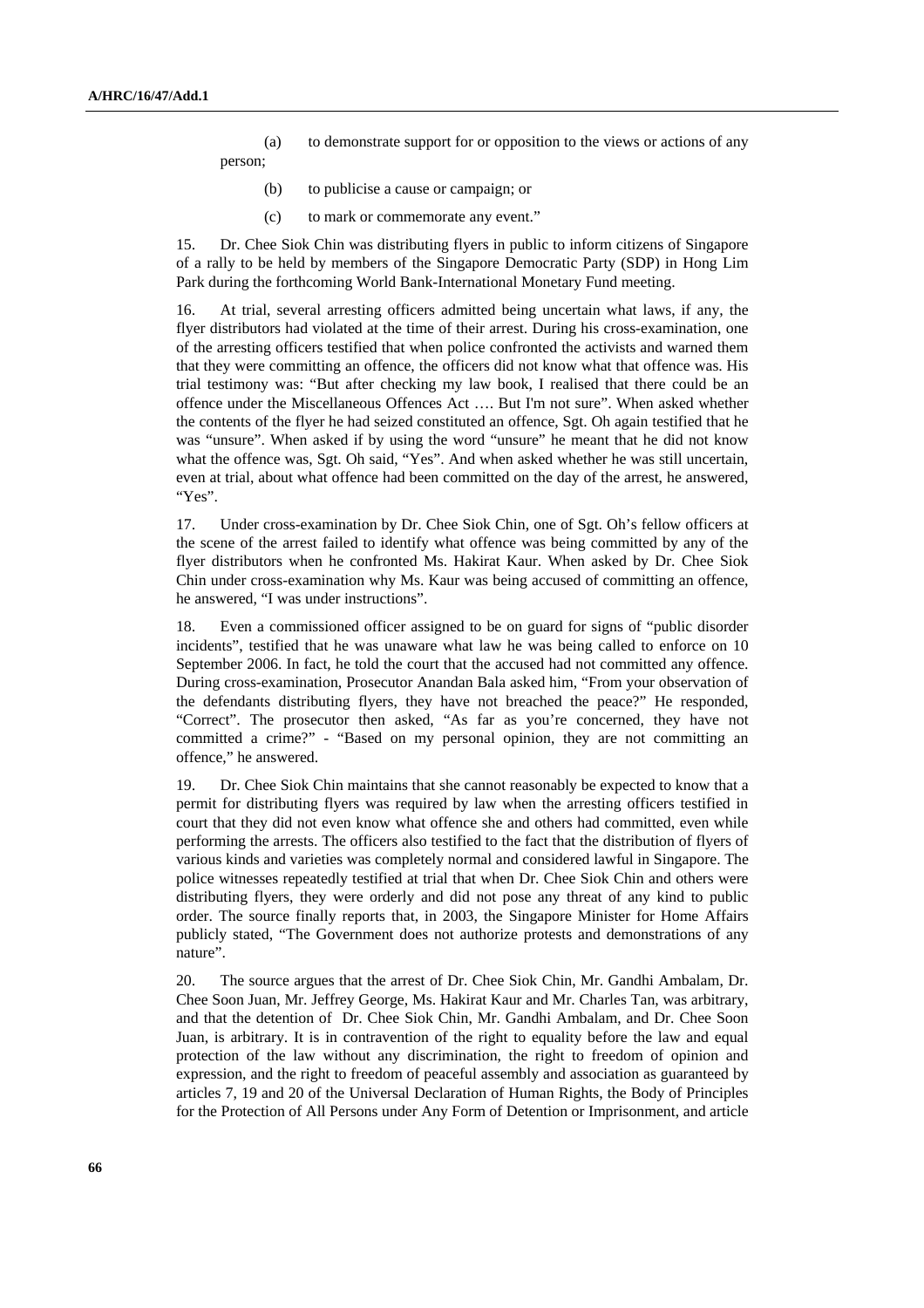- (a) to demonstrate support for or opposition to the views or actions of any person;
	- (b) to publicise a cause or campaign; or
	- (c) to mark or commemorate any event."

15. Dr. Chee Siok Chin was distributing flyers in public to inform citizens of Singapore of a rally to be held by members of the Singapore Democratic Party (SDP) in Hong Lim Park during the forthcoming World Bank-International Monetary Fund meeting.

16. At trial, several arresting officers admitted being uncertain what laws, if any, the flyer distributors had violated at the time of their arrest. During his cross-examination, one of the arresting officers testified that when police confronted the activists and warned them that they were committing an offence, the officers did not know what that offence was. His trial testimony was: "But after checking my law book, I realised that there could be an offence under the Miscellaneous Offences Act …. But I'm not sure". When asked whether the contents of the flyer he had seized constituted an offence, Sgt. Oh again testified that he was "unsure". When asked if by using the word "unsure" he meant that he did not know what the offence was, Sgt. Oh said, "Yes". And when asked whether he was still uncertain, even at trial, about what offence had been committed on the day of the arrest, he answered, "Yes".

17. Under cross-examination by Dr. Chee Siok Chin, one of Sgt. Oh's fellow officers at the scene of the arrest failed to identify what offence was being committed by any of the flyer distributors when he confronted Ms. Hakirat Kaur. When asked by Dr. Chee Siok Chin under cross-examination why Ms. Kaur was being accused of committing an offence, he answered, "I was under instructions".

18. Even a commissioned officer assigned to be on guard for signs of "public disorder incidents", testified that he was unaware what law he was being called to enforce on 10 September 2006. In fact, he told the court that the accused had not committed any offence. During cross-examination, Prosecutor Anandan Bala asked him, "From your observation of the defendants distributing flyers, they have not breached the peace?" He responded, "Correct". The prosecutor then asked, "As far as you're concerned, they have not committed a crime?" - "Based on my personal opinion, they are not committing an offence," he answered.

19. Dr. Chee Siok Chin maintains that she cannot reasonably be expected to know that a permit for distributing flyers was required by law when the arresting officers testified in court that they did not even know what offence she and others had committed, even while performing the arrests. The officers also testified to the fact that the distribution of flyers of various kinds and varieties was completely normal and considered lawful in Singapore. The police witnesses repeatedly testified at trial that when Dr. Chee Siok Chin and others were distributing flyers, they were orderly and did not pose any threat of any kind to public order. The source finally reports that, in 2003, the Singapore Minister for Home Affairs publicly stated, "The Government does not authorize protests and demonstrations of any nature".

20. The source argues that the arrest of Dr. Chee Siok Chin, Mr. Gandhi Ambalam, Dr. Chee Soon Juan, Mr. Jeffrey George, Ms. Hakirat Kaur and Mr. Charles Tan, was arbitrary, and that the detention of Dr. Chee Siok Chin, Mr. Gandhi Ambalam, and Dr. Chee Soon Juan, is arbitrary. It is in contravention of the right to equality before the law and equal protection of the law without any discrimination, the right to freedom of opinion and expression, and the right to freedom of peaceful assembly and association as guaranteed by articles 7, 19 and 20 of the Universal Declaration of Human Rights, the Body of Principles for the Protection of All Persons under Any Form of Detention or Imprisonment, and article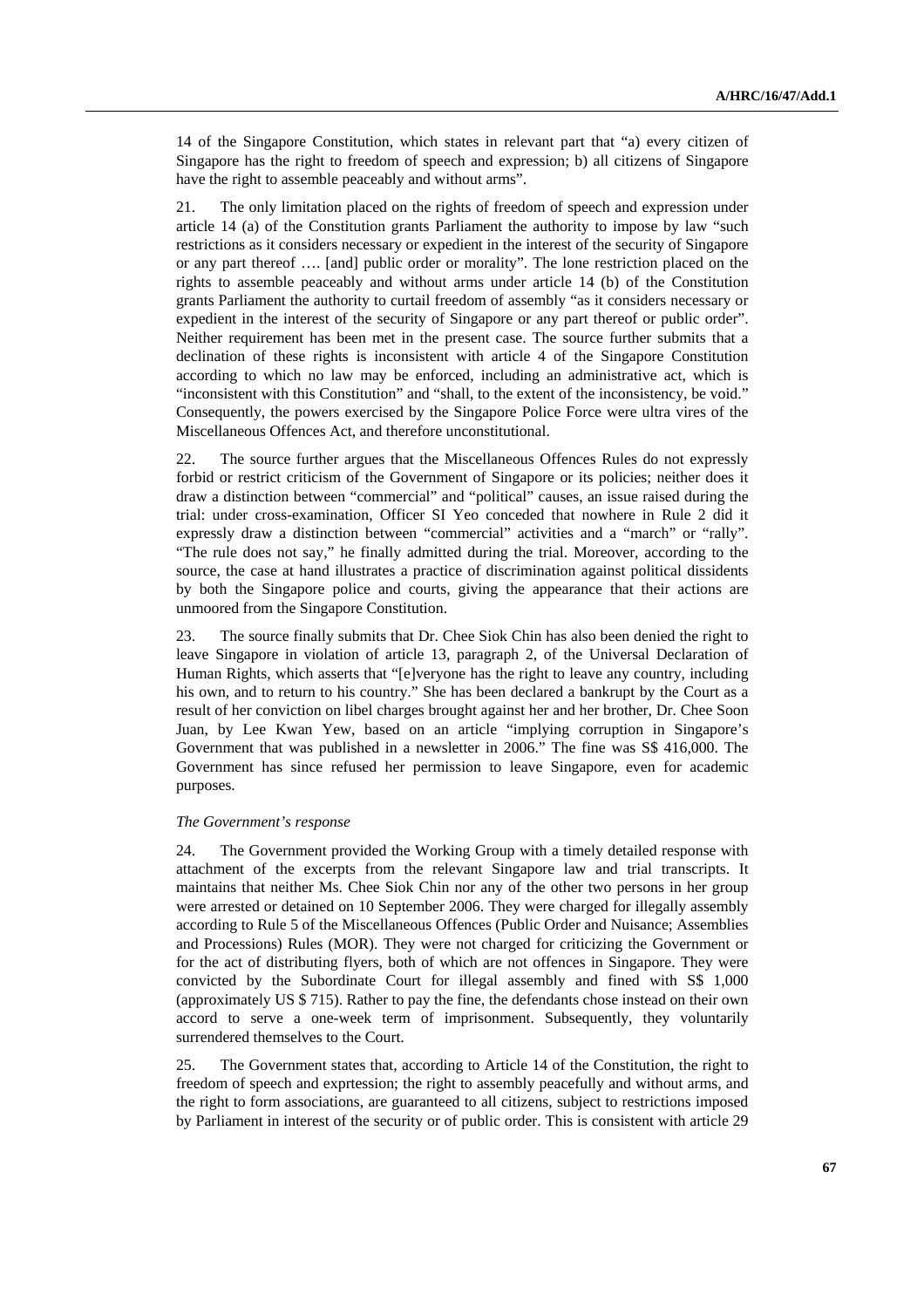14 of the Singapore Constitution, which states in relevant part that "a) every citizen of Singapore has the right to freedom of speech and expression; b) all citizens of Singapore have the right to assemble peaceably and without arms".

21. The only limitation placed on the rights of freedom of speech and expression under article 14 (a) of the Constitution grants Parliament the authority to impose by law "such restrictions as it considers necessary or expedient in the interest of the security of Singapore or any part thereof …. [and] public order or morality". The lone restriction placed on the rights to assemble peaceably and without arms under article 14 (b) of the Constitution grants Parliament the authority to curtail freedom of assembly "as it considers necessary or expedient in the interest of the security of Singapore or any part thereof or public order". Neither requirement has been met in the present case. The source further submits that a declination of these rights is inconsistent with article 4 of the Singapore Constitution according to which no law may be enforced, including an administrative act, which is "inconsistent with this Constitution" and "shall, to the extent of the inconsistency, be void." Consequently, the powers exercised by the Singapore Police Force were ultra vires of the Miscellaneous Offences Act, and therefore unconstitutional.

22. The source further argues that the Miscellaneous Offences Rules do not expressly forbid or restrict criticism of the Government of Singapore or its policies; neither does it draw a distinction between "commercial" and "political" causes, an issue raised during the trial: under cross-examination, Officer SI Yeo conceded that nowhere in Rule 2 did it expressly draw a distinction between "commercial" activities and a "march" or "rally". "The rule does not say," he finally admitted during the trial. Moreover, according to the source, the case at hand illustrates a practice of discrimination against political dissidents by both the Singapore police and courts, giving the appearance that their actions are unmoored from the Singapore Constitution.

23. The source finally submits that Dr. Chee Siok Chin has also been denied the right to leave Singapore in violation of article 13, paragraph 2, of the Universal Declaration of Human Rights, which asserts that "[e]veryone has the right to leave any country, including his own, and to return to his country." She has been declared a bankrupt by the Court as a result of her conviction on libel charges brought against her and her brother, Dr. Chee Soon Juan, by Lee Kwan Yew, based on an article "implying corruption in Singapore's Government that was published in a newsletter in 2006." The fine was S\$ 416,000. The Government has since refused her permission to leave Singapore, even for academic purposes.

#### *The Government's response*

24. The Government provided the Working Group with a timely detailed response with attachment of the excerpts from the relevant Singapore law and trial transcripts. It maintains that neither Ms. Chee Siok Chin nor any of the other two persons in her group were arrested or detained on 10 September 2006. They were charged for illegally assembly according to Rule 5 of the Miscellaneous Offences (Public Order and Nuisance; Assemblies and Processions) Rules (MOR). They were not charged for criticizing the Government or for the act of distributing flyers, both of which are not offences in Singapore. They were convicted by the Subordinate Court for illegal assembly and fined with S\$ 1,000 (approximately US \$ 715). Rather to pay the fine, the defendants chose instead on their own accord to serve a one-week term of imprisonment. Subsequently, they voluntarily surrendered themselves to the Court.

25. The Government states that, according to Article 14 of the Constitution, the right to freedom of speech and exprtession; the right to assembly peacefully and without arms, and the right to form associations, are guaranteed to all citizens, subject to restrictions imposed by Parliament in interest of the security or of public order. This is consistent with article 29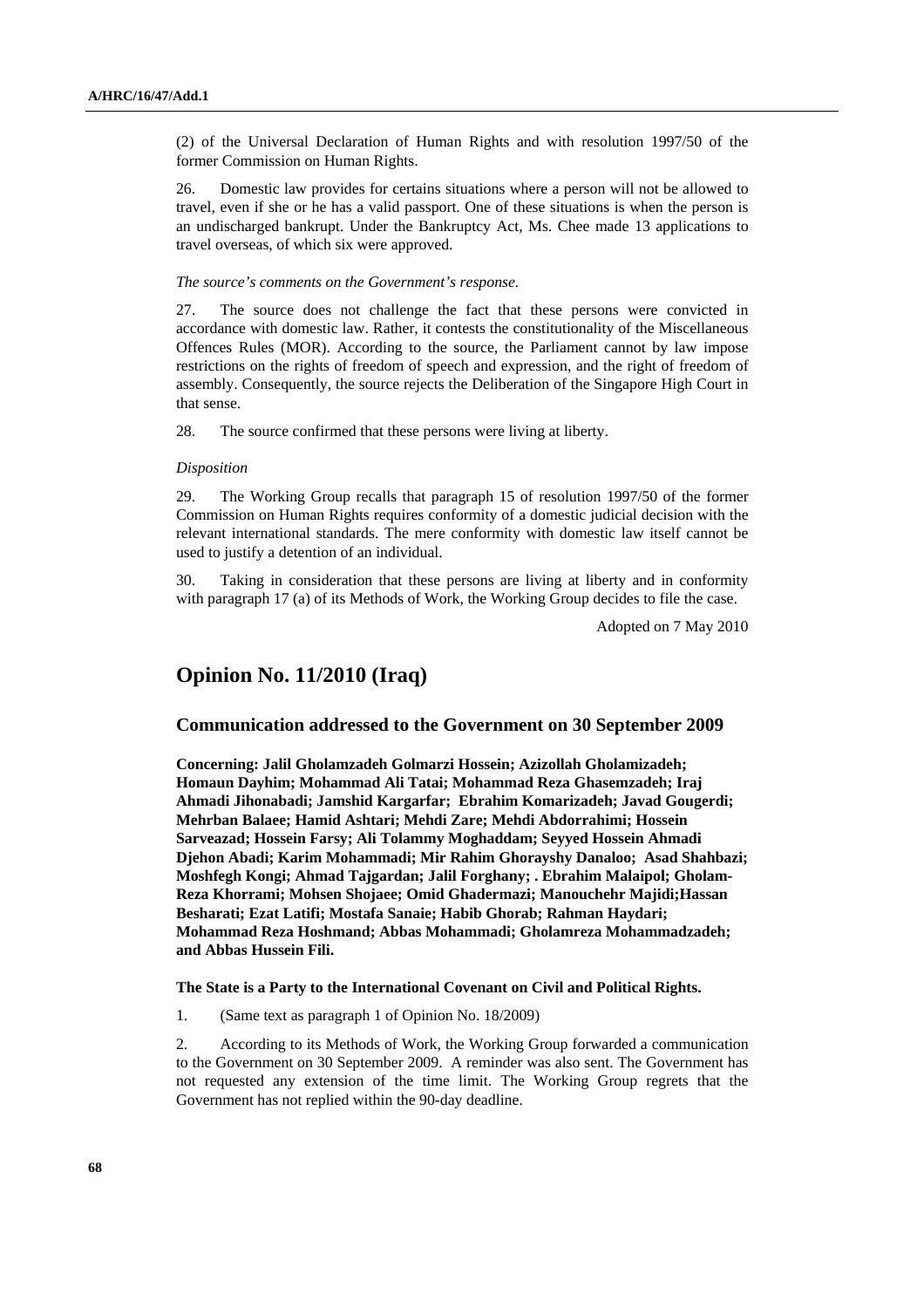(2) of the Universal Declaration of Human Rights and with resolution 1997/50 of the former Commission on Human Rights.

26. Domestic law provides for certains situations where a person will not be allowed to travel, even if she or he has a valid passport. One of these situations is when the person is an undischarged bankrupt. Under the Bankruptcy Act, Ms. Chee made 13 applications to travel overseas, of which six were approved.

 *The source's comments on the Government's response.* 

27. The source does not challenge the fact that these persons were convicted in accordance with domestic law. Rather, it contests the constitutionality of the Miscellaneous Offences Rules (MOR). According to the source, the Parliament cannot by law impose restrictions on the rights of freedom of speech and expression, and the right of freedom of assembly. Consequently, the source rejects the Deliberation of the Singapore High Court in that sense.

28. The source confirmed that these persons were living at liberty.

### *Disposition*

29. The Working Group recalls that paragraph 15 of resolution 1997/50 of the former Commission on Human Rights requires conformity of a domestic judicial decision with the relevant international standards. The mere conformity with domestic law itself cannot be used to justify a detention of an individual.

30. Taking in consideration that these persons are living at liberty and in conformity with paragraph 17 (a) of its Methods of Work, the Working Group decides to file the case.

Adopted on 7 May 2010

## **Opinion No. 11/2010 (Iraq)**

## **Communication addressed to the Government on 30 September 2009**

 **Concerning: Jalil Gholamzadeh Golmarzi Hossein; Azizollah Gholamizadeh; Homaun Dayhim; Mohammad Ali Tatai; Mohammad Reza Ghasemzadeh; Iraj Ahmadi Jihonabadi; Jamshid Kargarfar; Ebrahim Komarizadeh; Javad Gougerdi; Mehrban Balaee; Hamid Ashtari; Mehdi Zare; Mehdi Abdorrahimi; Hossein Sarveazad; Hossein Farsy; Ali Tolammy Moghaddam; Seyyed Hossein Ahmadi Djehon Abadi; Karim Mohammadi; Mir Rahim Ghorayshy Danaloo; Asad Shahbazi; Moshfegh Kongi; Ahmad Tajgardan; Jalil Forghany; . Ebrahim Malaipol; Gholam-Reza Khorrami; Mohsen Shojaee; Omid Ghadermazi; Manouchehr Majidi;Hassan Besharati; Ezat Latifi; Mostafa Sanaie; Habib Ghorab; Rahman Haydari; Mohammad Reza Hoshmand; Abbas Mohammadi; Gholamreza Mohammadzadeh; and Abbas Hussein Fili.** 

### **The State is a Party to the International Covenant on Civil and Political Rights.**

1. (Same text as paragraph 1 of Opinion No. 18/2009)

2. According to its Methods of Work, the Working Group forwarded a communication to the Government on 30 September 2009. A reminder was also sent. The Government has not requested any extension of the time limit. The Working Group regrets that the Government has not replied within the 90-day deadline.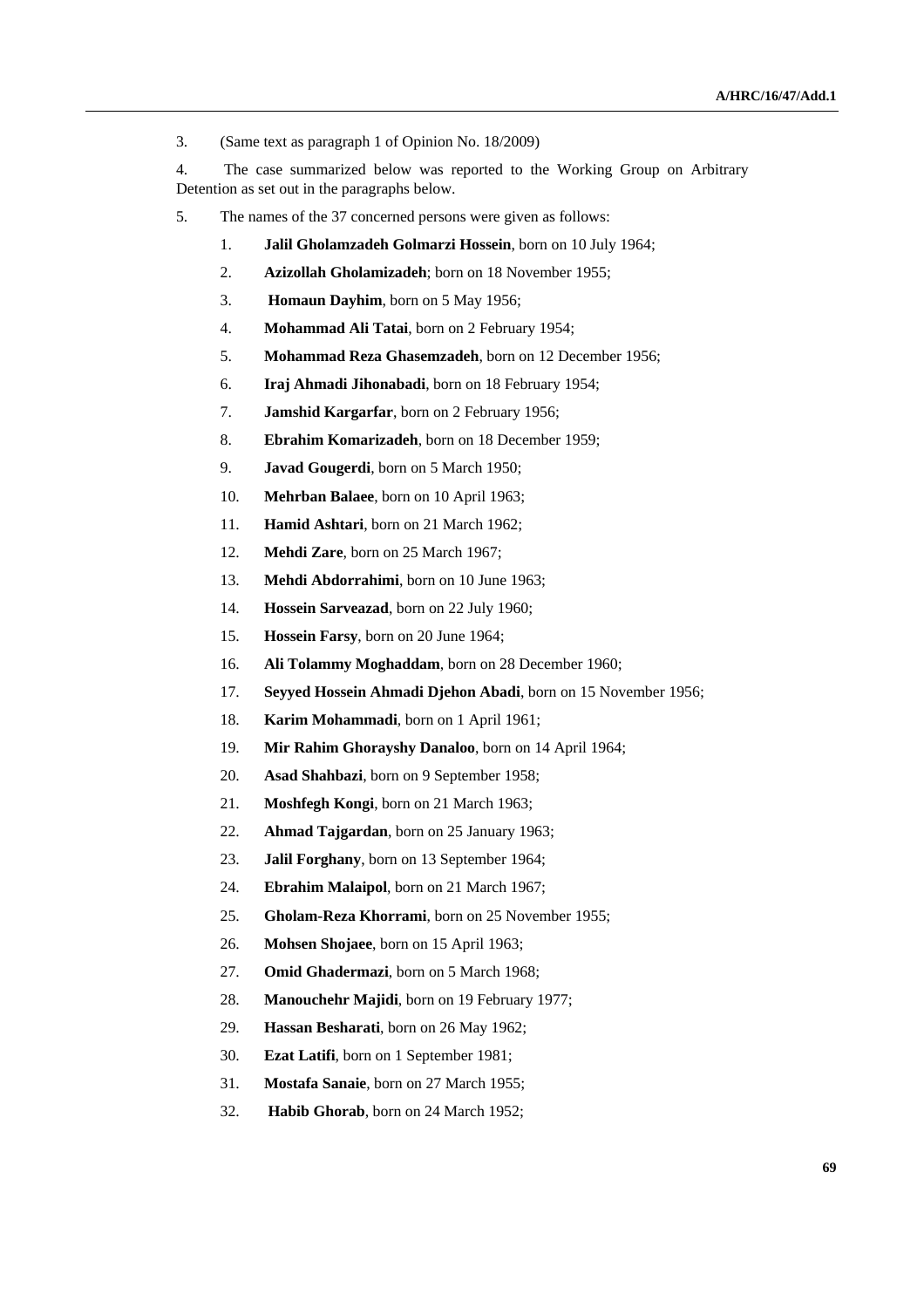3. (Same text as paragraph 1 of Opinion No. 18/2009)

4. The case summarized below was reported to the Working Group on Arbitrary Detention as set out in the paragraphs below.

- 5. The names of the 37 concerned persons were given as follows:
	- 1. **Jalil Gholamzadeh Golmarzi Hossein**, born on 10 July 1964;
	- 2. **Azizollah Gholamizadeh**; born on 18 November 1955;
	- 3. **Homaun Dayhim**, born on 5 May 1956;
	- 4. **Mohammad Ali Tatai**, born on 2 February 1954;
	- 5. **Mohammad Reza Ghasemzadeh**, born on 12 December 1956;
	- 6. **Iraj Ahmadi Jihonabadi**, born on 18 February 1954;
	- 7. **Jamshid Kargarfar**, born on 2 February 1956;
	- 8. **Ebrahim Komarizadeh**, born on 18 December 1959;
	- 9. **Javad Gougerdi**, born on 5 March 1950;
	- 10. **Mehrban Balaee**, born on 10 April 1963;
	- 11. **Hamid Ashtari**, born on 21 March 1962;
	- 12. **Mehdi Zare**, born on 25 March 1967;
	- 13. **Mehdi Abdorrahimi**, born on 10 June 1963;
	- 14. **Hossein Sarveazad**, born on 22 July 1960;
	- 15. **Hossein Farsy**, born on 20 June 1964;
	- 16. **Ali Tolammy Moghaddam**, born on 28 December 1960;
	- 17. **Seyyed Hossein Ahmadi Djehon Abadi**, born on 15 November 1956;
	- 18. **Karim Mohammadi**, born on 1 April 1961;
	- 19. **Mir Rahim Ghorayshy Danaloo**, born on 14 April 1964;
	- 20. **Asad Shahbazi**, born on 9 September 1958;
	- 21. **Moshfegh Kongi**, born on 21 March 1963;
	- 22. **Ahmad Tajgardan**, born on 25 January 1963;
	- 23. **Jalil Forghany**, born on 13 September 1964;
	- 24. **Ebrahim Malaipol**, born on 21 March 1967;
	- 25. **Gholam-Reza Khorrami**, born on 25 November 1955;
	- 26. **Mohsen Shojaee**, born on 15 April 1963;
	- 27. **Omid Ghadermazi**, born on 5 March 1968;
	- 28. **Manouchehr Majidi**, born on 19 February 1977;
	- 29. **Hassan Besharati**, born on 26 May 1962;
	- 30. **Ezat Latifi**, born on 1 September 1981;
	- 31. **Mostafa Sanaie**, born on 27 March 1955;
	- 32. **Habib Ghorab**, born on 24 March 1952;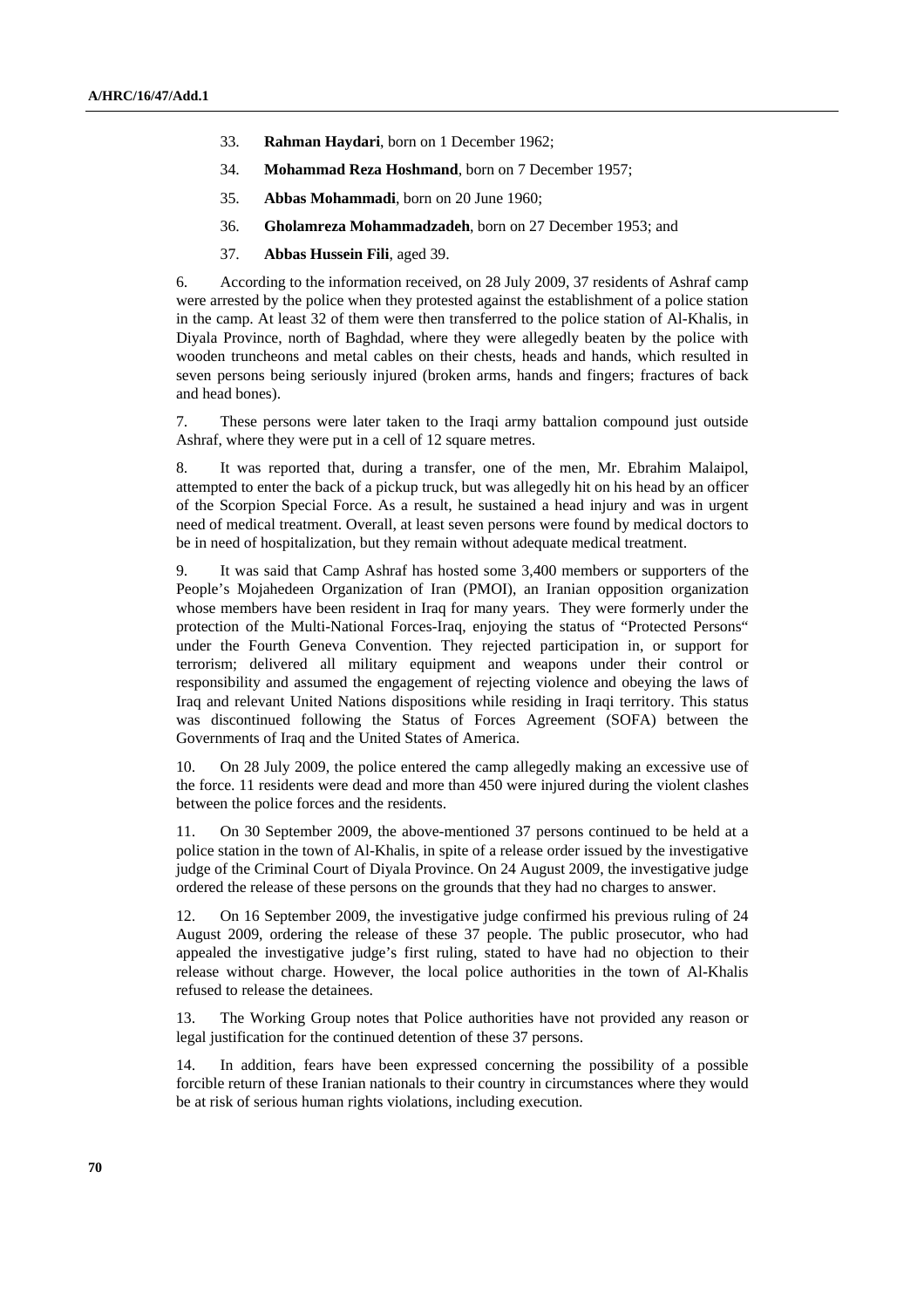- 33. **Rahman Haydari**, born on 1 December 1962;
- 34. **Mohammad Reza Hoshmand**, born on 7 December 1957;
- 35. **Abbas Mohammadi**, born on 20 June 1960;
- 36. **Gholamreza Mohammadzadeh**, born on 27 December 1953; and
- 37. **Abbas Hussein Fili**, aged 39.

6. According to the information received, on 28 July 2009, 37 residents of Ashraf camp were arrested by the police when they protested against the establishment of a police station in the camp. At least 32 of them were then transferred to the police station of Al-Khalis, in Diyala Province, north of Baghdad, where they were allegedly beaten by the police with wooden truncheons and metal cables on their chests, heads and hands, which resulted in seven persons being seriously injured (broken arms, hands and fingers; fractures of back and head bones).

7. These persons were later taken to the Iraqi army battalion compound just outside Ashraf, where they were put in a cell of 12 square metres.

8. It was reported that, during a transfer, one of the men, Mr. Ebrahim Malaipol, attempted to enter the back of a pickup truck, but was allegedly hit on his head by an officer of the Scorpion Special Force. As a result, he sustained a head injury and was in urgent need of medical treatment. Overall, at least seven persons were found by medical doctors to be in need of hospitalization, but they remain without adequate medical treatment.

9. It was said that Camp Ashraf has hosted some 3,400 members or supporters of the People's Mojahedeen Organization of Iran (PMOI), an Iranian opposition organization whose members have been resident in Iraq for many years. They were formerly under the protection of the Multi-National Forces-Iraq, enjoying the status of "Protected Persons" under the Fourth Geneva Convention. They rejected participation in, or support for terrorism; delivered all military equipment and weapons under their control or responsibility and assumed the engagement of rejecting violence and obeying the laws of Iraq and relevant United Nations dispositions while residing in Iraqi territory. This status was discontinued following the Status of Forces Agreement (SOFA) between the Governments of Iraq and the United States of America.

10. On 28 July 2009, the police entered the camp allegedly making an excessive use of the force. 11 residents were dead and more than 450 were injured during the violent clashes between the police forces and the residents.

11. On 30 September 2009, the above-mentioned 37 persons continued to be held at a police station in the town of Al-Khalis, in spite of a release order issued by the investigative judge of the Criminal Court of Diyala Province. On 24 August 2009, the investigative judge ordered the release of these persons on the grounds that they had no charges to answer.

12. On 16 September 2009, the investigative judge confirmed his previous ruling of 24 August 2009, ordering the release of these 37 people. The public prosecutor, who had appealed the investigative judge's first ruling, stated to have had no objection to their release without charge. However, the local police authorities in the town of Al-Khalis refused to release the detainees.

13. The Working Group notes that Police authorities have not provided any reason or legal justification for the continued detention of these 37 persons.

14. In addition, fears have been expressed concerning the possibility of a possible forcible return of these Iranian nationals to their country in circumstances where they would be at risk of serious human rights violations, including execution.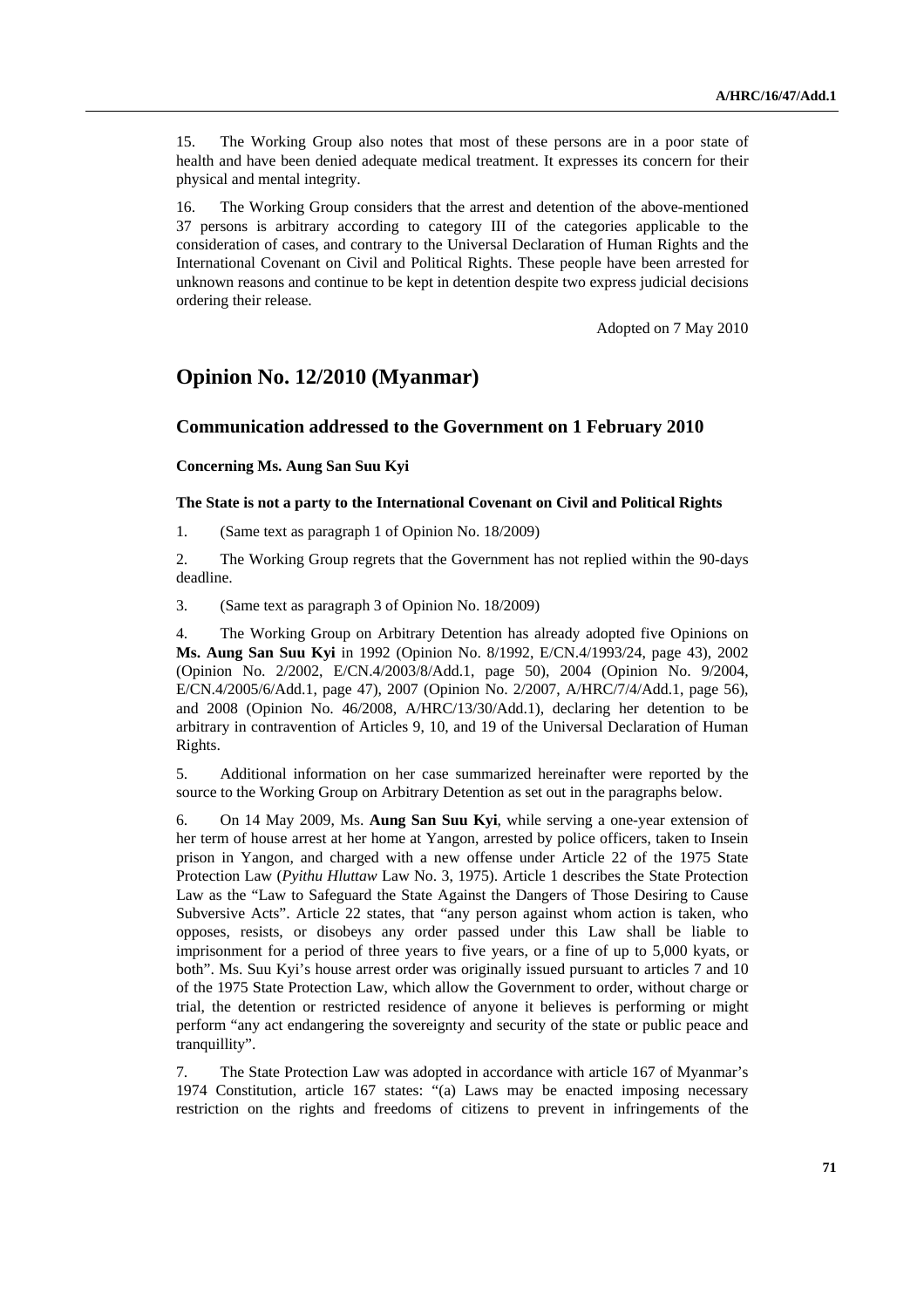15. The Working Group also notes that most of these persons are in a poor state of health and have been denied adequate medical treatment. It expresses its concern for their physical and mental integrity.

16. The Working Group considers that the arrest and detention of the above-mentioned 37 persons is arbitrary according to category III of the categories applicable to the consideration of cases, and contrary to the Universal Declaration of Human Rights and the International Covenant on Civil and Political Rights. These people have been arrested for unknown reasons and continue to be kept in detention despite two express judicial decisions ordering their release.

Adopted on 7 May 2010

# **Opinion No. 12/2010 (Myanmar)**

## **Communication addressed to the Government on 1 February 2010**

## **Concerning Ms. Aung San Suu Kyi**

## **The State is not a party to the International Covenant on Civil and Political Rights**

1. (Same text as paragraph 1 of Opinion No. 18/2009)

2. The Working Group regrets that the Government has not replied within the 90-days deadline.

3. (Same text as paragraph 3 of Opinion No. 18/2009)

4. The Working Group on Arbitrary Detention has already adopted five Opinions on **Ms. Aung San Suu Kyi** in 1992 (Opinion No. 8/1992, E/CN.4/1993/24, page 43), 2002 (Opinion No. 2/2002, E/CN.4/2003/8/Add.1, page 50), 2004 (Opinion No. 9/2004, E/CN.4/2005/6/Add.1, page 47), 2007 (Opinion No. 2/2007, A/HRC/7/4/Add.1, page 56), and 2008 (Opinion No. 46/2008, A/HRC/13/30/Add.1), declaring her detention to be arbitrary in contravention of Articles 9, 10, and 19 of the Universal Declaration of Human Rights.

5. Additional information on her case summarized hereinafter were reported by the source to the Working Group on Arbitrary Detention as set out in the paragraphs below.

6. On 14 May 2009, Ms. **Aung San Suu Kyi**, while serving a one-year extension of her term of house arrest at her home at Yangon, arrested by police officers, taken to Insein prison in Yangon, and charged with a new offense under Article 22 of the 1975 State Protection Law (*Pyithu Hluttaw* Law No. 3, 1975). Article 1 describes the State Protection Law as the "Law to Safeguard the State Against the Dangers of Those Desiring to Cause Subversive Acts". Article 22 states, that "any person against whom action is taken, who opposes, resists, or disobeys any order passed under this Law shall be liable to imprisonment for a period of three years to five years, or a fine of up to 5,000 kyats, or both". Ms. Suu Kyi's house arrest order was originally issued pursuant to articles 7 and 10 of the 1975 State Protection Law, which allow the Government to order, without charge or trial, the detention or restricted residence of anyone it believes is performing or might perform "any act endangering the sovereignty and security of the state or public peace and tranquillity".

7. The State Protection Law was adopted in accordance with article 167 of Myanmar's 1974 Constitution, article 167 states: "(a) Laws may be enacted imposing necessary restriction on the rights and freedoms of citizens to prevent in infringements of the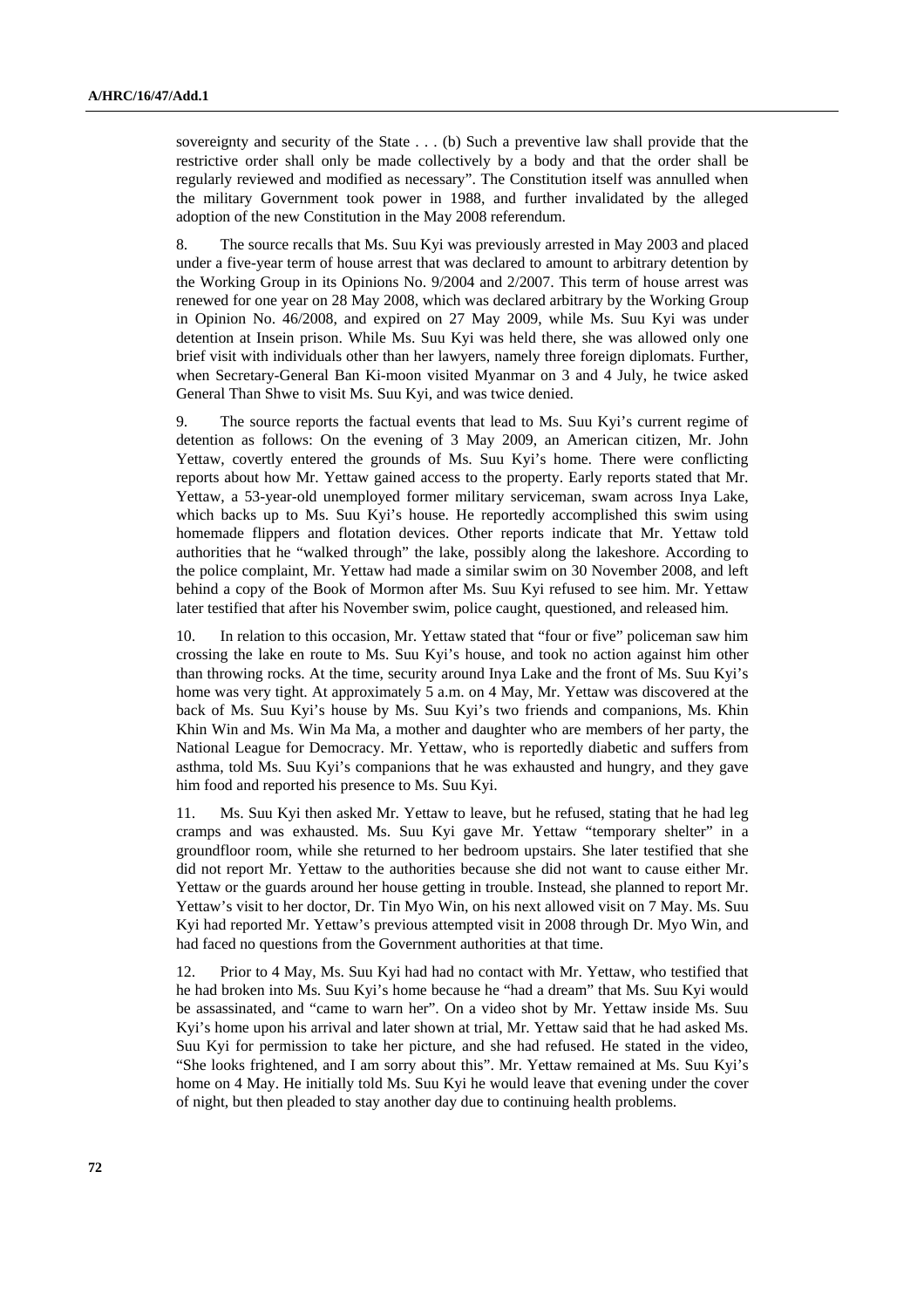sovereignty and security of the State . . . (b) Such a preventive law shall provide that the restrictive order shall only be made collectively by a body and that the order shall be regularly reviewed and modified as necessary". The Constitution itself was annulled when the military Government took power in 1988, and further invalidated by the alleged adoption of the new Constitution in the May 2008 referendum.

8. The source recalls that Ms. Suu Kyi was previously arrested in May 2003 and placed under a five-year term of house arrest that was declared to amount to arbitrary detention by the Working Group in its Opinions No. 9/2004 and 2/2007. This term of house arrest was renewed for one year on 28 May 2008, which was declared arbitrary by the Working Group in Opinion No. 46/2008, and expired on 27 May 2009, while Ms. Suu Kyi was under detention at Insein prison. While Ms. Suu Kyi was held there, she was allowed only one brief visit with individuals other than her lawyers, namely three foreign diplomats. Further, when Secretary-General Ban Ki-moon visited Myanmar on 3 and 4 July, he twice asked General Than Shwe to visit Ms. Suu Kyi, and was twice denied.

9. The source reports the factual events that lead to Ms. Suu Kyi's current regime of detention as follows: On the evening of 3 May 2009, an American citizen, Mr. John Yettaw, covertly entered the grounds of Ms. Suu Kyi's home. There were conflicting reports about how Mr. Yettaw gained access to the property. Early reports stated that Mr. Yettaw, a 53-year-old unemployed former military serviceman, swam across Inya Lake, which backs up to Ms. Suu Kyi's house. He reportedly accomplished this swim using homemade flippers and flotation devices. Other reports indicate that Mr. Yettaw told authorities that he "walked through" the lake, possibly along the lakeshore. According to the police complaint, Mr. Yettaw had made a similar swim on 30 November 2008, and left behind a copy of the Book of Mormon after Ms. Suu Kyi refused to see him. Mr. Yettaw later testified that after his November swim, police caught, questioned, and released him.

10. In relation to this occasion, Mr. Yettaw stated that "four or five" policeman saw him crossing the lake en route to Ms. Suu Kyi's house, and took no action against him other than throwing rocks. At the time, security around Inya Lake and the front of Ms. Suu Kyi's home was very tight. At approximately 5 a.m. on 4 May, Mr. Yettaw was discovered at the back of Ms. Suu Kyi's house by Ms. Suu Kyi's two friends and companions, Ms. Khin Khin Win and Ms. Win Ma Ma, a mother and daughter who are members of her party, the National League for Democracy. Mr. Yettaw, who is reportedly diabetic and suffers from asthma, told Ms. Suu Kyi's companions that he was exhausted and hungry, and they gave him food and reported his presence to Ms. Suu Kyi.

11. Ms. Suu Kyi then asked Mr. Yettaw to leave, but he refused, stating that he had leg cramps and was exhausted. Ms. Suu Kyi gave Mr. Yettaw "temporary shelter" in a groundfloor room, while she returned to her bedroom upstairs. She later testified that she did not report Mr. Yettaw to the authorities because she did not want to cause either Mr. Yettaw or the guards around her house getting in trouble. Instead, she planned to report Mr. Yettaw's visit to her doctor, Dr. Tin Myo Win, on his next allowed visit on 7 May. Ms. Suu Kyi had reported Mr. Yettaw's previous attempted visit in 2008 through Dr. Myo Win, and had faced no questions from the Government authorities at that time.

12. Prior to 4 May, Ms. Suu Kyi had had no contact with Mr. Yettaw, who testified that he had broken into Ms. Suu Kyi's home because he "had a dream" that Ms. Suu Kyi would be assassinated, and "came to warn her". On a video shot by Mr. Yettaw inside Ms. Suu Kyi's home upon his arrival and later shown at trial, Mr. Yettaw said that he had asked Ms. Suu Kyi for permission to take her picture, and she had refused. He stated in the video, "She looks frightened, and I am sorry about this". Mr. Yettaw remained at Ms. Suu Kyi's home on 4 May. He initially told Ms. Suu Kyi he would leave that evening under the cover of night, but then pleaded to stay another day due to continuing health problems.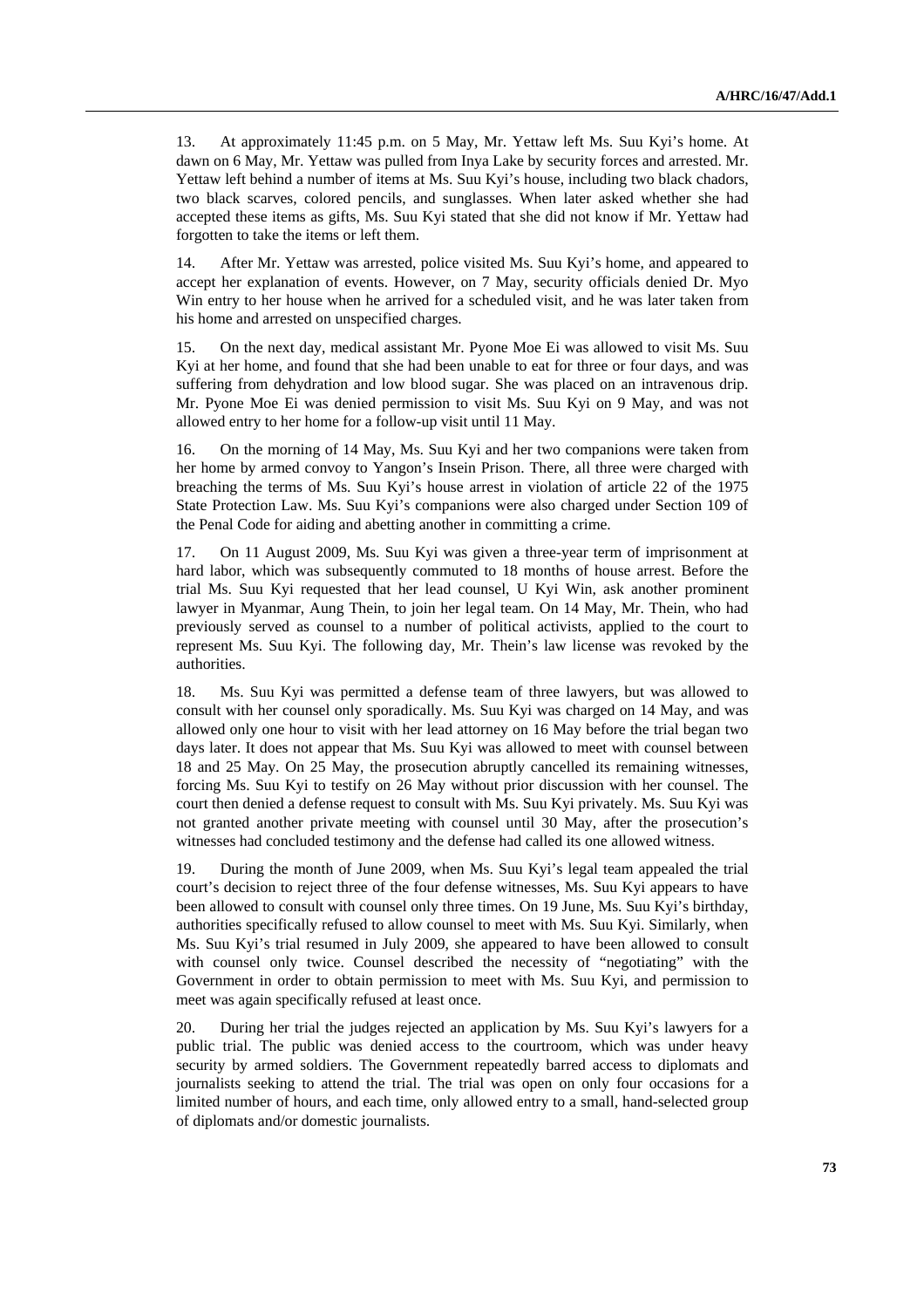13. At approximately 11:45 p.m. on 5 May, Mr. Yettaw left Ms. Suu Kyi's home. At dawn on 6 May, Mr. Yettaw was pulled from Inya Lake by security forces and arrested. Mr. Yettaw left behind a number of items at Ms. Suu Kyi's house, including two black chadors, two black scarves, colored pencils, and sunglasses. When later asked whether she had accepted these items as gifts, Ms. Suu Kyi stated that she did not know if Mr. Yettaw had forgotten to take the items or left them.

14. After Mr. Yettaw was arrested, police visited Ms. Suu Kyi's home, and appeared to accept her explanation of events. However, on 7 May, security officials denied Dr. Myo Win entry to her house when he arrived for a scheduled visit, and he was later taken from his home and arrested on unspecified charges.

15. On the next day, medical assistant Mr. Pyone Moe Ei was allowed to visit Ms. Suu Kyi at her home, and found that she had been unable to eat for three or four days, and was suffering from dehydration and low blood sugar. She was placed on an intravenous drip. Mr. Pyone Moe Ei was denied permission to visit Ms. Suu Kyi on 9 May, and was not allowed entry to her home for a follow-up visit until 11 May.

16. On the morning of 14 May, Ms. Suu Kyi and her two companions were taken from her home by armed convoy to Yangon's Insein Prison. There, all three were charged with breaching the terms of Ms. Suu Kyi's house arrest in violation of article 22 of the 1975 State Protection Law. Ms. Suu Kyi's companions were also charged under Section 109 of the Penal Code for aiding and abetting another in committing a crime.

17. On 11 August 2009, Ms. Suu Kyi was given a three-year term of imprisonment at hard labor, which was subsequently commuted to 18 months of house arrest. Before the trial Ms. Suu Kyi requested that her lead counsel, U Kyi Win, ask another prominent lawyer in Myanmar, Aung Thein, to join her legal team. On 14 May, Mr. Thein, who had previously served as counsel to a number of political activists, applied to the court to represent Ms. Suu Kyi. The following day, Mr. Thein's law license was revoked by the authorities.

18. Ms. Suu Kyi was permitted a defense team of three lawyers, but was allowed to consult with her counsel only sporadically. Ms. Suu Kyi was charged on 14 May, and was allowed only one hour to visit with her lead attorney on 16 May before the trial began two days later. It does not appear that Ms. Suu Kyi was allowed to meet with counsel between 18 and 25 May. On 25 May, the prosecution abruptly cancelled its remaining witnesses, forcing Ms. Suu Kyi to testify on 26 May without prior discussion with her counsel. The court then denied a defense request to consult with Ms. Suu Kyi privately. Ms. Suu Kyi was not granted another private meeting with counsel until 30 May, after the prosecution's witnesses had concluded testimony and the defense had called its one allowed witness.

19. During the month of June 2009, when Ms. Suu Kyi's legal team appealed the trial court's decision to reject three of the four defense witnesses, Ms. Suu Kyi appears to have been allowed to consult with counsel only three times. On 19 June, Ms. Suu Kyi's birthday, authorities specifically refused to allow counsel to meet with Ms. Suu Kyi. Similarly, when Ms. Suu Kyi's trial resumed in July 2009, she appeared to have been allowed to consult with counsel only twice. Counsel described the necessity of "negotiating" with the Government in order to obtain permission to meet with Ms. Suu Kyi, and permission to meet was again specifically refused at least once.

20. During her trial the judges rejected an application by Ms. Suu Kyi's lawyers for a public trial. The public was denied access to the courtroom, which was under heavy security by armed soldiers. The Government repeatedly barred access to diplomats and journalists seeking to attend the trial. The trial was open on only four occasions for a limited number of hours, and each time, only allowed entry to a small, hand-selected group of diplomats and/or domestic journalists.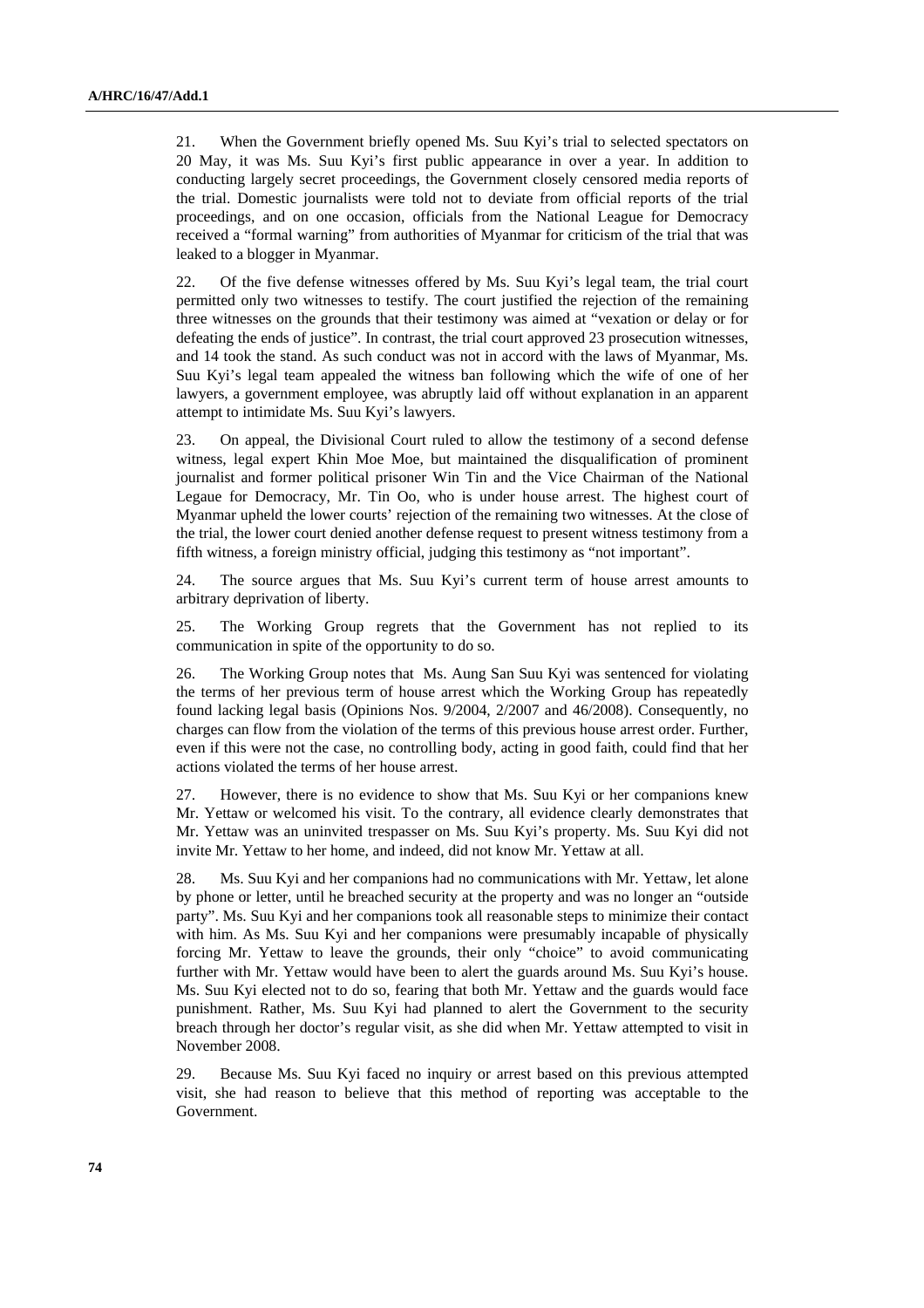21. When the Government briefly opened Ms. Suu Kyi's trial to selected spectators on 20 May, it was Ms. Suu Kyi's first public appearance in over a year. In addition to conducting largely secret proceedings, the Government closely censored media reports of the trial. Domestic journalists were told not to deviate from official reports of the trial proceedings, and on one occasion, officials from the National League for Democracy received a "formal warning" from authorities of Myanmar for criticism of the trial that was leaked to a blogger in Myanmar.

22. Of the five defense witnesses offered by Ms. Suu Kyi's legal team, the trial court permitted only two witnesses to testify. The court justified the rejection of the remaining three witnesses on the grounds that their testimony was aimed at "vexation or delay or for defeating the ends of justice". In contrast, the trial court approved 23 prosecution witnesses, and 14 took the stand. As such conduct was not in accord with the laws of Myanmar, Ms. Suu Kyi's legal team appealed the witness ban following which the wife of one of her lawyers, a government employee, was abruptly laid off without explanation in an apparent attempt to intimidate Ms. Suu Kyi's lawyers.

23. On appeal, the Divisional Court ruled to allow the testimony of a second defense witness, legal expert Khin Moe Moe, but maintained the disqualification of prominent journalist and former political prisoner Win Tin and the Vice Chairman of the National Legaue for Democracy, Mr. Tin Oo, who is under house arrest. The highest court of Myanmar upheld the lower courts' rejection of the remaining two witnesses. At the close of the trial, the lower court denied another defense request to present witness testimony from a fifth witness, a foreign ministry official, judging this testimony as "not important".

24. The source argues that Ms. Suu Kyi's current term of house arrest amounts to arbitrary deprivation of liberty.

25. The Working Group regrets that the Government has not replied to its communication in spite of the opportunity to do so.

26. The Working Group notes that Ms. Aung San Suu Kyi was sentenced for violating the terms of her previous term of house arrest which the Working Group has repeatedly found lacking legal basis (Opinions Nos. 9/2004, 2/2007 and 46/2008). Consequently, no charges can flow from the violation of the terms of this previous house arrest order. Further, even if this were not the case, no controlling body, acting in good faith, could find that her actions violated the terms of her house arrest.

27. However, there is no evidence to show that Ms. Suu Kyi or her companions knew Mr. Yettaw or welcomed his visit. To the contrary, all evidence clearly demonstrates that Mr. Yettaw was an uninvited trespasser on Ms. Suu Kyi's property. Ms. Suu Kyi did not invite Mr. Yettaw to her home, and indeed, did not know Mr. Yettaw at all.

28. Ms. Suu Kyi and her companions had no communications with Mr. Yettaw, let alone by phone or letter, until he breached security at the property and was no longer an "outside party". Ms. Suu Kyi and her companions took all reasonable steps to minimize their contact with him. As Ms. Suu Kyi and her companions were presumably incapable of physically forcing Mr. Yettaw to leave the grounds, their only "choice" to avoid communicating further with Mr. Yettaw would have been to alert the guards around Ms. Suu Kyi's house. Ms. Suu Kyi elected not to do so, fearing that both Mr. Yettaw and the guards would face punishment. Rather, Ms. Suu Kyi had planned to alert the Government to the security breach through her doctor's regular visit, as she did when Mr. Yettaw attempted to visit in November 2008.

29. Because Ms. Suu Kyi faced no inquiry or arrest based on this previous attempted visit, she had reason to believe that this method of reporting was acceptable to the Government.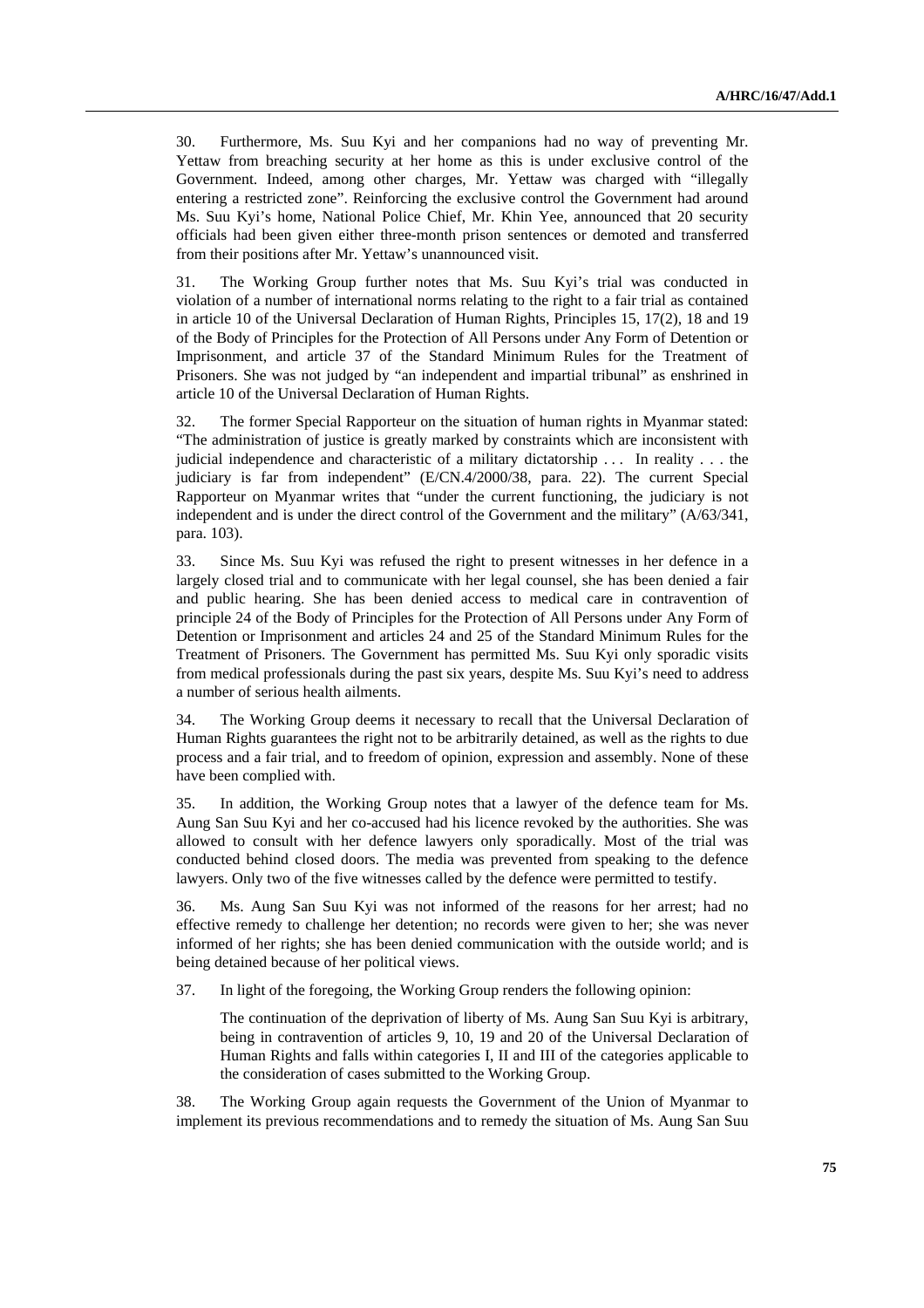30. Furthermore, Ms. Suu Kyi and her companions had no way of preventing Mr. Yettaw from breaching security at her home as this is under exclusive control of the Government. Indeed, among other charges, Mr. Yettaw was charged with "illegally entering a restricted zone". Reinforcing the exclusive control the Government had around Ms. Suu Kyi's home, National Police Chief, Mr. Khin Yee, announced that 20 security officials had been given either three-month prison sentences or demoted and transferred from their positions after Mr. Yettaw's unannounced visit.

31. The Working Group further notes that Ms. Suu Kyi's trial was conducted in violation of a number of international norms relating to the right to a fair trial as contained in article 10 of the Universal Declaration of Human Rights, Principles 15, 17(2), 18 and 19 of the Body of Principles for the Protection of All Persons under Any Form of Detention or Imprisonment, and article 37 of the Standard Minimum Rules for the Treatment of Prisoners. She was not judged by "an independent and impartial tribunal" as enshrined in article 10 of the Universal Declaration of Human Rights.

32. The former Special Rapporteur on the situation of human rights in Myanmar stated: "The administration of justice is greatly marked by constraints which are inconsistent with judicial independence and characteristic of a military dictatorship . . . In reality . . . the judiciary is far from independent" (E/CN.4/2000/38, para. 22). The current Special Rapporteur on Myanmar writes that "under the current functioning, the judiciary is not independent and is under the direct control of the Government and the military" (A/63/341, para. 103).

33. Since Ms. Suu Kyi was refused the right to present witnesses in her defence in a largely closed trial and to communicate with her legal counsel, she has been denied a fair and public hearing. She has been denied access to medical care in contravention of principle 24 of the Body of Principles for the Protection of All Persons under Any Form of Detention or Imprisonment and articles 24 and 25 of the Standard Minimum Rules for the Treatment of Prisoners. The Government has permitted Ms. Suu Kyi only sporadic visits from medical professionals during the past six years, despite Ms. Suu Kyi's need to address a number of serious health ailments.

34. The Working Group deems it necessary to recall that the Universal Declaration of Human Rights guarantees the right not to be arbitrarily detained, as well as the rights to due process and a fair trial, and to freedom of opinion, expression and assembly. None of these have been complied with.

35. In addition, the Working Group notes that a lawyer of the defence team for Ms. Aung San Suu Kyi and her co-accused had his licence revoked by the authorities. She was allowed to consult with her defence lawyers only sporadically. Most of the trial was conducted behind closed doors. The media was prevented from speaking to the defence lawyers. Only two of the five witnesses called by the defence were permitted to testify.

36. Ms. Aung San Suu Kyi was not informed of the reasons for her arrest; had no effective remedy to challenge her detention; no records were given to her; she was never informed of her rights; she has been denied communication with the outside world; and is being detained because of her political views.

37. In light of the foregoing, the Working Group renders the following opinion:

 The continuation of the deprivation of liberty of Ms. Aung San Suu Kyi is arbitrary, being in contravention of articles 9, 10, 19 and 20 of the Universal Declaration of Human Rights and falls within categories I, II and III of the categories applicable to the consideration of cases submitted to the Working Group.

38. The Working Group again requests the Government of the Union of Myanmar to implement its previous recommendations and to remedy the situation of Ms. Aung San Suu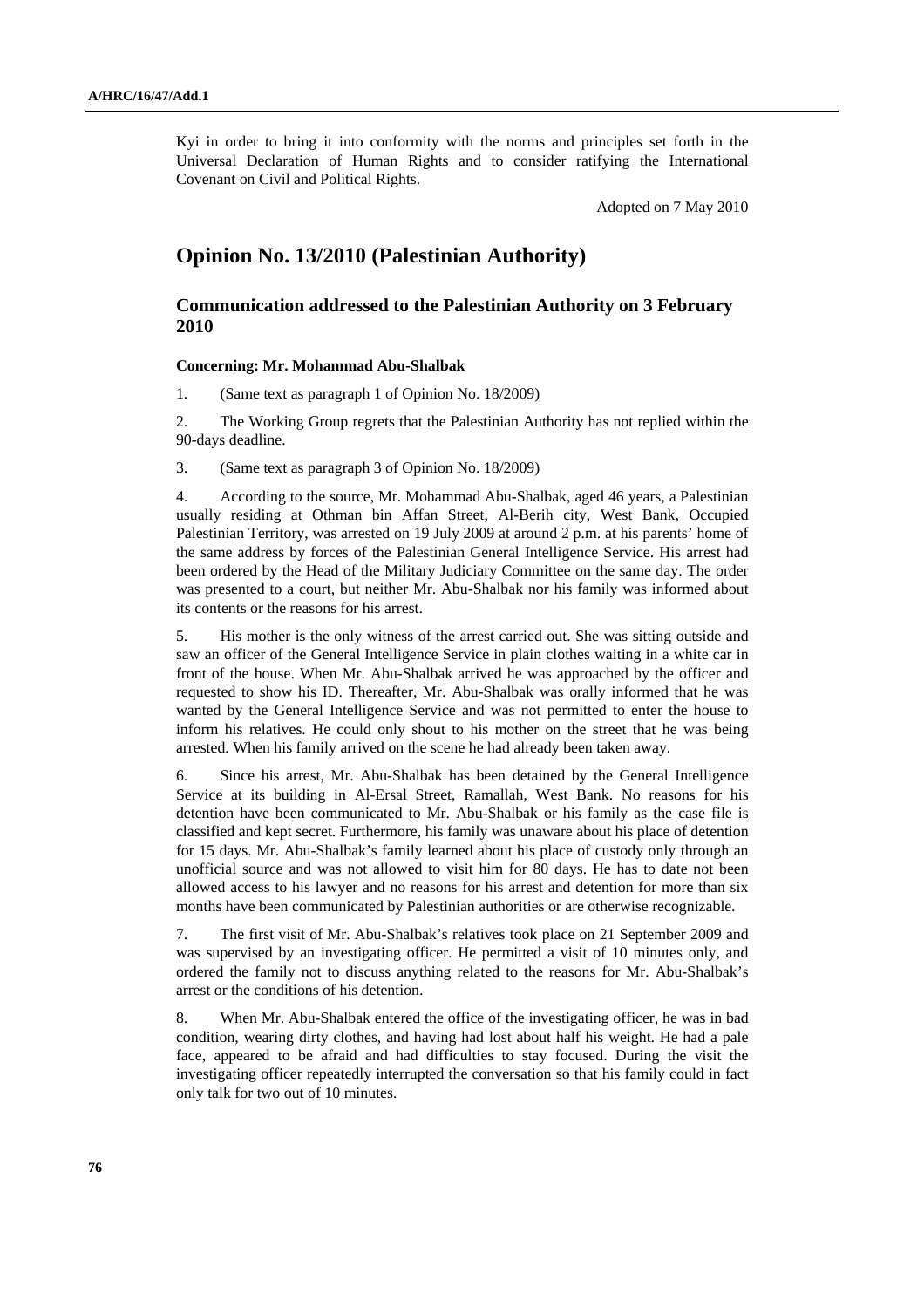Kyi in order to bring it into conformity with the norms and principles set forth in the Universal Declaration of Human Rights and to consider ratifying the International Covenant on Civil and Political Rights.

Adopted on 7 May 2010

# **Opinion No. 13/2010 (Palestinian Authority)**

## **Communication addressed to the Palestinian Authority on 3 February 2010**

#### **Concerning: Mr. Mohammad Abu-Shalbak**

1. (Same text as paragraph 1 of Opinion No. 18/2009)

2. The Working Group regrets that the Palestinian Authority has not replied within the 90-days deadline.

3. (Same text as paragraph 3 of Opinion No. 18/2009)

4. According to the source, Mr. Mohammad Abu-Shalbak, aged 46 years, a Palestinian usually residing at Othman bin Affan Street, Al-Berih city, West Bank, Occupied Palestinian Territory, was arrested on 19 July 2009 at around 2 p.m. at his parents' home of the same address by forces of the Palestinian General Intelligence Service. His arrest had been ordered by the Head of the Military Judiciary Committee on the same day. The order was presented to a court, but neither Mr. Abu-Shalbak nor his family was informed about its contents or the reasons for his arrest.

5. His mother is the only witness of the arrest carried out. She was sitting outside and saw an officer of the General Intelligence Service in plain clothes waiting in a white car in front of the house. When Mr. Abu-Shalbak arrived he was approached by the officer and requested to show his ID. Thereafter, Mr. Abu-Shalbak was orally informed that he was wanted by the General Intelligence Service and was not permitted to enter the house to inform his relatives. He could only shout to his mother on the street that he was being arrested. When his family arrived on the scene he had already been taken away.

6. Since his arrest, Mr. Abu-Shalbak has been detained by the General Intelligence Service at its building in Al-Ersal Street, Ramallah, West Bank. No reasons for his detention have been communicated to Mr. Abu-Shalbak or his family as the case file is classified and kept secret. Furthermore, his family was unaware about his place of detention for 15 days. Mr. Abu-Shalbak's family learned about his place of custody only through an unofficial source and was not allowed to visit him for 80 days. He has to date not been allowed access to his lawyer and no reasons for his arrest and detention for more than six months have been communicated by Palestinian authorities or are otherwise recognizable.

7. The first visit of Mr. Abu-Shalbak's relatives took place on 21 September 2009 and was supervised by an investigating officer. He permitted a visit of 10 minutes only, and ordered the family not to discuss anything related to the reasons for Mr. Abu-Shalbak's arrest or the conditions of his detention.

8. When Mr. Abu-Shalbak entered the office of the investigating officer, he was in bad condition, wearing dirty clothes, and having had lost about half his weight. He had a pale face, appeared to be afraid and had difficulties to stay focused. During the visit the investigating officer repeatedly interrupted the conversation so that his family could in fact only talk for two out of 10 minutes.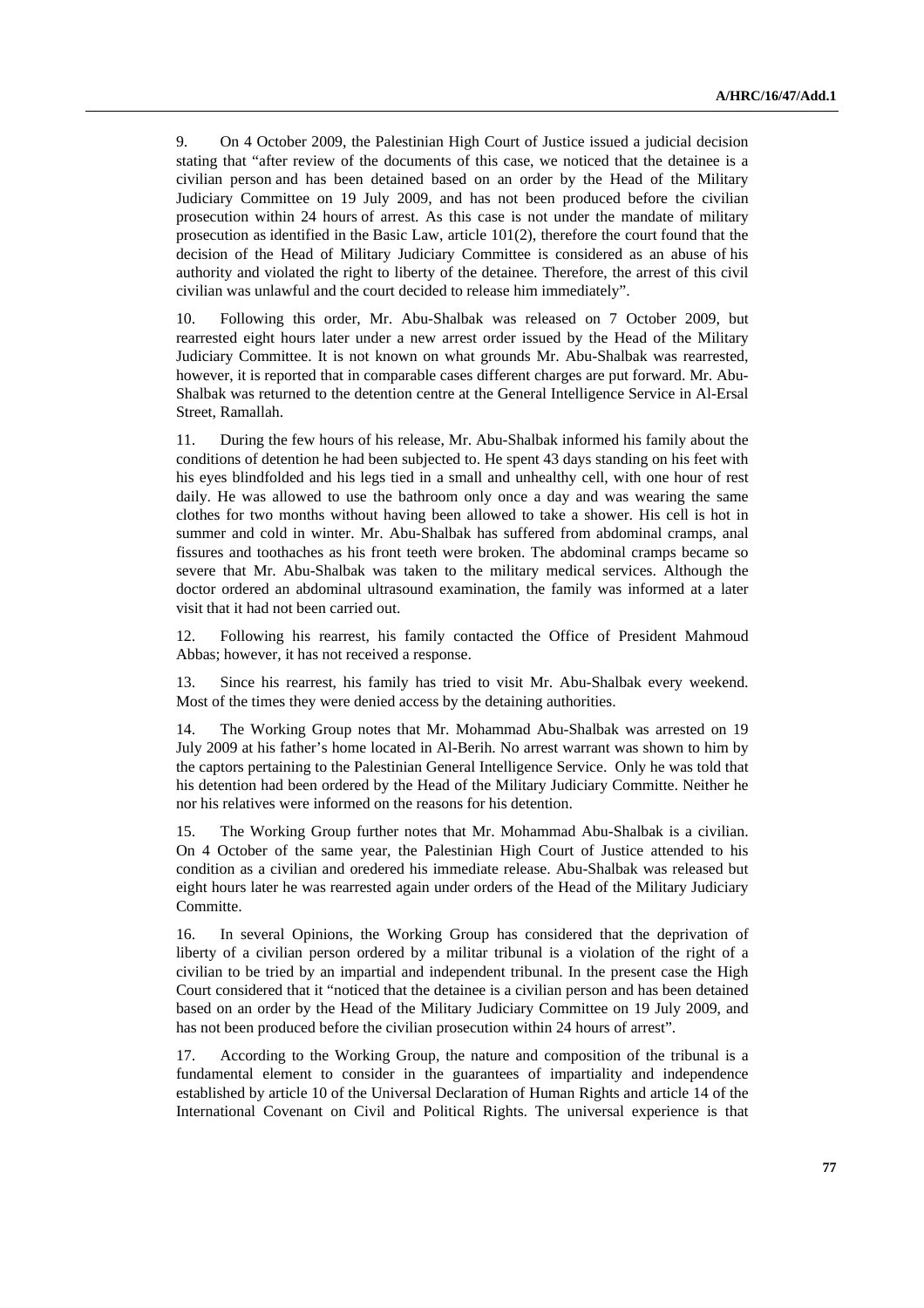9. On 4 October 2009, the Palestinian High Court of Justice issued a judicial decision stating that "after review of the documents of this case, we noticed that the detainee is a civilian person and has been detained based on an order by the Head of the Military Judiciary Committee on 19 July 2009, and has not been produced before the civilian prosecution within 24 hours of arrest. As this case is not under the mandate of military prosecution as identified in the Basic Law, article 101(2), therefore the court found that the decision of the Head of Military Judiciary Committee is considered as an abuse of his authority and violated the right to liberty of the detainee. Therefore, the arrest of this civil civilian was unlawful and the court decided to release him immediately".

10. Following this order, Mr. Abu-Shalbak was released on 7 October 2009, but rearrested eight hours later under a new arrest order issued by the Head of the Military Judiciary Committee. It is not known on what grounds Mr. Abu-Shalbak was rearrested, however, it is reported that in comparable cases different charges are put forward. Mr. Abu-Shalbak was returned to the detention centre at the General Intelligence Service in Al-Ersal Street, Ramallah.

11. During the few hours of his release, Mr. Abu-Shalbak informed his family about the conditions of detention he had been subjected to. He spent 43 days standing on his feet with his eyes blindfolded and his legs tied in a small and unhealthy cell, with one hour of rest daily. He was allowed to use the bathroom only once a day and was wearing the same clothes for two months without having been allowed to take a shower. His cell is hot in summer and cold in winter. Mr. Abu-Shalbak has suffered from abdominal cramps, anal fissures and toothaches as his front teeth were broken. The abdominal cramps became so severe that Mr. Abu-Shalbak was taken to the military medical services. Although the doctor ordered an abdominal ultrasound examination, the family was informed at a later visit that it had not been carried out.

12. Following his rearrest, his family contacted the Office of President Mahmoud Abbas; however, it has not received a response.

13. Since his rearrest, his family has tried to visit Mr. Abu-Shalbak every weekend. Most of the times they were denied access by the detaining authorities.

14. The Working Group notes that Mr. Mohammad Abu-Shalbak was arrested on 19 July 2009 at his father's home located in Al-Berih. No arrest warrant was shown to him by the captors pertaining to the Palestinian General Intelligence Service. Only he was told that his detention had been ordered by the Head of the Military Judiciary Committe. Neither he nor his relatives were informed on the reasons for his detention.

15. The Working Group further notes that Mr. Mohammad Abu-Shalbak is a civilian. On 4 October of the same year, the Palestinian High Court of Justice attended to his condition as a civilian and oredered his immediate release. Abu-Shalbak was released but eight hours later he was rearrested again under orders of the Head of the Military Judiciary Committe.

16. In several Opinions, the Working Group has considered that the deprivation of liberty of a civilian person ordered by a militar tribunal is a violation of the right of a civilian to be tried by an impartial and independent tribunal. In the present case the High Court considered that it "noticed that the detainee is a civilian person and has been detained based on an order by the Head of the Military Judiciary Committee on 19 July 2009, and has not been produced before the civilian prosecution within 24 hours of arrest".

17. According to the Working Group, the nature and composition of the tribunal is a fundamental element to consider in the guarantees of impartiality and independence established by article 10 of the Universal Declaration of Human Rights and article 14 of the International Covenant on Civil and Political Rights. The universal experience is that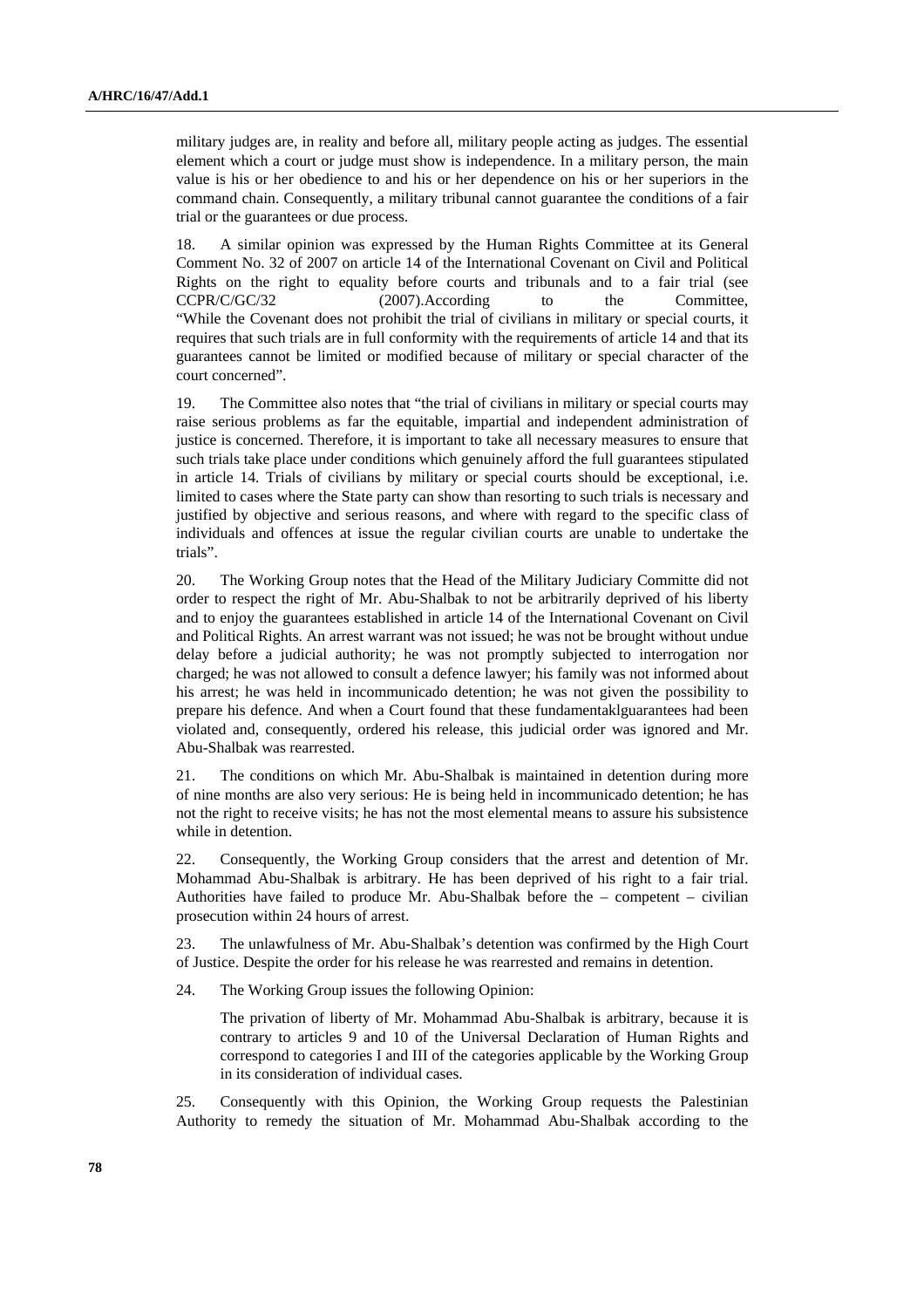military judges are, in reality and before all, military people acting as judges. The essential element which a court or judge must show is independence. In a military person, the main value is his or her obedience to and his or her dependence on his or her superiors in the command chain. Consequently, a military tribunal cannot guarantee the conditions of a fair trial or the guarantees or due process.

18. A similar opinion was expressed by the Human Rights Committee at its General Comment No. 32 of 2007 on article 14 of the International Covenant on Civil and Political Rights on the right to equality before courts and tribunals and to a fair trial (see CCPR/C/GC/32 (2007).According to the Committee, "While the Covenant does not prohibit the trial of civilians in military or special courts, it requires that such trials are in full conformity with the requirements of article 14 and that its guarantees cannot be limited or modified because of military or special character of the court concerned".

19. The Committee also notes that "the trial of civilians in military or special courts may raise serious problems as far the equitable, impartial and independent administration of justice is concerned. Therefore, it is important to take all necessary measures to ensure that such trials take place under conditions which genuinely afford the full guarantees stipulated in article 14. Trials of civilians by military or special courts should be exceptional, i.e. limited to cases where the State party can show than resorting to such trials is necessary and justified by objective and serious reasons, and where with regard to the specific class of individuals and offences at issue the regular civilian courts are unable to undertake the trials".

20. The Working Group notes that the Head of the Military Judiciary Committe did not order to respect the right of Mr. Abu-Shalbak to not be arbitrarily deprived of his liberty and to enjoy the guarantees established in article 14 of the International Covenant on Civil and Political Rights. An arrest warrant was not issued; he was not be brought without undue delay before a judicial authority; he was not promptly subjected to interrogation nor charged; he was not allowed to consult a defence lawyer; his family was not informed about his arrest; he was held in incommunicado detention; he was not given the possibility to prepare his defence. And when a Court found that these fundamentaklguarantees had been violated and, consequently, ordered his release, this judicial order was ignored and Mr. Abu-Shalbak was rearrested.

21. The conditions on which Mr. Abu-Shalbak is maintained in detention during more of nine months are also very serious: He is being held in incommunicado detention; he has not the right to receive visits; he has not the most elemental means to assure his subsistence while in detention.

22. Consequently, the Working Group considers that the arrest and detention of Mr. Mohammad Abu-Shalbak is arbitrary. He has been deprived of his right to a fair trial. Authorities have failed to produce Mr. Abu-Shalbak before the  $-$  competent  $-$  civilian prosecution within 24 hours of arrest.

23. The unlawfulness of Mr. Abu-Shalbak's detention was confirmed by the High Court of Justice. Despite the order for his release he was rearrested and remains in detention.

24. The Working Group issues the following Opinion:

 The privation of liberty of Mr. Mohammad Abu-Shalbak is arbitrary, because it is contrary to articles 9 and 10 of the Universal Declaration of Human Rights and correspond to categories I and III of the categories applicable by the Working Group in its consideration of individual cases.

25. Consequently with this Opinion, the Working Group requests the Palestinian Authority to remedy the situation of Mr. Mohammad Abu-Shalbak according to the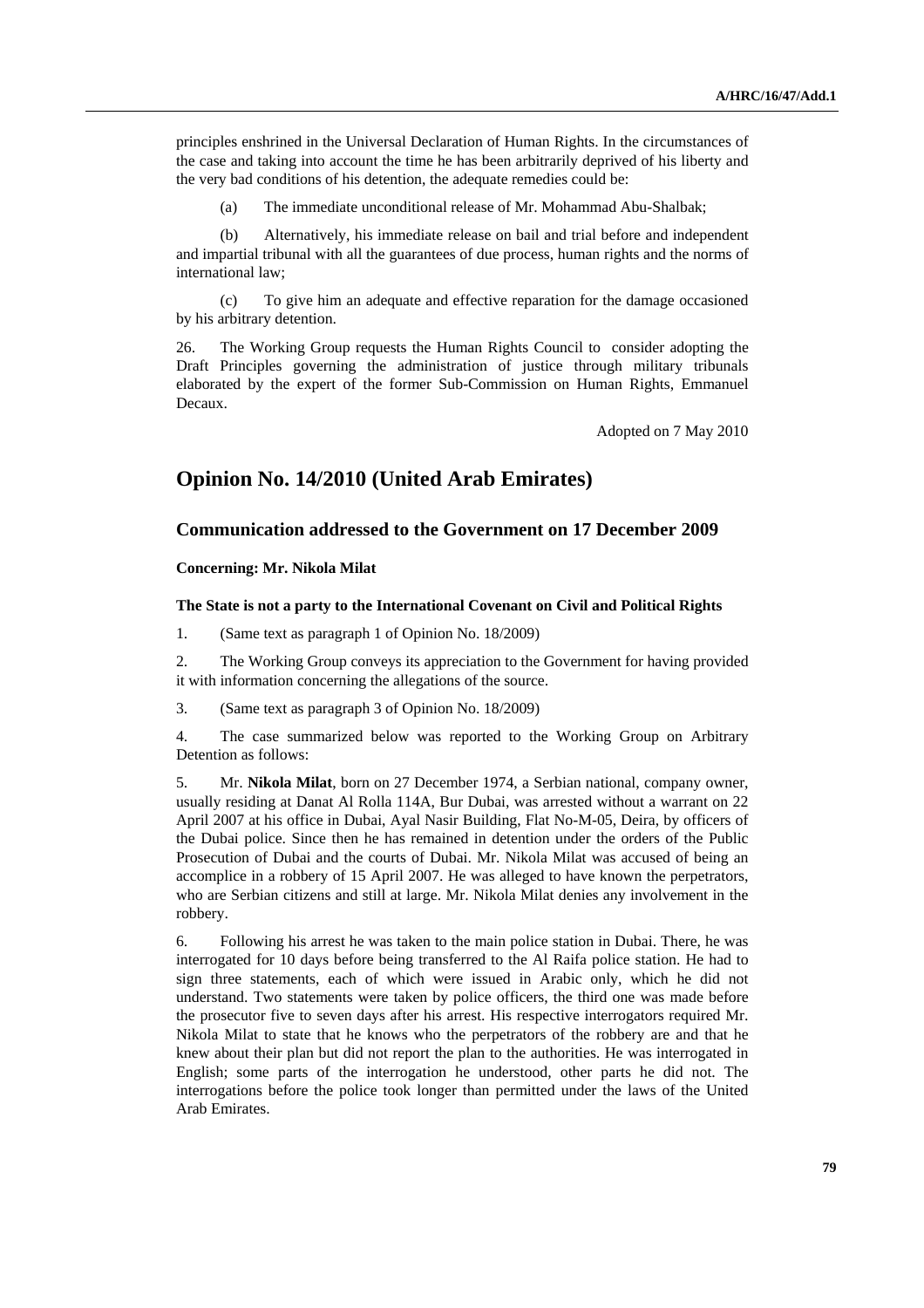principles enshrined in the Universal Declaration of Human Rights. In the circumstances of the case and taking into account the time he has been arbitrarily deprived of his liberty and the very bad conditions of his detention, the adequate remedies could be:

(a) The immediate unconditional release of Mr. Mohammad Abu-Shalbak;

 (b) Alternatively, his immediate release on bail and trial before and independent and impartial tribunal with all the guarantees of due process, human rights and the norms of international law;

 (c) To give him an adequate and effective reparation for the damage occasioned by his arbitrary detention.

26. The Working Group requests the Human Rights Council to consider adopting the Draft Principles governing the administration of justice through military tribunals elaborated by the expert of the former Sub-Commission on Human Rights, Emmanuel Decaux.

Adopted on 7 May 2010

## **Opinion No. 14/2010 (United Arab Emirates)**

### **Communication addressed to the Government on 17 December 2009**

### **Concerning: Mr. Nikola Milat**

#### **The State is not a party to the International Covenant on Civil and Political Rights**

1. (Same text as paragraph 1 of Opinion No. 18/2009)

2. The Working Group conveys its appreciation to the Government for having provided it with information concerning the allegations of the source.

3. (Same text as paragraph 3 of Opinion No. 18/2009)

4. The case summarized below was reported to the Working Group on Arbitrary Detention as follows:

5. Mr. **Nikola Milat**, born on 27 December 1974, a Serbian national, company owner, usually residing at Danat Al Rolla 114A, Bur Dubai, was arrested without a warrant on 22 April 2007 at his office in Dubai, Ayal Nasir Building, Flat No-M-05, Deira, by officers of the Dubai police. Since then he has remained in detention under the orders of the Public Prosecution of Dubai and the courts of Dubai. Mr. Nikola Milat was accused of being an accomplice in a robbery of 15 April 2007. He was alleged to have known the perpetrators, who are Serbian citizens and still at large. Mr. Nikola Milat denies any involvement in the robbery.

6. Following his arrest he was taken to the main police station in Dubai. There, he was interrogated for 10 days before being transferred to the Al Raifa police station. He had to sign three statements, each of which were issued in Arabic only, which he did not understand. Two statements were taken by police officers, the third one was made before the prosecutor five to seven days after his arrest. His respective interrogators required Mr. Nikola Milat to state that he knows who the perpetrators of the robbery are and that he knew about their plan but did not report the plan to the authorities. He was interrogated in English; some parts of the interrogation he understood, other parts he did not. The interrogations before the police took longer than permitted under the laws of the United Arab Emirates.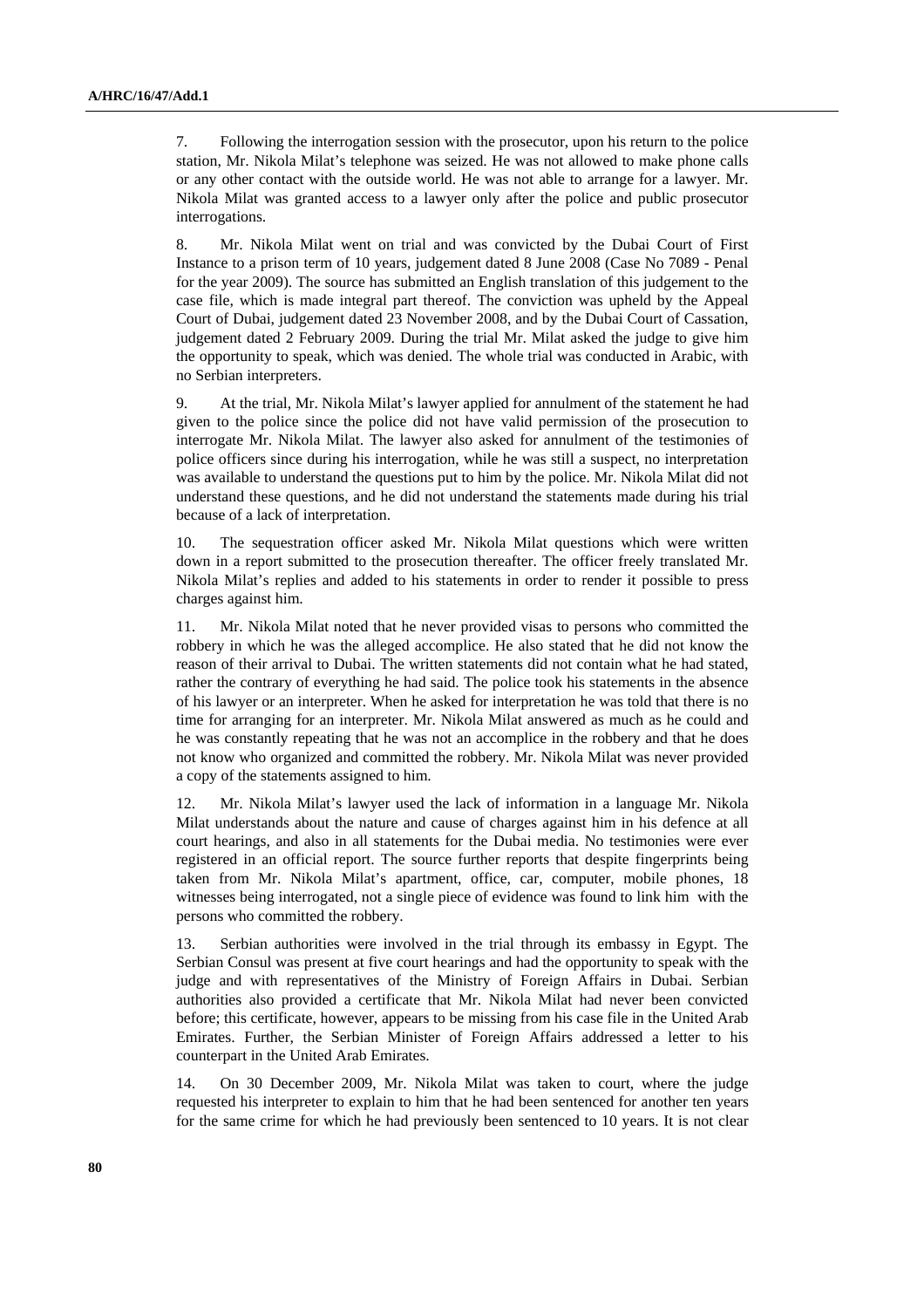7. Following the interrogation session with the prosecutor, upon his return to the police station, Mr. Nikola Milat's telephone was seized. He was not allowed to make phone calls or any other contact with the outside world. He was not able to arrange for a lawyer. Mr. Nikola Milat was granted access to a lawyer only after the police and public prosecutor interrogations.

8. Mr. Nikola Milat went on trial and was convicted by the Dubai Court of First Instance to a prison term of 10 years, judgement dated 8 June 2008 (Case No 7089 - Penal for the year 2009). The source has submitted an English translation of this judgement to the case file, which is made integral part thereof. The conviction was upheld by the Appeal Court of Dubai, judgement dated 23 November 2008, and by the Dubai Court of Cassation, judgement dated 2 February 2009. During the trial Mr. Milat asked the judge to give him the opportunity to speak, which was denied. The whole trial was conducted in Arabic, with no Serbian interpreters.

9. At the trial, Mr. Nikola Milat's lawyer applied for annulment of the statement he had given to the police since the police did not have valid permission of the prosecution to interrogate Mr. Nikola Milat. The lawyer also asked for annulment of the testimonies of police officers since during his interrogation, while he was still a suspect, no interpretation was available to understand the questions put to him by the police. Mr. Nikola Milat did not understand these questions, and he did not understand the statements made during his trial because of a lack of interpretation.

10. The sequestration officer asked Mr. Nikola Milat questions which were written down in a report submitted to the prosecution thereafter. The officer freely translated Mr. Nikola Milat's replies and added to his statements in order to render it possible to press charges against him.

11. Mr. Nikola Milat noted that he never provided visas to persons who committed the robbery in which he was the alleged accomplice. He also stated that he did not know the reason of their arrival to Dubai. The written statements did not contain what he had stated, rather the contrary of everything he had said. The police took his statements in the absence of his lawyer or an interpreter. When he asked for interpretation he was told that there is no time for arranging for an interpreter. Mr. Nikola Milat answered as much as he could and he was constantly repeating that he was not an accomplice in the robbery and that he does not know who organized and committed the robbery. Mr. Nikola Milat was never provided a copy of the statements assigned to him.

12. Mr. Nikola Milat's lawyer used the lack of information in a language Mr. Nikola Milat understands about the nature and cause of charges against him in his defence at all court hearings, and also in all statements for the Dubai media. No testimonies were ever registered in an official report. The source further reports that despite fingerprints being taken from Mr. Nikola Milat's apartment, office, car, computer, mobile phones, 18 witnesses being interrogated, not a single piece of evidence was found to link him with the persons who committed the robbery.

13. Serbian authorities were involved in the trial through its embassy in Egypt. The Serbian Consul was present at five court hearings and had the opportunity to speak with the judge and with representatives of the Ministry of Foreign Affairs in Dubai. Serbian authorities also provided a certificate that Mr. Nikola Milat had never been convicted before; this certificate, however, appears to be missing from his case file in the United Arab Emirates. Further, the Serbian Minister of Foreign Affairs addressed a letter to his counterpart in the United Arab Emirates.

14. On 30 December 2009, Mr. Nikola Milat was taken to court, where the judge requested his interpreter to explain to him that he had been sentenced for another ten years for the same crime for which he had previously been sentenced to 10 years. It is not clear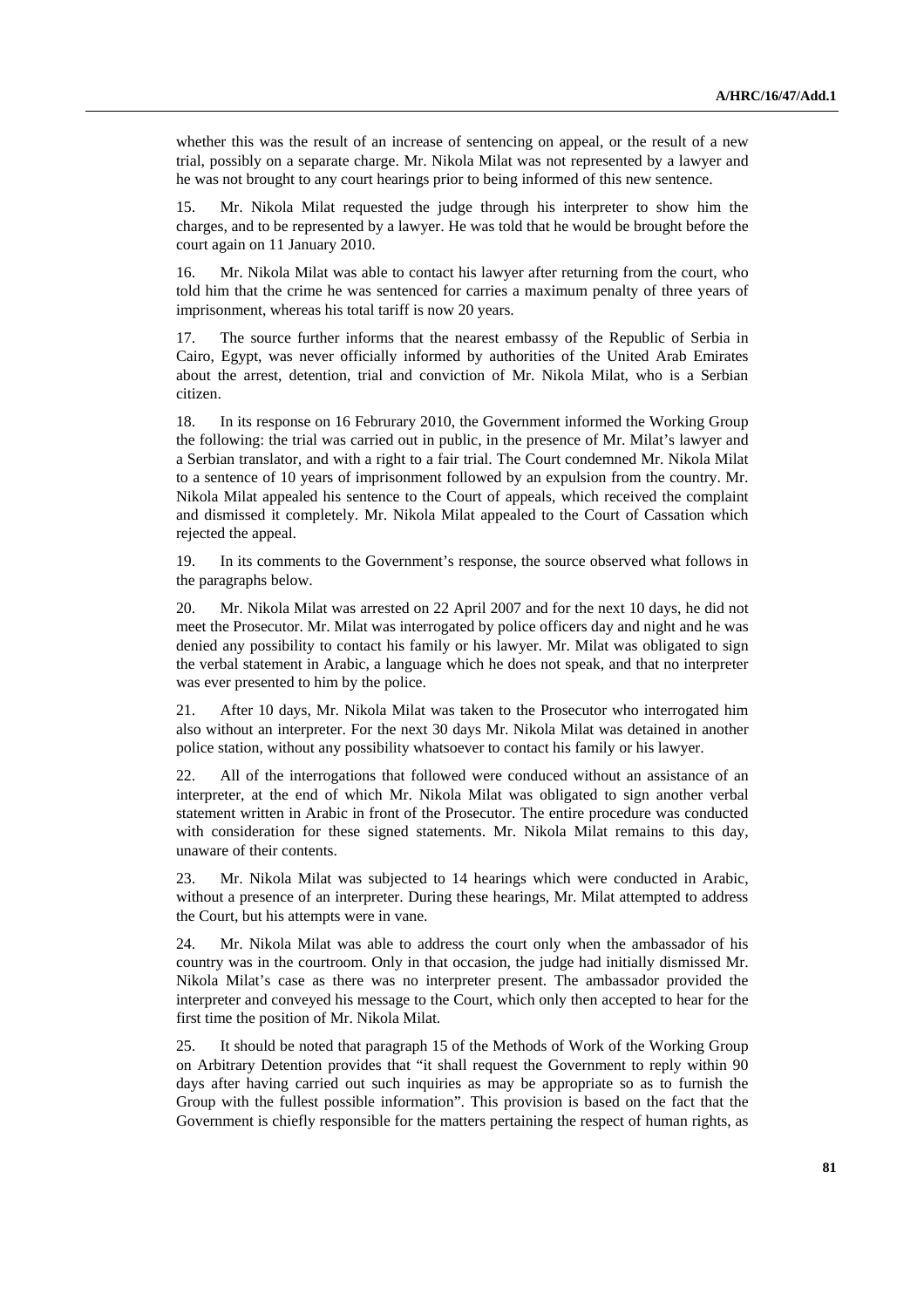whether this was the result of an increase of sentencing on appeal, or the result of a new trial, possibly on a separate charge. Mr. Nikola Milat was not represented by a lawyer and he was not brought to any court hearings prior to being informed of this new sentence.

15. Mr. Nikola Milat requested the judge through his interpreter to show him the charges, and to be represented by a lawyer. He was told that he would be brought before the court again on 11 January 2010.

16. Mr. Nikola Milat was able to contact his lawyer after returning from the court, who told him that the crime he was sentenced for carries a maximum penalty of three years of imprisonment, whereas his total tariff is now 20 years.

17. The source further informs that the nearest embassy of the Republic of Serbia in Cairo, Egypt, was never officially informed by authorities of the United Arab Emirates about the arrest, detention, trial and conviction of Mr. Nikola Milat, who is a Serbian citizen.

18. In its response on 16 Februrary 2010, the Government informed the Working Group the following: the trial was carried out in public, in the presence of Mr. Milat's lawyer and a Serbian translator, and with a right to a fair trial. The Court condemned Mr. Nikola Milat to a sentence of 10 years of imprisonment followed by an expulsion from the country. Mr. Nikola Milat appealed his sentence to the Court of appeals, which received the complaint and dismissed it completely. Mr. Nikola Milat appealed to the Court of Cassation which rejected the appeal.

19. In its comments to the Government's response, the source observed what follows in the paragraphs below.

20. Mr. Nikola Milat was arrested on 22 April 2007 and for the next 10 days, he did not meet the Prosecutor. Mr. Milat was interrogated by police officers day and night and he was denied any possibility to contact his family or his lawyer. Mr. Milat was obligated to sign the verbal statement in Arabic, a language which he does not speak, and that no interpreter was ever presented to him by the police.

21. After 10 days, Mr. Nikola Milat was taken to the Prosecutor who interrogated him also without an interpreter. For the next 30 days Mr. Nikola Milat was detained in another police station, without any possibility whatsoever to contact his family or his lawyer.

22. All of the interrogations that followed were conduced without an assistance of an interpreter, at the end of which Mr. Nikola Milat was obligated to sign another verbal statement written in Arabic in front of the Prosecutor. The entire procedure was conducted with consideration for these signed statements. Mr. Nikola Milat remains to this day, unaware of their contents.

23. Mr. Nikola Milat was subjected to 14 hearings which were conducted in Arabic, without a presence of an interpreter. During these hearings, Mr. Milat attempted to address the Court, but his attempts were in vane.

24. Mr. Nikola Milat was able to address the court only when the ambassador of his country was in the courtroom. Only in that occasion, the judge had initially dismissed Mr. Nikola Milat's case as there was no interpreter present. The ambassador provided the interpreter and conveyed his message to the Court, which only then accepted to hear for the first time the position of Mr. Nikola Milat.

25. It should be noted that paragraph 15 of the Methods of Work of the Working Group on Arbitrary Detention provides that "it shall request the Government to reply within 90 days after having carried out such inquiries as may be appropriate so as to furnish the Group with the fullest possible information". This provision is based on the fact that the Government is chiefly responsible for the matters pertaining the respect of human rights, as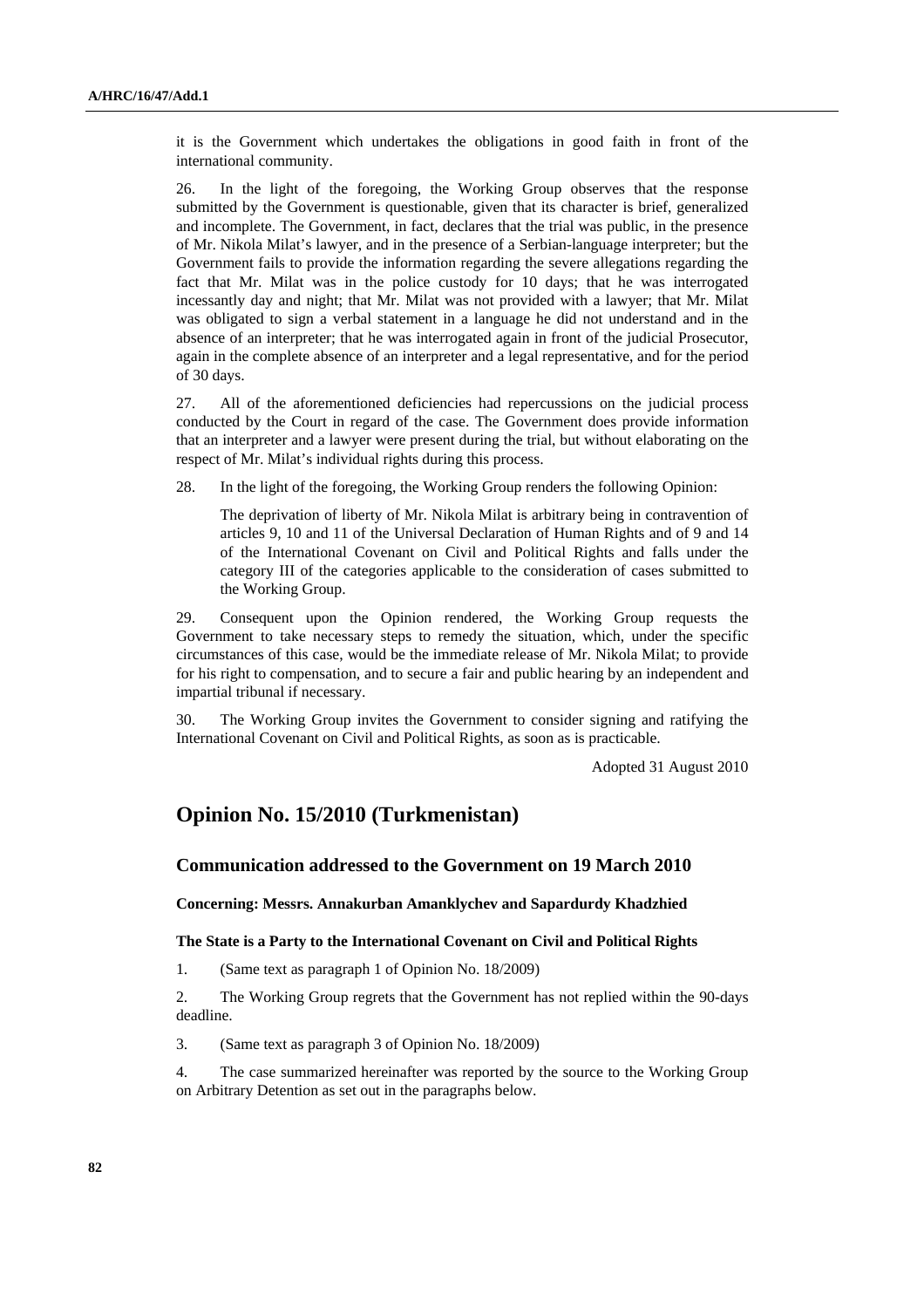it is the Government which undertakes the obligations in good faith in front of the international community.

26. In the light of the foregoing, the Working Group observes that the response submitted by the Government is questionable, given that its character is brief, generalized and incomplete. The Government, in fact, declares that the trial was public, in the presence of Mr. Nikola Milat's lawyer, and in the presence of a Serbian-language interpreter; but the Government fails to provide the information regarding the severe allegations regarding the fact that Mr. Milat was in the police custody for 10 days; that he was interrogated incessantly day and night; that Mr. Milat was not provided with a lawyer; that Mr. Milat was obligated to sign a verbal statement in a language he did not understand and in the absence of an interpreter; that he was interrogated again in front of the judicial Prosecutor, again in the complete absence of an interpreter and a legal representative, and for the period of 30 days.

27. All of the aforementioned deficiencies had repercussions on the judicial process conducted by the Court in regard of the case. The Government does provide information that an interpreter and a lawyer were present during the trial, but without elaborating on the respect of Mr. Milat's individual rights during this process.

28. In the light of the foregoing, the Working Group renders the following Opinion:

 The deprivation of liberty of Mr. Nikola Milat is arbitrary being in contravention of articles 9, 10 and 11 of the Universal Declaration of Human Rights and of 9 and 14 of the International Covenant on Civil and Political Rights and falls under the category III of the categories applicable to the consideration of cases submitted to the Working Group.

29. Consequent upon the Opinion rendered, the Working Group requests the Government to take necessary steps to remedy the situation, which, under the specific circumstances of this case, would be the immediate release of Mr. Nikola Milat; to provide for his right to compensation, and to secure a fair and public hearing by an independent and impartial tribunal if necessary.

30. The Working Group invites the Government to consider signing and ratifying the International Covenant on Civil and Political Rights, as soon as is practicable.

Adopted 31 August 2010

# **Opinion No. 15/2010 (Turkmenistan)**

## **Communication addressed to the Government on 19 March 2010**

 **Concerning: Messrs. Annakurban Amanklychev and Sapardurdy Khadzhied** 

#### **The State is a Party to the International Covenant on Civil and Political Rights**

1. (Same text as paragraph 1 of Opinion No. 18/2009)

2. The Working Group regrets that the Government has not replied within the 90-days deadline.

3. (Same text as paragraph 3 of Opinion No. 18/2009)

4. The case summarized hereinafter was reported by the source to the Working Group on Arbitrary Detention as set out in the paragraphs below.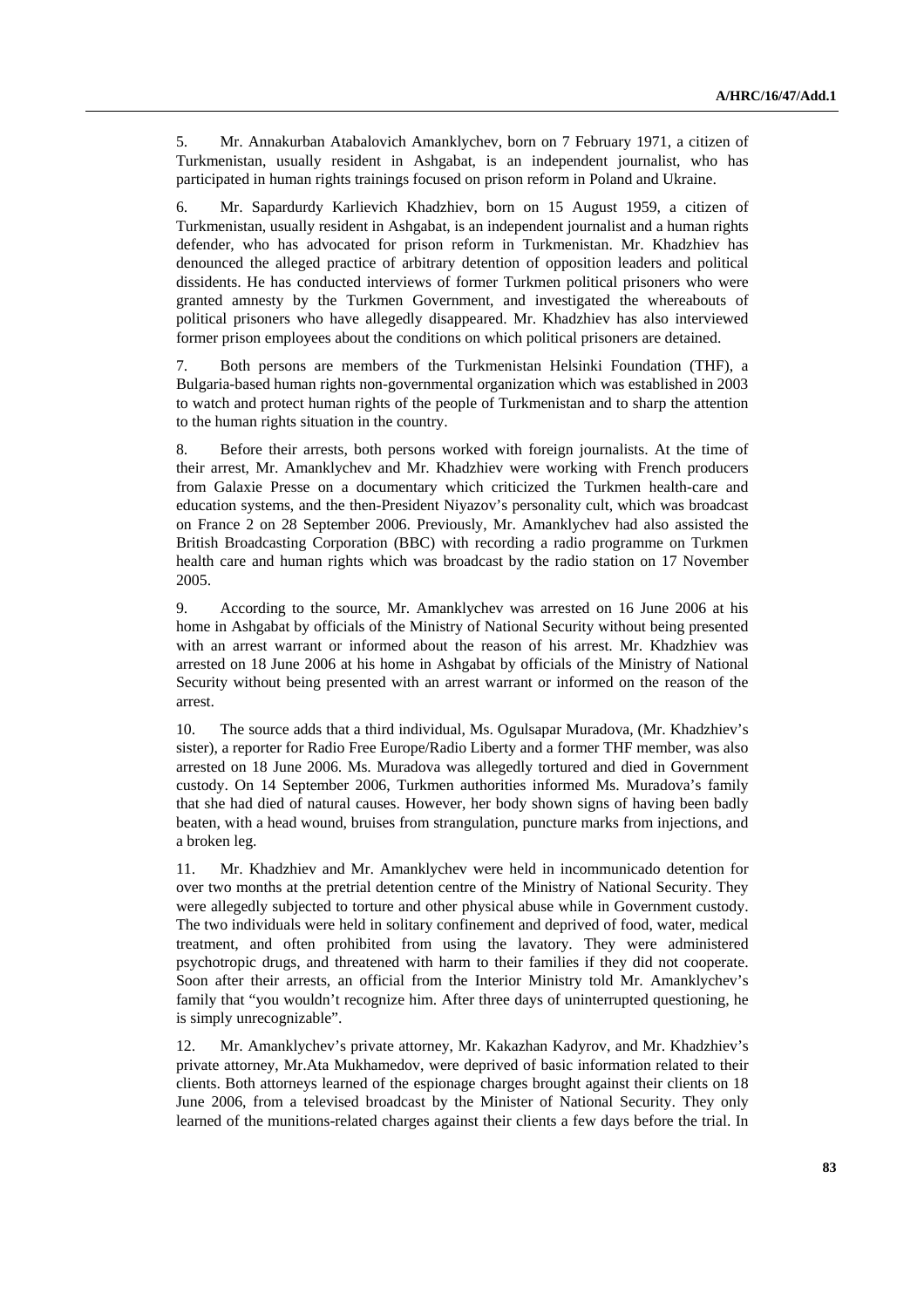5. Mr. Annakurban Atabalovich Amanklychev, born on 7 February 1971, a citizen of Turkmenistan, usually resident in Ashgabat, is an independent journalist, who has participated in human rights trainings focused on prison reform in Poland and Ukraine.

6. Mr. Sapardurdy Karlievich Khadzhiev, born on 15 August 1959, a citizen of Turkmenistan, usually resident in Ashgabat, is an independent journalist and a human rights defender, who has advocated for prison reform in Turkmenistan. Mr. Khadzhiev has denounced the alleged practice of arbitrary detention of opposition leaders and political dissidents. He has conducted interviews of former Turkmen political prisoners who were granted amnesty by the Turkmen Government, and investigated the whereabouts of political prisoners who have allegedly disappeared. Mr. Khadzhiev has also interviewed former prison employees about the conditions on which political prisoners are detained.

7. Both persons are members of the Turkmenistan Helsinki Foundation (THF), a Bulgaria-based human rights non-governmental organization which was established in 2003 to watch and protect human rights of the people of Turkmenistan and to sharp the attention to the human rights situation in the country.

8. Before their arrests, both persons worked with foreign journalists. At the time of their arrest, Mr. Amanklychev and Mr. Khadzhiev were working with French producers from Galaxie Presse on a documentary which criticized the Turkmen health-care and education systems, and the then-President Niyazov's personality cult, which was broadcast on France 2 on 28 September 2006. Previously, Mr. Amanklychev had also assisted the British Broadcasting Corporation (BBC) with recording a radio programme on Turkmen health care and human rights which was broadcast by the radio station on 17 November 2005.

9. According to the source, Mr. Amanklychev was arrested on 16 June 2006 at his home in Ashgabat by officials of the Ministry of National Security without being presented with an arrest warrant or informed about the reason of his arrest. Mr. Khadzhiev was arrested on 18 June 2006 at his home in Ashgabat by officials of the Ministry of National Security without being presented with an arrest warrant or informed on the reason of the arrest.

10. The source adds that a third individual, Ms. Ogulsapar Muradova, (Mr. Khadzhiev's sister), a reporter for Radio Free Europe/Radio Liberty and a former THF member, was also arrested on 18 June 2006. Ms. Muradova was allegedly tortured and died in Government custody. On 14 September 2006, Turkmen authorities informed Ms. Muradova's family that she had died of natural causes. However, her body shown signs of having been badly beaten, with a head wound, bruises from strangulation, puncture marks from injections, and a broken leg.

11. Mr. Khadzhiev and Mr. Amanklychev were held in incommunicado detention for over two months at the pretrial detention centre of the Ministry of National Security. They were allegedly subjected to torture and other physical abuse while in Government custody. The two individuals were held in solitary confinement and deprived of food, water, medical treatment, and often prohibited from using the lavatory. They were administered psychotropic drugs, and threatened with harm to their families if they did not cooperate. Soon after their arrests, an official from the Interior Ministry told Mr. Amanklychev's family that "you wouldn't recognize him. After three days of uninterrupted questioning, he is simply unrecognizable".

12. Mr. Amanklychev's private attorney, Mr. Kakazhan Kadyrov, and Mr. Khadzhiev's private attorney, Mr.Ata Mukhamedov, were deprived of basic information related to their clients. Both attorneys learned of the espionage charges brought against their clients on 18 June 2006, from a televised broadcast by the Minister of National Security. They only learned of the munitions-related charges against their clients a few days before the trial. In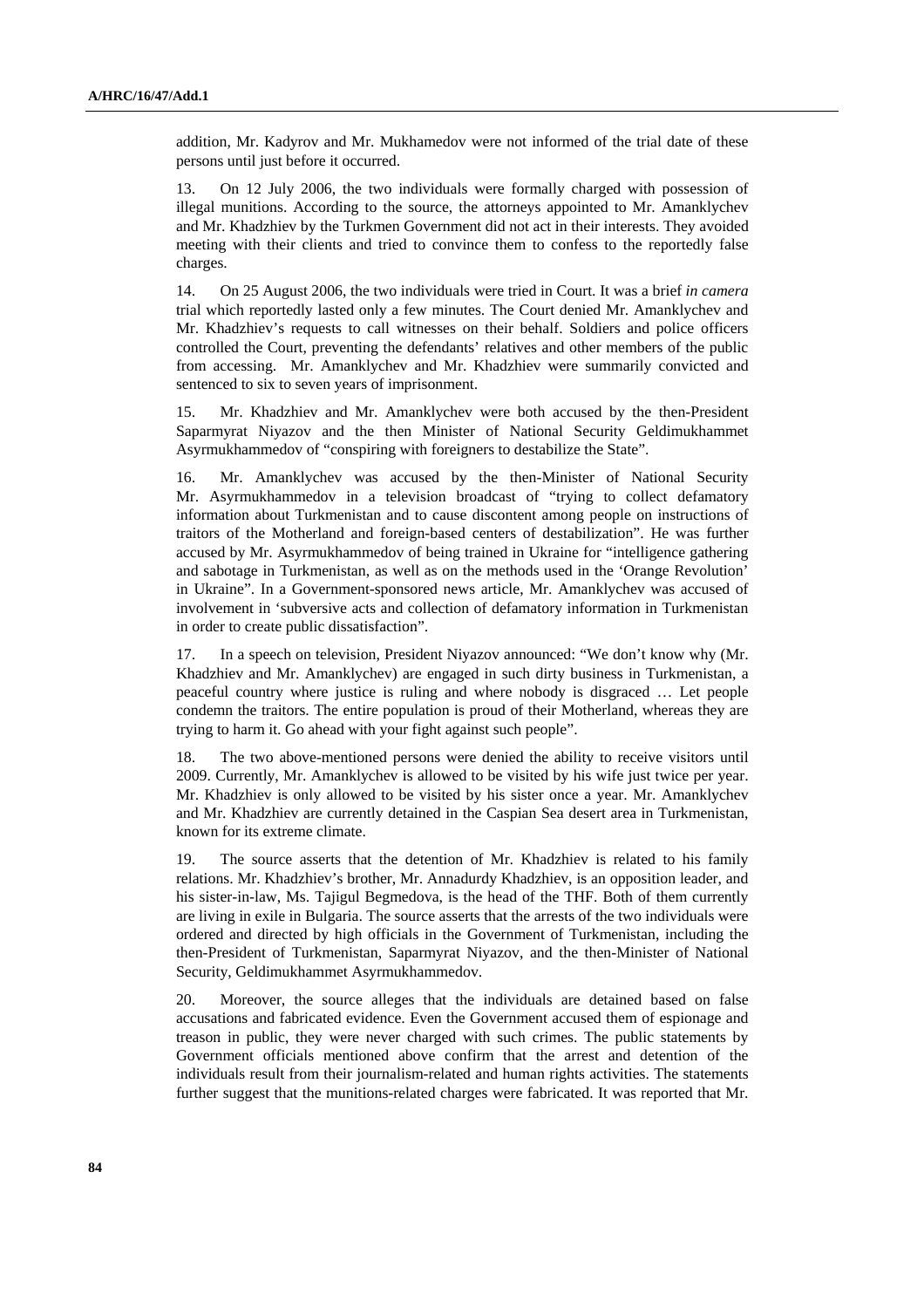addition, Mr. Kadyrov and Mr. Mukhamedov were not informed of the trial date of these persons until just before it occurred.

13. On 12 July 2006, the two individuals were formally charged with possession of illegal munitions. According to the source, the attorneys appointed to Mr. Amanklychev and Mr. Khadzhiev by the Turkmen Government did not act in their interests. They avoided meeting with their clients and tried to convince them to confess to the reportedly false charges.

14. On 25 August 2006, the two individuals were tried in Court. It was a brief *in camera* trial which reportedly lasted only a few minutes. The Court denied Mr. Amanklychev and Mr. Khadzhiev's requests to call witnesses on their behalf. Soldiers and police officers controlled the Court, preventing the defendants' relatives and other members of the public from accessing. Mr. Amanklychev and Mr. Khadzhiev were summarily convicted and sentenced to six to seven years of imprisonment.

15. Mr. Khadzhiev and Mr. Amanklychev were both accused by the then-President Saparmyrat Niyazov and the then Minister of National Security Geldimukhammet Asyrmukhammedov of "conspiring with foreigners to destabilize the State".

16. Mr. Amanklychev was accused by the then-Minister of National Security Mr. Asyrmukhammedov in a television broadcast of "trying to collect defamatory information about Turkmenistan and to cause discontent among people on instructions of traitors of the Motherland and foreign-based centers of destabilization". He was further accused by Mr. Asyrmukhammedov of being trained in Ukraine for "intelligence gathering and sabotage in Turkmenistan, as well as on the methods used in the 'Orange Revolution' in Ukraine". In a Government-sponsored news article, Mr. Amanklychev was accused of involvement in 'subversive acts and collection of defamatory information in Turkmenistan in order to create public dissatisfaction".

17. In a speech on television, President Niyazov announced: "We don't know why (Mr. Khadzhiev and Mr. Amanklychev) are engaged in such dirty business in Turkmenistan, a peaceful country where justice is ruling and where nobody is disgraced … Let people condemn the traitors. The entire population is proud of their Motherland, whereas they are trying to harm it. Go ahead with your fight against such people".

18. The two above-mentioned persons were denied the ability to receive visitors until 2009. Currently, Mr. Amanklychev is allowed to be visited by his wife just twice per year. Mr. Khadzhiev is only allowed to be visited by his sister once a year. Mr. Amanklychev and Mr. Khadzhiev are currently detained in the Caspian Sea desert area in Turkmenistan, known for its extreme climate.

19. The source asserts that the detention of Mr. Khadzhiev is related to his family relations. Mr. Khadzhiev's brother, Mr. Annadurdy Khadzhiev, is an opposition leader, and his sister-in-law, Ms. Tajigul Begmedova, is the head of the THF. Both of them currently are living in exile in Bulgaria. The source asserts that the arrests of the two individuals were ordered and directed by high officials in the Government of Turkmenistan, including the then-President of Turkmenistan, Saparmyrat Niyazov, and the then-Minister of National Security, Geldimukhammet Asyrmukhammedov.

20. Moreover, the source alleges that the individuals are detained based on false accusations and fabricated evidence. Even the Government accused them of espionage and treason in public, they were never charged with such crimes. The public statements by Government officials mentioned above confirm that the arrest and detention of the individuals result from their journalism-related and human rights activities. The statements further suggest that the munitions-related charges were fabricated. It was reported that Mr.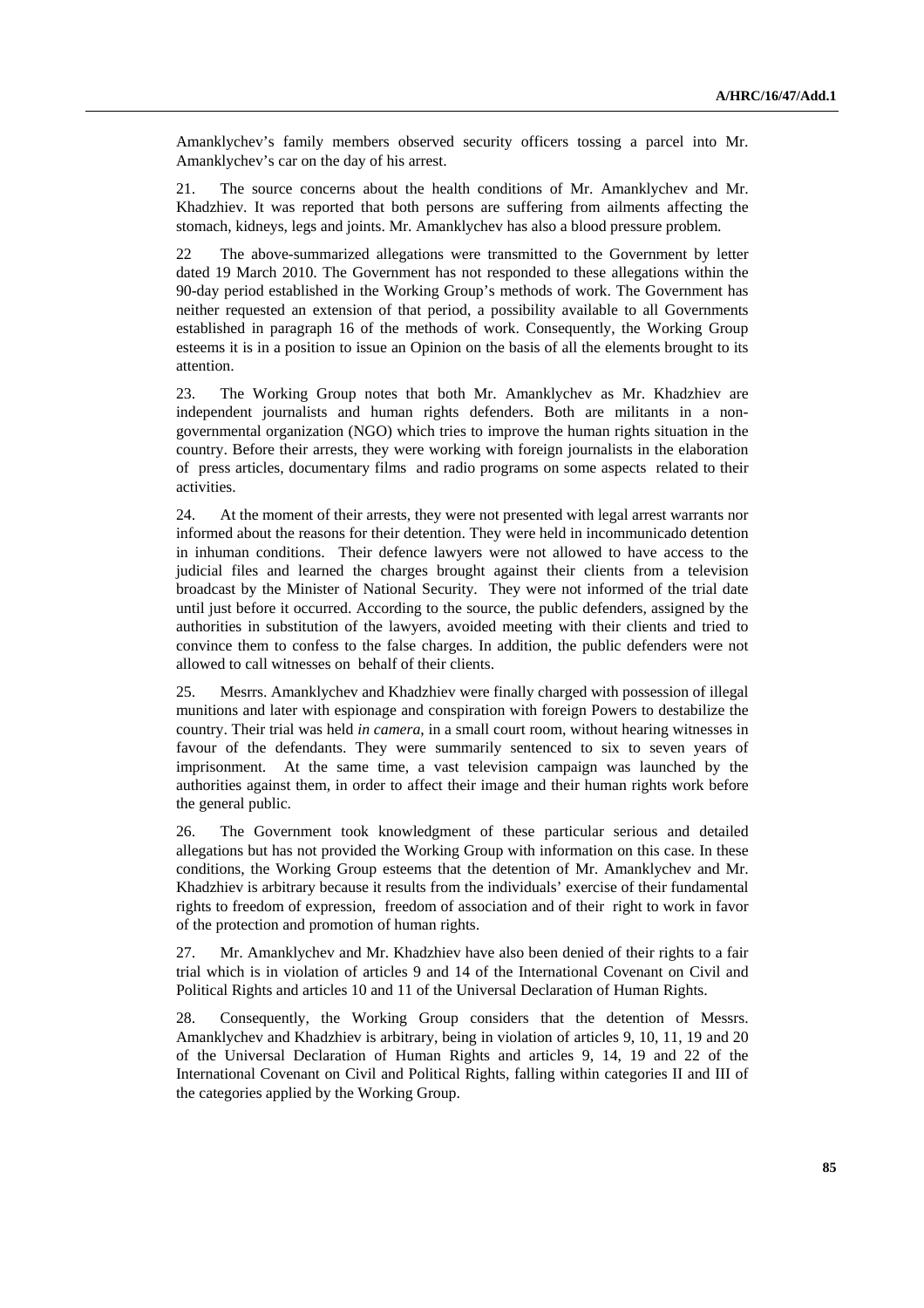Amanklychev's family members observed security officers tossing a parcel into Mr. Amanklychev's car on the day of his arrest.

21. The source concerns about the health conditions of Mr. Amanklychev and Mr. Khadzhiev. It was reported that both persons are suffering from ailments affecting the stomach, kidneys, legs and joints. Mr. Amanklychev has also a blood pressure problem.

22 The above-summarized allegations were transmitted to the Government by letter dated 19 March 2010. The Government has not responded to these allegations within the 90-day period established in the Working Group's methods of work. The Government has neither requested an extension of that period, a possibility available to all Governments established in paragraph 16 of the methods of work. Consequently, the Working Group esteems it is in a position to issue an Opinion on the basis of all the elements brought to its attention.

23. The Working Group notes that both Mr. Amanklychev as Mr. Khadzhiev are independent journalists and human rights defenders. Both are militants in a nongovernmental organization (NGO) which tries to improve the human rights situation in the country. Before their arrests, they were working with foreign journalists in the elaboration of press articles, documentary films and radio programs on some aspects related to their activities.

24. At the moment of their arrests, they were not presented with legal arrest warrants nor informed about the reasons for their detention. They were held in incommunicado detention in inhuman conditions. Their defence lawyers were not allowed to have access to the judicial files and learned the charges brought against their clients from a television broadcast by the Minister of National Security. They were not informed of the trial date until just before it occurred. According to the source, the public defenders, assigned by the authorities in substitution of the lawyers, avoided meeting with their clients and tried to convince them to confess to the false charges. In addition, the public defenders were not allowed to call witnesses on behalf of their clients.

25. Mesrrs. Amanklychev and Khadzhiev were finally charged with possession of illegal munitions and later with espionage and conspiration with foreign Powers to destabilize the country. Their trial was held *in camera*, in a small court room, without hearing witnesses in favour of the defendants. They were summarily sentenced to six to seven years of imprisonment. At the same time, a vast television campaign was launched by the authorities against them, in order to affect their image and their human rights work before the general public.

26. The Government took knowledgment of these particular serious and detailed allegations but has not provided the Working Group with information on this case. In these conditions, the Working Group esteems that the detention of Mr. Amanklychev and Mr. Khadzhiev is arbitrary because it results from the individuals' exercise of their fundamental rights to freedom of expression, freedom of association and of their right to work in favor of the protection and promotion of human rights.

27. Mr. Amanklychev and Mr. Khadzhiev have also been denied of their rights to a fair trial which is in violation of articles 9 and 14 of the International Covenant on Civil and Political Rights and articles 10 and 11 of the Universal Declaration of Human Rights.

28. Consequently, the Working Group considers that the detention of Messrs. Amanklychev and Khadzhiev is arbitrary, being in violation of articles 9, 10, 11, 19 and 20 of the Universal Declaration of Human Rights and articles 9, 14, 19 and 22 of the International Covenant on Civil and Political Rights, falling within categories II and III of the categories applied by the Working Group.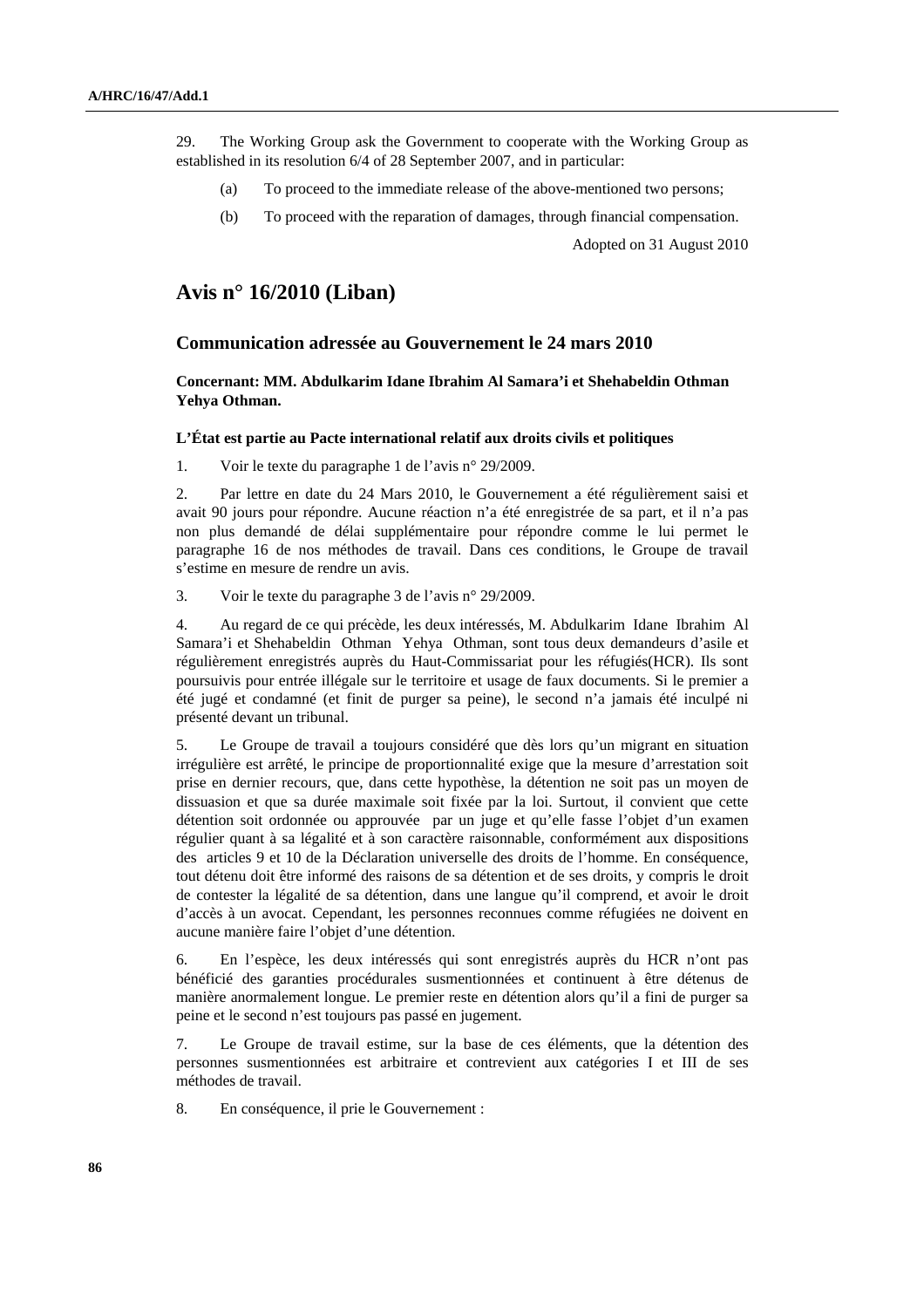29. The Working Group ask the Government to cooperate with the Working Group as established in its resolution 6/4 of 28 September 2007, and in particular:

- (a) To proceed to the immediate release of the above-mentioned two persons;
- (b) To proceed with the reparation of damages, through financial compensation.

Adopted on 31 August 2010

## **Avis n° 16/2010 (Liban)**

### **Communication adressée au Gouvernement le 24 mars 2010**

 **Concernant: MM. Abdulkarim Idane Ibrahim Al Samara'i et Shehabeldin Othman Yehya Othman.** 

#### **L'État est partie au Pacte international relatif aux droits civils et politiques**

1. Voir le texte du paragraphe 1 de l'avis n° 29/2009.

2. Par lettre en date du 24 Mars 2010, le Gouvernement a été régulièrement saisi et avait 90 jours pour répondre. Aucune réaction n'a été enregistrée de sa part, et il n'a pas non plus demandé de délai supplémentaire pour répondre comme le lui permet le paragraphe 16 de nos méthodes de travail. Dans ces conditions, le Groupe de travail s'estime en mesure de rendre un avis.

3. Voir le texte du paragraphe 3 de l'avis n° 29/2009.

4. Au regard de ce qui précède, les deux intéressés, M. Abdulkarim Idane Ibrahim Al Samara'i et Shehabeldin Othman Yehya Othman, sont tous deux demandeurs d'asile et régulièrement enregistrés auprès du Haut-Commissariat pour les réfugiés(HCR). Ils sont poursuivis pour entrée illégale sur le territoire et usage de faux documents. Si le premier a été jugé et condamné (et finit de purger sa peine), le second n'a jamais été inculpé ni présenté devant un tribunal.

5. Le Groupe de travail a toujours considéré que dès lors qu'un migrant en situation irrégulière est arrêté, le principe de proportionnalité exige que la mesure d'arrestation soit prise en dernier recours, que, dans cette hypothèse, la détention ne soit pas un moyen de dissuasion et que sa durée maximale soit fixée par la loi. Surtout, il convient que cette détention soit ordonnée ou approuvée par un juge et qu'elle fasse l'objet d'un examen régulier quant à sa légalité et à son caractère raisonnable, conformément aux dispositions des articles 9 et 10 de la Déclaration universelle des droits de l'homme. En conséquence, tout détenu doit être informé des raisons de sa détention et de ses droits, y compris le droit de contester la légalité de sa détention, dans une langue qu'il comprend, et avoir le droit d'accès à un avocat. Cependant, les personnes reconnues comme réfugiées ne doivent en aucune manière faire l'objet d'une détention.

6. En l'espèce, les deux intéressés qui sont enregistrés auprès du HCR n'ont pas bénéficié des garanties procédurales susmentionnées et continuent à être détenus de manière anormalement longue. Le premier reste en détention alors qu'il a fini de purger sa peine et le second n'est toujours pas passé en jugement.

7. Le Groupe de travail estime, sur la base de ces éléments, que la détention des personnes susmentionnées est arbitraire et contrevient aux catégories I et III de ses méthodes de travail.

8. En conséquence, il prie le Gouvernement :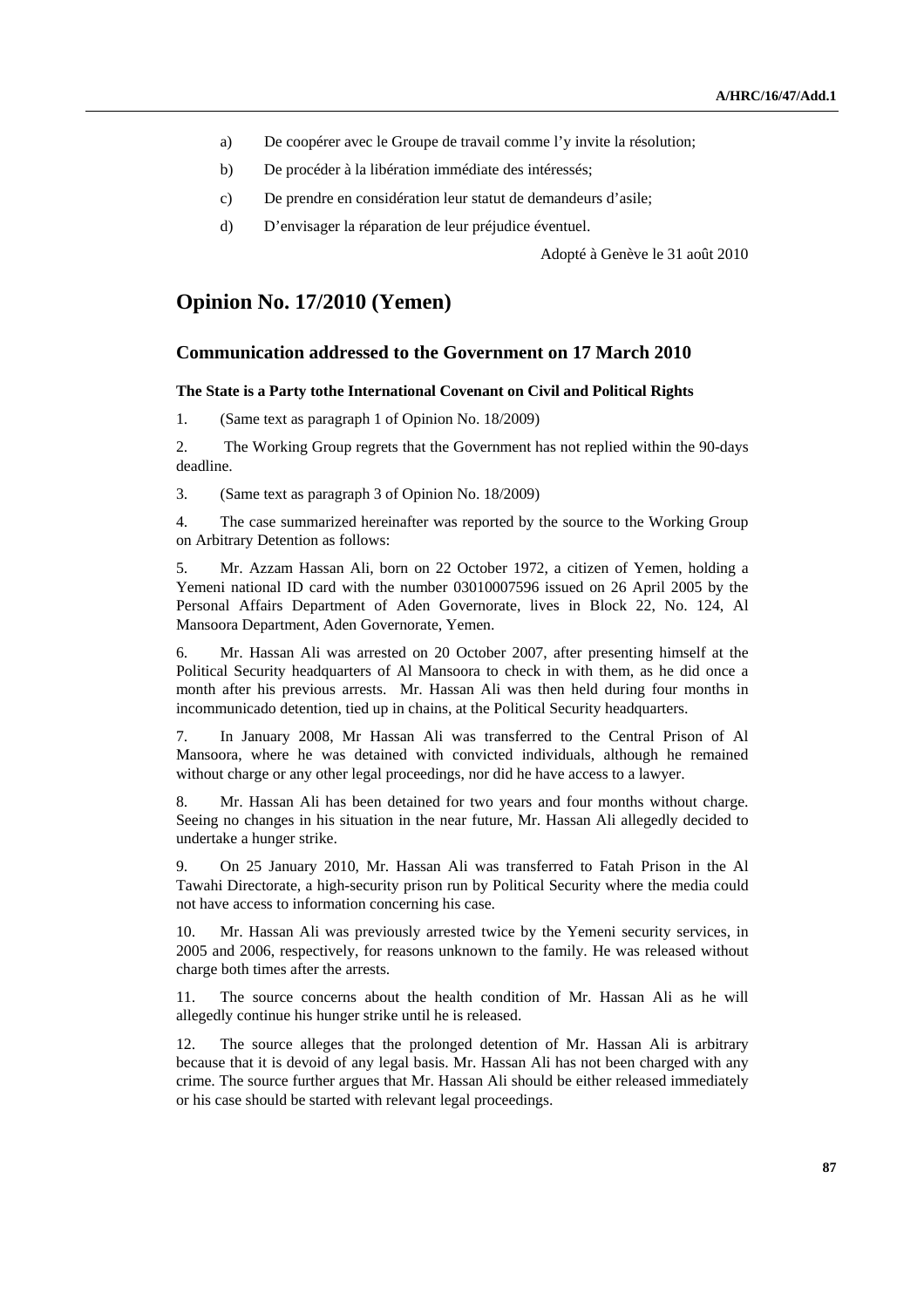- a) De coopérer avec le Groupe de travail comme l'y invite la résolution;
- b) De procéder à la libération immédiate des intéressés;
- c) De prendre en considération leur statut de demandeurs d'asile;
- d) D'envisager la réparation de leur préjudice éventuel.

Adopté à Genève le 31 août 2010

## **Opinion No. 17/2010 (Yemen)**

### **Communication addressed to the Government on 17 March 2010**

#### **The State is a Party tothe International Covenant on Civil and Political Rights**

1. (Same text as paragraph 1 of Opinion No. 18/2009)

2. The Working Group regrets that the Government has not replied within the 90-days deadline.

3. (Same text as paragraph 3 of Opinion No. 18/2009)

4. The case summarized hereinafter was reported by the source to the Working Group on Arbitrary Detention as follows:

5. Mr. Azzam Hassan Ali, born on 22 October 1972, a citizen of Yemen, holding a Yemeni national ID card with the number 03010007596 issued on 26 April 2005 by the Personal Affairs Department of Aden Governorate, lives in Block 22, No. 124, Al Mansoora Department, Aden Governorate, Yemen.

6. Mr. Hassan Ali was arrested on 20 October 2007, after presenting himself at the Political Security headquarters of Al Mansoora to check in with them, as he did once a month after his previous arrests. Mr. Hassan Ali was then held during four months in incommunicado detention, tied up in chains, at the Political Security headquarters.

7. In January 2008, Mr Hassan Ali was transferred to the Central Prison of Al Mansoora, where he was detained with convicted individuals, although he remained without charge or any other legal proceedings, nor did he have access to a lawyer.

8. Mr. Hassan Ali has been detained for two years and four months without charge. Seeing no changes in his situation in the near future, Mr. Hassan Ali allegedly decided to undertake a hunger strike.

9. On 25 January 2010, Mr. Hassan Ali was transferred to Fatah Prison in the Al Tawahi Directorate, a high-security prison run by Political Security where the media could not have access to information concerning his case.

10. Mr. Hassan Ali was previously arrested twice by the Yemeni security services, in 2005 and 2006, respectively, for reasons unknown to the family. He was released without charge both times after the arrests.

11. The source concerns about the health condition of Mr. Hassan Ali as he will allegedly continue his hunger strike until he is released.

12. The source alleges that the prolonged detention of Mr. Hassan Ali is arbitrary because that it is devoid of any legal basis. Mr. Hassan Ali has not been charged with any crime. The source further argues that Mr. Hassan Ali should be either released immediately or his case should be started with relevant legal proceedings.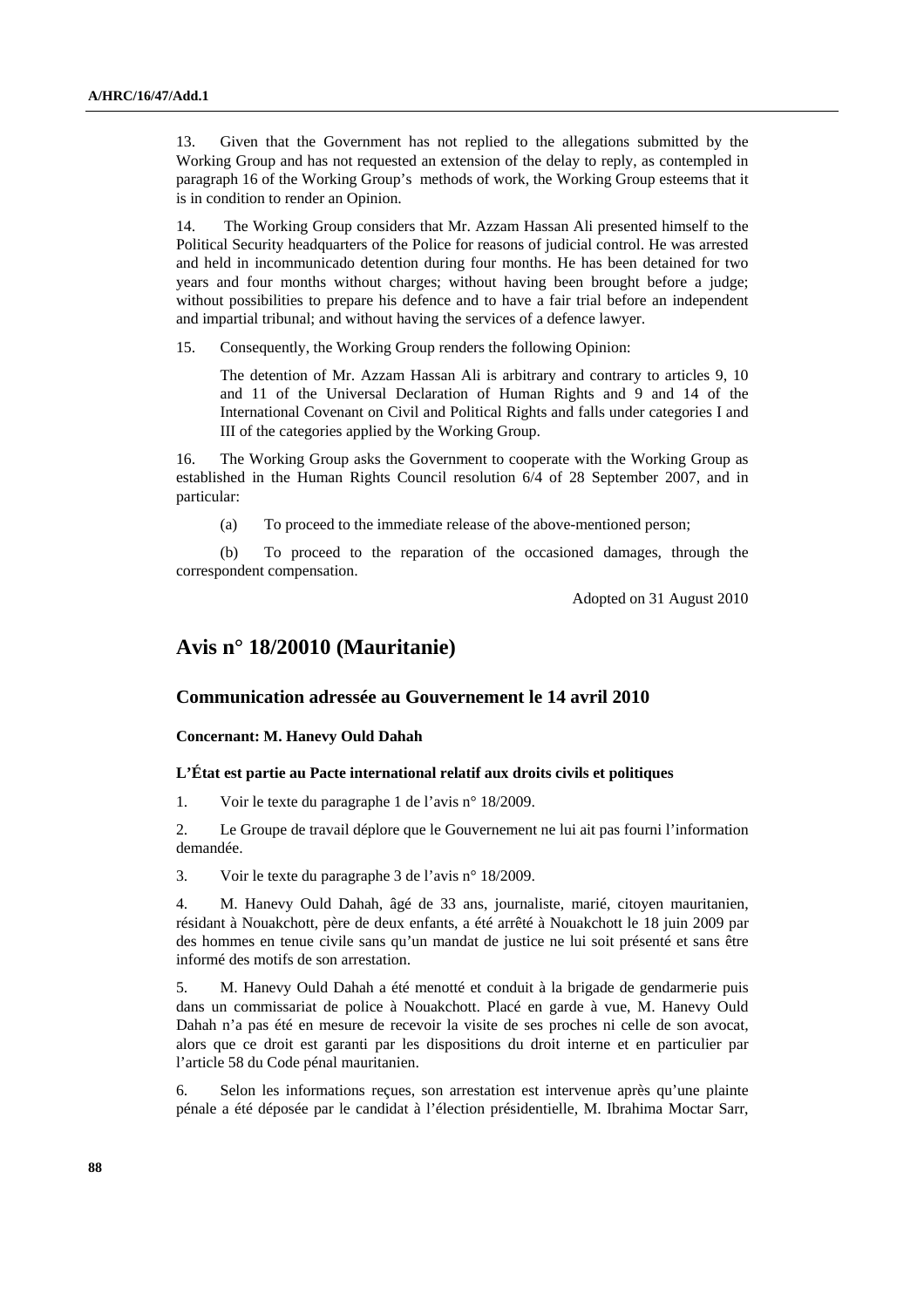13. Given that the Government has not replied to the allegations submitted by the Working Group and has not requested an extension of the delay to reply, as contempled in paragraph 16 of the Working Group's methods of work, the Working Group esteems that it is in condition to render an Opinion.

14. The Working Group considers that Mr. Azzam Hassan Ali presented himself to the Political Security headquarters of the Police for reasons of judicial control. He was arrested and held in incommunicado detention during four months. He has been detained for two years and four months without charges; without having been brought before a judge; without possibilities to prepare his defence and to have a fair trial before an independent and impartial tribunal; and without having the services of a defence lawyer.

15. Consequently, the Working Group renders the following Opinion:

 The detention of Mr. Azzam Hassan Ali is arbitrary and contrary to articles 9, 10 and 11 of the Universal Declaration of Human Rights and 9 and 14 of the International Covenant on Civil and Political Rights and falls under categories I and III of the categories applied by the Working Group.

16. The Working Group asks the Government to cooperate with the Working Group as established in the Human Rights Council resolution 6/4 of 28 September 2007, and in particular:

(a) To proceed to the immediate release of the above-mentioned person;

 (b) To proceed to the reparation of the occasioned damages, through the correspondent compensation.

Adopted on 31 August 2010

# **Avis n° 18/20010 (Mauritanie)**

### **Communication adressée au Gouvernement le 14 avril 2010**

 **Concernant: M. Hanevy Ould Dahah** 

### **L'État est partie au Pacte international relatif aux droits civils et politiques**

1. Voir le texte du paragraphe 1 de l'avis n° 18/2009.

2. Le Groupe de travail déplore que le Gouvernement ne lui ait pas fourni l'information demandée.

3. Voir le texte du paragraphe 3 de l'avis n° 18/2009.

4. M. Hanevy Ould Dahah, âgé de 33 ans, journaliste, marié, citoyen mauritanien, résidant à Nouakchott, père de deux enfants, a été arrêté à Nouakchott le 18 juin 2009 par des hommes en tenue civile sans qu'un mandat de justice ne lui soit présenté et sans être informé des motifs de son arrestation.

5. M. Hanevy Ould Dahah a été menotté et conduit à la brigade de gendarmerie puis dans un commissariat de police à Nouakchott. Placé en garde à vue, M. Hanevy Ould Dahah n'a pas été en mesure de recevoir la visite de ses proches ni celle de son avocat, alors que ce droit est garanti par les dispositions du droit interne et en particulier par l'article 58 du Code pénal mauritanien.

6. Selon les informations reçues, son arrestation est intervenue après qu'une plainte pénale a été déposée par le candidat à l'élection présidentielle, M. Ibrahima Moctar Sarr,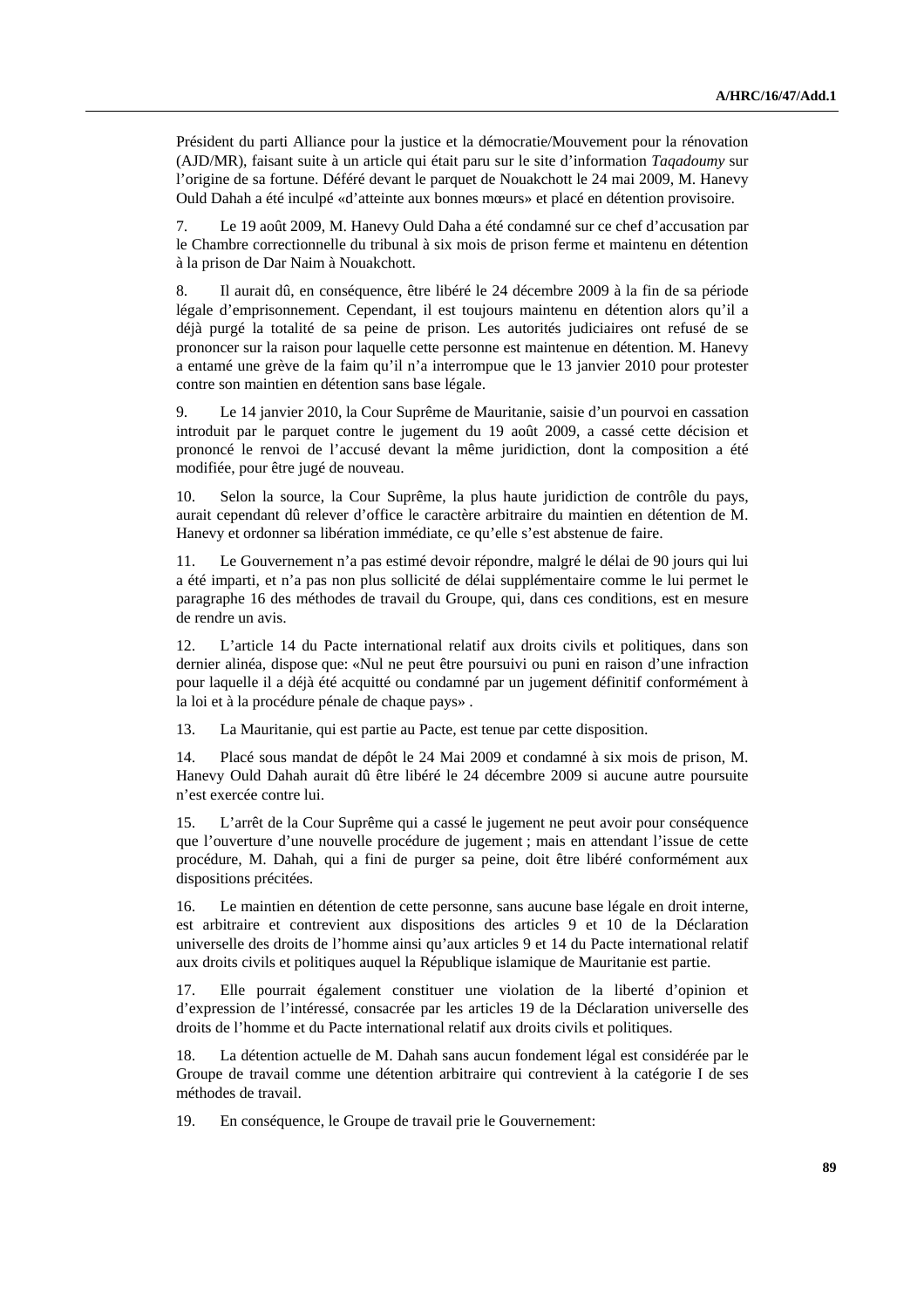Président du parti Alliance pour la justice et la démocratie/Mouvement pour la rénovation (AJD/MR), faisant suite à un article qui était paru sur le site d'information *Taqadoumy* sur l'origine de sa fortune. Déféré devant le parquet de Nouakchott le 24 mai 2009, M. Hanevy Ould Dahah a été inculpé «d'atteinte aux bonnes mœurs» et placé en détention provisoire.

7. Le 19 août 2009, M. Hanevy Ould Daha a été condamné sur ce chef d'accusation par le Chambre correctionnelle du tribunal à six mois de prison ferme et maintenu en détention à la prison de Dar Naim à Nouakchott.

8. Il aurait dû, en conséquence, être libéré le 24 décembre 2009 à la fin de sa période légale d'emprisonnement. Cependant, il est toujours maintenu en détention alors qu'il a déjà purgé la totalité de sa peine de prison. Les autorités judiciaires ont refusé de se prononcer sur la raison pour laquelle cette personne est maintenue en détention. M. Hanevy a entamé une grève de la faim qu'il n'a interrompue que le 13 janvier 2010 pour protester contre son maintien en détention sans base légale.

9. Le 14 janvier 2010, la Cour Suprême de Mauritanie, saisie d'un pourvoi en cassation introduit par le parquet contre le jugement du 19 août 2009, a cassé cette décision et prononcé le renvoi de l'accusé devant la même juridiction, dont la composition a été modifiée, pour être jugé de nouveau.

10. Selon la source, la Cour Suprême, la plus haute juridiction de contrôle du pays, aurait cependant dû relever d'office le caractère arbitraire du maintien en détention de M. Hanevy et ordonner sa libération immédiate, ce qu'elle s'est abstenue de faire.

11. Le Gouvernement n'a pas estimé devoir répondre, malgré le délai de 90 jours qui lui a été imparti, et n'a pas non plus sollicité de délai supplémentaire comme le lui permet le paragraphe 16 des méthodes de travail du Groupe, qui, dans ces conditions, est en mesure de rendre un avis.

12. L'article 14 du Pacte international relatif aux droits civils et politiques, dans son dernier alinéa, dispose que: «Nul ne peut être poursuivi ou puni en raison d'une infraction pour laquelle il a déjà été acquitté ou condamné par un jugement définitif conformément à la loi et à la procédure pénale de chaque pays» .

13. La Mauritanie, qui est partie au Pacte, est tenue par cette disposition.

14. Placé sous mandat de dépôt le 24 Mai 2009 et condamné à six mois de prison, M. Hanevy Ould Dahah aurait dû être libéré le 24 décembre 2009 si aucune autre poursuite n'est exercée contre lui.

15. L'arrêt de la Cour Suprême qui a cassé le jugement ne peut avoir pour conséquence que l'ouverture d'une nouvelle procédure de jugement ; mais en attendant l'issue de cette procédure, M. Dahah, qui a fini de purger sa peine, doit être libéré conformément aux dispositions précitées.

16. Le maintien en détention de cette personne, sans aucune base légale en droit interne, est arbitraire et contrevient aux dispositions des articles 9 et 10 de la Déclaration universelle des droits de l'homme ainsi qu'aux articles 9 et 14 du Pacte international relatif aux droits civils et politiques auquel la République islamique de Mauritanie est partie.

17. Elle pourrait également constituer une violation de la liberté d'opinion et d'expression de l'intéressé, consacrée par les articles 19 de la Déclaration universelle des droits de l'homme et du Pacte international relatif aux droits civils et politiques.

18. La détention actuelle de M. Dahah sans aucun fondement légal est considérée par le Groupe de travail comme une détention arbitraire qui contrevient à la catégorie I de ses méthodes de travail.

19. En conséquence, le Groupe de travail prie le Gouvernement: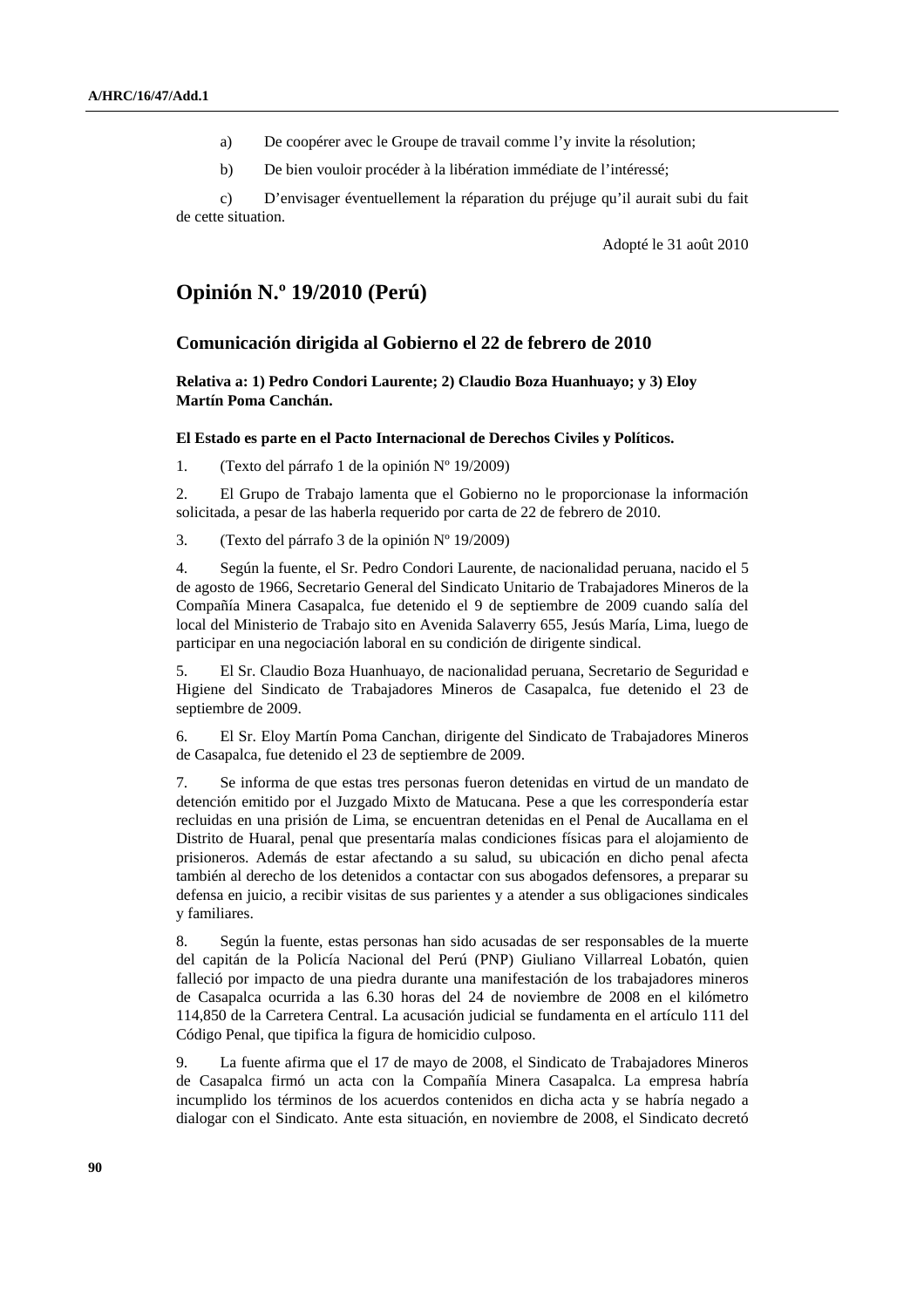- a) De coopérer avec le Groupe de travail comme l'y invite la résolution;
- b) De bien vouloir procéder à la libération immédiate de l'intéressé;

 c) D'envisager éventuellement la réparation du préjuge qu'il aurait subi du fait de cette situation.

Adopté le 31 août 2010

## **Opinión N.º 19/2010 (Perú)**

### **Comunicación dirigida al Gobierno el 22 de febrero de 2010**

 **Relativa a: 1) Pedro Condori Laurente; 2) Claudio Boza Huanhuayo; y 3) Eloy Martín Poma Canchán.** 

### **El Estado es parte en el Pacto Internacional de Derechos Civiles y Políticos.**

1. (Texto del párrafo 1 de la opinión Nº 19/2009)

2. El Grupo de Trabajo lamenta que el Gobierno no le proporcionase la información solicitada, a pesar de las haberla requerido por carta de 22 de febrero de 2010.

3. (Texto del párrafo 3 de la opinión Nº 19/2009)

4. Según la fuente, el Sr. Pedro Condori Laurente, de nacionalidad peruana, nacido el 5 de agosto de 1966, Secretario General del Sindicato Unitario de Trabajadores Mineros de la Compañía Minera Casapalca, fue detenido el 9 de septiembre de 2009 cuando salía del local del Ministerio de Trabajo sito en Avenida Salaverry 655, Jesús María, Lima, luego de participar en una negociación laboral en su condición de dirigente sindical.

5. El Sr. Claudio Boza Huanhuayo, de nacionalidad peruana, Secretario de Seguridad e Higiene del Sindicato de Trabajadores Mineros de Casapalca, fue detenido el 23 de septiembre de 2009.

6. El Sr. Eloy Martín Poma Canchan, dirigente del Sindicato de Trabajadores Mineros de Casapalca, fue detenido el 23 de septiembre de 2009.

7. Se informa de que estas tres personas fueron detenidas en virtud de un mandato de detención emitido por el Juzgado Mixto de Matucana. Pese a que les correspondería estar recluidas en una prisión de Lima, se encuentran detenidas en el Penal de Aucallama en el Distrito de Huaral, penal que presentaría malas condiciones físicas para el alojamiento de prisioneros. Además de estar afectando a su salud, su ubicación en dicho penal afecta también al derecho de los detenidos a contactar con sus abogados defensores, a preparar su defensa en juicio, a recibir visitas de sus parientes y a atender a sus obligaciones sindicales y familiares.

8. Según la fuente, estas personas han sido acusadas de ser responsables de la muerte del capitán de la Policía Nacional del Perú (PNP) Giuliano Villarreal Lobatón, quien falleció por impacto de una piedra durante una manifestación de los trabajadores mineros de Casapalca ocurrida a las 6.30 horas del 24 de noviembre de 2008 en el kilómetro 114,850 de la Carretera Central. La acusación judicial se fundamenta en el artículo 111 del Código Penal, que tipifica la figura de homicidio culposo.

9. La fuente afirma que el 17 de mayo de 2008, el Sindicato de Trabajadores Mineros de Casapalca firmó un acta con la Compañía Minera Casapalca. La empresa habría incumplido los términos de los acuerdos contenidos en dicha acta y se habría negado a dialogar con el Sindicato. Ante esta situación, en noviembre de 2008, el Sindicato decretó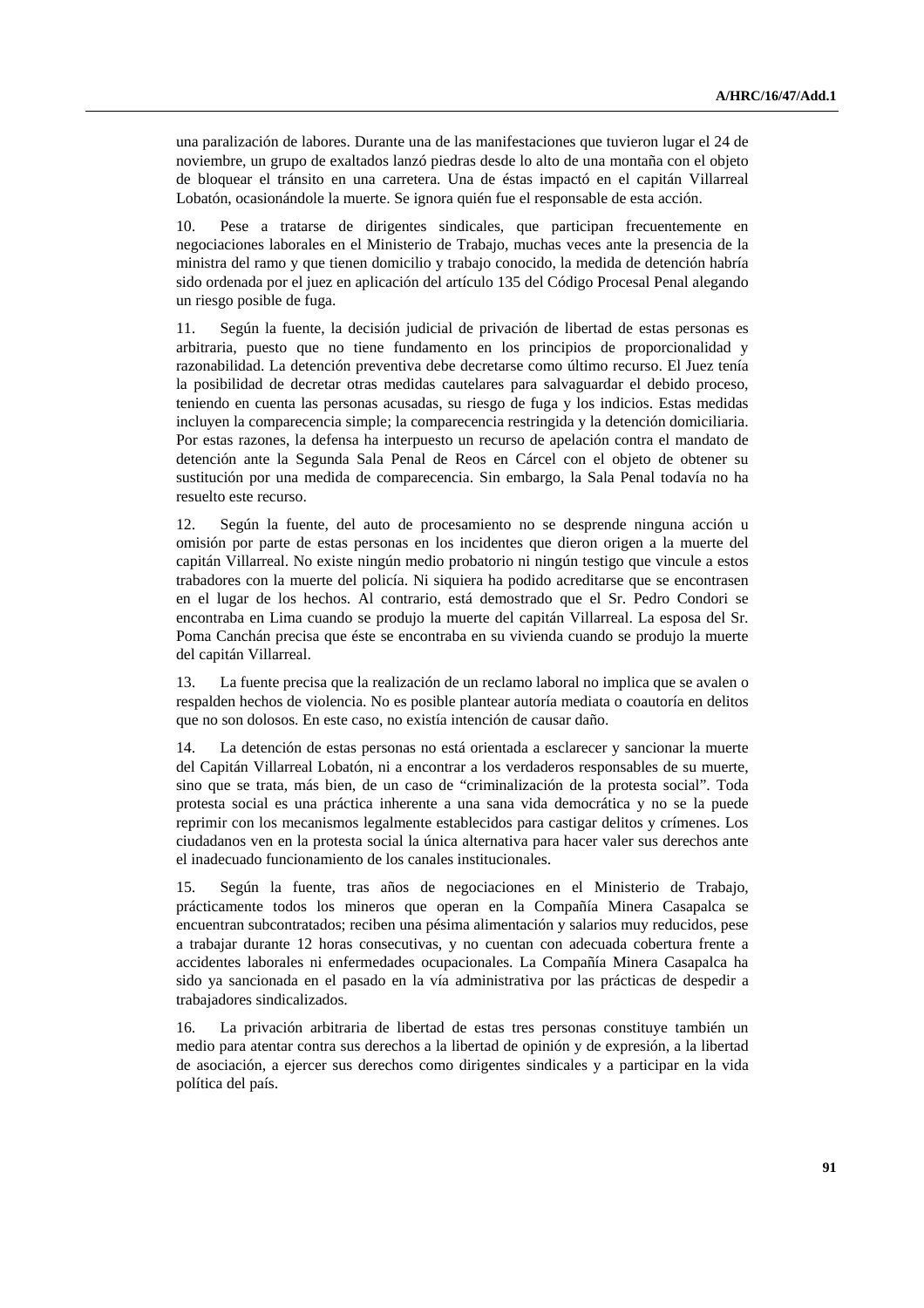una paralización de labores. Durante una de las manifestaciones que tuvieron lugar el 24 de noviembre, un grupo de exaltados lanzó piedras desde lo alto de una montaña con el objeto de bloquear el tránsito en una carretera. Una de éstas impactó en el capitán Villarreal Lobatón, ocasionándole la muerte. Se ignora quién fue el responsable de esta acción.

10. Pese a tratarse de dirigentes sindicales, que participan frecuentemente en negociaciones laborales en el Ministerio de Trabajo, muchas veces ante la presencia de la ministra del ramo y que tienen domicilio y trabajo conocido, la medida de detención habría sido ordenada por el juez en aplicación del artículo 135 del Código Procesal Penal alegando un riesgo posible de fuga.

11. Según la fuente, la decisión judicial de privación de libertad de estas personas es arbitraria, puesto que no tiene fundamento en los principios de proporcionalidad y razonabilidad. La detención preventiva debe decretarse como último recurso. El Juez tenía la posibilidad de decretar otras medidas cautelares para salvaguardar el debido proceso, teniendo en cuenta las personas acusadas, su riesgo de fuga y los indicios. Estas medidas incluyen la comparecencia simple; la comparecencia restringida y la detención domiciliaria. Por estas razones, la defensa ha interpuesto un recurso de apelación contra el mandato de detención ante la Segunda Sala Penal de Reos en Cárcel con el objeto de obtener su sustitución por una medida de comparecencia. Sin embargo, la Sala Penal todavía no ha resuelto este recurso.

12. Según la fuente, del auto de procesamiento no se desprende ninguna acción u omisión por parte de estas personas en los incidentes que dieron origen a la muerte del capitán Villarreal. No existe ningún medio probatorio ni ningún testigo que vincule a estos trabadores con la muerte del policía. Ni siquiera ha podido acreditarse que se encontrasen en el lugar de los hechos. Al contrario, está demostrado que el Sr. Pedro Condori se encontraba en Lima cuando se produjo la muerte del capitán Villarreal. La esposa del Sr. Poma Canchán precisa que éste se encontraba en su vivienda cuando se produjo la muerte del capitán Villarreal.

13. La fuente precisa que la realización de un reclamo laboral no implica que se avalen o respalden hechos de violencia. No es posible plantear autoría mediata o coautoría en delitos que no son dolosos. En este caso, no existía intención de causar daño.

14. La detención de estas personas no está orientada a esclarecer y sancionar la muerte del Capitán Villarreal Lobatón, ni a encontrar a los verdaderos responsables de su muerte, sino que se trata, más bien, de un caso de "criminalización de la protesta social". Toda protesta social es una práctica inherente a una sana vida democrática y no se la puede reprimir con los mecanismos legalmente establecidos para castigar delitos y crímenes. Los ciudadanos ven en la protesta social la única alternativa para hacer valer sus derechos ante el inadecuado funcionamiento de los canales institucionales.

15. Según la fuente, tras años de negociaciones en el Ministerio de Trabajo, prácticamente todos los mineros que operan en la Compañía Minera Casapalca se encuentran subcontratados; reciben una pésima alimentación y salarios muy reducidos, pese a trabajar durante 12 horas consecutivas, y no cuentan con adecuada cobertura frente a accidentes laborales ni enfermedades ocupacionales. La Compañía Minera Casapalca ha sido ya sancionada en el pasado en la vía administrativa por las prácticas de despedir a trabajadores sindicalizados.

16. La privación arbitraria de libertad de estas tres personas constituye también un medio para atentar contra sus derechos a la libertad de opinión y de expresión, a la libertad de asociación, a ejercer sus derechos como dirigentes sindicales y a participar en la vida política del país.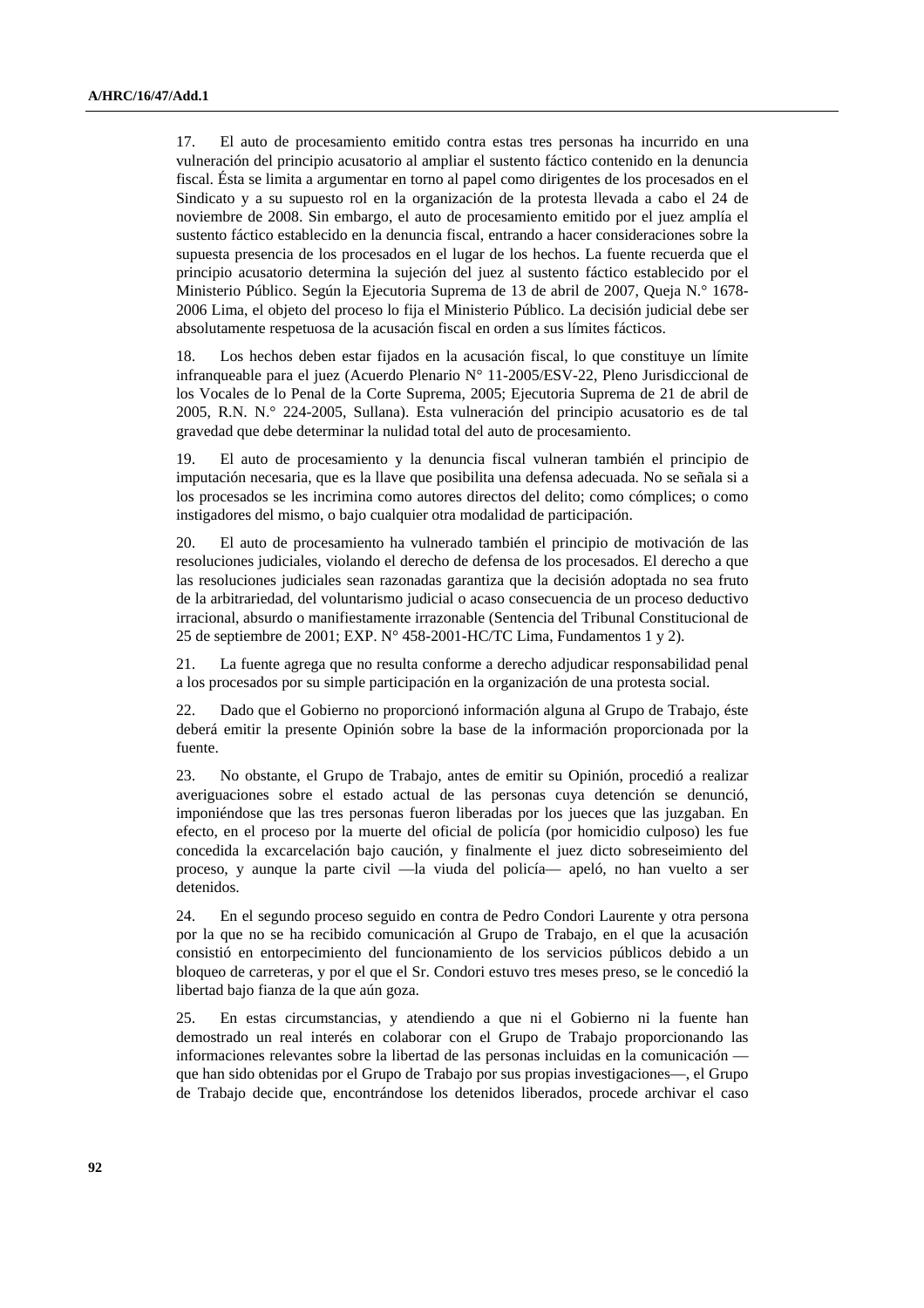17. El auto de procesamiento emitido contra estas tres personas ha incurrido en una vulneración del principio acusatorio al ampliar el sustento fáctico contenido en la denuncia fiscal. Ésta se limita a argumentar en torno al papel como dirigentes de los procesados en el Sindicato y a su supuesto rol en la organización de la protesta llevada a cabo el 24 de noviembre de 2008. Sin embargo, el auto de procesamiento emitido por el juez amplía el sustento fáctico establecido en la denuncia fiscal, entrando a hacer consideraciones sobre la supuesta presencia de los procesados en el lugar de los hechos. La fuente recuerda que el principio acusatorio determina la sujeción del juez al sustento fáctico establecido por el Ministerio Público. Según la Ejecutoria Suprema de 13 de abril de 2007, Queja N.° 1678- 2006 Lima, el objeto del proceso lo fija el Ministerio Público. La decisión judicial debe ser absolutamente respetuosa de la acusación fiscal en orden a sus límites fácticos.

18. Los hechos deben estar fijados en la acusación fiscal, lo que constituye un límite infranqueable para el juez (Acuerdo Plenario N° 11-2005/ESV-22, Pleno Jurisdiccional de los Vocales de lo Penal de la Corte Suprema, 2005; Ejecutoria Suprema de 21 de abril de 2005, R.N. N.° 224-2005, Sullana). Esta vulneración del principio acusatorio es de tal gravedad que debe determinar la nulidad total del auto de procesamiento.

19. El auto de procesamiento y la denuncia fiscal vulneran también el principio de imputación necesaria, que es la llave que posibilita una defensa adecuada. No se señala si a los procesados se les incrimina como autores directos del delito; como cómplices; o como instigadores del mismo, o bajo cualquier otra modalidad de participación.

20. El auto de procesamiento ha vulnerado también el principio de motivación de las resoluciones judiciales, violando el derecho de defensa de los procesados. El derecho a que las resoluciones judiciales sean razonadas garantiza que la decisión adoptada no sea fruto de la arbitrariedad, del voluntarismo judicial o acaso consecuencia de un proceso deductivo irracional, absurdo o manifiestamente irrazonable (Sentencia del Tribunal Constitucional de 25 de septiembre de 2001; EXP. N° 458-2001-HC/TC Lima, Fundamentos 1 y 2).

21. La fuente agrega que no resulta conforme a derecho adjudicar responsabilidad penal a los procesados por su simple participación en la organización de una protesta social.

22. Dado que el Gobierno no proporcionó información alguna al Grupo de Trabajo, éste deberá emitir la presente Opinión sobre la base de la información proporcionada por la fuente.

23. No obstante, el Grupo de Trabajo, antes de emitir su Opinión, procedió a realizar averiguaciones sobre el estado actual de las personas cuya detención se denunció, imponiéndose que las tres personas fueron liberadas por los jueces que las juzgaban. En efecto, en el proceso por la muerte del oficial de policía (por homicidio culposo) les fue concedida la excarcelación bajo caución, y finalmente el juez dicto sobreseimiento del proceso, y aunque la parte civil —la viuda del policía— apeló, no han vuelto a ser detenidos.

24. En el segundo proceso seguido en contra de Pedro Condori Laurente y otra persona por la que no se ha recibido comunicación al Grupo de Trabajo, en el que la acusación consistió en entorpecimiento del funcionamiento de los servicios públicos debido a un bloqueo de carreteras, y por el que el Sr. Condori estuvo tres meses preso, se le concedió la libertad bajo fianza de la que aún goza.

25. En estas circumstancias, y atendiendo a que ni el Gobierno ni la fuente han demostrado un real interés en colaborar con el Grupo de Trabajo proporcionando las informaciones relevantes sobre la libertad de las personas incluidas en la comunicación que han sido obtenidas por el Grupo de Trabajo por sus propias investigaciones—, el Grupo de Trabajo decide que, encontrándose los detenidos liberados, procede archivar el caso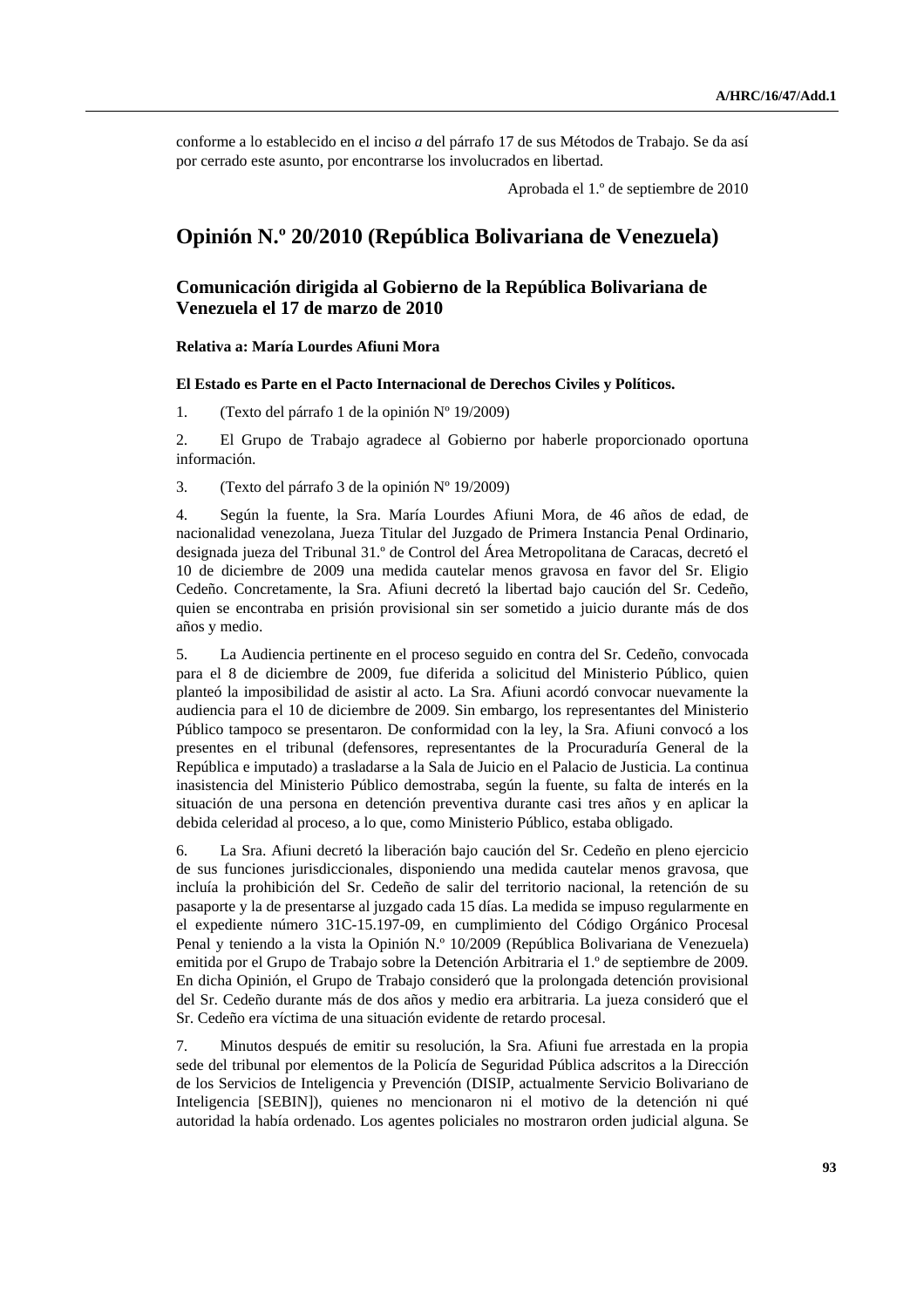conforme a lo establecido en el inciso *a* del párrafo 17 de sus Métodos de Trabajo. Se da así por cerrado este asunto, por encontrarse los involucrados en libertad.

Aprobada el 1.º de septiembre de 2010

## **Opinión N.º 20/2010 (República Bolivariana de Venezuela)**

## **Comunicación dirigida al Gobierno de la República Bolivariana de Venezuela el 17 de marzo de 2010**

### **Relativa a: María Lourdes Afiuni Mora**

### **El Estado es Parte en el Pacto Internacional de Derechos Civiles y Políticos.**

1. (Texto del párrafo 1 de la opinión Nº 19/2009)

2. El Grupo de Trabajo agradece al Gobierno por haberle proporcionado oportuna información.

3. (Texto del párrafo 3 de la opinión Nº 19/2009)

4. Según la fuente, la Sra. María Lourdes Afiuni Mora, de 46 años de edad, de nacionalidad venezolana, Jueza Titular del Juzgado de Primera Instancia Penal Ordinario, designada jueza del Tribunal 31.º de Control del Área Metropolitana de Caracas, decretó el 10 de diciembre de 2009 una medida cautelar menos gravosa en favor del Sr. Eligio Cedeño. Concretamente, la Sra. Afiuni decretó la libertad bajo caución del Sr. Cedeño, quien se encontraba en prisión provisional sin ser sometido a juicio durante más de dos años y medio.

5. La Audiencia pertinente en el proceso seguido en contra del Sr. Cedeño, convocada para el 8 de diciembre de 2009, fue diferida a solicitud del Ministerio Público, quien planteó la imposibilidad de asistir al acto. La Sra. Afiuni acordó convocar nuevamente la audiencia para el 10 de diciembre de 2009. Sin embargo, los representantes del Ministerio Público tampoco se presentaron. De conformidad con la ley, la Sra. Afiuni convocó a los presentes en el tribunal (defensores, representantes de la Procuraduría General de la República e imputado) a trasladarse a la Sala de Juicio en el Palacio de Justicia. La continua inasistencia del Ministerio Público demostraba, según la fuente, su falta de interés en la situación de una persona en detención preventiva durante casi tres años y en aplicar la debida celeridad al proceso, a lo que, como Ministerio Público, estaba obligado.

6. La Sra. Afiuni decretó la liberación bajo caución del Sr. Cedeño en pleno ejercicio de sus funciones jurisdiccionales, disponiendo una medida cautelar menos gravosa, que incluía la prohibición del Sr. Cedeño de salir del territorio nacional, la retención de su pasaporte y la de presentarse al juzgado cada 15 días. La medida se impuso regularmente en el expediente número 31C-15.197-09, en cumplimiento del Código Orgánico Procesal Penal y teniendo a la vista la Opinión N.º 10/2009 (República Bolivariana de Venezuela) emitida por el Grupo de Trabajo sobre la Detención Arbitraria el 1.º de septiembre de 2009. En dicha Opinión, el Grupo de Trabajo consideró que la prolongada detención provisional del Sr. Cedeño durante más de dos años y medio era arbitraria. La jueza consideró que el Sr. Cedeño era víctima de una situación evidente de retardo procesal.

7. Minutos después de emitir su resolución, la Sra. Afiuni fue arrestada en la propia sede del tribunal por elementos de la Policía de Seguridad Pública adscritos a la Dirección de los Servicios de Inteligencia y Prevención (DISIP, actualmente Servicio Bolivariano de Inteligencia [SEBIN]), quienes no mencionaron ni el motivo de la detención ni qué autoridad la había ordenado. Los agentes policiales no mostraron orden judicial alguna. Se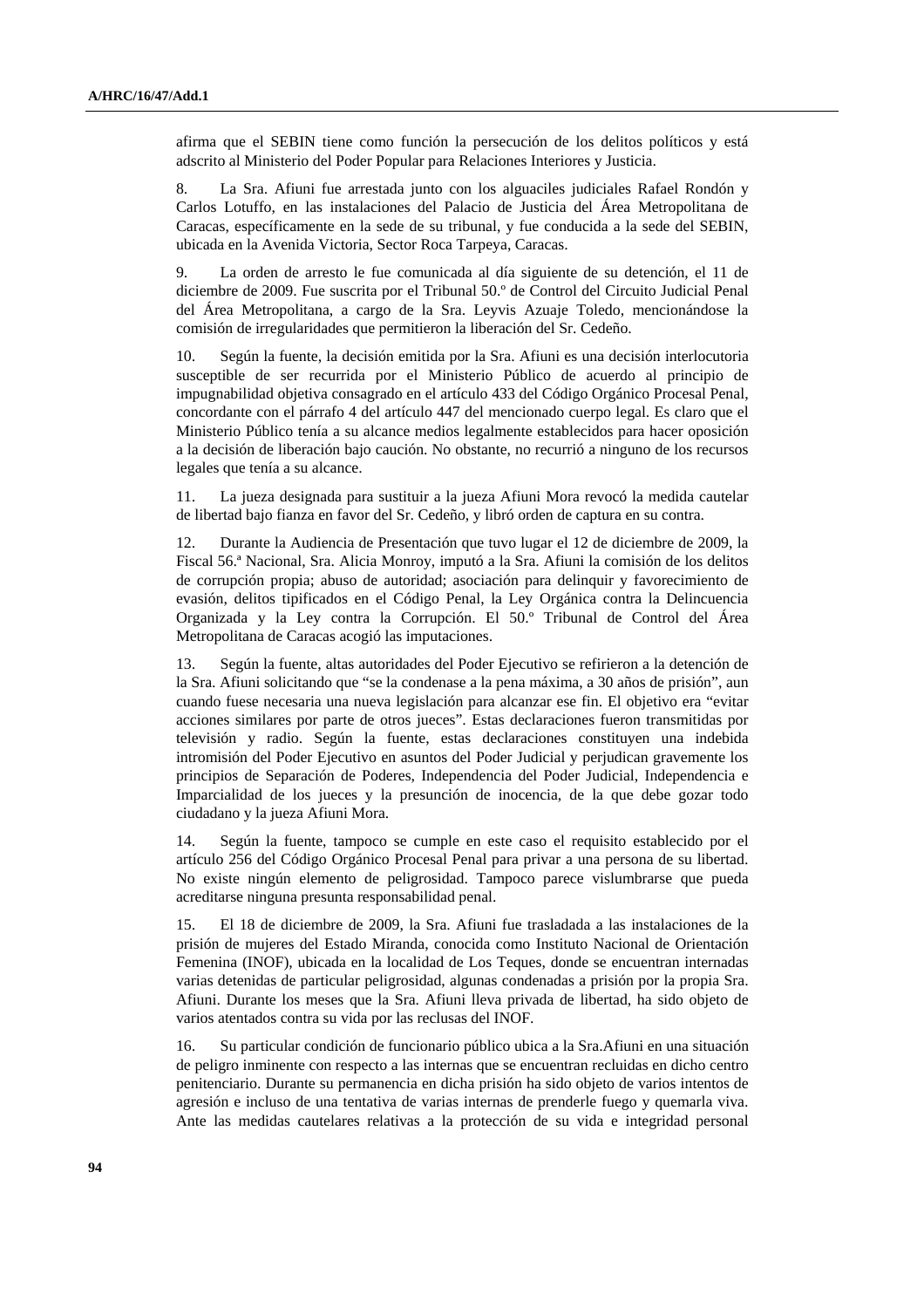afirma que el SEBIN tiene como función la persecución de los delitos políticos y está adscrito al Ministerio del Poder Popular para Relaciones Interiores y Justicia.

8. La Sra. Afiuni fue arrestada junto con los alguaciles judiciales Rafael Rondón y Carlos Lotuffo, en las instalaciones del Palacio de Justicia del Área Metropolitana de Caracas, específicamente en la sede de su tribunal, y fue conducida a la sede del SEBIN, ubicada en la Avenida Victoria, Sector Roca Tarpeya, Caracas.

9. La orden de arresto le fue comunicada al día siguiente de su detención, el 11 de diciembre de 2009. Fue suscrita por el Tribunal 50.º de Control del Circuito Judicial Penal del Área Metropolitana, a cargo de la Sra. Leyvis Azuaje Toledo, mencionándose la comisión de irregularidades que permitieron la liberación del Sr. Cedeño.

10. Según la fuente, la decisión emitida por la Sra. Afiuni es una decisión interlocutoria susceptible de ser recurrida por el Ministerio Público de acuerdo al principio de impugnabilidad objetiva consagrado en el artículo 433 del Código Orgánico Procesal Penal, concordante con el párrafo 4 del artículo 447 del mencionado cuerpo legal. Es claro que el Ministerio Público tenía a su alcance medios legalmente establecidos para hacer oposición a la decisión de liberación bajo caución. No obstante, no recurrió a ninguno de los recursos legales que tenía a su alcance.

11. La jueza designada para sustituir a la jueza Afiuni Mora revocó la medida cautelar de libertad bajo fianza en favor del Sr. Cedeño, y libró orden de captura en su contra.

12. Durante la Audiencia de Presentación que tuvo lugar el 12 de diciembre de 2009, la Fiscal 56.ª Nacional, Sra. Alicia Monroy, imputó a la Sra. Afiuni la comisión de los delitos de corrupción propia; abuso de autoridad; asociación para delinquir y favorecimiento de evasión, delitos tipificados en el Código Penal, la Ley Orgánica contra la Delincuencia Organizada y la Ley contra la Corrupción. El 50.º Tribunal de Control del Área Metropolitana de Caracas acogió las imputaciones.

13. Según la fuente, altas autoridades del Poder Ejecutivo se refirieron a la detención de la Sra. Afiuni solicitando que "se la condenase a la pena máxima, a 30 años de prisión", aun cuando fuese necesaria una nueva legislación para alcanzar ese fin. El objetivo era "evitar acciones similares por parte de otros jueces". Estas declaraciones fueron transmitidas por televisión y radio. Según la fuente, estas declaraciones constituyen una indebida intromisión del Poder Ejecutivo en asuntos del Poder Judicial y perjudican gravemente los principios de Separación de Poderes, Independencia del Poder Judicial, Independencia e Imparcialidad de los jueces y la presunción de inocencia, de la que debe gozar todo ciudadano y la jueza Afiuni Mora.

14. Según la fuente, tampoco se cumple en este caso el requisito establecido por el artículo 256 del Código Orgánico Procesal Penal para privar a una persona de su libertad. No existe ningún elemento de peligrosidad. Tampoco parece vislumbrarse que pueda acreditarse ninguna presunta responsabilidad penal.

15. El 18 de diciembre de 2009, la Sra. Afiuni fue trasladada a las instalaciones de la prisión de mujeres del Estado Miranda, conocida como Instituto Nacional de Orientación Femenina (INOF), ubicada en la localidad de Los Teques, donde se encuentran internadas varias detenidas de particular peligrosidad, algunas condenadas a prisión por la propia Sra. Afiuni. Durante los meses que la Sra. Afiuni lleva privada de libertad, ha sido objeto de varios atentados contra su vida por las reclusas del INOF.

16. Su particular condición de funcionario público ubica a la Sra.Afiuni en una situación de peligro inminente con respecto a las internas que se encuentran recluidas en dicho centro penitenciario. Durante su permanencia en dicha prisión ha sido objeto de varios intentos de agresión e incluso de una tentativa de varias internas de prenderle fuego y quemarla viva. Ante las medidas cautelares relativas a la protección de su vida e integridad personal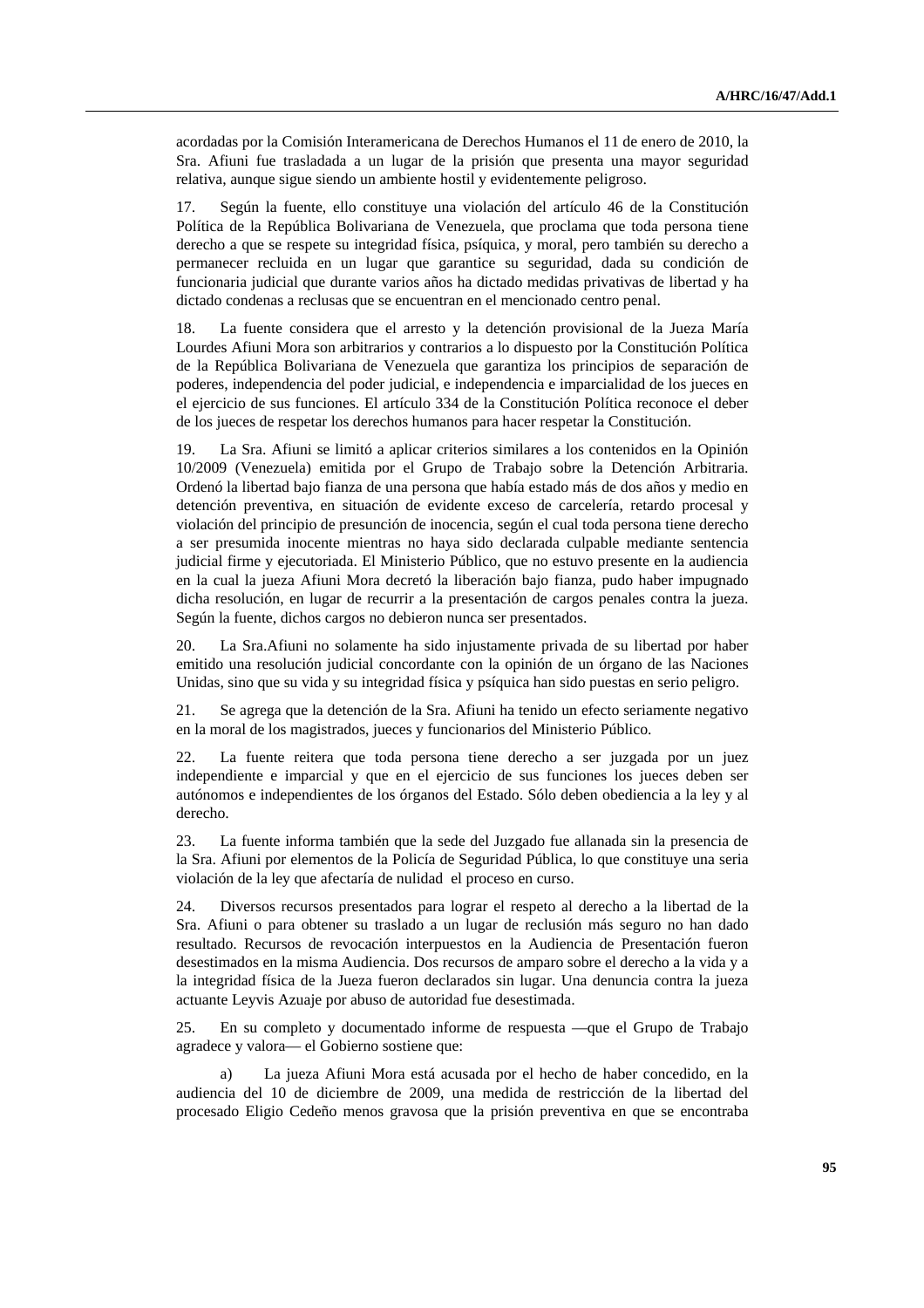acordadas por la Comisión Interamericana de Derechos Humanos el 11 de enero de 2010, la Sra. Afiuni fue trasladada a un lugar de la prisión que presenta una mayor seguridad relativa, aunque sigue siendo un ambiente hostil y evidentemente peligroso.

17. Según la fuente, ello constituye una violación del artículo 46 de la Constitución Política de la República Bolivariana de Venezuela, que proclama que toda persona tiene derecho a que se respete su integridad física, psíquica, y moral, pero también su derecho a permanecer recluida en un lugar que garantice su seguridad, dada su condición de funcionaria judicial que durante varios años ha dictado medidas privativas de libertad y ha dictado condenas a reclusas que se encuentran en el mencionado centro penal.

18. La fuente considera que el arresto y la detención provisional de la Jueza María Lourdes Afiuni Mora son arbitrarios y contrarios a lo dispuesto por la Constitución Política de la República Bolivariana de Venezuela que garantiza los principios de separación de poderes, independencia del poder judicial, e independencia e imparcialidad de los jueces en el ejercicio de sus funciones. El artículo 334 de la Constitución Política reconoce el deber de los jueces de respetar los derechos humanos para hacer respetar la Constitución.

19. La Sra. Afiuni se limitó a aplicar criterios similares a los contenidos en la Opinión 10/2009 (Venezuela) emitida por el Grupo de Trabajo sobre la Detención Arbitraria. Ordenó la libertad bajo fianza de una persona que había estado más de dos años y medio en detención preventiva, en situación de evidente exceso de carcelería, retardo procesal y violación del principio de presunción de inocencia, según el cual toda persona tiene derecho a ser presumida inocente mientras no haya sido declarada culpable mediante sentencia judicial firme y ejecutoriada. El Ministerio Público, que no estuvo presente en la audiencia en la cual la jueza Afiuni Mora decretó la liberación bajo fianza, pudo haber impugnado dicha resolución, en lugar de recurrir a la presentación de cargos penales contra la jueza. Según la fuente, dichos cargos no debieron nunca ser presentados.

20. La Sra.Afiuni no solamente ha sido injustamente privada de su libertad por haber emitido una resolución judicial concordante con la opinión de un órgano de las Naciones Unidas, sino que su vida y su integridad física y psíquica han sido puestas en serio peligro.

21. Se agrega que la detención de la Sra. Afiuni ha tenido un efecto seriamente negativo en la moral de los magistrados, jueces y funcionarios del Ministerio Público.

22. La fuente reitera que toda persona tiene derecho a ser juzgada por un juez independiente e imparcial y que en el ejercicio de sus funciones los jueces deben ser autónomos e independientes de los órganos del Estado. Sólo deben obediencia a la ley y al derecho.

23. La fuente informa también que la sede del Juzgado fue allanada sin la presencia de la Sra. Afiuni por elementos de la Policía de Seguridad Pública, lo que constituye una seria violación de la ley que afectaría de nulidad el proceso en curso.

24. Diversos recursos presentados para lograr el respeto al derecho a la libertad de la Sra. Afiuni o para obtener su traslado a un lugar de reclusión más seguro no han dado resultado. Recursos de revocación interpuestos en la Audiencia de Presentación fueron desestimados en la misma Audiencia. Dos recursos de amparo sobre el derecho a la vida y a la integridad física de la Jueza fueron declarados sin lugar. Una denuncia contra la jueza actuante Leyvis Azuaje por abuso de autoridad fue desestimada.

25. En su completo y documentado informe de respuesta —que el Grupo de Trabajo agradece y valora— el Gobierno sostiene que:

 a) La jueza Afiuni Mora está acusada por el hecho de haber concedido, en la audiencia del 10 de diciembre de 2009, una medida de restricción de la libertad del procesado Eligio Cedeño menos gravosa que la prisión preventiva en que se encontraba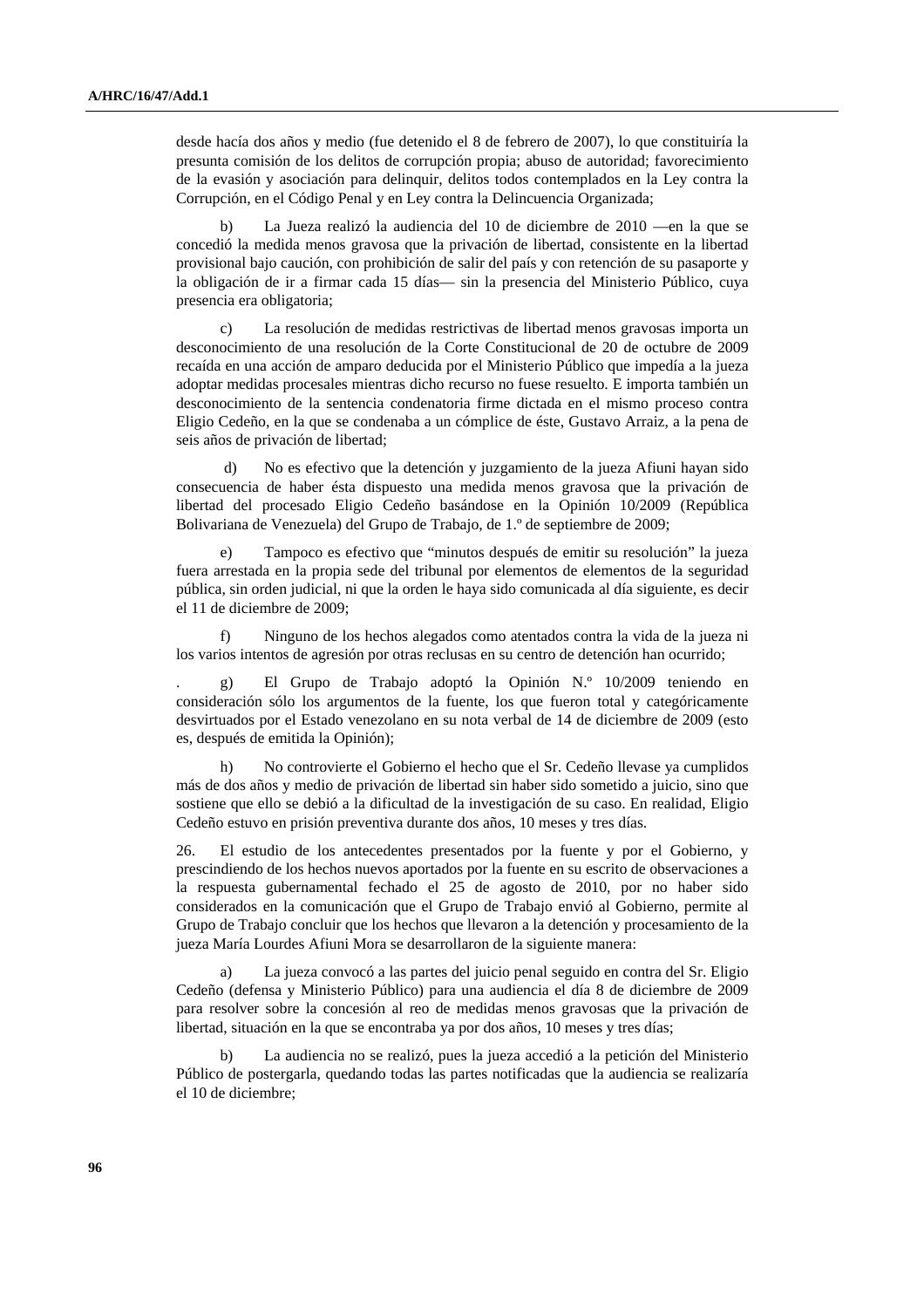desde hacía dos años y medio (fue detenido el 8 de febrero de 2007), lo que constituiría la presunta comisión de los delitos de corrupción propia; abuso de autoridad; favorecimiento de la evasión y asociación para delinquir, delitos todos contemplados en la Ley contra la Corrupción, en el Código Penal y en Ley contra la Delincuencia Organizada;

 b) La Jueza realizó la audiencia del 10 de diciembre de 2010 —en la que se concedió la medida menos gravosa que la privación de libertad, consistente en la libertad provisional bajo caución, con prohibición de salir del país y con retención de su pasaporte y la obligación de ir a firmar cada 15 días— sin la presencia del Ministerio Público, cuya presencia era obligatoria;

 c) La resolución de medidas restrictivas de libertad menos gravosas importa un desconocimiento de una resolución de la Corte Constitucional de 20 de octubre de 2009 recaída en una acción de amparo deducida por el Ministerio Público que impedía a la jueza adoptar medidas procesales mientras dicho recurso no fuese resuelto. E importa también un desconocimiento de la sentencia condenatoria firme dictada en el mismo proceso contra Eligio Cedeño, en la que se condenaba a un cómplice de éste, Gustavo Arraiz, a la pena de seis años de privación de libertad;

 d) No es efectivo que la detención y juzgamiento de la jueza Afiuni hayan sido consecuencia de haber ésta dispuesto una medida menos gravosa que la privación de libertad del procesado Eligio Cedeño basándose en la Opinión 10/2009 (República Bolivariana de Venezuela) del Grupo de Trabajo, de 1.º de septiembre de 2009;

Tampoco es efectivo que "minutos después de emitir su resolución" la jueza fuera arrestada en la propia sede del tribunal por elementos de elementos de la seguridad pública, sin orden judicial, ni que la orden le haya sido comunicada al día siguiente, es decir el 11 de diciembre de 2009;

 f) Ninguno de los hechos alegados como atentados contra la vida de la jueza ni los varios intentos de agresión por otras reclusas en su centro de detención han ocurrido;

. g) El Grupo de Trabajo adoptó la Opinión N.º 10/2009 teniendo en consideración sólo los argumentos de la fuente, los que fueron total y categóricamente desvirtuados por el Estado venezolano en su nota verbal de 14 de diciembre de 2009 (esto es, después de emitida la Opinión);

 h) No controvierte el Gobierno el hecho que el Sr. Cedeño llevase ya cumplidos más de dos años y medio de privación de libertad sin haber sido sometido a juicio, sino que sostiene que ello se debió a la dificultad de la investigación de su caso. En realidad, Eligio Cedeño estuvo en prisión preventiva durante dos años, 10 meses y tres días.

26. El estudio de los antecedentes presentados por la fuente y por el Gobierno, y prescindiendo de los hechos nuevos aportados por la fuente en su escrito de observaciones a la respuesta gubernamental fechado el 25 de agosto de 2010, por no haber sido considerados en la comunicación que el Grupo de Trabajo envió al Gobierno, permite al Grupo de Trabajo concluir que los hechos que llevaron a la detención y procesamiento de la jueza María Lourdes Afiuni Mora se desarrollaron de la siguiente manera:

La jueza convocó a las partes del juicio penal seguido en contra del Sr. Eligio Cedeño (defensa y Ministerio Público) para una audiencia el día 8 de diciembre de 2009 para resolver sobre la concesión al reo de medidas menos gravosas que la privación de libertad, situación en la que se encontraba ya por dos años, 10 meses y tres días;

 b) La audiencia no se realizó, pues la jueza accedió a la petición del Ministerio Público de postergarla, quedando todas las partes notificadas que la audiencia se realizaría el 10 de diciembre;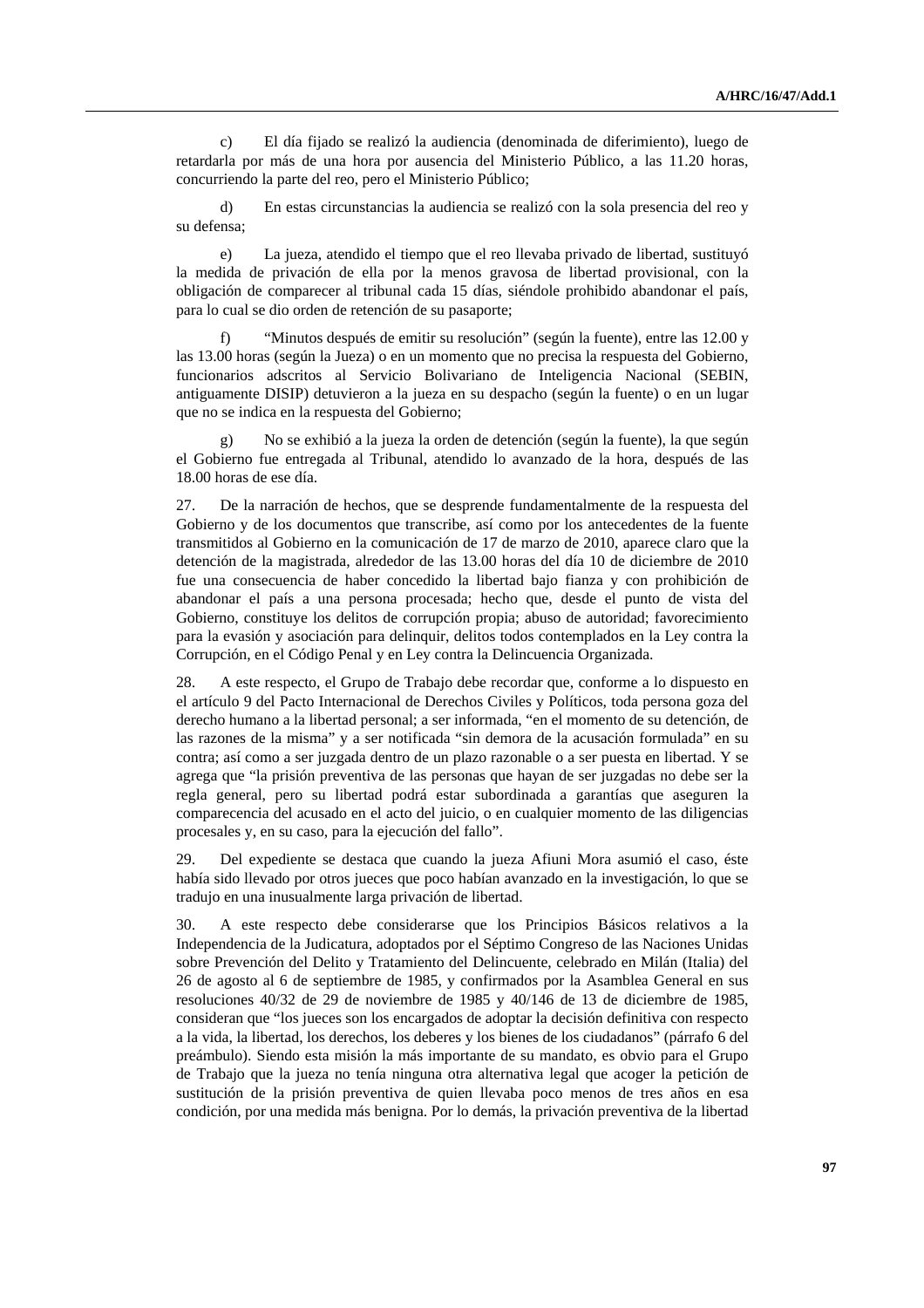c) El día fijado se realizó la audiencia (denominada de diferimiento), luego de retardarla por más de una hora por ausencia del Ministerio Público, a las 11.20 horas, concurriendo la parte del reo, pero el Ministerio Público;

 d) En estas circunstancias la audiencia se realizó con la sola presencia del reo y su defensa;

 e) La jueza, atendido el tiempo que el reo llevaba privado de libertad, sustituyó la medida de privación de ella por la menos gravosa de libertad provisional, con la obligación de comparecer al tribunal cada 15 días, siéndole prohibido abandonar el país, para lo cual se dio orden de retención de su pasaporte;

 f) "Minutos después de emitir su resolución" (según la fuente), entre las 12.00 y las 13.00 horas (según la Jueza) o en un momento que no precisa la respuesta del Gobierno, funcionarios adscritos al Servicio Bolivariano de Inteligencia Nacional (SEBIN, antiguamente DISIP) detuvieron a la jueza en su despacho (según la fuente) o en un lugar que no se indica en la respuesta del Gobierno;

 g) No se exhibió a la jueza la orden de detención (según la fuente), la que según el Gobierno fue entregada al Tribunal, atendido lo avanzado de la hora, después de las 18.00 horas de ese día.

27. De la narración de hechos, que se desprende fundamentalmente de la respuesta del Gobierno y de los documentos que transcribe, así como por los antecedentes de la fuente transmitidos al Gobierno en la comunicación de 17 de marzo de 2010, aparece claro que la detención de la magistrada, alrededor de las 13.00 horas del día 10 de diciembre de 2010 fue una consecuencia de haber concedido la libertad bajo fianza y con prohibición de abandonar el país a una persona procesada; hecho que, desde el punto de vista del Gobierno, constituye los delitos de corrupción propia; abuso de autoridad; favorecimiento para la evasión y asociación para delinquir, delitos todos contemplados en la Ley contra la Corrupción, en el Código Penal y en Ley contra la Delincuencia Organizada.

28. A este respecto, el Grupo de Trabajo debe recordar que, conforme a lo dispuesto en el artículo 9 del Pacto Internacional de Derechos Civiles y Políticos, toda persona goza del derecho humano a la libertad personal; a ser informada, "en el momento de su detención, de las razones de la misma" y a ser notificada "sin demora de la acusación formulada" en su contra; así como a ser juzgada dentro de un plazo razonable o a ser puesta en libertad. Y se agrega que "la prisión preventiva de las personas que hayan de ser juzgadas no debe ser la regla general, pero su libertad podrá estar subordinada a garantías que aseguren la comparecencia del acusado en el acto del juicio, o en cualquier momento de las diligencias procesales y, en su caso, para la ejecución del fallo".

29. Del expediente se destaca que cuando la jueza Afiuni Mora asumió el caso, éste había sido llevado por otros jueces que poco habían avanzado en la investigación, lo que se tradujo en una inusualmente larga privación de libertad.

30. A este respecto debe considerarse que los Principios Básicos relativos a la Independencia de la Judicatura, adoptados por el Séptimo Congreso de las Naciones Unidas sobre Prevención del Delito y Tratamiento del Delincuente, celebrado en Milán (Italia) del 26 de agosto al 6 de septiembre de 1985, y confirmados por la Asamblea General en sus resoluciones 40/32 de 29 de noviembre de 1985 y 40/146 de 13 de diciembre de 1985, consideran que "los jueces son los encargados de adoptar la decisión definitiva con respecto a la vida, la libertad, los derechos, los deberes y los bienes de los ciudadanos" (párrafo 6 del preámbulo). Siendo esta misión la más importante de su mandato, es obvio para el Grupo de Trabajo que la jueza no tenía ninguna otra alternativa legal que acoger la petición de sustitución de la prisión preventiva de quien llevaba poco menos de tres años en esa condición, por una medida más benigna. Por lo demás, la privación preventiva de la libertad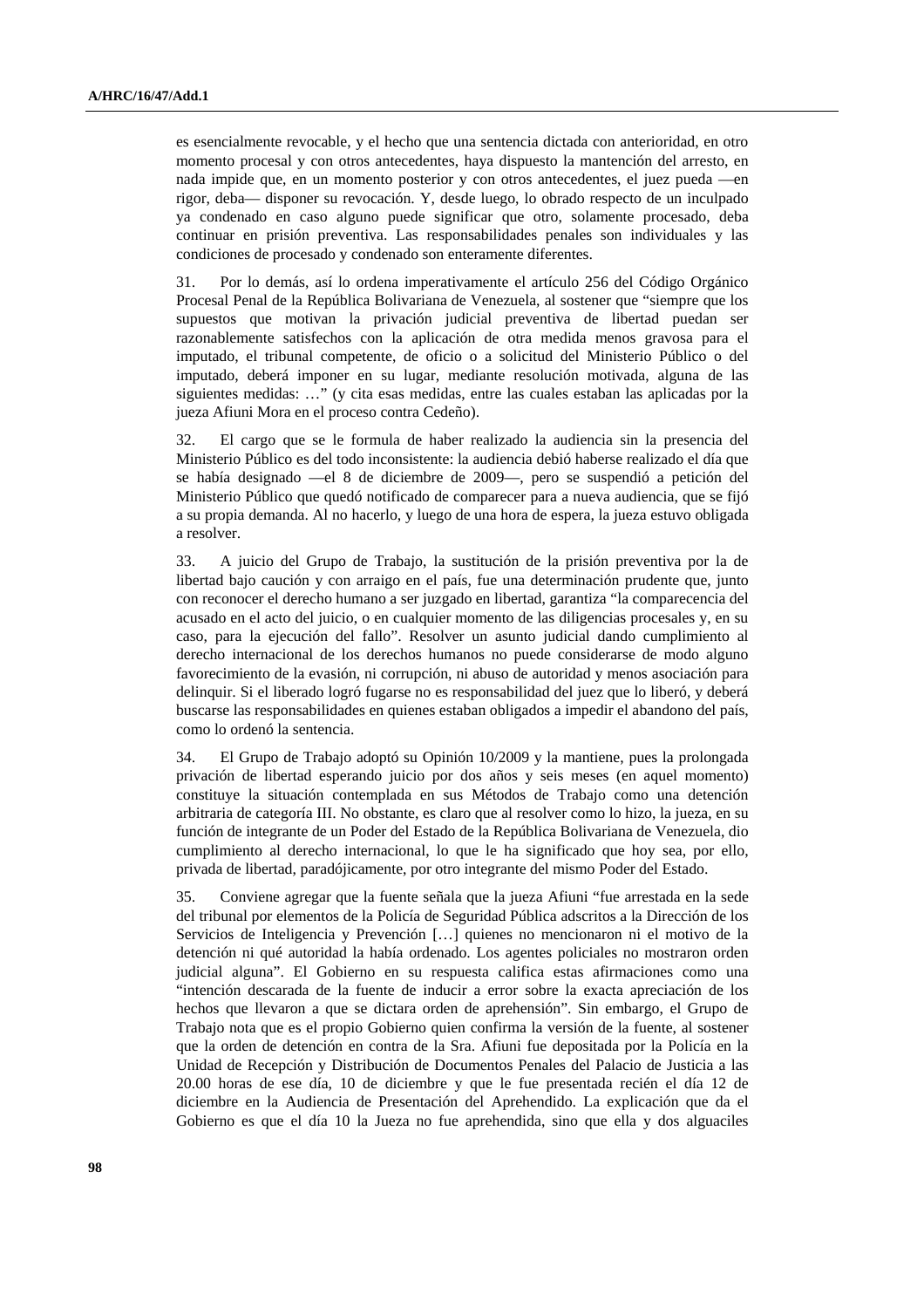es esencialmente revocable, y el hecho que una sentencia dictada con anterioridad, en otro momento procesal y con otros antecedentes, haya dispuesto la mantención del arresto, en nada impide que, en un momento posterior y con otros antecedentes, el juez pueda —en rigor, deba— disponer su revocación. Y, desde luego, lo obrado respecto de un inculpado ya condenado en caso alguno puede significar que otro, solamente procesado, deba continuar en prisión preventiva. Las responsabilidades penales son individuales y las condiciones de procesado y condenado son enteramente diferentes.

31. Por lo demás, así lo ordena imperativamente el artículo 256 del Código Orgánico Procesal Penal de la República Bolivariana de Venezuela, al sostener que "siempre que los supuestos que motivan la privación judicial preventiva de libertad puedan ser razonablemente satisfechos con la aplicación de otra medida menos gravosa para el imputado, el tribunal competente, de oficio o a solicitud del Ministerio Público o del imputado, deberá imponer en su lugar, mediante resolución motivada, alguna de las siguientes medidas: …" (y cita esas medidas, entre las cuales estaban las aplicadas por la jueza Afiuni Mora en el proceso contra Cedeño).

32. El cargo que se le formula de haber realizado la audiencia sin la presencia del Ministerio Público es del todo inconsistente: la audiencia debió haberse realizado el día que se había designado —el 8 de diciembre de 2009—, pero se suspendió a petición del Ministerio Público que quedó notificado de comparecer para a nueva audiencia, que se fijó a su propia demanda. Al no hacerlo, y luego de una hora de espera, la jueza estuvo obligada a resolver.

33. A juicio del Grupo de Trabajo, la sustitución de la prisión preventiva por la de libertad bajo caución y con arraigo en el país, fue una determinación prudente que, junto con reconocer el derecho humano a ser juzgado en libertad, garantiza "la comparecencia del acusado en el acto del juicio, o en cualquier momento de las diligencias procesales y, en su caso, para la ejecución del fallo". Resolver un asunto judicial dando cumplimiento al derecho internacional de los derechos humanos no puede considerarse de modo alguno favorecimiento de la evasión, ni corrupción, ni abuso de autoridad y menos asociación para delinquir. Si el liberado logró fugarse no es responsabilidad del juez que lo liberó, y deberá buscarse las responsabilidades en quienes estaban obligados a impedir el abandono del país, como lo ordenó la sentencia.

34. El Grupo de Trabajo adoptó su Opinión 10/2009 y la mantiene, pues la prolongada privación de libertad esperando juicio por dos años y seis meses (en aquel momento) constituye la situación contemplada en sus Métodos de Trabajo como una detención arbitraria de categoría III. No obstante, es claro que al resolver como lo hizo, la jueza, en su función de integrante de un Poder del Estado de la República Bolivariana de Venezuela, dio cumplimiento al derecho internacional, lo que le ha significado que hoy sea, por ello, privada de libertad, paradójicamente, por otro integrante del mismo Poder del Estado.

35. Conviene agregar que la fuente señala que la jueza Afiuni "fue arrestada en la sede del tribunal por elementos de la Policía de Seguridad Pública adscritos a la Dirección de los Servicios de Inteligencia y Prevención […] quienes no mencionaron ni el motivo de la detención ni qué autoridad la había ordenado. Los agentes policiales no mostraron orden judicial alguna". El Gobierno en su respuesta califica estas afirmaciones como una "intención descarada de la fuente de inducir a error sobre la exacta apreciación de los hechos que llevaron a que se dictara orden de aprehensión". Sin embargo, el Grupo de Trabajo nota que es el propio Gobierno quien confirma la versión de la fuente, al sostener que la orden de detención en contra de la Sra. Afiuni fue depositada por la Policía en la Unidad de Recepción y Distribución de Documentos Penales del Palacio de Justicia a las 20.00 horas de ese día, 10 de diciembre y que le fue presentada recién el día 12 de diciembre en la Audiencia de Presentación del Aprehendido. La explicación que da el Gobierno es que el día 10 la Jueza no fue aprehendida, sino que ella y dos alguaciles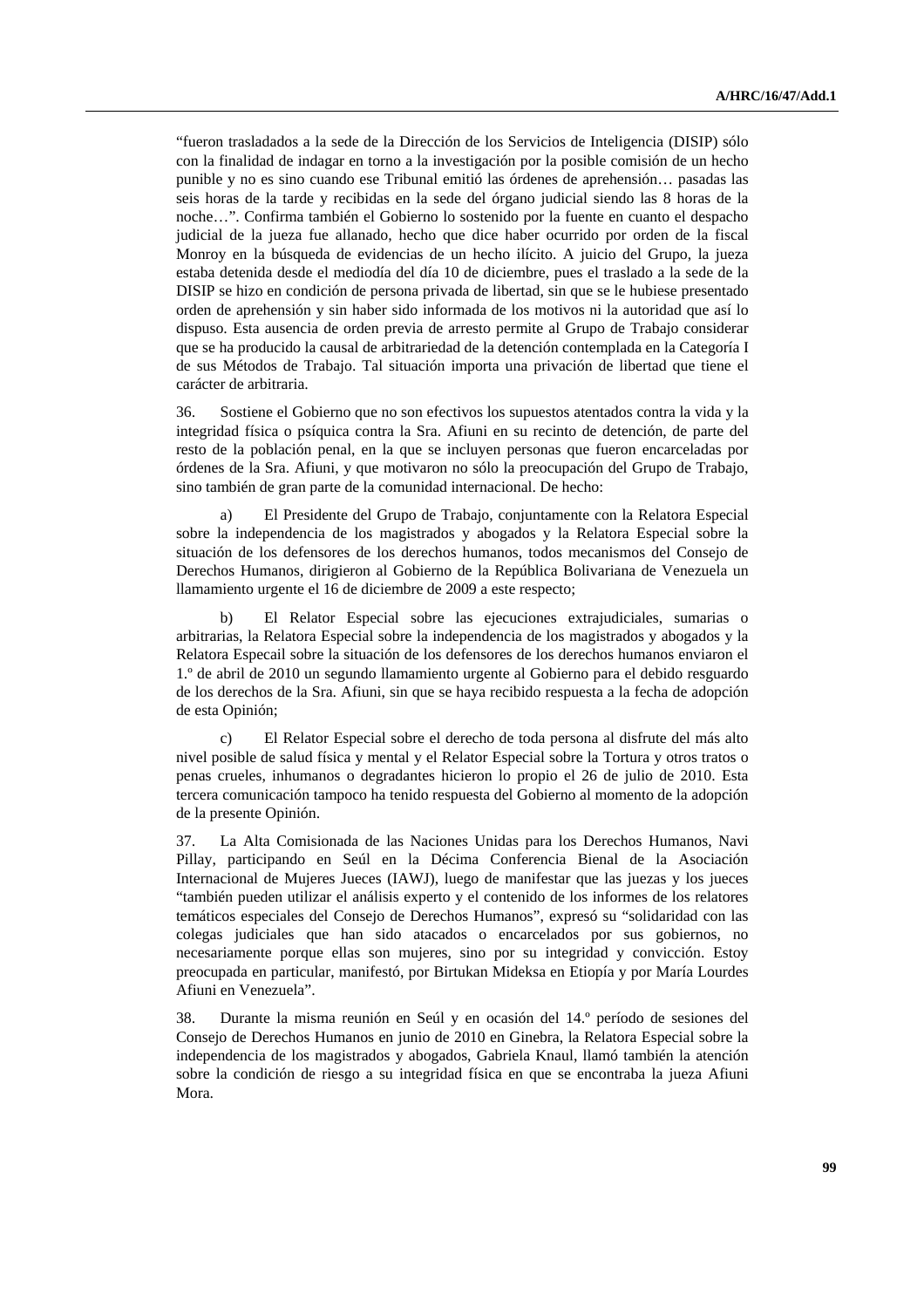"fueron trasladados a la sede de la Dirección de los Servicios de Inteligencia (DISIP) sólo con la finalidad de indagar en torno a la investigación por la posible comisión de un hecho punible y no es sino cuando ese Tribunal emitió las órdenes de aprehensión… pasadas las seis horas de la tarde y recibidas en la sede del órgano judicial siendo las 8 horas de la noche…". Confirma también el Gobierno lo sostenido por la fuente en cuanto el despacho judicial de la jueza fue allanado, hecho que dice haber ocurrido por orden de la fiscal Monroy en la búsqueda de evidencias de un hecho ilícito. A juicio del Grupo, la jueza estaba detenida desde el mediodía del día 10 de diciembre, pues el traslado a la sede de la DISIP se hizo en condición de persona privada de libertad, sin que se le hubiese presentado orden de aprehensión y sin haber sido informada de los motivos ni la autoridad que así lo dispuso. Esta ausencia de orden previa de arresto permite al Grupo de Trabajo considerar que se ha producido la causal de arbitrariedad de la detención contemplada en la Categoría I de sus Métodos de Trabajo. Tal situación importa una privación de libertad que tiene el carácter de arbitraria.

36. Sostiene el Gobierno que no son efectivos los supuestos atentados contra la vida y la integridad física o psíquica contra la Sra. Afiuni en su recinto de detención, de parte del resto de la población penal, en la que se incluyen personas que fueron encarceladas por órdenes de la Sra. Afiuni, y que motivaron no sólo la preocupación del Grupo de Trabajo, sino también de gran parte de la comunidad internacional. De hecho:

 a) El Presidente del Grupo de Trabajo, conjuntamente con la Relatora Especial sobre la independencia de los magistrados y abogados y la Relatora Especial sobre la situación de los defensores de los derechos humanos, todos mecanismos del Consejo de Derechos Humanos, dirigieron al Gobierno de la República Bolivariana de Venezuela un llamamiento urgente el 16 de diciembre de 2009 a este respecto;

 b) El Relator Especial sobre las ejecuciones extrajudiciales, sumarias o arbitrarias, la Relatora Especial sobre la independencia de los magistrados y abogados y la Relatora Especail sobre la situación de los defensores de los derechos humanos enviaron el 1.º de abril de 2010 un segundo llamamiento urgente al Gobierno para el debido resguardo de los derechos de la Sra. Afiuni, sin que se haya recibido respuesta a la fecha de adopción de esta Opinión;

 c) El Relator Especial sobre el derecho de toda persona al disfrute del más alto nivel posible de salud física y mental y el Relator Especial sobre la Tortura y otros tratos o penas crueles, inhumanos o degradantes hicieron lo propio el 26 de julio de 2010. Esta tercera comunicación tampoco ha tenido respuesta del Gobierno al momento de la adopción de la presente Opinión.

37. La Alta Comisionada de las Naciones Unidas para los Derechos Humanos, Navi Pillay, participando en Seúl en la Décima Conferencia Bienal de la Asociación Internacional de Mujeres Jueces (IAWJ), luego de manifestar que las juezas y los jueces "también pueden utilizar el análisis experto y el contenido de los informes de los relatores temáticos especiales del Consejo de Derechos Humanos", expresó su "solidaridad con las colegas judiciales que han sido atacados o encarcelados por sus gobiernos, no necesariamente porque ellas son mujeres, sino por su integridad y convicción. Estoy preocupada en particular, manifestó, por Birtukan Mideksa en Etiopía y por María Lourdes Afiuni en Venezuela".

38. Durante la misma reunión en Seúl y en ocasión del 14.º período de sesiones del Consejo de Derechos Humanos en junio de 2010 en Ginebra, la Relatora Especial sobre la independencia de los magistrados y abogados, Gabriela Knaul, llamó también la atención sobre la condición de riesgo a su integridad física en que se encontraba la jueza Afiuni Mora.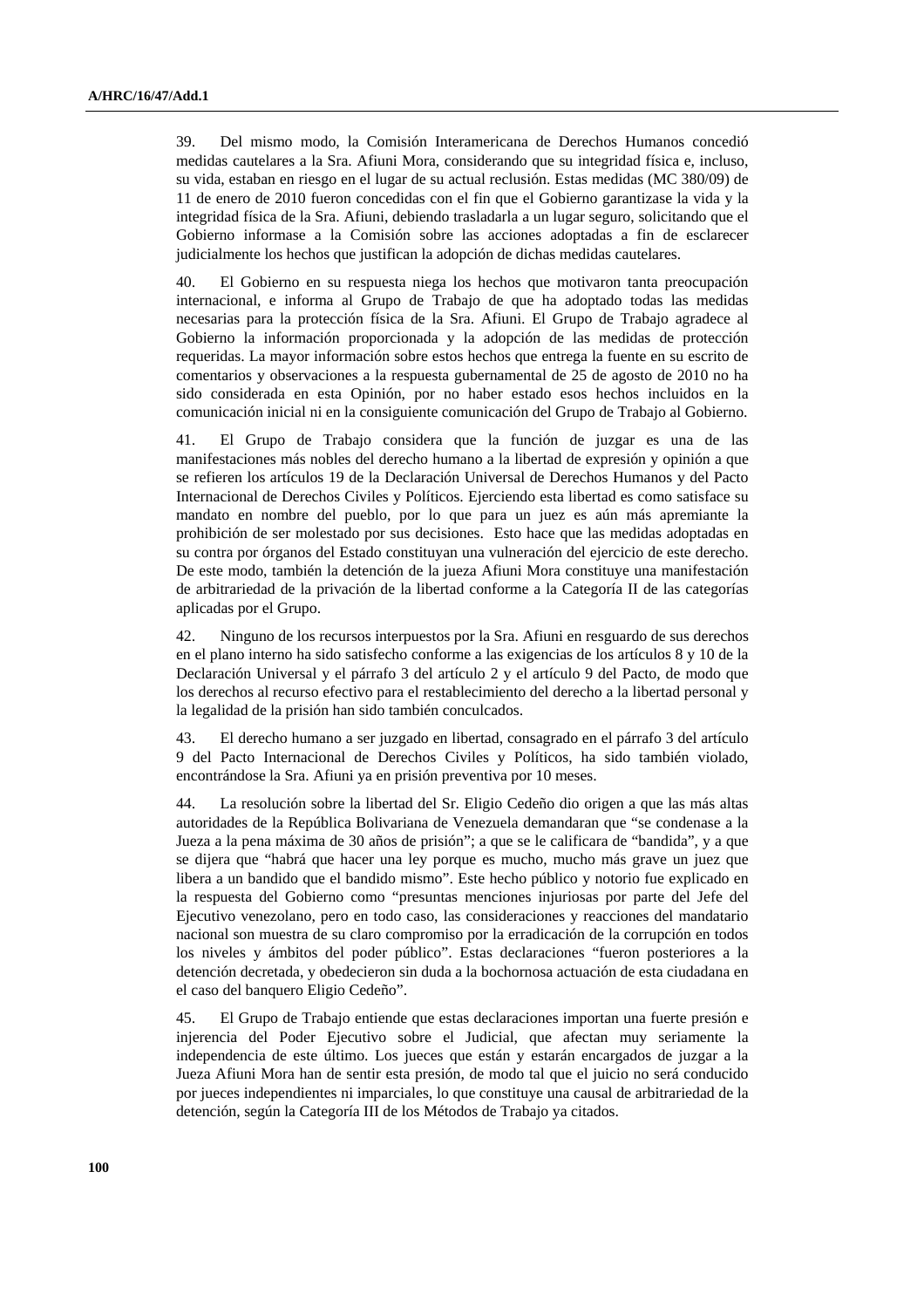39. Del mismo modo, la Comisión Interamericana de Derechos Humanos concedió medidas cautelares a la Sra. Afiuni Mora, considerando que su integridad física e, incluso, su vida, estaban en riesgo en el lugar de su actual reclusión. Estas medidas (MC 380/09) de 11 de enero de 2010 fueron concedidas con el fin que el Gobierno garantizase la vida y la integridad física de la Sra. Afiuni, debiendo trasladarla a un lugar seguro, solicitando que el Gobierno informase a la Comisión sobre las acciones adoptadas a fin de esclarecer judicialmente los hechos que justifican la adopción de dichas medidas cautelares.

40. El Gobierno en su respuesta niega los hechos que motivaron tanta preocupación internacional, e informa al Grupo de Trabajo de que ha adoptado todas las medidas necesarias para la protección física de la Sra. Afiuni. El Grupo de Trabajo agradece al Gobierno la información proporcionada y la adopción de las medidas de protección requeridas. La mayor información sobre estos hechos que entrega la fuente en su escrito de comentarios y observaciones a la respuesta gubernamental de 25 de agosto de 2010 no ha sido considerada en esta Opinión, por no haber estado esos hechos incluidos en la comunicación inicial ni en la consiguiente comunicación del Grupo de Trabajo al Gobierno.

41. El Grupo de Trabajo considera que la función de juzgar es una de las manifestaciones más nobles del derecho humano a la libertad de expresión y opinión a que se refieren los artículos 19 de la Declaración Universal de Derechos Humanos y del Pacto Internacional de Derechos Civiles y Políticos. Ejerciendo esta libertad es como satisface su mandato en nombre del pueblo, por lo que para un juez es aún más apremiante la prohibición de ser molestado por sus decisiones. Esto hace que las medidas adoptadas en su contra por órganos del Estado constituyan una vulneración del ejercicio de este derecho. De este modo, también la detención de la jueza Afiuni Mora constituye una manifestación de arbitrariedad de la privación de la libertad conforme a la Categoría II de las categorías aplicadas por el Grupo.

42. Ninguno de los recursos interpuestos por la Sra. Afiuni en resguardo de sus derechos en el plano interno ha sido satisfecho conforme a las exigencias de los artículos 8 y 10 de la Declaración Universal y el párrafo 3 del artículo 2 y el artículo 9 del Pacto, de modo que los derechos al recurso efectivo para el restablecimiento del derecho a la libertad personal y la legalidad de la prisión han sido también conculcados.

43. El derecho humano a ser juzgado en libertad, consagrado en el párrafo 3 del artículo 9 del Pacto Internacional de Derechos Civiles y Políticos, ha sido también violado, encontrándose la Sra. Afiuni ya en prisión preventiva por 10 meses.

44. La resolución sobre la libertad del Sr. Eligio Cedeño dio origen a que las más altas autoridades de la República Bolivariana de Venezuela demandaran que "se condenase a la Jueza a la pena máxima de 30 años de prisión"; a que se le calificara de "bandida", y a que se dijera que "habrá que hacer una ley porque es mucho, mucho más grave un juez que libera a un bandido que el bandido mismo". Este hecho público y notorio fue explicado en la respuesta del Gobierno como "presuntas menciones injuriosas por parte del Jefe del Ejecutivo venezolano, pero en todo caso, las consideraciones y reacciones del mandatario nacional son muestra de su claro compromiso por la erradicación de la corrupción en todos los niveles y ámbitos del poder público". Estas declaraciones "fueron posteriores a la detención decretada, y obedecieron sin duda a la bochornosa actuación de esta ciudadana en el caso del banquero Eligio Cedeño".

45. El Grupo de Trabajo entiende que estas declaraciones importan una fuerte presión e injerencia del Poder Ejecutivo sobre el Judicial, que afectan muy seriamente la independencia de este último. Los jueces que están y estarán encargados de juzgar a la Jueza Afiuni Mora han de sentir esta presión, de modo tal que el juicio no será conducido por jueces independientes ni imparciales, lo que constituye una causal de arbitrariedad de la detención, según la Categoría III de los Métodos de Trabajo ya citados.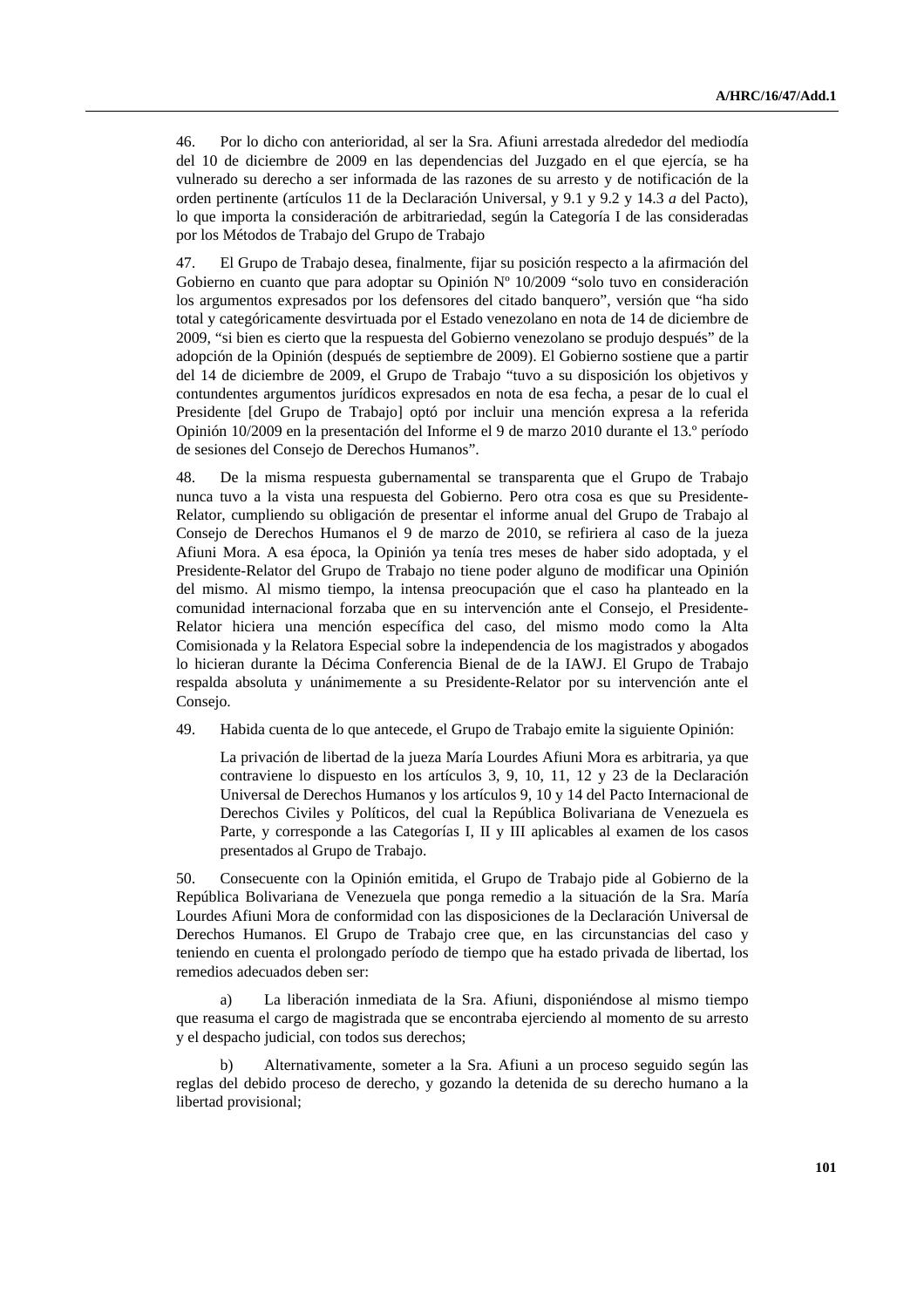46. Por lo dicho con anterioridad, al ser la Sra. Afiuni arrestada alrededor del mediodía del 10 de diciembre de 2009 en las dependencias del Juzgado en el que ejercía, se ha vulnerado su derecho a ser informada de las razones de su arresto y de notificación de la orden pertinente (artículos 11 de la Declaración Universal, y 9.1 y 9.2 y 14.3 *a* del Pacto), lo que importa la consideración de arbitrariedad, según la Categoría I de las consideradas por los Métodos de Trabajo del Grupo de Trabajo

47. El Grupo de Trabajo desea, finalmente, fijar su posición respecto a la afirmación del Gobierno en cuanto que para adoptar su Opinión  $N^{\circ}$  10/2009 "solo tuvo en consideración los argumentos expresados por los defensores del citado banquero", versión que "ha sido total y categóricamente desvirtuada por el Estado venezolano en nota de 14 de diciembre de 2009, "si bien es cierto que la respuesta del Gobierno venezolano se produjo después" de la adopción de la Opinión (después de septiembre de 2009). El Gobierno sostiene que a partir del 14 de diciembre de 2009, el Grupo de Trabajo "tuvo a su disposición los objetivos y contundentes argumentos jurídicos expresados en nota de esa fecha, a pesar de lo cual el Presidente [del Grupo de Trabajo] optó por incluir una mención expresa a la referida Opinión 10/2009 en la presentación del Informe el 9 de marzo 2010 durante el 13.º período de sesiones del Consejo de Derechos Humanos".

48. De la misma respuesta gubernamental se transparenta que el Grupo de Trabajo nunca tuvo a la vista una respuesta del Gobierno. Pero otra cosa es que su Presidente-Relator, cumpliendo su obligación de presentar el informe anual del Grupo de Trabajo al Consejo de Derechos Humanos el 9 de marzo de 2010, se refiriera al caso de la jueza Afiuni Mora. A esa época, la Opinión ya tenía tres meses de haber sido adoptada, y el Presidente-Relator del Grupo de Trabajo no tiene poder alguno de modificar una Opinión del mismo. Al mismo tiempo, la intensa preocupación que el caso ha planteado en la comunidad internacional forzaba que en su intervención ante el Consejo, el Presidente-Relator hiciera una mención específica del caso, del mismo modo como la Alta Comisionada y la Relatora Especial sobre la independencia de los magistrados y abogados lo hicieran durante la Décima Conferencia Bienal de de la IAWJ. El Grupo de Trabajo respalda absoluta y unánimemente a su Presidente-Relator por su intervención ante el Consejo.

49. Habida cuenta de lo que antecede, el Grupo de Trabajo emite la siguiente Opinión:

 La privación de libertad de la jueza María Lourdes Afiuni Mora es arbitraria, ya que contraviene lo dispuesto en los artículos 3, 9, 10, 11, 12 y 23 de la Declaración Universal de Derechos Humanos y los artículos 9, 10 y 14 del Pacto Internacional de Derechos Civiles y Políticos, del cual la República Bolivariana de Venezuela es Parte, y corresponde a las Categorías I, II y III aplicables al examen de los casos presentados al Grupo de Trabajo.

50. Consecuente con la Opinión emitida, el Grupo de Trabajo pide al Gobierno de la República Bolivariana de Venezuela que ponga remedio a la situación de la Sra. María Lourdes Afiuni Mora de conformidad con las disposiciones de la Declaración Universal de Derechos Humanos. El Grupo de Trabajo cree que, en las circunstancias del caso y teniendo en cuenta el prolongado período de tiempo que ha estado privada de libertad, los remedios adecuados deben ser:

 a) La liberación inmediata de la Sra. Afiuni, disponiéndose al mismo tiempo que reasuma el cargo de magistrada que se encontraba ejerciendo al momento de su arresto y el despacho judicial, con todos sus derechos;

 b) Alternativamente, someter a la Sra. Afiuni a un proceso seguido según las reglas del debido proceso de derecho, y gozando la detenida de su derecho humano a la libertad provisional;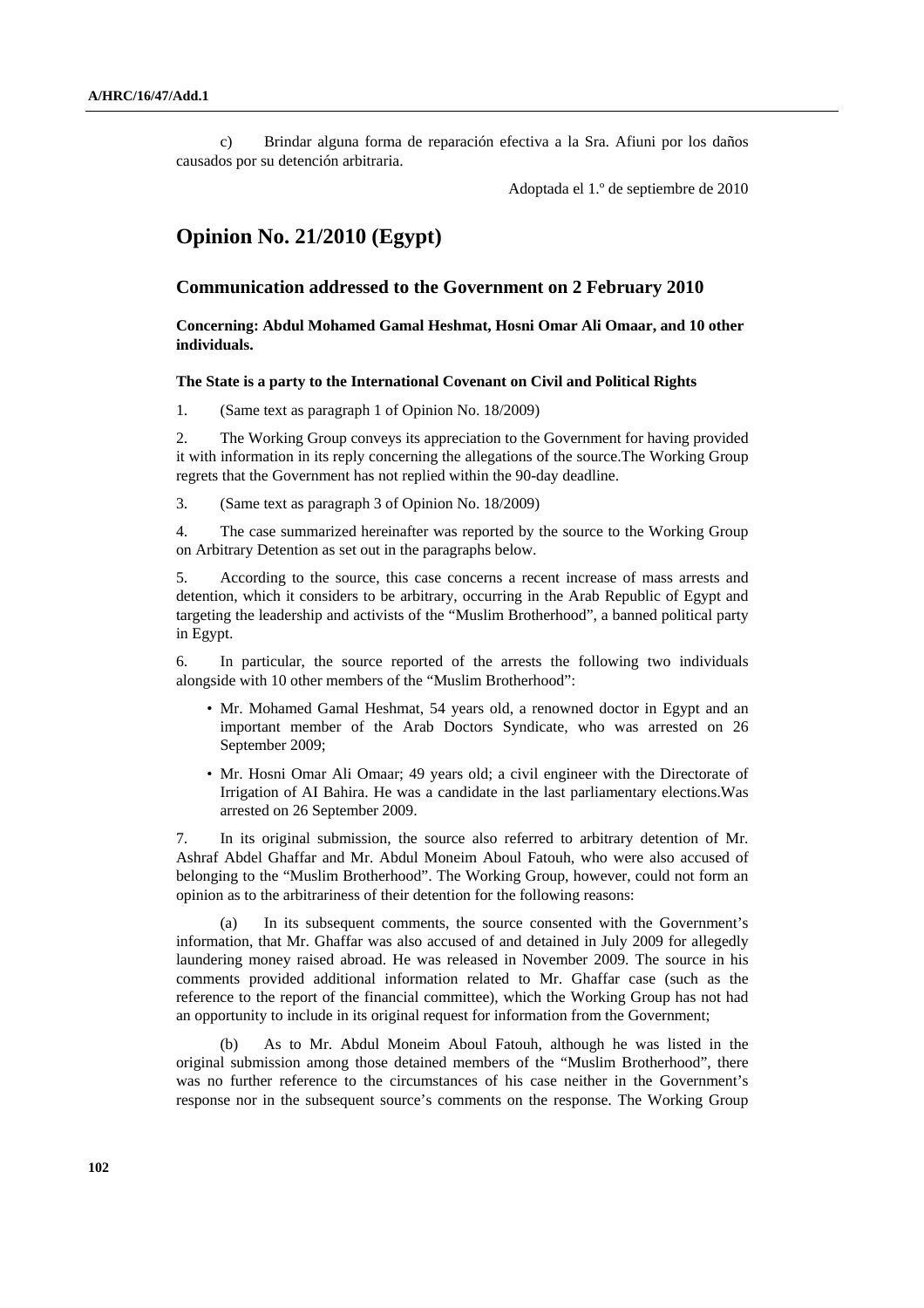c) Brindar alguna forma de reparación efectiva a la Sra. Afiuni por los daños causados por su detención arbitraria.

Adoptada el 1.º de septiembre de 2010

# **Opinion No. 21/2010 (Egypt)**

### **Communication addressed to the Government on 2 February 2010**

 **Concerning: Abdul Mohamed Gamal Heshmat, Hosni Omar Ali Omaar, and 10 other individuals.** 

### **The State is a party to the International Covenant on Civil and Political Rights**

1. (Same text as paragraph 1 of Opinion No. 18/2009)

2. The Working Group conveys its appreciation to the Government for having provided it with information in its reply concerning the allegations of the source.The Working Group regrets that the Government has not replied within the 90-day deadline.

3. (Same text as paragraph 3 of Opinion No. 18/2009)

4. The case summarized hereinafter was reported by the source to the Working Group on Arbitrary Detention as set out in the paragraphs below.

5. According to the source, this case concerns a recent increase of mass arrests and detention, which it considers to be arbitrary, occurring in the Arab Republic of Egypt and targeting the leadership and activists of the "Muslim Brotherhood", a banned political party in Egypt.

6. In particular, the source reported of the arrests the following two individuals alongside with 10 other members of the "Muslim Brotherhood":

- Mr. Mohamed Gamal Heshmat, 54 years old, a renowned doctor in Egypt and an important member of the Arab Doctors Syndicate, who was arrested on 26 September 2009;
- Mr. Hosni Omar Ali Omaar; 49 years old; a civil engineer with the Directorate of Irrigation of AI Bahira. He was a candidate in the last parliamentary elections.Was arrested on 26 September 2009.

7. In its original submission, the source also referred to arbitrary detention of Mr. Ashraf Abdel Ghaffar and Mr. Abdul Moneim Aboul Fatouh, who were also accused of belonging to the "Muslim Brotherhood". The Working Group, however, could not form an opinion as to the arbitrariness of their detention for the following reasons:

 (a) In its subsequent comments, the source consented with the Government's information, that Mr. Ghaffar was also accused of and detained in July 2009 for allegedly laundering money raised abroad. He was released in November 2009. The source in his comments provided additional information related to Mr. Ghaffar case (such as the reference to the report of the financial committee), which the Working Group has not had an opportunity to include in its original request for information from the Government;

 (b) As to Mr. Abdul Moneim Aboul Fatouh, although he was listed in the original submission among those detained members of the "Muslim Brotherhood", there was no further reference to the circumstances of his case neither in the Government's response nor in the subsequent source's comments on the response. The Working Group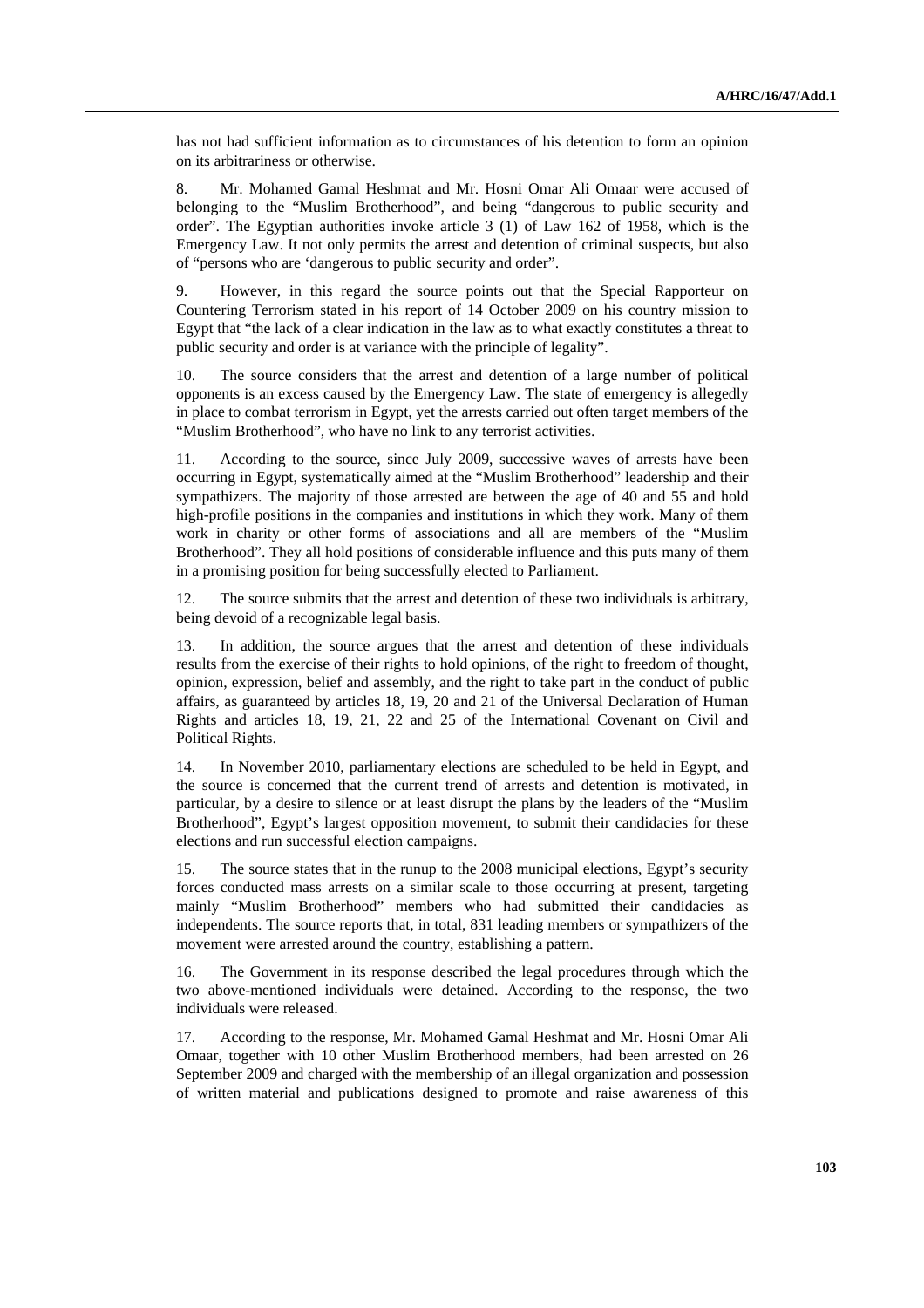has not had sufficient information as to circumstances of his detention to form an opinion on its arbitrariness or otherwise.

8. Mr. Mohamed Gamal Heshmat and Mr. Hosni Omar Ali Omaar were accused of belonging to the "Muslim Brotherhood", and being "dangerous to public security and order". The Egyptian authorities invoke article 3 (1) of Law 162 of 1958, which is the Emergency Law. It not only permits the arrest and detention of criminal suspects, but also of "persons who are 'dangerous to public security and order".

9. However, in this regard the source points out that the Special Rapporteur on Countering Terrorism stated in his report of 14 October 2009 on his country mission to Egypt that "the lack of a clear indication in the law as to what exactly constitutes a threat to public security and order is at variance with the principle of legality".

10. The source considers that the arrest and detention of a large number of political opponents is an excess caused by the Emergency Law. The state of emergency is allegedly in place to combat terrorism in Egypt, yet the arrests carried out often target members of the "Muslim Brotherhood", who have no link to any terrorist activities.

11. According to the source, since July 2009, successive waves of arrests have been occurring in Egypt, systematically aimed at the "Muslim Brotherhood" leadership and their sympathizers. The majority of those arrested are between the age of 40 and 55 and hold high-profile positions in the companies and institutions in which they work. Many of them work in charity or other forms of associations and all are members of the "Muslim Brotherhood". They all hold positions of considerable influence and this puts many of them in a promising position for being successfully elected to Parliament.

12. The source submits that the arrest and detention of these two individuals is arbitrary, being devoid of a recognizable legal basis.

13. In addition, the source argues that the arrest and detention of these individuals results from the exercise of their rights to hold opinions, of the right to freedom of thought, opinion, expression, belief and assembly, and the right to take part in the conduct of public affairs, as guaranteed by articles 18, 19, 20 and 21 of the Universal Declaration of Human Rights and articles 18, 19, 21, 22 and 25 of the International Covenant on Civil and Political Rights.

14. In November 2010, parliamentary elections are scheduled to be held in Egypt, and the source is concerned that the current trend of arrests and detention is motivated, in particular, by a desire to silence or at least disrupt the plans by the leaders of the "Muslim Brotherhood", Egypt's largest opposition movement, to submit their candidacies for these elections and run successful election campaigns.

15. The source states that in the runup to the 2008 municipal elections, Egypt's security forces conducted mass arrests on a similar scale to those occurring at present, targeting mainly "Muslim Brotherhood" members who had submitted their candidacies as independents. The source reports that, in total, 831 leading members or sympathizers of the movement were arrested around the country, establishing a pattern.

16. The Government in its response described the legal procedures through which the two above-mentioned individuals were detained. According to the response, the two individuals were released.

17. According to the response, Mr. Mohamed Gamal Heshmat and Mr. Hosni Omar Ali Omaar, together with 10 other Muslim Brotherhood members, had been arrested on 26 September 2009 and charged with the membership of an illegal organization and possession of written material and publications designed to promote and raise awareness of this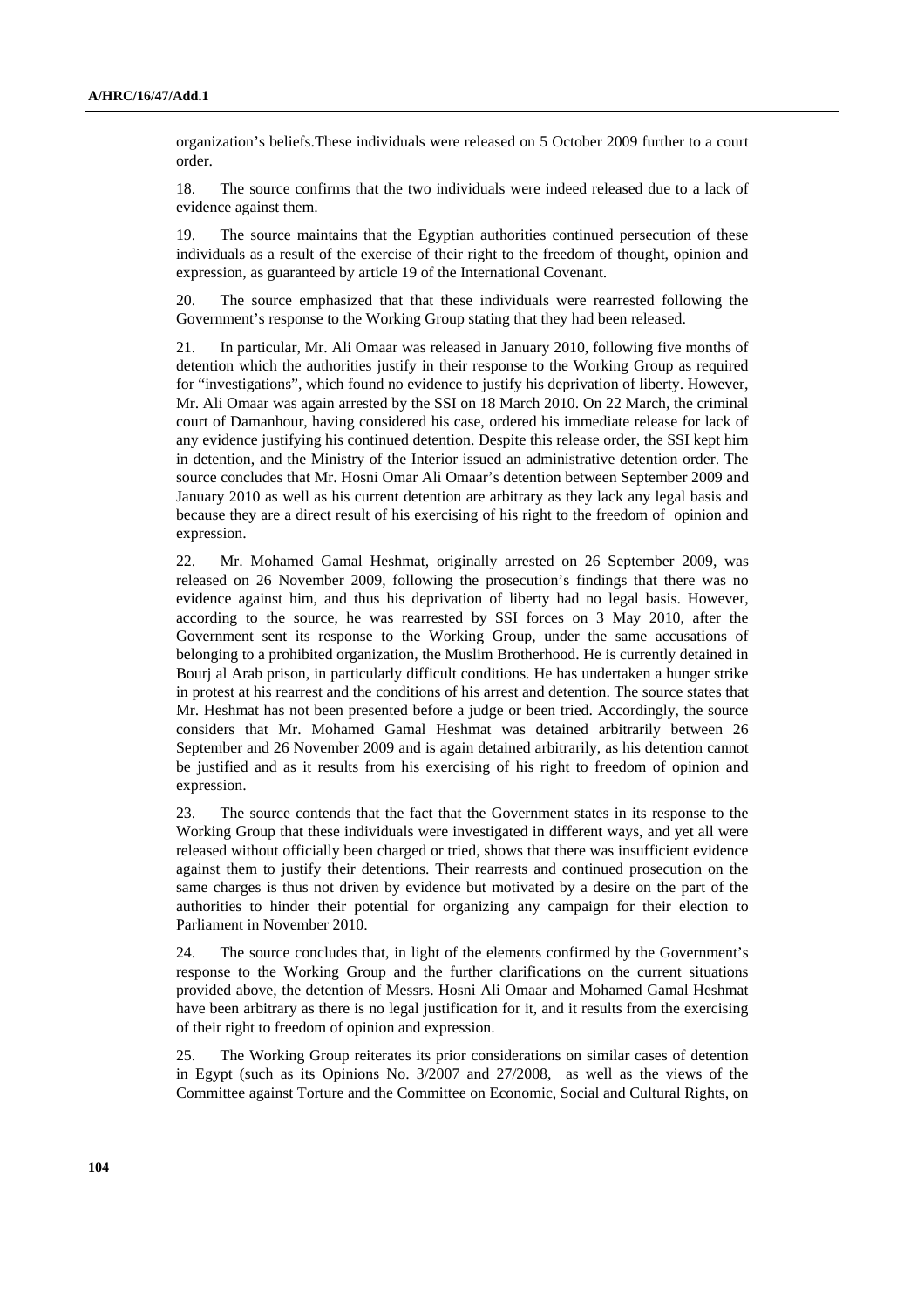organization's beliefs.These individuals were released on 5 October 2009 further to a court order.

18. The source confirms that the two individuals were indeed released due to a lack of evidence against them.

19. The source maintains that the Egyptian authorities continued persecution of these individuals as a result of the exercise of their right to the freedom of thought, opinion and expression, as guaranteed by article 19 of the International Covenant.

20. The source emphasized that that these individuals were rearrested following the Government's response to the Working Group stating that they had been released.

21. In particular, Mr. Ali Omaar was released in January 2010, following five months of detention which the authorities justify in their response to the Working Group as required for "investigations", which found no evidence to justify his deprivation of liberty. However, Mr. Ali Omaar was again arrested by the SSI on 18 March 2010. On 22 March, the criminal court of Damanhour, having considered his case, ordered his immediate release for lack of any evidence justifying his continued detention. Despite this release order, the SSI kept him in detention, and the Ministry of the Interior issued an administrative detention order. The source concludes that Mr. Hosni Omar Ali Omaar's detention between September 2009 and January 2010 as well as his current detention are arbitrary as they lack any legal basis and because they are a direct result of his exercising of his right to the freedom of opinion and expression.

22. Mr. Mohamed Gamal Heshmat, originally arrested on 26 September 2009, was released on 26 November 2009, following the prosecution's findings that there was no evidence against him, and thus his deprivation of liberty had no legal basis. However, according to the source, he was rearrested by SSI forces on 3 May 2010, after the Government sent its response to the Working Group, under the same accusations of belonging to a prohibited organization, the Muslim Brotherhood. He is currently detained in Bourj al Arab prison, in particularly difficult conditions. He has undertaken a hunger strike in protest at his rearrest and the conditions of his arrest and detention. The source states that Mr. Heshmat has not been presented before a judge or been tried. Accordingly, the source considers that Mr. Mohamed Gamal Heshmat was detained arbitrarily between 26 September and 26 November 2009 and is again detained arbitrarily, as his detention cannot be justified and as it results from his exercising of his right to freedom of opinion and expression.

23. The source contends that the fact that the Government states in its response to the Working Group that these individuals were investigated in different ways, and yet all were released without officially been charged or tried, shows that there was insufficient evidence against them to justify their detentions. Their rearrests and continued prosecution on the same charges is thus not driven by evidence but motivated by a desire on the part of the authorities to hinder their potential for organizing any campaign for their election to Parliament in November 2010.

24. The source concludes that, in light of the elements confirmed by the Government's response to the Working Group and the further clarifications on the current situations provided above, the detention of Messrs. Hosni Ali Omaar and Mohamed Gamal Heshmat have been arbitrary as there is no legal justification for it, and it results from the exercising of their right to freedom of opinion and expression.

25. The Working Group reiterates its prior considerations on similar cases of detention in Egypt (such as its Opinions No. 3/2007 and 27/2008, as well as the views of the Committee against Torture and the Committee on Economic, Social and Cultural Rights, on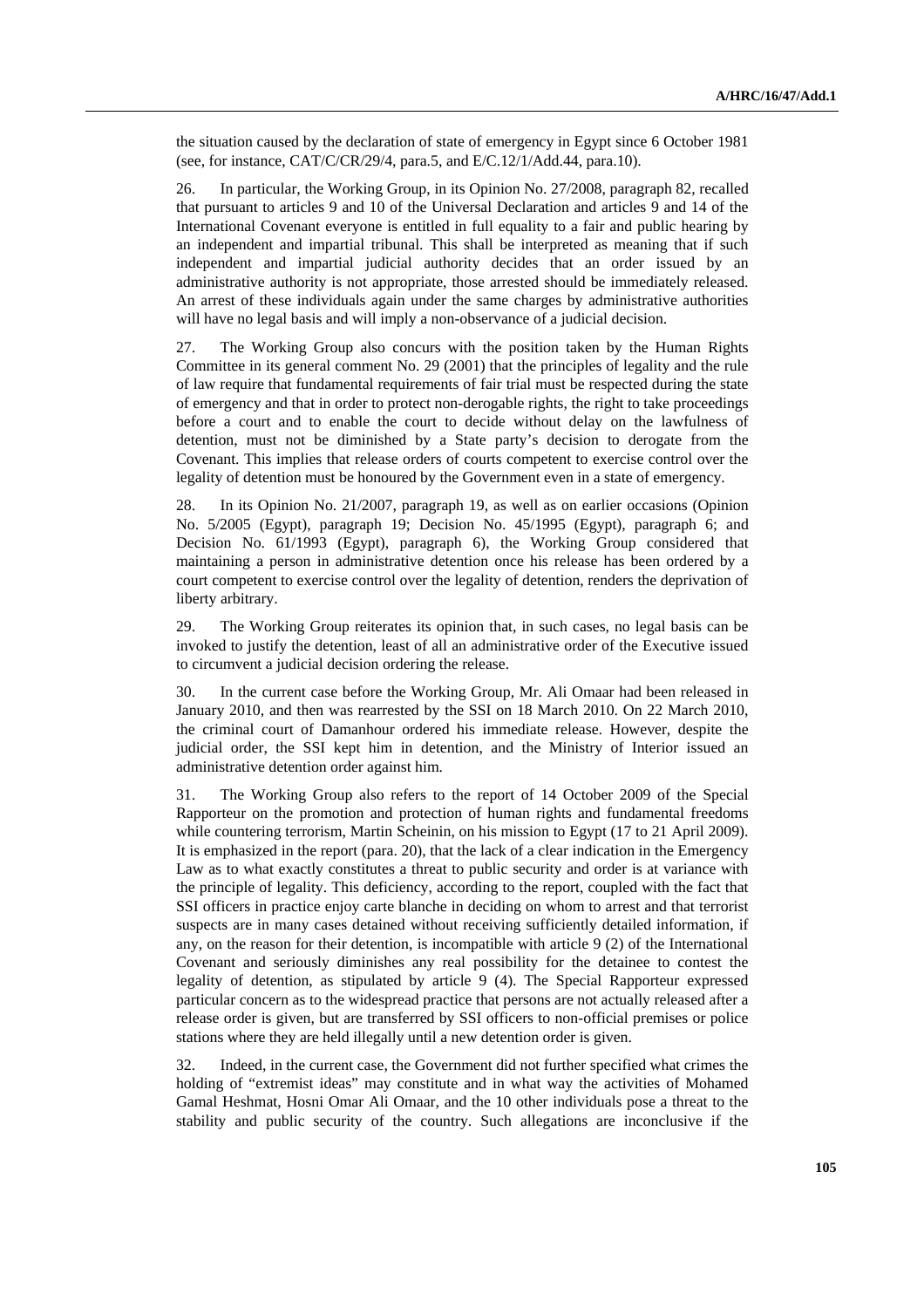the situation caused by the declaration of state of emergency in Egypt since 6 October 1981 (see, for instance, CAT/C/CR/29/4, para.5, and E/C.12/1/Add.44, para.10).

26. In particular, the Working Group, in its Opinion No. 27/2008, paragraph 82, recalled that pursuant to articles 9 and 10 of the Universal Declaration and articles 9 and 14 of the International Covenant everyone is entitled in full equality to a fair and public hearing by an independent and impartial tribunal. This shall be interpreted as meaning that if such independent and impartial judicial authority decides that an order issued by an administrative authority is not appropriate, those arrested should be immediately released. An arrest of these individuals again under the same charges by administrative authorities will have no legal basis and will imply a non-observance of a judicial decision.

27. The Working Group also concurs with the position taken by the Human Rights Committee in its general comment No. 29 (2001) that the principles of legality and the rule of law require that fundamental requirements of fair trial must be respected during the state of emergency and that in order to protect non-derogable rights, the right to take proceedings before a court and to enable the court to decide without delay on the lawfulness of detention, must not be diminished by a State party's decision to derogate from the Covenant. This implies that release orders of courts competent to exercise control over the legality of detention must be honoured by the Government even in a state of emergency.

28. In its Opinion No. 21/2007, paragraph 19, as well as on earlier occasions (Opinion No. 5/2005 (Egypt), paragraph 19; Decision No. 45/1995 (Egypt), paragraph 6; and Decision No. 61/1993 (Egypt), paragraph 6), the Working Group considered that maintaining a person in administrative detention once his release has been ordered by a court competent to exercise control over the legality of detention, renders the deprivation of liberty arbitrary.

29. The Working Group reiterates its opinion that, in such cases, no legal basis can be invoked to justify the detention, least of all an administrative order of the Executive issued to circumvent a judicial decision ordering the release.

30. In the current case before the Working Group, Mr. Ali Omaar had been released in January 2010, and then was rearrested by the SSI on 18 March 2010. On 22 March 2010, the criminal court of Damanhour ordered his immediate release. However, despite the judicial order, the SSI kept him in detention, and the Ministry of Interior issued an administrative detention order against him.

31. The Working Group also refers to the report of 14 October 2009 of the Special Rapporteur on the promotion and protection of human rights and fundamental freedoms while countering terrorism, Martin Scheinin, on his mission to Egypt (17 to 21 April 2009). It is emphasized in the report (para. 20), that the lack of a clear indication in the Emergency Law as to what exactly constitutes a threat to public security and order is at variance with the principle of legality. This deficiency, according to the report, coupled with the fact that SSI officers in practice enjoy carte blanche in deciding on whom to arrest and that terrorist suspects are in many cases detained without receiving sufficiently detailed information, if any, on the reason for their detention, is incompatible with article 9 (2) of the International Covenant and seriously diminishes any real possibility for the detainee to contest the legality of detention, as stipulated by article 9 (4). The Special Rapporteur expressed particular concern as to the widespread practice that persons are not actually released after a release order is given, but are transferred by SSI officers to non-official premises or police stations where they are held illegally until a new detention order is given.

32. Indeed, in the current case, the Government did not further specified what crimes the holding of "extremist ideas" may constitute and in what way the activities of Mohamed Gamal Heshmat, Hosni Omar Ali Omaar, and the 10 other individuals pose a threat to the stability and public security of the country. Such allegations are inconclusive if the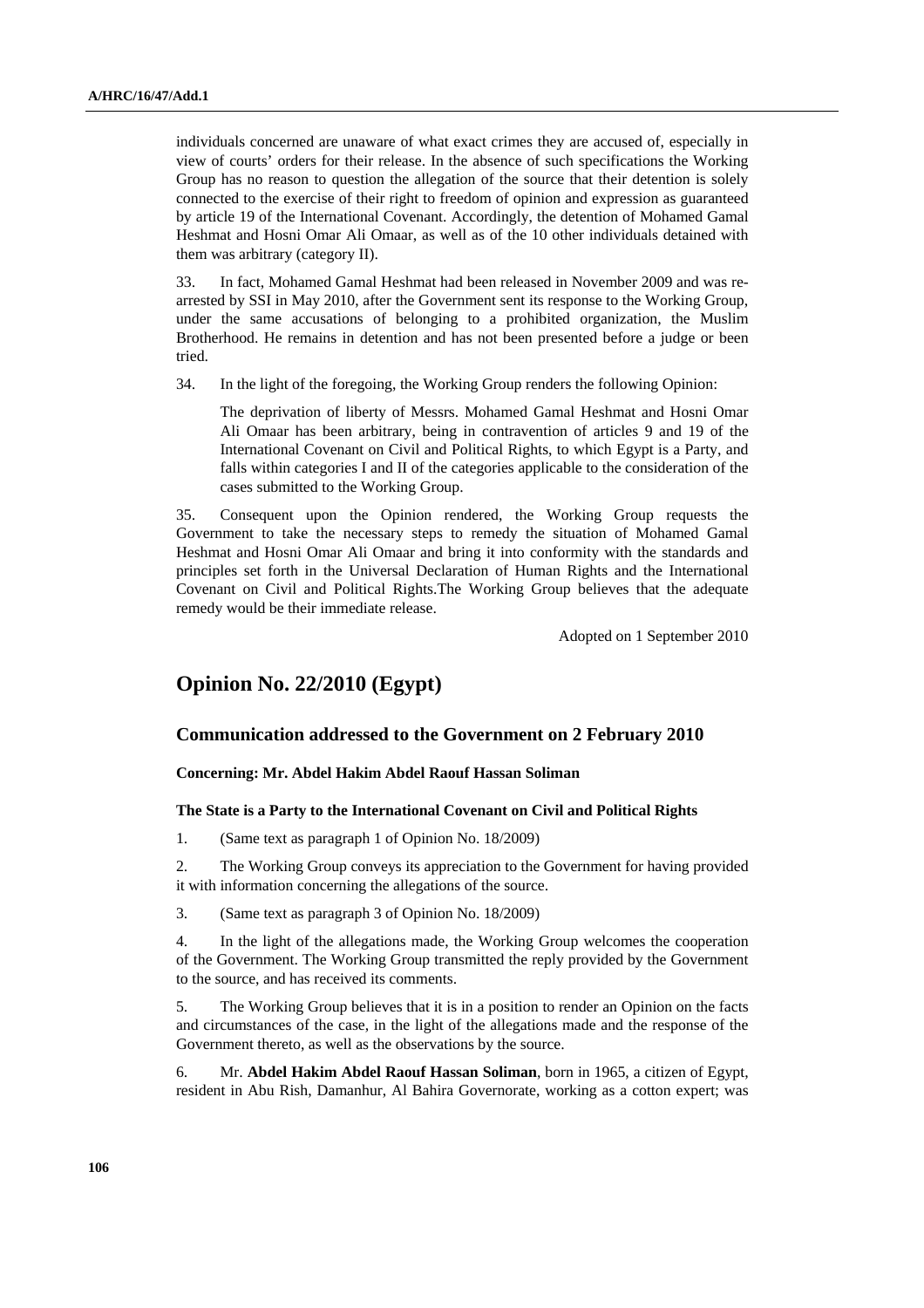individuals concerned are unaware of what exact crimes they are accused of, especially in view of courts' orders for their release. In the absence of such specifications the Working Group has no reason to question the allegation of the source that their detention is solely connected to the exercise of their right to freedom of opinion and expression as guaranteed by article 19 of the International Covenant. Accordingly, the detention of Mohamed Gamal Heshmat and Hosni Omar Ali Omaar, as well as of the 10 other individuals detained with them was arbitrary (category II).

33. In fact, Mohamed Gamal Heshmat had been released in November 2009 and was rearrested by SSI in May 2010, after the Government sent its response to the Working Group, under the same accusations of belonging to a prohibited organization, the Muslim Brotherhood. He remains in detention and has not been presented before a judge or been tried.

34. In the light of the foregoing, the Working Group renders the following Opinion:

 The deprivation of liberty of Messrs. Mohamed Gamal Heshmat and Hosni Omar Ali Omaar has been arbitrary, being in contravention of articles 9 and 19 of the International Covenant on Civil and Political Rights, to which Egypt is a Party, and falls within categories I and II of the categories applicable to the consideration of the cases submitted to the Working Group.

35. Consequent upon the Opinion rendered, the Working Group requests the Government to take the necessary steps to remedy the situation of Mohamed Gamal Heshmat and Hosni Omar Ali Omaar and bring it into conformity with the standards and principles set forth in the Universal Declaration of Human Rights and the International Covenant on Civil and Political Rights.The Working Group believes that the adequate remedy would be their immediate release.

Adopted on 1 September 2010

## **Opinion No. 22/2010 (Egypt)**

### **Communication addressed to the Government on 2 February 2010**

### **Concerning: Mr. Abdel Hakim Abdel Raouf Hassan Soliman**

#### **The State is a Party to the International Covenant on Civil and Political Rights**

1. (Same text as paragraph 1 of Opinion No. 18/2009)

2. The Working Group conveys its appreciation to the Government for having provided it with information concerning the allegations of the source.

3. (Same text as paragraph 3 of Opinion No. 18/2009)

4. In the light of the allegations made, the Working Group welcomes the cooperation of the Government. The Working Group transmitted the reply provided by the Government to the source, and has received its comments.

5. The Working Group believes that it is in a position to render an Opinion on the facts and circumstances of the case, in the light of the allegations made and the response of the Government thereto, as well as the observations by the source.

6. Mr. **Abdel Hakim Abdel Raouf Hassan Soliman**, born in 1965, a citizen of Egypt, resident in Abu Rish, Damanhur, Al Bahira Governorate, working as a cotton expert; was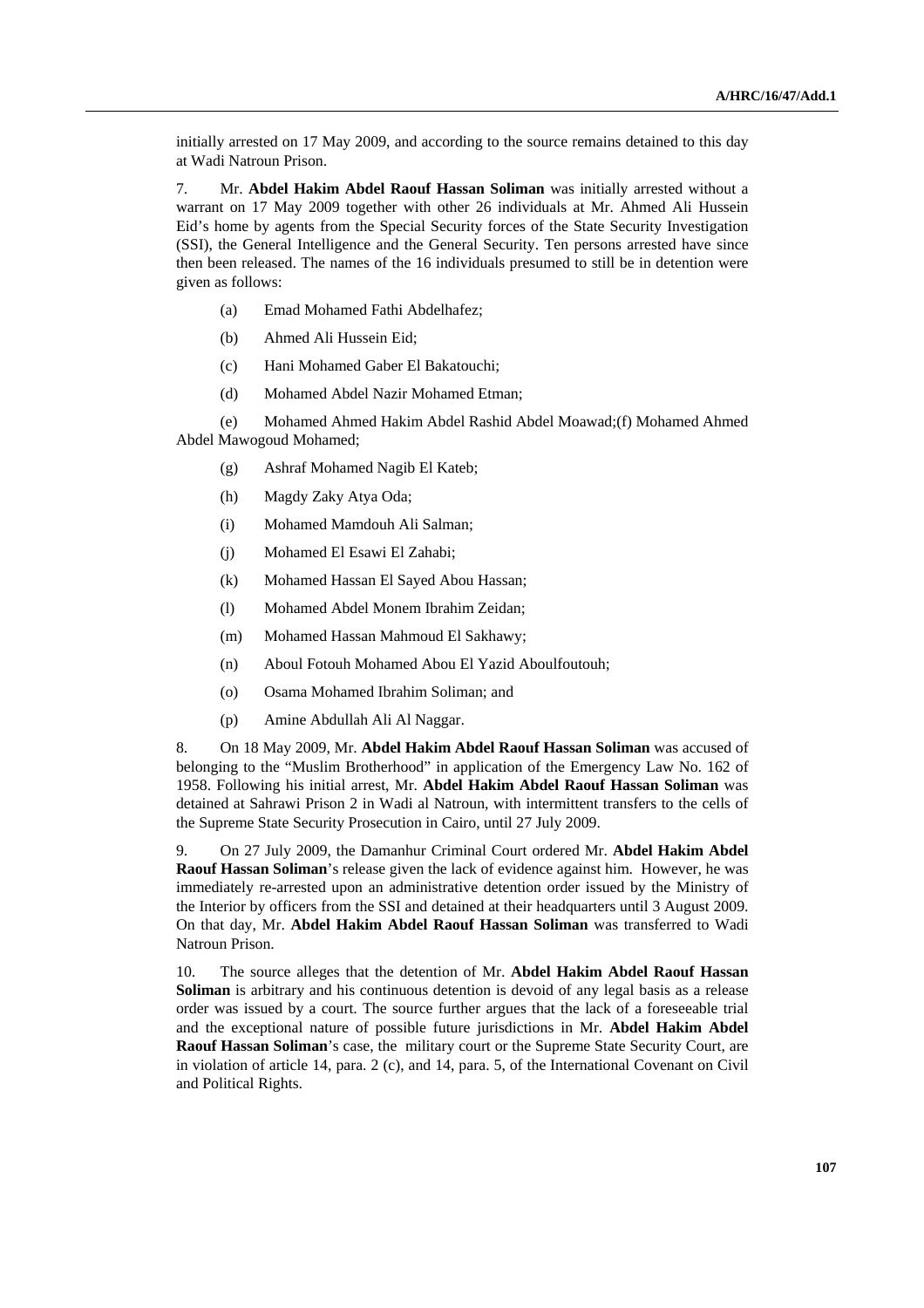initially arrested on 17 May 2009, and according to the source remains detained to this day at Wadi Natroun Prison.

7. Mr. **Abdel Hakim Abdel Raouf Hassan Soliman** was initially arrested without a warrant on 17 May 2009 together with other 26 individuals at Mr. Ahmed Ali Hussein Eid's home by agents from the Special Security forces of the State Security Investigation (SSI), the General Intelligence and the General Security. Ten persons arrested have since then been released. The names of the 16 individuals presumed to still be in detention were given as follows:

- (a) Emad Mohamed Fathi Abdelhafez;
- (b) Ahmed Ali Hussein Eid;
- (c) Hani Mohamed Gaber El Bakatouchi;
- (d) Mohamed Abdel Nazir Mohamed Etman;

 (e) Mohamed Ahmed Hakim Abdel Rashid Abdel Moawad;(f) Mohamed Ahmed Abdel Mawogoud Mohamed;

- (g) Ashraf Mohamed Nagib El Kateb;
- (h) Magdy Zaky Atya Oda;
- (i) Mohamed Mamdouh Ali Salman;
- (j) Mohamed El Esawi El Zahabi;
- (k) Mohamed Hassan El Sayed Abou Hassan;
- (l) Mohamed Abdel Monem Ibrahim Zeidan;
- (m) Mohamed Hassan Mahmoud El Sakhawy;
- (n) Aboul Fotouh Mohamed Abou El Yazid Aboulfoutouh;
- (o) Osama Mohamed Ibrahim Soliman; and
- (p) Amine Abdullah Ali Al Naggar.

8. On 18 May 2009, Mr. **Abdel Hakim Abdel Raouf Hassan Soliman** was accused of belonging to the "Muslim Brotherhood" in application of the Emergency Law No. 162 of 1958. Following his initial arrest, Mr. **Abdel Hakim Abdel Raouf Hassan Soliman** was detained at Sahrawi Prison 2 in Wadi al Natroun, with intermittent transfers to the cells of the Supreme State Security Prosecution in Cairo, until 27 July 2009.

9. On 27 July 2009, the Damanhur Criminal Court ordered Mr. **Abdel Hakim Abdel Raouf Hassan Soliman**'s release given the lack of evidence against him. However, he was immediately re-arrested upon an administrative detention order issued by the Ministry of the Interior by officers from the SSI and detained at their headquarters until 3 August 2009. On that day, Mr. **Abdel Hakim Abdel Raouf Hassan Soliman** was transferred to Wadi Natroun Prison.

10. The source alleges that the detention of Mr. **Abdel Hakim Abdel Raouf Hassan Soliman** is arbitrary and his continuous detention is devoid of any legal basis as a release order was issued by a court. The source further argues that the lack of a foreseeable trial and the exceptional nature of possible future jurisdictions in Mr. **Abdel Hakim Abdel Raouf Hassan Soliman**'s case, the military court or the Supreme State Security Court, are in violation of article 14, para. 2 (c), and 14, para. 5, of the International Covenant on Civil and Political Rights.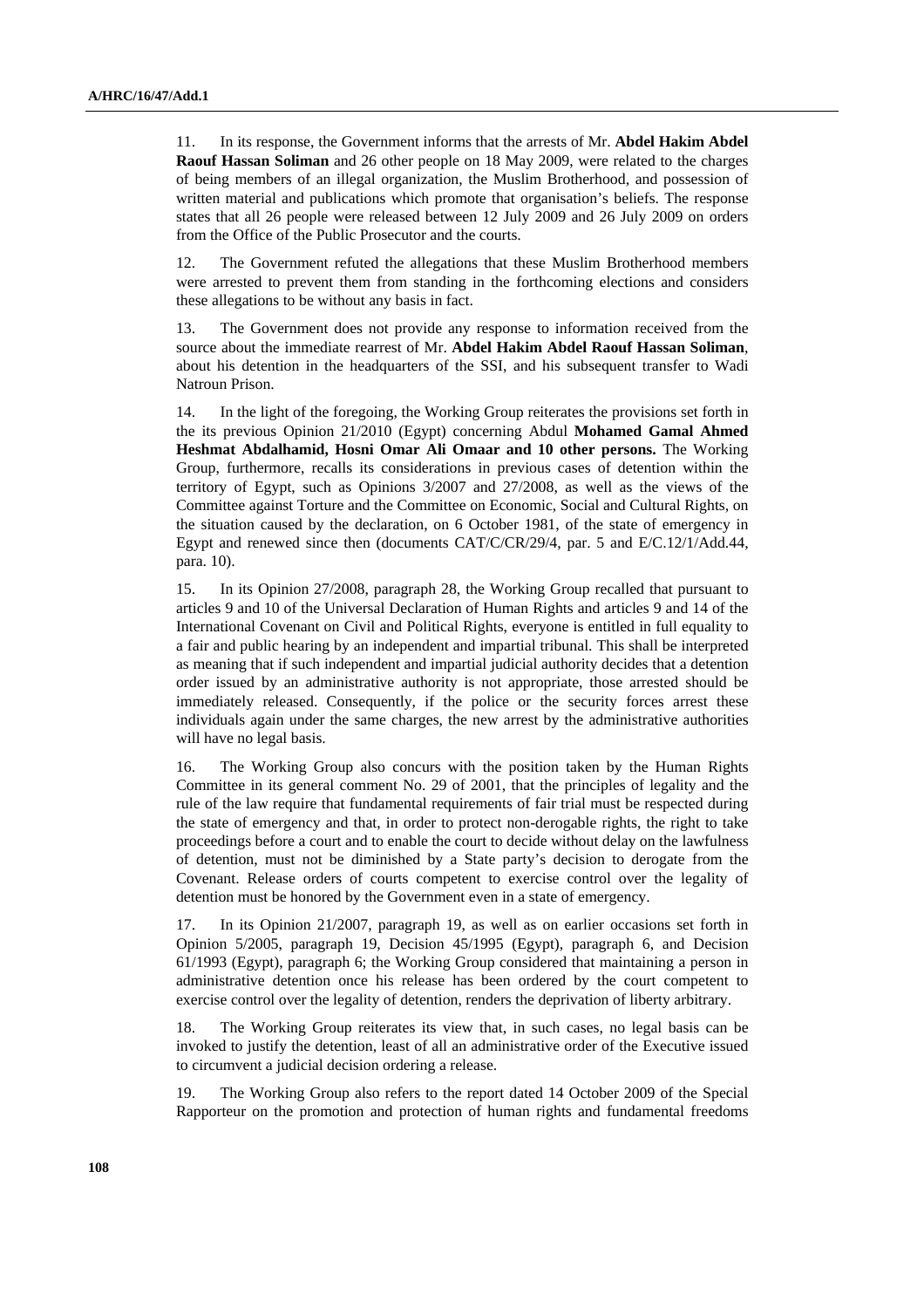11. In its response, the Government informs that the arrests of Mr. **Abdel Hakim Abdel Raouf Hassan Soliman** and 26 other people on 18 May 2009, were related to the charges of being members of an illegal organization, the Muslim Brotherhood, and possession of written material and publications which promote that organisation's beliefs. The response states that all 26 people were released between 12 July 2009 and 26 July 2009 on orders from the Office of the Public Prosecutor and the courts.

12. The Government refuted the allegations that these Muslim Brotherhood members were arrested to prevent them from standing in the forthcoming elections and considers these allegations to be without any basis in fact.

13. The Government does not provide any response to information received from the source about the immediate rearrest of Mr. **Abdel Hakim Abdel Raouf Hassan Soliman**, about his detention in the headquarters of the SSI, and his subsequent transfer to Wadi Natroun Prison.

14. In the light of the foregoing, the Working Group reiterates the provisions set forth in the its previous Opinion 21/2010 (Egypt) concerning Abdul **Mohamed Gamal Ahmed Heshmat Abdalhamid, Hosni Omar Ali Omaar and 10 other persons.** The Working Group, furthermore, recalls its considerations in previous cases of detention within the territory of Egypt, such as Opinions 3/2007 and 27/2008, as well as the views of the Committee against Torture and the Committee on Economic, Social and Cultural Rights, on the situation caused by the declaration, on 6 October 1981, of the state of emergency in Egypt and renewed since then (documents CAT/C/CR/29/4, par. 5 and E/C.12/1/Add.44, para. 10).

15. In its Opinion 27/2008, paragraph 28, the Working Group recalled that pursuant to articles 9 and 10 of the Universal Declaration of Human Rights and articles 9 and 14 of the International Covenant on Civil and Political Rights, everyone is entitled in full equality to a fair and public hearing by an independent and impartial tribunal. This shall be interpreted as meaning that if such independent and impartial judicial authority decides that a detention order issued by an administrative authority is not appropriate, those arrested should be immediately released. Consequently, if the police or the security forces arrest these individuals again under the same charges, the new arrest by the administrative authorities will have no legal basis.

16. The Working Group also concurs with the position taken by the Human Rights Committee in its general comment No. 29 of 2001, that the principles of legality and the rule of the law require that fundamental requirements of fair trial must be respected during the state of emergency and that, in order to protect non-derogable rights, the right to take proceedings before a court and to enable the court to decide without delay on the lawfulness of detention, must not be diminished by a State party's decision to derogate from the Covenant. Release orders of courts competent to exercise control over the legality of detention must be honored by the Government even in a state of emergency.

17. In its Opinion 21/2007, paragraph 19, as well as on earlier occasions set forth in Opinion 5/2005, paragraph 19, Decision 45/1995 (Egypt), paragraph 6, and Decision 61/1993 (Egypt), paragraph 6; the Working Group considered that maintaining a person in administrative detention once his release has been ordered by the court competent to exercise control over the legality of detention, renders the deprivation of liberty arbitrary.

18. The Working Group reiterates its view that, in such cases, no legal basis can be invoked to justify the detention, least of all an administrative order of the Executive issued to circumvent a judicial decision ordering a release.

19. The Working Group also refers to the report dated 14 October 2009 of the Special Rapporteur on the promotion and protection of human rights and fundamental freedoms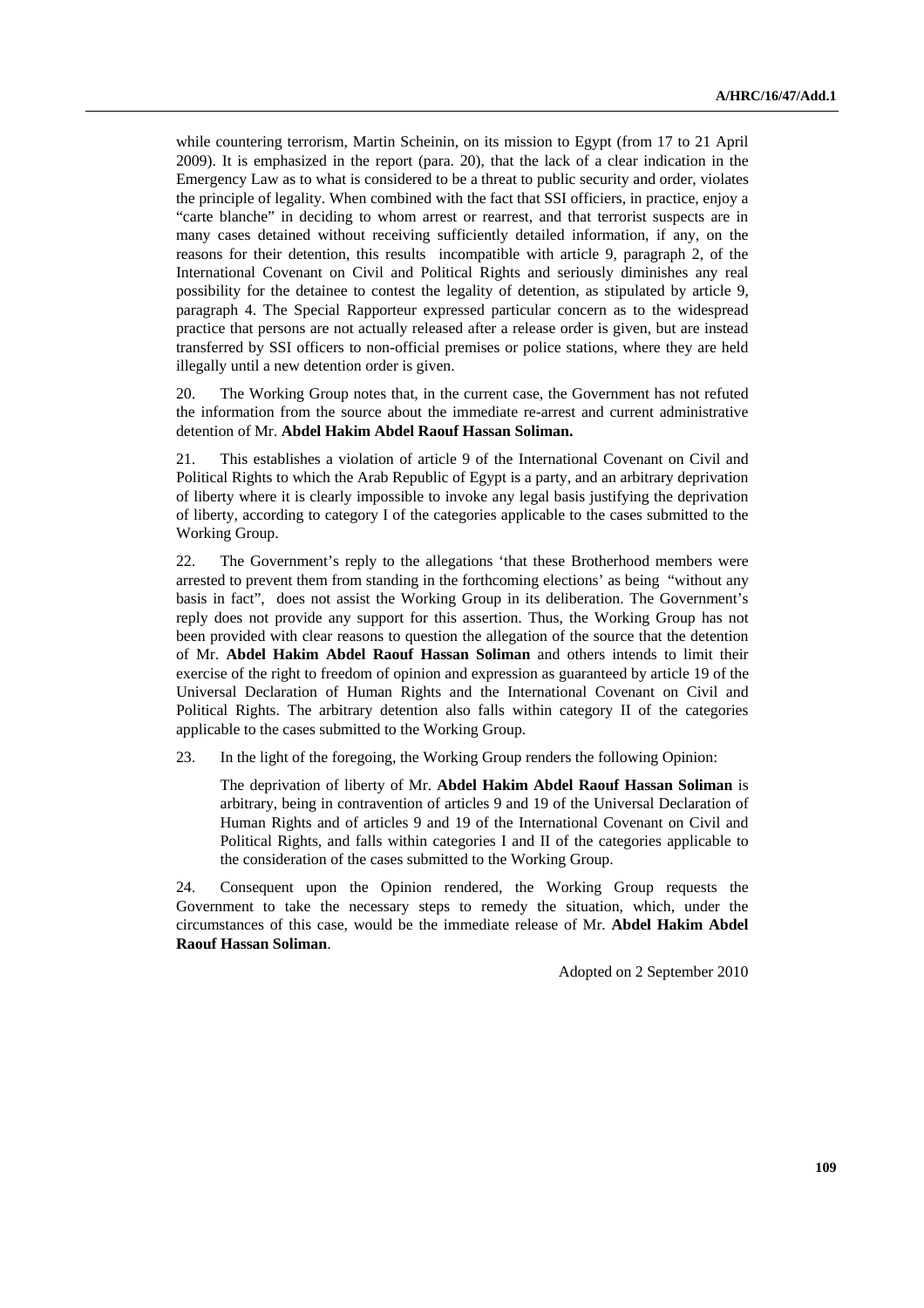while countering terrorism, Martin Scheinin, on its mission to Egypt (from 17 to 21 April 2009). It is emphasized in the report (para. 20), that the lack of a clear indication in the Emergency Law as to what is considered to be a threat to public security and order, violates the principle of legality. When combined with the fact that SSI officiers, in practice, enjoy a "carte blanche" in deciding to whom arrest or rearrest, and that terrorist suspects are in many cases detained without receiving sufficiently detailed information, if any, on the reasons for their detention, this results incompatible with article 9, paragraph 2, of the International Covenant on Civil and Political Rights and seriously diminishes any real possibility for the detainee to contest the legality of detention, as stipulated by article 9, paragraph 4. The Special Rapporteur expressed particular concern as to the widespread practice that persons are not actually released after a release order is given, but are instead transferred by SSI officers to non-official premises or police stations, where they are held illegally until a new detention order is given.

20. The Working Group notes that, in the current case, the Government has not refuted the information from the source about the immediate re-arrest and current administrative detention of Mr. **Abdel Hakim Abdel Raouf Hassan Soliman.** 

21. This establishes a violation of article 9 of the International Covenant on Civil and Political Rights to which the Arab Republic of Egypt is a party, and an arbitrary deprivation of liberty where it is clearly impossible to invoke any legal basis justifying the deprivation of liberty, according to category I of the categories applicable to the cases submitted to the Working Group.

22. The Government's reply to the allegations 'that these Brotherhood members were arrested to prevent them from standing in the forthcoming elections' as being "without any basis in fact", does not assist the Working Group in its deliberation. The Government's reply does not provide any support for this assertion. Thus, the Working Group has not been provided with clear reasons to question the allegation of the source that the detention of Mr. **Abdel Hakim Abdel Raouf Hassan Soliman** and others intends to limit their exercise of the right to freedom of opinion and expression as guaranteed by article 19 of the Universal Declaration of Human Rights and the International Covenant on Civil and Political Rights. The arbitrary detention also falls within category II of the categories applicable to the cases submitted to the Working Group.

23. In the light of the foregoing, the Working Group renders the following Opinion:

 The deprivation of liberty of Mr. **Abdel Hakim Abdel Raouf Hassan Soliman** is arbitrary, being in contravention of articles 9 and 19 of the Universal Declaration of Human Rights and of articles 9 and 19 of the International Covenant on Civil and Political Rights, and falls within categories I and II of the categories applicable to the consideration of the cases submitted to the Working Group.

24. Consequent upon the Opinion rendered, the Working Group requests the Government to take the necessary steps to remedy the situation, which, under the circumstances of this case, would be the immediate release of Mr. **Abdel Hakim Abdel Raouf Hassan Soliman**.

Adopted on 2 September 2010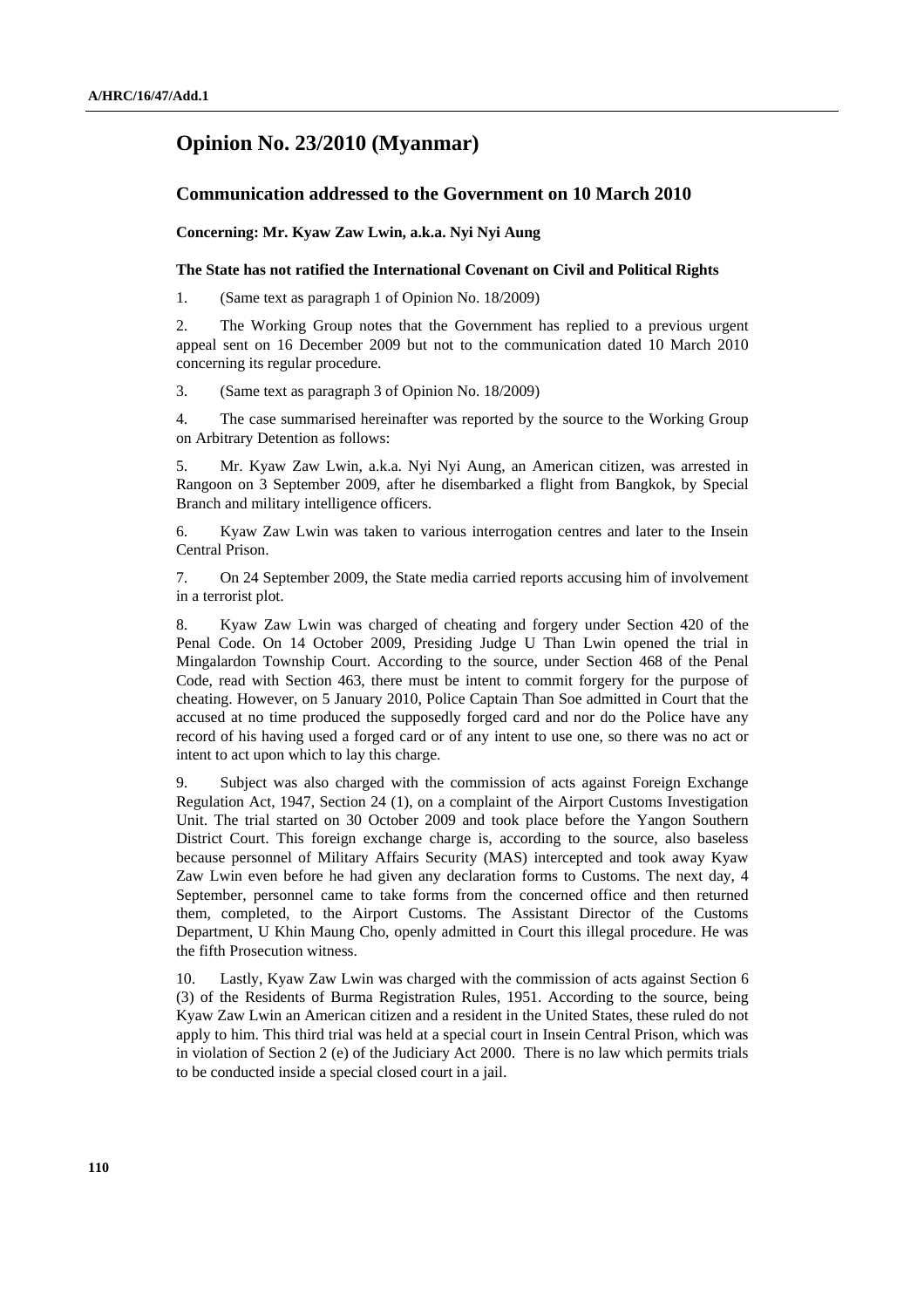## **Opinion No. 23/2010 (Myanmar)**

## **Communication addressed to the Government on 10 March 2010**

 **Concerning: Mr. Kyaw Zaw Lwin, a.k.a. Nyi Nyi Aung** 

## **The State has not ratified the International Covenant on Civil and Political Rights**

1. (Same text as paragraph 1 of Opinion No. 18/2009)

2. The Working Group notes that the Government has replied to a previous urgent appeal sent on 16 December 2009 but not to the communication dated 10 March 2010 concerning its regular procedure.

3. (Same text as paragraph 3 of Opinion No. 18/2009)

4. The case summarised hereinafter was reported by the source to the Working Group on Arbitrary Detention as follows:

5. Mr. Kyaw Zaw Lwin, a.k.a. Nyi Nyi Aung, an American citizen, was arrested in Rangoon on 3 September 2009, after he disembarked a flight from Bangkok, by Special Branch and military intelligence officers.

6. Kyaw Zaw Lwin was taken to various interrogation centres and later to the Insein Central Prison.

7. On 24 September 2009, the State media carried reports accusing him of involvement in a terrorist plot.

8. Kyaw Zaw Lwin was charged of cheating and forgery under Section 420 of the Penal Code. On 14 October 2009, Presiding Judge U Than Lwin opened the trial in Mingalardon Township Court. According to the source, under Section 468 of the Penal Code, read with Section 463, there must be intent to commit forgery for the purpose of cheating. However, on 5 January 2010, Police Captain Than Soe admitted in Court that the accused at no time produced the supposedly forged card and nor do the Police have any record of his having used a forged card or of any intent to use one, so there was no act or intent to act upon which to lay this charge.

9. Subject was also charged with the commission of acts against Foreign Exchange Regulation Act, 1947, Section 24 (1), on a complaint of the Airport Customs Investigation Unit. The trial started on 30 October 2009 and took place before the Yangon Southern District Court. This foreign exchange charge is, according to the source, also baseless because personnel of Military Affairs Security (MAS) intercepted and took away Kyaw Zaw Lwin even before he had given any declaration forms to Customs. The next day, 4 September, personnel came to take forms from the concerned office and then returned them, completed, to the Airport Customs. The Assistant Director of the Customs Department, U Khin Maung Cho, openly admitted in Court this illegal procedure. He was the fifth Prosecution witness.

10. Lastly, Kyaw Zaw Lwin was charged with the commission of acts against Section 6 (3) of the Residents of Burma Registration Rules, 1951. According to the source, being Kyaw Zaw Lwin an American citizen and a resident in the United States, these ruled do not apply to him. This third trial was held at a special court in Insein Central Prison, which was in violation of Section 2 (e) of the Judiciary Act 2000. There is no law which permits trials to be conducted inside a special closed court in a jail.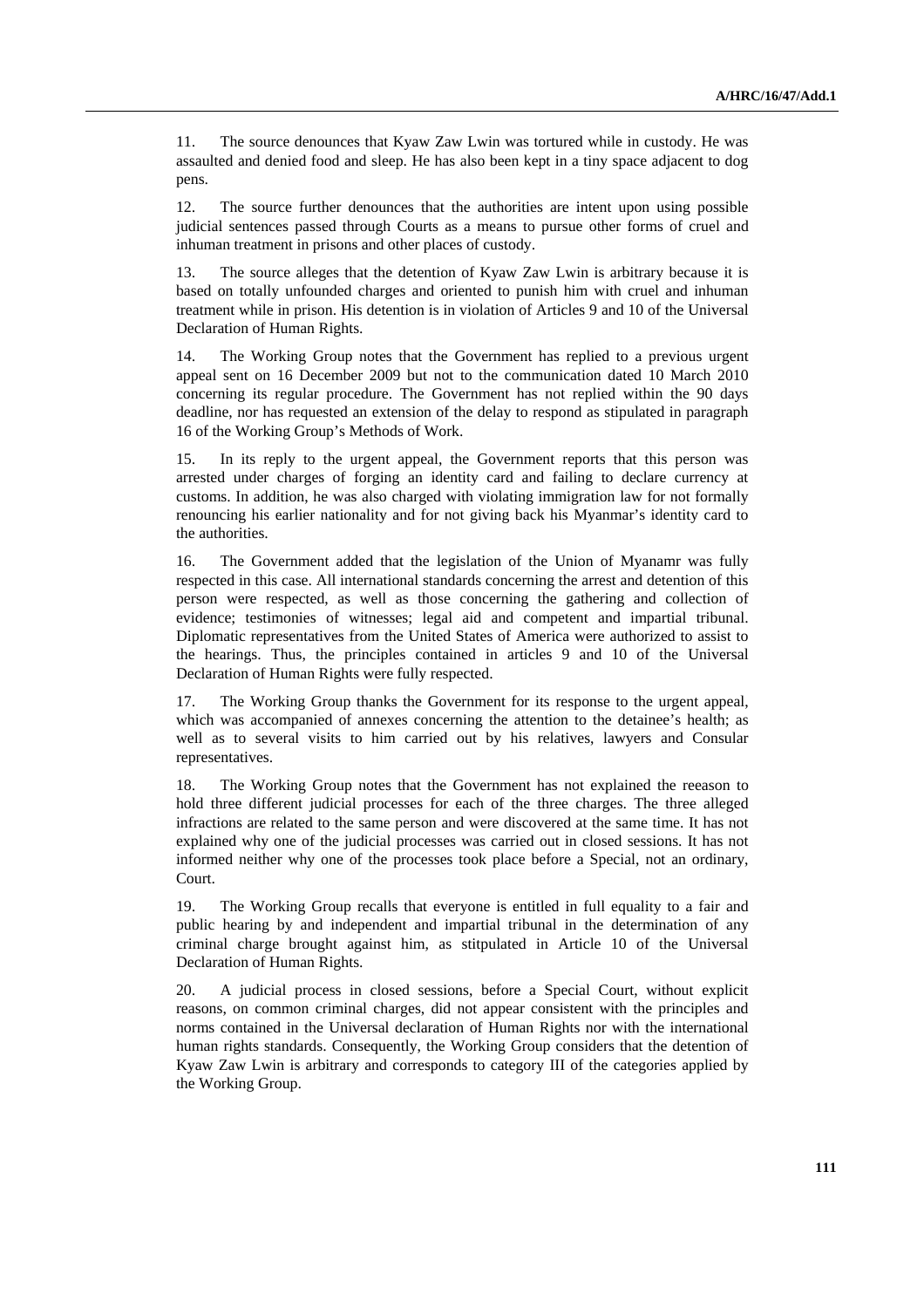11. The source denounces that Kyaw Zaw Lwin was tortured while in custody. He was assaulted and denied food and sleep. He has also been kept in a tiny space adjacent to dog pens.

12. The source further denounces that the authorities are intent upon using possible judicial sentences passed through Courts as a means to pursue other forms of cruel and inhuman treatment in prisons and other places of custody.

13. The source alleges that the detention of Kyaw Zaw Lwin is arbitrary because it is based on totally unfounded charges and oriented to punish him with cruel and inhuman treatment while in prison. His detention is in violation of Articles 9 and 10 of the Universal Declaration of Human Rights.

14. The Working Group notes that the Government has replied to a previous urgent appeal sent on 16 December 2009 but not to the communication dated 10 March 2010 concerning its regular procedure. The Government has not replied within the 90 days deadline, nor has requested an extension of the delay to respond as stipulated in paragraph 16 of the Working Group's Methods of Work.

15. In its reply to the urgent appeal, the Government reports that this person was arrested under charges of forging an identity card and failing to declare currency at customs. In addition, he was also charged with violating immigration law for not formally renouncing his earlier nationality and for not giving back his Myanmar's identity card to the authorities.

16. The Government added that the legislation of the Union of Myanamr was fully respected in this case. All international standards concerning the arrest and detention of this person were respected, as well as those concerning the gathering and collection of evidence; testimonies of witnesses; legal aid and competent and impartial tribunal. Diplomatic representatives from the United States of America were authorized to assist to the hearings. Thus, the principles contained in articles 9 and 10 of the Universal Declaration of Human Rights were fully respected.

17. The Working Group thanks the Government for its response to the urgent appeal, which was accompanied of annexes concerning the attention to the detainee's health; as well as to several visits to him carried out by his relatives, lawyers and Consular representatives.

18. The Working Group notes that the Government has not explained the reeason to hold three different judicial processes for each of the three charges. The three alleged infractions are related to the same person and were discovered at the same time. It has not explained why one of the judicial processes was carried out in closed sessions. It has not informed neither why one of the processes took place before a Special, not an ordinary, Court.

19. The Working Group recalls that everyone is entitled in full equality to a fair and public hearing by and independent and impartial tribunal in the determination of any criminal charge brought against him, as stitpulated in Article 10 of the Universal Declaration of Human Rights.

20. A judicial process in closed sessions, before a Special Court, without explicit reasons, on common criminal charges, did not appear consistent with the principles and norms contained in the Universal declaration of Human Rights nor with the international human rights standards. Consequently, the Working Group considers that the detention of Kyaw Zaw Lwin is arbitrary and corresponds to category III of the categories applied by the Working Group.